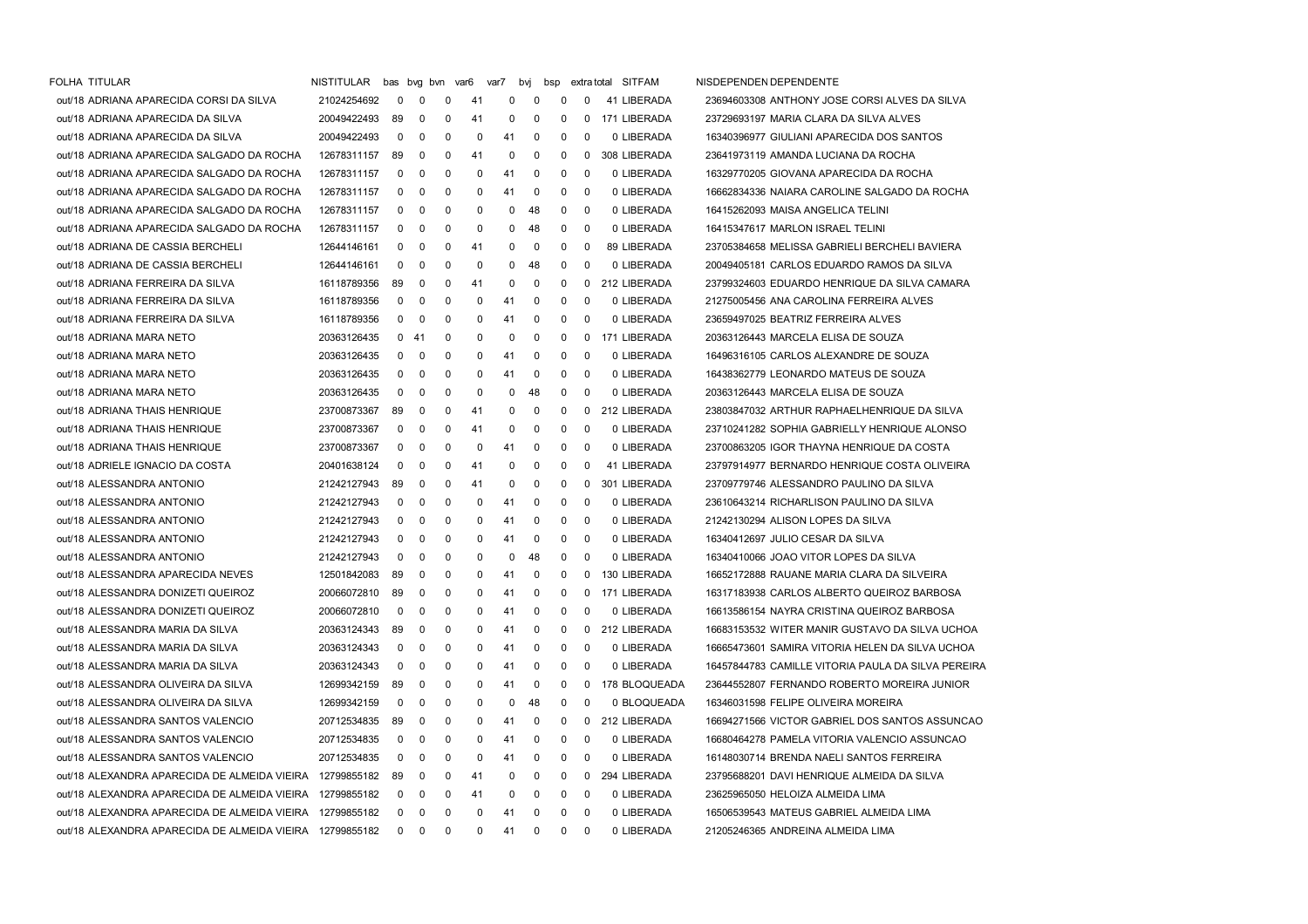| FOLHA TITULAR                                            | NISTITULAR  |                | bas bvg bvn var6 |   |    | var7 | bvj | bsp          |   | extra total SITFAM | NISDEPENDEN DEPENDENTE                             |
|----------------------------------------------------------|-------------|----------------|------------------|---|----|------|-----|--------------|---|--------------------|----------------------------------------------------|
| out/18 ADRIANA APARECIDA CORSI DA SILVA                  | 21024254692 | 0              | 0                | 0 | 41 | 0    | 0   | 0            | 0 | 41 LIBERADA        | 23694603308 ANTHONY JOSE CORSI ALVES DA SILVA      |
| out/18 ADRIANA APARECIDA DA SILVA                        | 20049422493 | 89             | 0                | 0 | 41 | 0    | 0   | 0            | 0 | 171 LIBERADA       | 23729693197 MARIA CLARA DA SILVA ALVES             |
| out/18 ADRIANA APARECIDA DA SILVA                        | 20049422493 | 0              | 0                | 0 | 0  | 41   | 0   | 0            | 0 | 0 LIBERADA         | 16340396977 GIULIANI APARECIDA DOS SANTOS          |
| out/18 ADRIANA APARECIDA SALGADO DA ROCHA                | 12678311157 | 89             | 0                | 0 | 41 | 0    | 0   | 0            | 0 | 308 LIBERADA       | 23641973119 AMANDA LUCIANA DA ROCHA                |
| out/18 ADRIANA APARECIDA SALGADO DA ROCHA                | 12678311157 | 0              | 0                | 0 | 0  | 41   | 0   | 0            | 0 | 0 LIBERADA         | 16329770205 GIOVANA APARECIDA DA ROCHA             |
| out/18 ADRIANA APARECIDA SALGADO DA ROCHA                | 12678311157 | 0              | 0                | 0 | 0  | 41   | 0   | 0            | 0 | 0 LIBERADA         | 16662834336 NAIARA CAROLINE SALGADO DA ROCHA       |
| out/18 ADRIANA APARECIDA SALGADO DA ROCHA                | 12678311157 | 0              | 0                | 0 | 0  | 0    | 48  | 0            | 0 | 0 LIBERADA         | 16415262093 MAISA ANGELICA TELINI                  |
| out/18 ADRIANA APARECIDA SALGADO DA ROCHA                | 12678311157 | 0              | 0                | 0 | 0  | 0    | 48  | 0            | 0 | 0 LIBERADA         | 16415347617 MARLON ISRAEL TELINI                   |
| out/18 ADRIANA DE CASSIA BERCHELI                        | 12644146161 | 0              | 0                | 0 | 41 | 0    | 0   | 0            | 0 | 89 LIBERADA        | 23705384658 MELISSA GABRIELI BERCHELI BAVIERA      |
| out/18 ADRIANA DE CASSIA BERCHELI                        | 12644146161 | 0              | 0                | 0 | 0  | 0    | 48  | 0            | 0 | 0 LIBERADA         | 20049405181 CARLOS EDUARDO RAMOS DA SILVA          |
| out/18 ADRIANA FERREIRA DA SILVA                         | 16118789356 | 89             | 0                | 0 | 41 | 0    | 0   | 0            | 0 | 212 LIBERADA       | 23799324603 EDUARDO HENRIQUE DA SILVA CAMARA       |
| out/18 ADRIANA FERREIRA DA SILVA                         | 16118789356 | 0              | 0                | 0 | 0  | 41   | 0   | 0            | 0 | 0 LIBERADA         | 21275005456 ANA CAROLINA FERREIRA ALVES            |
| out/18 ADRIANA FERREIRA DA SILVA                         | 16118789356 | 0              | 0                | 0 | 0  | 41   | 0   | 0            | 0 | 0 LIBERADA         | 23659497025 BEATRIZ FERREIRA ALVES                 |
| out/18 ADRIANA MARA NETO                                 | 20363126435 | $\mathbf 0$    | -41              | 0 | 0  | 0    | 0   | 0            | 0 | 171 LIBERADA       | 20363126443 MARCELA ELISA DE SOUZA                 |
| out/18 ADRIANA MARA NETO                                 | 20363126435 | 0              | 0                | 0 | 0  | 41   | 0   | 0            | 0 | 0 LIBERADA         | 16496316105 CARLOS ALEXANDRE DE SOUZA              |
| out/18 ADRIANA MARA NETO                                 | 20363126435 | 0              | 0                | 0 | 0  | 41   | 0   | 0            | 0 | 0 LIBERADA         | 16438362779 LEONARDO MATEUS DE SOUZA               |
| out/18 ADRIANA MARA NETO                                 | 20363126435 | 0              | 0                | 0 | 0  | 0    | 48  | 0            | 0 | 0 LIBERADA         | 20363126443 MARCELA ELISA DE SOUZA                 |
| out/18 ADRIANA THAIS HENRIQUE                            | 23700873367 | 89             | 0                | 0 | 41 | 0    | 0   | 0            | 0 | 212 LIBERADA       | 23803847032 ARTHUR RAPHAELHENRIQUE DA SILVA        |
| out/18 ADRIANA THAIS HENRIQUE                            | 23700873367 | $\mathbf 0$    | 0                | 0 | 41 | 0    | 0   | 0            | 0 | 0 LIBERADA         | 23710241282 SOPHIA GABRIELLY HENRIQUE ALONSO       |
| out/18 ADRIANA THAIS HENRIQUE                            | 23700873367 | 0              | 0                | 0 | 0  | 41   | 0   | 0            | 0 | 0 LIBERADA         | 23700863205 IGOR THAYNA HENRIQUE DA COSTA          |
| out/18 ADRIELE IGNACIO DA COSTA                          | 20401638124 | 0              | 0                | 0 | 41 | 0    | 0   | 0            | 0 | 41 LIBERADA        | 23797914977 BERNARDO HENRIQUE COSTA OLIVEIRA       |
| out/18 ALESSANDRA ANTONIO                                | 21242127943 | 89             | 0                | 0 | 41 | 0    | 0   | 0            | 0 | 301 LIBERADA       | 23709779746 ALESSANDRO PAULINO DA SILVA            |
| out/18 ALESSANDRA ANTONIO                                | 21242127943 | 0              | 0                | 0 | 0  | 41   | 0   | 0            | 0 | 0 LIBERADA         | 23610643214 RICHARLISON PAULINO DA SILVA           |
| out/18 ALESSANDRA ANTONIO                                | 21242127943 | $\mathbf 0$    | 0                | 0 | 0  | 41   | 0   | 0            | 0 | 0 LIBERADA         | 21242130294 ALISON LOPES DA SILVA                  |
| out/18 ALESSANDRA ANTONIO                                | 21242127943 | 0              | 0                | 0 | 0  | 41   | 0   | 0            | 0 | 0 LIBERADA         | 16340412697 JULIO CESAR DA SILVA                   |
| out/18 ALESSANDRA ANTONIO                                | 21242127943 | 0              | 0                | 0 | 0  | 0    | 48  | 0            | 0 | 0 LIBERADA         | 16340410066 JOAO VITOR LOPES DA SILVA              |
| out/18 ALESSANDRA APARECIDA NEVES                        | 12501842083 | 89             | 0                | 0 | 0  | 41   | 0   | 0            | 0 | 130 LIBERADA       | 16652172888 RAUANE MARIA CLARA DA SILVEIRA         |
| out/18 ALESSANDRA DONIZETI QUEIROZ                       | 20066072810 | 89             | 0                | 0 | 0  | 41   | 0   | 0            | 0 | 171 LIBERADA       | 16317183938 CARLOS ALBERTO QUEIROZ BARBOSA         |
| out/18 ALESSANDRA DONIZETI QUEIROZ                       | 20066072810 | $\mathbf 0$    | 0                | 0 | 0  | 41   | 0   | 0            | 0 | 0 LIBERADA         | 16613586154 NAYRA CRISTINA QUEIROZ BARBOSA         |
| out/18 ALESSANDRA MARIA DA SILVA                         | 20363124343 | -89            | 0                | 0 | 0  | 41   | 0   | 0            | 0 | 212 LIBERADA       | 16683153532 WITER MANIR GUSTAVO DA SILVA UCHOA     |
| out/18 ALESSANDRA MARIA DA SILVA                         | 20363124343 | 0              | 0                | 0 | 0  | 41   | 0   | 0            | 0 | 0 LIBERADA         | 16665473601 SAMIRA VITORIA HELEN DA SILVA UCHOA    |
| out/18 ALESSANDRA MARIA DA SILVA                         | 20363124343 | 0              | 0                | 0 | 0  | 41   | 0   | 0            | 0 | 0 LIBERADA         | 16457844783 CAMILLE VITORIA PAULA DA SILVA PEREIRA |
| out/18 ALESSANDRA OLIVEIRA DA SILVA                      | 12699342159 | 89             | 0                | 0 | 0  | 41   | 0   | 0            | 0 | 178 BLOQUEADA      | 23644552807 FERNANDO ROBERTO MOREIRA JUNIOR        |
| out/18 ALESSANDRA OLIVEIRA DA SILVA                      | 12699342159 | 0              | 0                | 0 | 0  | 0    | 48  | 0            | 0 | 0 BLOQUEADA        | 16346031598 FELIPE OLIVEIRA MOREIRA                |
| out/18 ALESSANDRA SANTOS VALENCIO                        | 20712534835 | 89             | 0                | 0 | 0  | 41   | 0   | 0            | 0 | 212 LIBERADA       | 16694271566 VICTOR GABRIEL DOS SANTOS ASSUNCAO     |
| out/18 ALESSANDRA SANTOS VALENCIO                        | 20712534835 | 0              | 0                | 0 | 0  | 41   | 0   | 0            | 0 | 0 LIBERADA         | 16680464278 PAMELA VITORIA VALENCIO ASSUNCAO       |
| out/18 ALESSANDRA SANTOS VALENCIO                        | 20712534835 | $\mathbf 0$    | 0                | 0 | 0  | 41   | 0   | 0            | 0 | 0 LIBERADA         | 16148030714 BRENDA NAELI SANTOS FERREIRA           |
| out/18 ALEXANDRA APARECIDA DE ALMEIDA VIEIRA             | 12799855182 | 89             | 0                | 0 | 41 | 0    | 0   | 0            | 0 | 294 LIBERADA       | 23795688201 DAVI HENRIQUE ALMEIDA DA SILVA         |
| out/18 ALEXANDRA APARECIDA DE ALMEIDA VIEIRA 12799855182 |             | $\mathbf{0}$   | 0                | 0 | 41 | 0    | 0   | 0            | 0 | 0 LIBERADA         | 23625965050 HELOIZA ALMEIDA LIMA                   |
| out/18 ALEXANDRA APARECIDA DE ALMEIDA VIEIRA 12799855182 |             | 0              | 0                | 0 | 0  | 41   | 0   | 0            | 0 | 0 LIBERADA         | 16506539543 MATEUS GABRIEL ALMEIDA LIMA            |
| out/18 ALEXANDRA APARECIDA DE ALMEIDA VIEIRA 12799855182 |             | $\overline{0}$ | $\overline{0}$   | 0 | 0  | 41   | 0   | $\mathbf{0}$ | 0 | 0 LIBERADA         | 21205246365 ANDREINA ALMEIDA LIMA                  |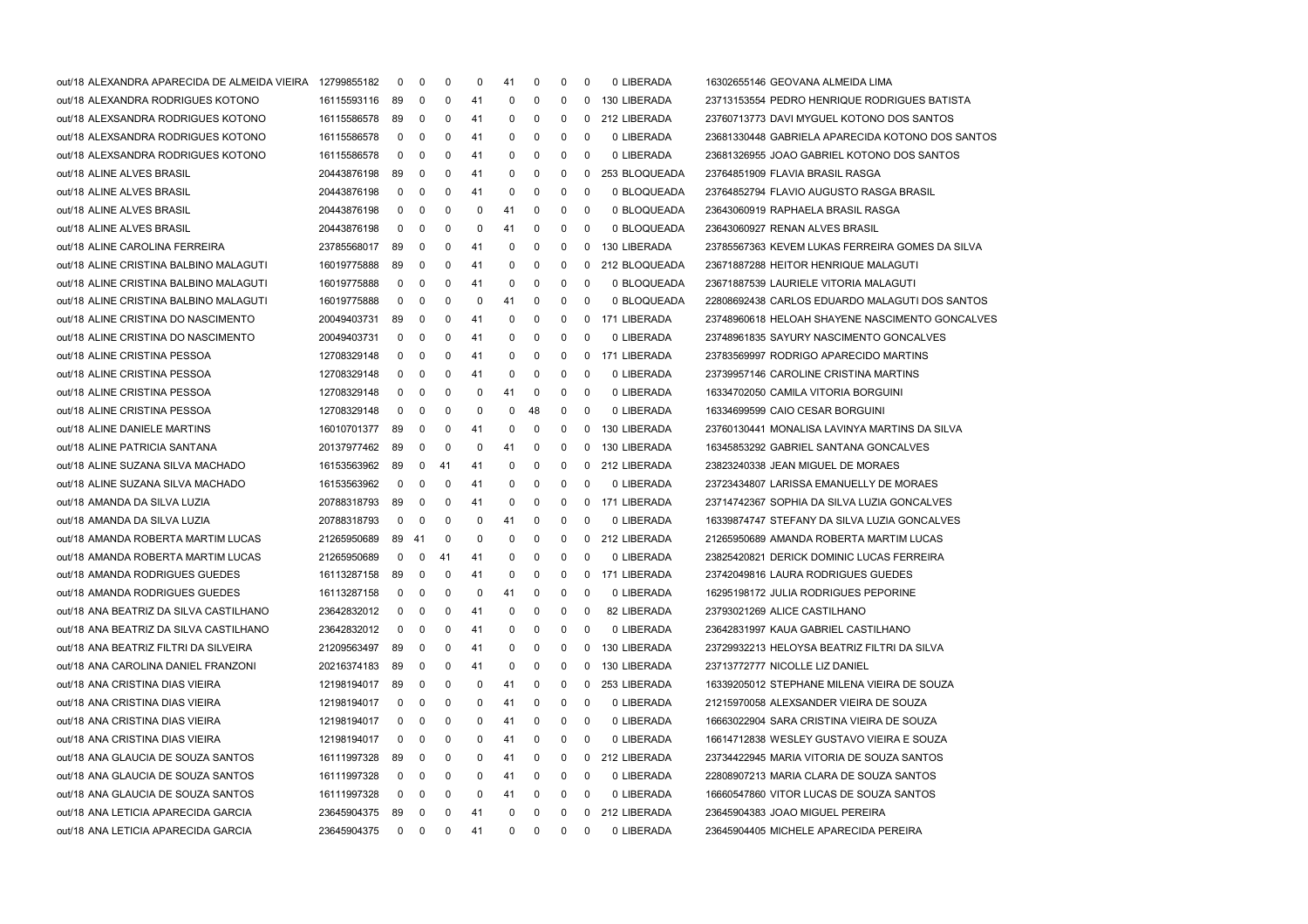| out/18 ALEXANDRA APARECIDA DE ALMEIDA VIEIRA | 12799855182    | 0                       | 0              | 0  | 0  | 41 | 0  | 0 | 0 | 0 LIBERADA    | 16302655146 GEOVANA ALMEIDA LIMA                 |
|----------------------------------------------|----------------|-------------------------|----------------|----|----|----|----|---|---|---------------|--------------------------------------------------|
| out/18 ALEXANDRA RODRIGUES KOTONO            | 16115593116 89 |                         | $\mathbf 0$    | 0  | 41 | 0  | 0  | 0 | 0 | 130 LIBERADA  | 23713153554 PEDRO HENRIQUE RODRIGUES BATISTA     |
| out/18 ALEXSANDRA RODRIGUES KOTONO           | 16115586578    | -89                     | 0              | 0  | 41 | 0  | 0  | 0 | 0 | 212 LIBERADA  | 23760713773 DAVI MYGUEL KOTONO DOS SANTOS        |
| out/18 ALEXSANDRA RODRIGUES KOTONO           | 16115586578    | $\mathbf 0$             | 0              | 0  | 41 | 0  | 0  | 0 | 0 | 0 LIBERADA    | 23681330448 GABRIELA APARECIDA KOTONO DOS SANTOS |
| out/18 ALEXSANDRA RODRIGUES KOTONO           | 16115586578    | $\mathbf 0$             | 0              | 0  | 41 | 0  | 0  | 0 | 0 | 0 LIBERADA    | 23681326955 JOAO GABRIEL KOTONO DOS SANTOS       |
| out/18 ALINE ALVES BRASIL                    | 20443876198    | 89                      | 0              | 0  | 41 | 0  | 0  | 0 | 0 | 253 BLOQUEADA | 23764851909 FLAVIA BRASIL RASGA                  |
| out/18 ALINE ALVES BRASIL                    | 20443876198    | $\mathbf 0$             | 0              | 0  | 41 | 0  | 0  | 0 | 0 | 0 BLOQUEADA   | 23764852794 FLAVIO AUGUSTO RASGA BRASIL          |
| out/18 ALINE ALVES BRASIL                    | 20443876198    | 0                       | 0              | 0  | 0  | 41 | 0  | 0 | 0 | 0 BLOQUEADA   | 23643060919 RAPHAELA BRASIL RASGA                |
| out/18 ALINE ALVES BRASIL                    | 20443876198    | $\mathbf 0$             | 0              | 0  | 0  | 41 | 0  | 0 | 0 | 0 BLOQUEADA   | 23643060927 RENAN ALVES BRASIL                   |
| out/18 ALINE CAROLINA FERREIRA               | 23785568017    | -89                     | 0              | 0  | 41 | 0  | 0  | 0 | 0 | 130 LIBERADA  | 23785567363 KEVEM LUKAS FERREIRA GOMES DA SILVA  |
| out/18 ALINE CRISTINA BALBINO MALAGUTI       | 16019775888    | 89                      | 0              | 0  | 41 | 0  | 0  | 0 | 0 | 212 BLOQUEADA | 23671887288 HEITOR HENRIQUE MALAGUTI             |
| out/18 ALINE CRISTINA BALBINO MALAGUTI       | 16019775888    | 0                       | 0              | 0  | 41 | 0  | 0  | 0 | 0 | 0 BLOQUEADA   | 23671887539 LAURIELE VITORIA MALAGUTI            |
| out/18 ALINE CRISTINA BALBINO MALAGUTI       | 16019775888    | 0                       | 0              | 0  | 0  | 41 | 0  | 0 | 0 | 0 BLOQUEADA   | 22808692438 CARLOS EDUARDO MALAGUTI DOS SANTOS   |
| out/18 ALINE CRISTINA DO NASCIMENTO          | 20049403731    | 89                      | 0              | 0  | 41 | 0  | 0  | 0 | 0 | 171 LIBERADA  | 23748960618 HELOAH SHAYENE NASCIMENTO GONCALVES  |
| out/18 ALINE CRISTINA DO NASCIMENTO          | 20049403731    | $\mathbf 0$             | 0              | 0  | 41 | 0  | 0  | 0 | 0 | 0 LIBERADA    | 23748961835 SAYURY NASCIMENTO GONCALVES          |
| out/18 ALINE CRISTINA PESSOA                 | 12708329148    | $\mathbf 0$             | 0              | 0  | 41 | 0  | 0  | 0 | 0 | 171 LIBERADA  | 23783569997 RODRIGO APARECIDO MARTINS            |
| out/18 ALINE CRISTINA PESSOA                 | 12708329148    | 0                       | 0              | 0  | 41 | 0  | 0  | 0 | 0 | 0 LIBERADA    | 23739957146 CAROLINE CRISTINA MARTINS            |
| out/18 ALINE CRISTINA PESSOA                 | 12708329148    | 0                       | 0              | 0  | 0  | 41 | 0  | 0 | 0 | 0 LIBERADA    | 16334702050 CAMILA VITORIA BORGUINI              |
| out/18 ALINE CRISTINA PESSOA                 | 12708329148    | $\overline{0}$          | 0              | 0  | 0  | 0  | 48 | 0 | 0 | 0 LIBERADA    | 16334699599 CAIO CESAR BORGUINI                  |
| out/18 ALINE DANIELE MARTINS                 | 16010701377    | -89                     | 0              | 0  | 41 | 0  | 0  | 0 | 0 | 130 LIBERADA  | 23760130441 MONALISA LAVINYA MARTINS DA SILVA    |
| out/18 ALINE PATRICIA SANTANA                | 20137977462    | 89                      | 0              | 0  | 0  | 41 | 0  | 0 | 0 | 130 LIBERADA  | 16345853292 GABRIEL SANTANA GONCALVES            |
| out/18 ALINE SUZANA SILVA MACHADO            | 16153563962 89 |                         | $\mathbf 0$    | 41 | 41 | 0  | 0  | 0 | 0 | 212 LIBERADA  | 23823240338 JEAN MIGUEL DE MORAES                |
| out/18 ALINE SUZANA SILVA MACHADO            | 16153563962    | 0                       | 0              | 0  | 41 | 0  | 0  | 0 | 0 | 0 LIBERADA    | 23723434807 LARISSA EMANUELLY DE MORAES          |
| out/18 AMANDA DA SILVA LUZIA                 | 20788318793    | -89                     | 0              | 0  | 41 | 0  | 0  | 0 | 0 | 171 LIBERADA  | 23714742367 SOPHIA DA SILVA LUZIA GONCALVES      |
| out/18 AMANDA DA SILVA LUZIA                 | 20788318793    | $\mathbf 0$             | 0              | 0  | 0  | 41 | 0  | 0 | 0 | 0 LIBERADA    | 16339874747 STEFANY DA SILVA LUZIA GONCALVES     |
| out/18 AMANDA ROBERTA MARTIM LUCAS           | 21265950689    | 89                      | -41            | 0  | 0  | 0  | 0  | 0 | 0 | 212 LIBERADA  | 21265950689 AMANDA ROBERTA MARTIM LUCAS          |
| out/18 AMANDA ROBERTA MARTIM LUCAS           | 21265950689    | $\mathbf 0$             | $\mathbf 0$    | 41 | 41 | 0  | 0  | 0 | 0 | 0 LIBERADA    | 23825420821 DERICK DOMINIC LUCAS FERREIRA        |
| out/18 AMANDA RODRIGUES GUEDES               | 16113287158    | -89                     | 0              | 0  | 41 | 0  | 0  | 0 | 0 | 171 LIBERADA  | 23742049816 LAURA RODRIGUES GUEDES               |
| out/18 AMANDA RODRIGUES GUEDES               | 16113287158    | $\mathbf 0$             | 0              | 0  | 0  | 41 | 0  | 0 | 0 | 0 LIBERADA    | 16295198172 JULIA RODRIGUES PEPORINE             |
| out/18 ANA BEATRIZ DA SILVA CASTILHANO       | 23642832012    | $\mathbf 0$             | 0              | 0  | 41 | 0  | 0  | 0 | 0 | 82 LIBERADA   | 23793021269 ALICE CASTILHANO                     |
| out/18 ANA BEATRIZ DA SILVA CASTILHANO       | 23642832012    | $\overline{\mathbf{0}}$ | 0              | 0  | 41 | 0  | 0  | 0 | 0 | 0 LIBERADA    | 23642831997 KAUA GABRIEL CASTILHANO              |
| out/18 ANA BEATRIZ FILTRI DA SILVEIRA        | 21209563497    | 89                      | $\mathbf 0$    | 0  | 41 | 0  | 0  | 0 | 0 | 130 LIBERADA  | 23729932213 HELOYSA BEATRIZ FILTRI DA SILVA      |
| out/18 ANA CAROLINA DANIEL FRANZONI          | 20216374183    | 89                      | 0              | 0  | 41 | 0  | 0  | 0 | 0 | 130 LIBERADA  | 23713772777 NICOLLE LIZ DANIEL                   |
| out/18 ANA CRISTINA DIAS VIEIRA              | 12198194017    | -89                     | $\mathbf 0$    | 0  | 0  | 41 | 0  | 0 | 0 | 253 LIBERADA  | 16339205012 STEPHANE MILENA VIEIRA DE SOUZA      |
| out/18 ANA CRISTINA DIAS VIEIRA              | 12198194017    | $\mathbf 0$             | 0              | 0  | 0  | 41 | 0  | 0 | 0 | 0 LIBERADA    | 21215970058 ALEXSANDER VIEIRA DE SOUZA           |
| out/18 ANA CRISTINA DIAS VIEIRA              | 12198194017    | 0                       | 0              | 0  | 0  | 41 | 0  | 0 | 0 | 0 LIBERADA    | 16663022904 SARA CRISTINA VIEIRA DE SOUZA        |
| out/18 ANA CRISTINA DIAS VIEIRA              | 12198194017    | 0                       | 0              | 0  | 0  | 41 | 0  | 0 | 0 | 0 LIBERADA    | 16614712838 WESLEY GUSTAVO VIEIRA E SOUZA        |
| out/18 ANA GLAUCIA DE SOUZA SANTOS           | 16111997328    | 89                      | 0              | 0  | 0  | 41 | 0  | 0 | 0 | 212 LIBERADA  | 23734422945 MARIA VITORIA DE SOUZA SANTOS        |
| out/18 ANA GLAUCIA DE SOUZA SANTOS           | 16111997328    | 0                       | $\mathbf 0$    | 0  | 0  | 41 | 0  | 0 | 0 | 0 LIBERADA    | 22808907213 MARIA CLARA DE SOUZA SANTOS          |
| out/18 ANA GLAUCIA DE SOUZA SANTOS           | 16111997328    | 0                       | 0              | 0  | 0  | 41 | 0  | 0 | 0 | 0 LIBERADA    | 16660547860 VITOR LUCAS DE SOUZA SANTOS          |
| out/18 ANA LETICIA APARECIDA GARCIA          | 23645904375    | 89                      | 0              | 0  | 41 | 0  | 0  | 0 | 0 | 212 LIBERADA  | 23645904383 JOAO MIGUEL PEREIRA                  |
| out/18 ANA LETICIA APARECIDA GARCIA          | 23645904375    | $\overline{0}$          | $\overline{0}$ | 0  | 41 | 0  | 0  | 0 | 0 | 0 LIBERADA    | 23645904405 MICHELE APARECIDA PEREIRA            |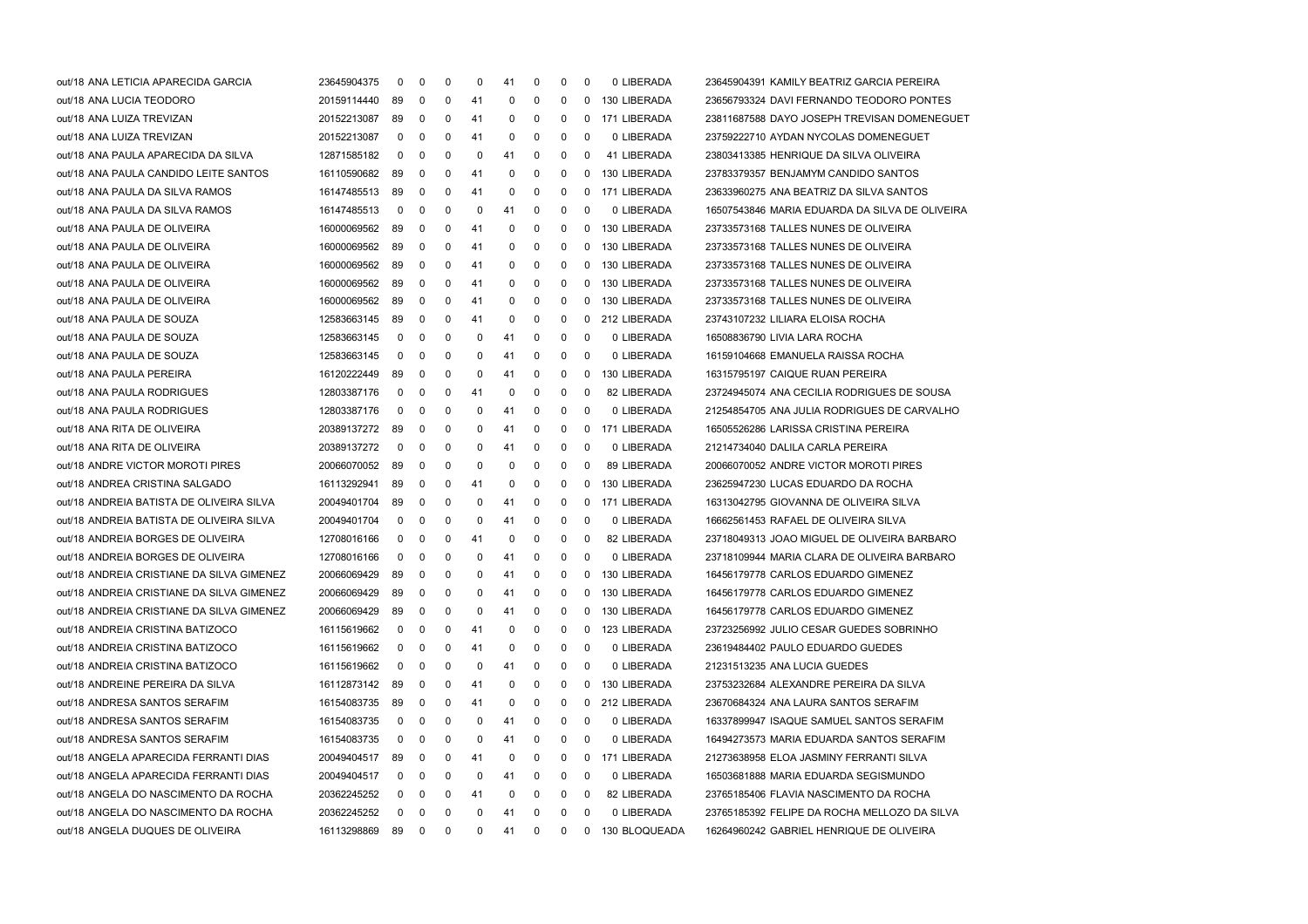| out/18 ANA LETICIA APARECIDA GARCIA       | 23645904375 | $\mathbf 0$    | 0           | 0        | 0   | 41 | 0           | 0        | 0        | 0 LIBERADA      | 23645904391 KAMILY BEATRIZ GARCIA PEREIRA      |
|-------------------------------------------|-------------|----------------|-------------|----------|-----|----|-------------|----------|----------|-----------------|------------------------------------------------|
| out/18 ANA LUCIA TEODORO                  | 20159114440 | 89             | 0           | 0        | 41  | 0  | 0           | 0        | $\Omega$ | 130 LIBERADA    | 23656793324 DAVI FERNANDO TEODORO PONTES       |
| out/18 ANA LUIZA TREVIZAN                 | 20152213087 | 89             | 0           | 0        | 41  | 0  | 0           | 0        | 0        | 171 LIBERADA    | 23811687588 DAYO JOSEPH TREVISAN DOMENEGUET    |
| out/18 ANA LUIZA TREVIZAN                 | 20152213087 | 0              | 0           | 0        | 41  | 0  | 0           | 0        | 0        | 0 LIBERADA      | 23759222710 AYDAN NYCOLAS DOMENEGUET           |
| out/18 ANA PAULA APARECIDA DA SILVA       | 12871585182 | 0              | $\mathbf 0$ | 0        | 0   | 41 | 0           | 0        | 0        | 41 LIBERADA     | 23803413385 HENRIQUE DA SILVA OLIVEIRA         |
| out/18 ANA PAULA CANDIDO LEITE SANTOS     | 16110590682 | 89             | $\mathbf 0$ | 0        | 41  | 0  | 0           | 0        | 0        | 130 LIBERADA    | 23783379357 BENJAMYM CANDIDO SANTOS            |
| out/18 ANA PAULA DA SILVA RAMOS           | 16147485513 | 89             | 0           | 0        | 41  | 0  | 0           | 0        | 0        | 171 LIBERADA    | 23633960275 ANA BEATRIZ DA SILVA SANTOS        |
| out/18 ANA PAULA DA SILVA RAMOS           | 16147485513 | 0              | 0           | 0        | 0   | 41 | 0           | 0        | 0        | 0 LIBERADA      | 16507543846 MARIA EDUARDA DA SILVA DE OLIVEIRA |
| out/18 ANA PAULA DE OLIVEIRA              | 16000069562 | 89             | 0           | 0        | 41  | 0  | 0           | 0        | 0        | 130 LIBERADA    | 23733573168 TALLES NUNES DE OLIVEIRA           |
| out/18 ANA PAULA DE OLIVEIRA              | 16000069562 | 89             | 0           | 0        | 41  | 0  | 0           | 0        | 0        | 130 LIBERADA    | 23733573168 TALLES NUNES DE OLIVEIRA           |
| out/18 ANA PAULA DE OLIVEIRA              | 16000069562 | 89             | $\mathbf 0$ | 0        | 41  | 0  | 0           | 0        | 0        | 130 LIBERADA    | 23733573168 TALLES NUNES DE OLIVEIRA           |
| out/18 ANA PAULA DE OLIVEIRA              | 16000069562 | 89             | 0           | 0        | 41  | 0  | 0           | 0        | $\Omega$ | 130 LIBERADA    | 23733573168 TALLES NUNES DE OLIVEIRA           |
| out/18 ANA PAULA DE OLIVEIRA              | 16000069562 | 89             | 0           | 0        | 41  | 0  | 0           | 0        | 0        | 130 LIBERADA    | 23733573168 TALLES NUNES DE OLIVEIRA           |
| out/18 ANA PAULA DE SOUZA                 | 12583663145 | 89             | 0           | 0        | 41  | 0  | 0           | 0        | 0        | 212 LIBERADA    | 23743107232 LILIARA ELOISA ROCHA               |
| out/18 ANA PAULA DE SOUZA                 | 12583663145 | $\mathbf 0$    | 0           | 0        | 0   | 41 | 0           | 0        | 0        | 0 LIBERADA      | 16508836790 LIVIA LARA ROCHA                   |
| out/18 ANA PAULA DE SOUZA                 | 12583663145 | $\mathbf 0$    | 0           | 0        | 0   | 41 | 0           | 0        | 0        | 0 LIBERADA      | 16159104668 EMANUELA RAISSA ROCHA              |
| out/18 ANA PAULA PEREIRA                  | 16120222449 | 89             | 0           | 0        | 0   | 41 | 0           | 0        | $\Omega$ | 130 LIBERADA    | 16315795197 CAIQUE RUAN PEREIRA                |
| out/18 ANA PAULA RODRIGUES                | 12803387176 | 0              | 0           | 0        | 41  | 0  | 0           | 0        | 0        | 82 LIBERADA     | 23724945074 ANA CECILIA RODRIGUES DE SOUSA     |
| out/18 ANA PAULA RODRIGUES                | 12803387176 | 0              | 0           | 0        | 0   | 41 | 0           | 0        | 0        | 0 LIBERADA      | 21254854705 ANA JULIA RODRIGUES DE CARVALHO    |
| out/18 ANA RITA DE OLIVEIRA               | 20389137272 | 89             | $\mathbf 0$ | 0        | 0   | 41 | 0           | 0        | 0        | 171 LIBERADA    | 16505526286 LARISSA CRISTINA PEREIRA           |
| out/18 ANA RITA DE OLIVEIRA               | 20389137272 | $\mathbf 0$    | 0           | 0        | 0   | 41 | 0           | 0        | 0        | 0 LIBERADA      | 21214734040 DALILA CARLA PEREIRA               |
| out/18 ANDRE VICTOR MOROTI PIRES          | 20066070052 | 89             | 0           | 0        | 0   | 0  | 0           | 0        | $\Omega$ | 89 LIBERADA     | 20066070052 ANDRE VICTOR MOROTI PIRES          |
| out/18 ANDREA CRISTINA SALGADO            | 16113292941 | 89             | 0           | 0        | 41  | 0  | 0           | 0        | 0        | 130 LIBERADA    | 23625947230 LUCAS EDUARDO DA ROCHA             |
| out/18 ANDREIA BATISTA DE OLIVEIRA SILVA  | 20049401704 | 89             | 0           | 0        | 0   | 41 | 0           | 0        | 0        | 171 LIBERADA    | 16313042795 GIOVANNA DE OLIVEIRA SILVA         |
| out/18 ANDREIA BATISTA DE OLIVEIRA SILVA  | 20049401704 | $\mathbf 0$    | $\mathbf 0$ | 0        | 0   | 41 | 0           | 0        | 0        | 0 LIBERADA      | 16662561453 RAFAEL DE OLIVEIRA SILVA           |
| out/18 ANDREIA BORGES DE OLIVEIRA         | 12708016166 | 0              | 0           | 0        | 41  | 0  | 0           | 0        | 0        | 82 LIBERADA     | 23718049313 JOAO MIGUEL DE OLIVEIRA BARBARO    |
| out/18 ANDREIA BORGES DE OLIVEIRA         | 12708016166 | 0              | 0           | 0        | 0   | 41 | 0           | 0        | 0        | 0 LIBERADA      | 23718109944 MARIA CLARA DE OLIVEIRA BARBARO    |
| out/18 ANDREIA CRISTIANE DA SILVA GIMENEZ | 20066069429 | 89             | 0           | 0        | 0   | 41 | 0           | 0        | 0        | 130 LIBERADA    | 16456179778 CARLOS EDUARDO GIMENEZ             |
| out/18 ANDREIA CRISTIANE DA SILVA GIMENEZ | 20066069429 | 89             | 0           | 0        | 0   | 41 | 0           | 0        | 0        | 130 LIBERADA    | 16456179778 CARLOS EDUARDO GIMENEZ             |
| out/18 ANDREIA CRISTIANE DA SILVA GIMENEZ | 20066069429 | 89             | 0           | 0        | 0   | 41 | 0           | 0        | 0        | 130 LIBERADA    | 16456179778 CARLOS EDUARDO GIMENEZ             |
| out/18 ANDREIA CRISTINA BATIZOCO          | 16115619662 | $\overline{0}$ | 0           | $\Omega$ | -41 | 0  | $\mathbf 0$ | $\Omega$ | $\Omega$ | 123 LIBERADA    | 23723256992 JULIO CESAR GUEDES SOBRINHO        |
| out/18 ANDREIA CRISTINA BATIZOCO          | 16115619662 | 0              | $\mathbf 0$ | 0        | 41  | 0  | 0           | 0        | 0        | 0 LIBERADA      | 23619484402 PAULO EDUARDO GUEDES               |
| out/18 ANDREIA CRISTINA BATIZOCO          | 16115619662 | 0              | 0           | 0        | 0   | 41 | 0           | 0        | 0        | 0 LIBERADA      | 21231513235 ANA LUCIA GUEDES                   |
| out/18 ANDREINE PEREIRA DA SILVA          | 16112873142 | 89             | 0           | 0        | 41  | 0  | 0           | 0        | 0        | 130 LIBERADA    | 23753232684 ALEXANDRE PEREIRA DA SILVA         |
| out/18 ANDRESA SANTOS SERAFIM             | 16154083735 | 89             | 0           | 0        | 41  | 0  | 0           | 0        | 0        | 212 LIBERADA    | 23670684324 ANA LAURA SANTOS SERAFIM           |
| out/18 ANDRESA SANTOS SERAFIM             | 16154083735 | $\mathbf{0}$   | 0           | 0        | 0   | 41 | 0           | 0        | 0        | 0 LIBERADA      | 16337899947 ISAQUE SAMUEL SANTOS SERAFIM       |
| out/18 ANDRESA SANTOS SERAFIM             | 16154083735 | 0              | 0           | 0        | 0   | 41 | 0           | 0        | 0        | 0 LIBERADA      | 16494273573 MARIA EDUARDA SANTOS SERAFIM       |
| out/18 ANGELA APARECIDA FERRANTI DIAS     | 20049404517 | 89             | 0           | 0        | 41  | 0  | 0           | 0        | 0        | 171 LIBERADA    | 21273638958 ELOA JASMINY FERRANTI SILVA        |
| out/18 ANGELA APARECIDA FERRANTI DIAS     | 20049404517 | 0              | 0           | 0        | 0   | 41 | 0           | 0        | 0        | 0 LIBERADA      | 16503681888 MARIA EDUARDA SEGISMUNDO           |
| out/18 ANGELA DO NASCIMENTO DA ROCHA      | 20362245252 | 0              | 0           | 0        | 41  | 0  | 0           | 0        | 0        | 82 LIBERADA     | 23765185406 FLAVIA NASCIMENTO DA ROCHA         |
| out/18 ANGELA DO NASCIMENTO DA ROCHA      | 20362245252 | $\mathbf{0}$   | 0           | 0        | 0   | 41 | 0           | 0        | 0        | 0 LIBERADA      | 23765185392 FELIPE DA ROCHA MELLOZO DA SILVA   |
| out/18 ANGELA DUQUES DE OLIVEIRA          | 16113298869 | 89 0           |             | 0        | 0   | 41 | 0           | 0        |          | 0 130 BLOQUEADA | 16264960242 GABRIEL HENRIQUE DE OLIVEIRA       |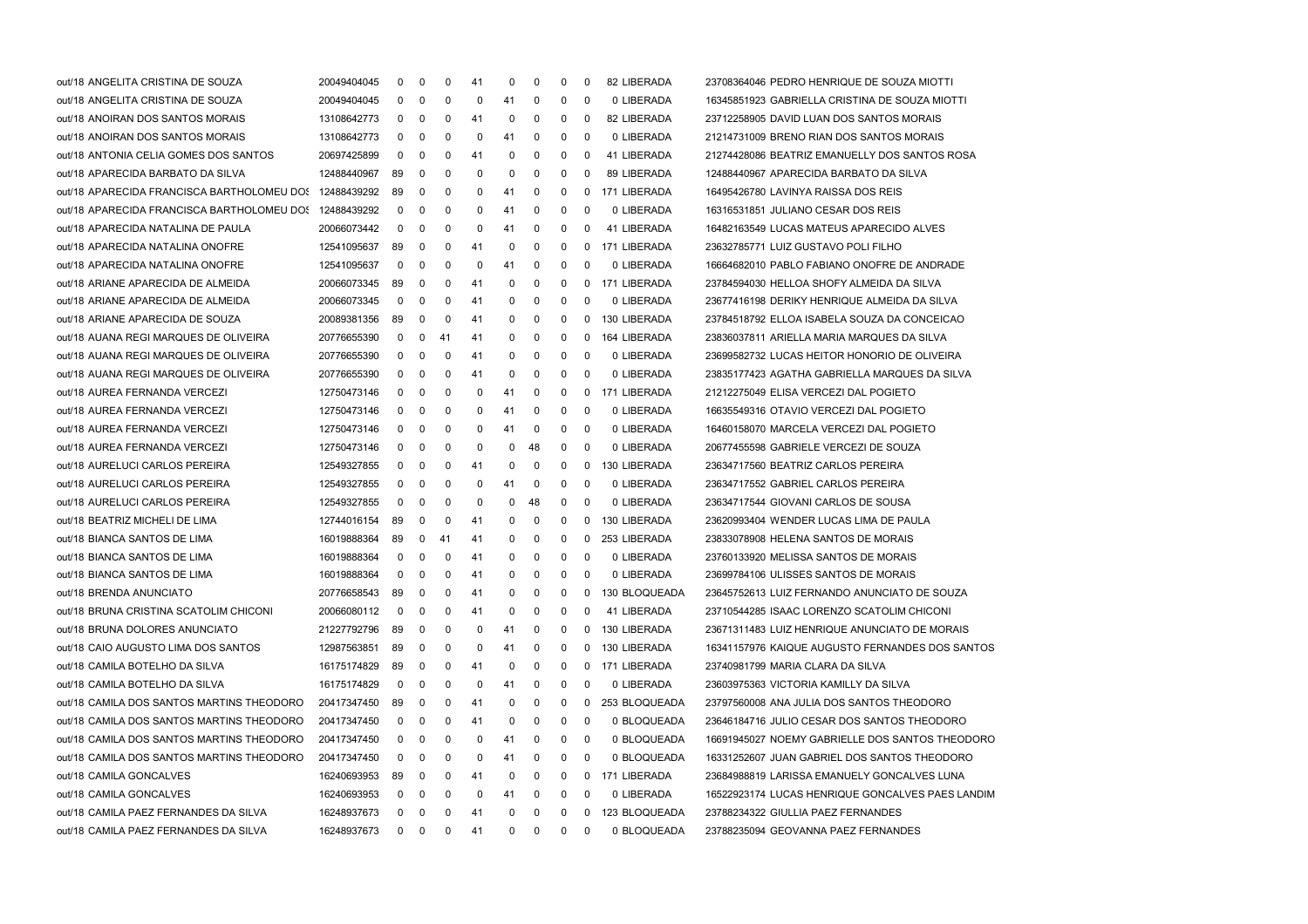| out/18 ANGELITA CRISTINA DE SOUZA                      | 20049404045 | 0            | 0            | 0           | 41 | 0            | 0           | 0 | 0           | 82 LIBERADA   | 23708364046 PEDRO HENRIQUE DE SOUZA MIOTTI       |
|--------------------------------------------------------|-------------|--------------|--------------|-------------|----|--------------|-------------|---|-------------|---------------|--------------------------------------------------|
| out/18 ANGELITA CRISTINA DE SOUZA                      | 20049404045 | 0            | 0            | 0           | 0  | 41           | 0           | 0 | 0           | 0 LIBERADA    | 16345851923 GABRIELLA CRISTINA DE SOUZA MIOTTI   |
| out/18 ANOIRAN DOS SANTOS MORAIS                       | 13108642773 | 0            | 0            | 0           | 41 | 0            | 0           | 0 | 0           | 82 LIBERADA   | 23712258905 DAVID LUAN DOS SANTOS MORAIS         |
| out/18 ANOIRAN DOS SANTOS MORAIS                       | 13108642773 | 0            | 0            | 0           | 0  | 41           | 0           | 0 | 0           | 0 LIBERADA    | 21214731009 BRENO RIAN DOS SANTOS MORAIS         |
| out/18 ANTONIA CELIA GOMES DOS SANTOS                  | 20697425899 | 0            | 0            | 0           | 41 | 0            | 0           | 0 | 0           | 41 LIBERADA   | 21274428086 BEATRIZ EMANUELLY DOS SANTOS ROSA    |
| out/18 APARECIDA BARBATO DA SILVA                      | 12488440967 | 89           | 0            | 0           | 0  | 0            | 0           | 0 | 0           | 89 LIBERADA   | 12488440967 APARECIDA BARBATO DA SILVA           |
| out/18 APARECIDA FRANCISCA BARTHOLOMEU DOS 12488439292 |             | 89           | 0            | 0           | 0  | 41           | 0           | 0 | 0           | 171 LIBERADA  | 16495426780 LAVINYA RAISSA DOS REIS              |
| out/18 APARECIDA FRANCISCA BARTHOLOMEU DOS 12488439292 |             | 0            | 0            | 0           | 0  | 41           | 0           | 0 | 0           | 0 LIBERADA    | 16316531851 JULIANO CESAR DOS REIS               |
| out/18 APARECIDA NATALINA DE PAULA                     | 20066073442 | 0            | 0            | 0           | 0  | 41           | 0           | 0 | 0           | 41 LIBERADA   | 16482163549 LUCAS MATEUS APARECIDO ALVES         |
| out/18 APARECIDA NATALINA ONOFRE                       | 12541095637 | 89           | 0            | 0           | 41 | 0            | 0           | 0 | 0           | 171 LIBERADA  | 23632785771 LUIZ GUSTAVO POLI FILHO              |
| out/18 APARECIDA NATALINA ONOFRE                       | 12541095637 | 0            | 0            | 0           | 0  | 41           | 0           | 0 | 0           | 0 LIBERADA    | 16664682010 PABLO FABIANO ONOFRE DE ANDRADE      |
| out/18 ARIANE APARECIDA DE ALMEIDA                     | 20066073345 | 89           | 0            | 0           | 41 | 0            | 0           | 0 | 0           | 171 LIBERADA  | 23784594030 HELLOA SHOFY ALMEIDA DA SILVA        |
| out/18 ARIANE APARECIDA DE ALMEIDA                     | 20066073345 | 0            | 0            | 0           | 41 | 0            | 0           | 0 | 0           | 0 LIBERADA    | 23677416198 DERIKY HENRIQUE ALMEIDA DA SILVA     |
| out/18 ARIANE APARECIDA DE SOUZA                       | 20089381356 | 89           | 0            | 0           | 41 | 0            | 0           | 0 | 0           | 130 LIBERADA  | 23784518792 ELLOA ISABELA SOUZA DA CONCEICAO     |
| out/18 AUANA REGI MARQUES DE OLIVEIRA                  | 20776655390 | 0            | 0            | 41          | 41 | 0            | 0           | 0 | 0           | 164 LIBERADA  | 23836037811 ARIELLA MARIA MARQUES DA SILVA       |
| out/18 AUANA REGI MARQUES DE OLIVEIRA                  | 20776655390 | 0            | 0            | 0           | 41 | 0            | 0           | 0 | 0           | 0 LIBERADA    | 23699582732 LUCAS HEITOR HONORIO DE OLIVEIRA     |
| out/18 AUANA REGI MARQUES DE OLIVEIRA                  | 20776655390 | 0            | 0            | 0           | 41 | 0            | 0           | 0 | 0           | 0 LIBERADA    | 23835177423 AGATHA GABRIELLA MARQUES DA SILVA    |
| out/18 AUREA FERNANDA VERCEZI                          | 12750473146 | 0            | 0            | 0           | 0  | 41           | 0           | 0 | 0           | 171 LIBERADA  | 21212275049 ELISA VERCEZI DAL POGIETO            |
| out/18 AUREA FERNANDA VERCEZI                          | 12750473146 | 0            | 0            | 0           | 0  | 41           | 0           | 0 | 0           | 0 LIBERADA    | 16635549316 OTAVIO VERCEZI DAL POGIETO           |
| out/18 AUREA FERNANDA VERCEZI                          | 12750473146 | 0            | 0            | 0           | 0  | 41           | 0           | 0 | 0           | 0 LIBERADA    | 16460158070 MARCELA VERCEZI DAL POGIETO          |
| out/18 AUREA FERNANDA VERCEZI                          | 12750473146 | 0            | 0            | 0           | 0  | 0            | 48          | 0 | $\mathbf 0$ | 0 LIBERADA    | 20677455598 GABRIELE VERCEZI DE SOUZA            |
| out/18 AURELUCI CARLOS PEREIRA                         | 12549327855 | 0            | 0            | 0           | 41 | 0            | 0           | 0 | 0           | 130 LIBERADA  | 23634717560 BEATRIZ CARLOS PEREIRA               |
| out/18 AURELUCI CARLOS PEREIRA                         | 12549327855 | 0            | 0            | 0           | 0  | 41           | 0           | 0 | 0           | 0 LIBERADA    | 23634717552 GABRIEL CARLOS PEREIRA               |
| out/18 AURELUCI CARLOS PEREIRA                         | 12549327855 | 0            | 0            | 0           | 0  | 0            | 48          | 0 | 0           | 0 LIBERADA    | 23634717544 GIOVANI CARLOS DE SOUSA              |
| out/18 BEATRIZ MICHELI DE LIMA                         | 12744016154 | 89           | 0            | 0           | 41 | 0            | 0           | 0 | 0           | 130 LIBERADA  | 23620993404 WENDER LUCAS LIMA DE PAULA           |
| out/18 BIANCA SANTOS DE LIMA                           | 16019888364 | 89           | 0            | 41          | 41 | 0            | 0           | 0 | 0           | 253 LIBERADA  | 23833078908 HELENA SANTOS DE MORAIS              |
| out/18 BIANCA SANTOS DE LIMA                           | 16019888364 | 0            | 0            | 0           | 41 | 0            | 0           | 0 | 0           | 0 LIBERADA    | 23760133920 MELISSA SANTOS DE MORAIS             |
| out/18 BIANCA SANTOS DE LIMA                           | 16019888364 | 0            | 0            | 0           | 41 | 0            | 0           | 0 | 0           | 0 LIBERADA    | 23699784106 ULISSES SANTOS DE MORAIS             |
| out/18 BRENDA ANUNCIATO                                | 20776658543 | 89           | 0            | 0           | 41 | 0            | 0           | 0 | 0           | 130 BLOQUEADA | 23645752613 LUIZ FERNANDO ANUNCIATO DE SOUZA     |
| out/18 BRUNA CRISTINA SCATOLIM CHICONI                 | 20066080112 | 0            | 0            | 0           | 41 | 0            | 0           | 0 | 0           | 41 LIBERADA   | 23710544285 ISAAC LORENZO SCATOLIM CHICONI       |
| out/18 BRUNA DOLORES ANUNCIATO                         | 21227792796 | 89           | 0            | 0           | 0  | 41           | 0           | 0 | 0           | 130 LIBERADA  | 23671311483 LUIZ HENRIQUE ANUNCIATO DE MORAIS    |
| out/18 CAIO AUGUSTO LIMA DOS SANTOS                    | 12987563851 | 89           | 0            | 0           | 0  | 41           | 0           | 0 | 0           | 130 LIBERADA  | 16341157976 KAIQUE AUGUSTO FERNANDES DOS SANTOS  |
| out/18 CAMILA BOTELHO DA SILVA                         | 16175174829 | 89           | 0            | 0           | 41 | 0            | 0           | 0 | 0           | 171 LIBERADA  | 23740981799 MARIA CLARA DA SILVA                 |
| out/18 CAMILA BOTELHO DA SILVA                         | 16175174829 | 0            | 0            | 0           | 0  | 41           | 0           | 0 | 0           | 0 LIBERADA    | 23603975363 VICTORIA KAMILLY DA SILVA            |
| out/18 CAMILA DOS SANTOS MARTINS THEODORO              | 20417347450 | 89           | 0            | 0           | 41 | 0            | 0           | 0 | 0           | 253 BLOQUEADA | 23797560008 ANA JULIA DOS SANTOS THEODORO        |
| out/18 CAMILA DOS SANTOS MARTINS THEODORO              | 20417347450 | 0            | 0            | 0           | 41 | 0            | 0           | 0 | 0           | 0 BLOQUEADA   | 23646184716 JULIO CESAR DOS SANTOS THEODORO      |
| out/18 CAMILA DOS SANTOS MARTINS THEODORO              | 20417347450 | 0            | 0            | 0           | 0  | 41           | 0           | 0 | 0           | 0 BLOQUEADA   | 16691945027 NOEMY GABRIELLE DOS SANTOS THEODORO  |
| out/18 CAMILA DOS SANTOS MARTINS THEODORO              | 20417347450 | 0            | 0            | 0           | 0  | 41           | 0           | 0 | 0           | 0 BLOQUEADA   | 16331252607 JUAN GABRIEL DOS SANTOS THEODORO     |
| out/18 CAMILA GONCALVES                                | 16240693953 | 89           | 0            | 0           | 41 | 0            | 0           | 0 | 0           | 171 LIBERADA  | 23684988819 LARISSA EMANUELY GONCALVES LUNA      |
| out/18 CAMILA GONCALVES                                | 16240693953 | 0            | 0            | 0           | 0  | 41           | 0           | 0 | 0           | 0 LIBERADA    | 16522923174 LUCAS HENRIQUE GONCALVES PAES LANDIM |
| out/18 CAMILA PAEZ FERNANDES DA SILVA                  | 16248937673 | 0            | 0            | 0           | 41 | 0            | 0           | 0 | 0           | 123 BLOQUEADA | 23788234322 GIULLIA PAEZ FERNANDES               |
| out/18 CAMILA PAEZ FERNANDES DA SILVA                  | 16248937673 | $\mathbf{0}$ | $\mathbf{0}$ | $\mathbf 0$ | 41 | $\mathbf{0}$ | $\mathbf 0$ | 0 | $\mathbf 0$ | 0 BLOQUEADA   | 23788235094 GEOVANNA PAEZ FERNANDES              |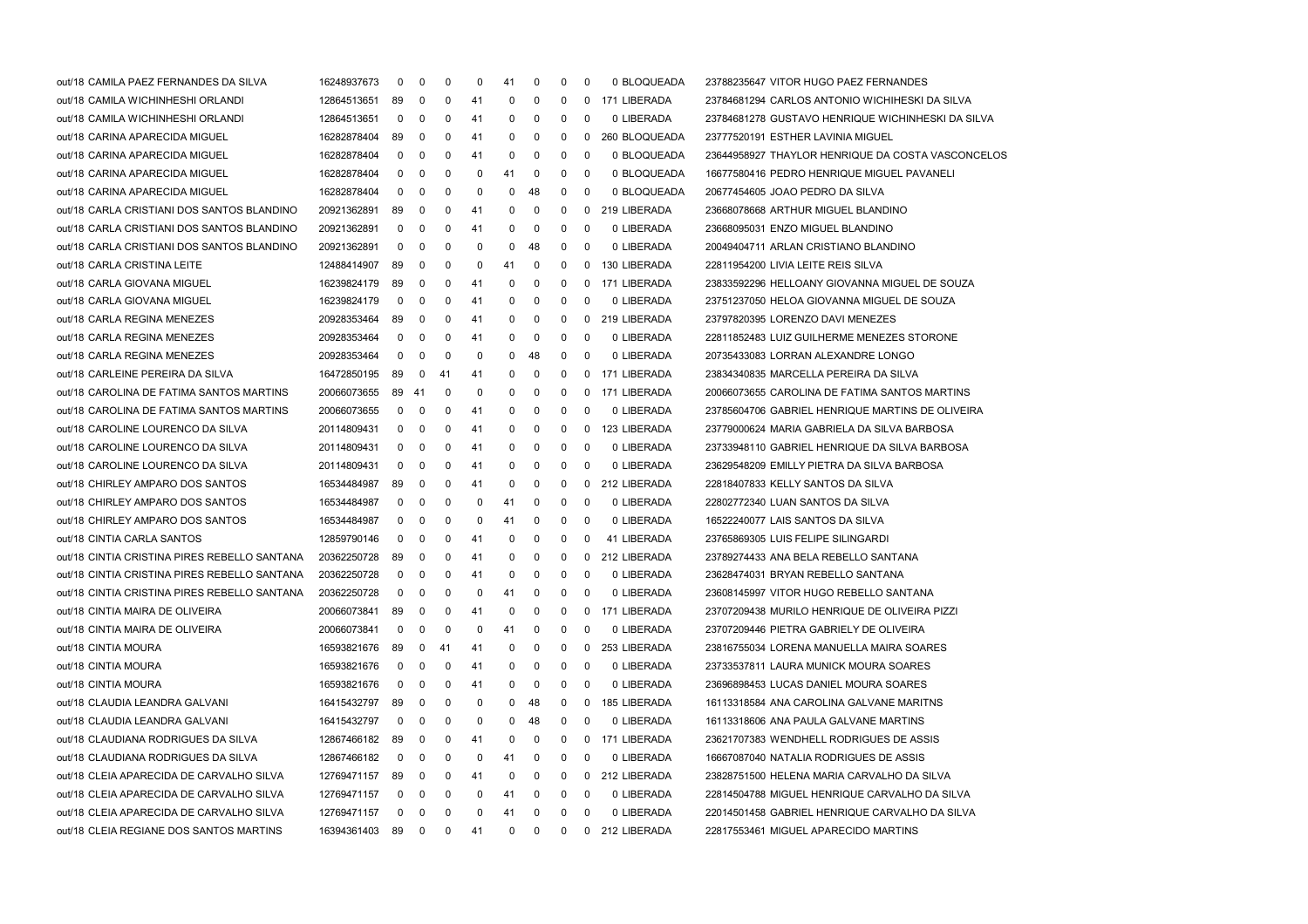| out/18 CAMILA PAEZ FERNANDES DA SILVA        | 16248937673    | $\mathbf 0$  | 0                       | 0  | 0  | 41           | 0            | 0            | 0           | 0 BLOQUEADA    | 23788235647 VITOR HUGO PAEZ FERNANDES             |
|----------------------------------------------|----------------|--------------|-------------------------|----|----|--------------|--------------|--------------|-------------|----------------|---------------------------------------------------|
| out/18 CAMILA WICHINHESHI ORLANDI            | 12864513651    | 89           | 0                       | 0  | 41 | 0            | 0            | 0            | 0           | 171 LIBERADA   | 23784681294 CARLOS ANTONIO WICHIHESKI DA SILVA    |
| out/18 CAMILA WICHINHESHI ORLANDI            | 12864513651    | $\mathbf 0$  | 0                       | 0  | 41 | 0            | 0            | 0            | 0           | 0 LIBERADA     | 23784681278 GUSTAVO HENRIQUE WICHINHESKI DA SILVA |
| out/18 CARINA APARECIDA MIGUEL               | 16282878404    | 89           | 0                       | 0  | 41 | 0            | 0            | 0            | 0           | 260 BLOQUEADA  | 23777520191 ESTHER LAVINIA MIGUEL                 |
| out/18 CARINA APARECIDA MIGUEL               | 16282878404    | $\mathbf 0$  | 0                       | 0  | 41 | 0            | 0            | $\mathbf{0}$ | 0           | 0 BLOQUEADA    | 23644958927 THAYLOR HENRIQUE DA COSTA VASCONCELOS |
| out/18 CARINA APARECIDA MIGUEL               | 16282878404    | $\mathbf 0$  | 0                       | 0  | 0  | 41           | 0            | 0            | 0           | 0 BLOQUEADA    | 16677580416 PEDRO HENRIQUE MIGUEL PAVANELI        |
| out/18 CARINA APARECIDA MIGUEL               | 16282878404    | $\mathbf 0$  | 0                       | 0  | 0  | 0            | 48           | 0            | 0           | 0 BLOQUEADA    | 20677454605 JOAO PEDRO DA SILVA                   |
| out/18 CARLA CRISTIANI DOS SANTOS BLANDINO   | 20921362891    | 89           | 0                       | 0  | 41 | 0            | 0            | 0            | $\mathbf 0$ | 219 LIBERADA   | 23668078668 ARTHUR MIGUEL BLANDINO                |
| out/18 CARLA CRISTIANI DOS SANTOS BLANDINO   | 20921362891    | $\mathbf 0$  | 0                       | 0  | 41 | 0            | 0            | 0            | 0           | 0 LIBERADA     | 23668095031 ENZO MIGUEL BLANDINO                  |
| out/18 CARLA CRISTIANI DOS SANTOS BLANDINO   | 20921362891    | $\mathbf 0$  | 0                       | 0  | 0  | 0            | 48           | 0            | 0           | 0 LIBERADA     | 20049404711 ARLAN CRISTIANO BLANDINO              |
| out/18 CARLA CRISTINA LEITE                  | 12488414907    | 89           | 0                       | 0  | 0  | 41           | 0            | 0            | 0           | 130 LIBERADA   | 22811954200 LIVIA LEITE REIS SILVA                |
| out/18 CARLA GIOVANA MIGUEL                  | 16239824179    | 89           | 0                       | 0  | 41 | 0            | 0            | 0            | 0           | 171 LIBERADA   | 23833592296 HELLOANY GIOVANNA MIGUEL DE SOUZA     |
| out/18 CARLA GIOVANA MIGUEL                  | 16239824179    | 0            | 0                       | 0  | 41 | 0            | 0            | 0            | 0           | 0 LIBERADA     | 23751237050 HELOA GIOVANNA MIGUEL DE SOUZA        |
| out/18 CARLA REGINA MENEZES                  | 20928353464    | 89           | 0                       | 0  | 41 | 0            | 0            | 0            | 0           | 219 LIBERADA   | 23797820395 LORENZO DAVI MENEZES                  |
| out/18 CARLA REGINA MENEZES                  | 20928353464    | $\mathbf{0}$ | 0                       | 0  | 41 | 0            | 0            | $\mathbf{0}$ | 0           | 0 LIBERADA     | 22811852483 LUIZ GUILHERME MENEZES STORONE        |
| out/18 CARLA REGINA MENEZES                  | 20928353464    | $\mathbf 0$  | 0                       | 0  | 0  | 0            | 48           | 0            | 0           | 0 LIBERADA     | 20735433083 LORRAN ALEXANDRE LONGO                |
| out/18 CARLEINE PEREIRA DA SILVA             | 16472850195    | 89           | 0                       | 41 | 41 | 0            | 0            | 0            | 0           | 171 LIBERADA   | 23834340835 MARCELLA PEREIRA DA SILVA             |
| out/18 CAROLINA DE FATIMA SANTOS MARTINS     | 20066073655    | 89           | -41                     | 0  | 0  | 0            | 0            | 0            | $\mathbf 0$ | 171 LIBERADA   | 20066073655 CAROLINA DE FATIMA SANTOS MARTINS     |
| out/18 CAROLINA DE FATIMA SANTOS MARTINS     | 20066073655    | $\mathbf{0}$ | 0                       | 0  | 41 | 0            | 0            | 0            | 0           | 0 LIBERADA     | 23785604706 GABRIEL HENRIQUE MARTINS DE OLIVEIRA  |
| out/18 CAROLINE LOURENCO DA SILVA            | 20114809431    | $\mathbf 0$  | 0                       | 0  | 41 | 0            | 0            | 0            | 0           | 123 LIBERADA   | 23779000624 MARIA GABRIELA DA SILVA BARBOSA       |
| out/18 CAROLINE LOURENCO DA SILVA            | 20114809431    | $\mathbf{0}$ | 0                       | 0  | 41 | 0            | 0            | 0            | 0           | 0 LIBERADA     | 23733948110 GABRIEL HENRIQUE DA SILVA BARBOSA     |
| out/18 CAROLINE LOURENCO DA SILVA            | 20114809431    | $\mathbf 0$  | 0                       | 0  | 41 | 0            | 0            | 0            | 0           | 0 LIBERADA     | 23629548209 EMILLY PIETRA DA SILVA BARBOSA        |
| out/18 CHIRLEY AMPARO DOS SANTOS             | 16534484987    | 89           | 0                       | 0  | 41 | 0            | 0            | 0            | $\mathbf 0$ | 212 LIBERADA   | 22818407833 KELLY SANTOS DA SILVA                 |
| out/18 CHIRLEY AMPARO DOS SANTOS             | 16534484987    | $\mathbf 0$  | 0                       | 0  | 0  | 41           | 0            | 0            | 0           | 0 LIBERADA     | 22802772340 LUAN SANTOS DA SILVA                  |
| out/18 CHIRLEY AMPARO DOS SANTOS             | 16534484987    | $\mathbf 0$  | 0                       | 0  | 0  | 41           | 0            | $\mathbf{0}$ | 0           | 0 LIBERADA     | 16522240077 LAIS SANTOS DA SILVA                  |
| out/18 CINTIA CARLA SANTOS                   | 12859790146    | $\mathbf 0$  | 0                       | 0  | 41 | 0            | 0            | 0            | 0           | 41 LIBERADA    | 23765869305 LUIS FELIPE SILINGARDI                |
| out/18 CINTIA CRISTINA PIRES REBELLO SANTANA | 20362250728    | 89           | 0                       | 0  | 41 | 0            | 0            | 0            | 0           | 212 LIBERADA   | 23789274433 ANA BELA REBELLO SANTANA              |
| out/18 CINTIA CRISTINA PIRES REBELLO SANTANA | 20362250728    | 0            | 0                       | 0  | 41 | 0            | 0            | 0            | 0           | 0 LIBERADA     | 23628474031 BRYAN REBELLO SANTANA                 |
| out/18 CINTIA CRISTINA PIRES REBELLO SANTANA | 20362250728    | 0            | 0                       | 0  | 0  | 41           | 0            | 0            | 0           | 0 LIBERADA     | 23608145997 VITOR HUGO REBELLO SANTANA            |
| out/18 CINTIA MAIRA DE OLIVEIRA              | 20066073841    | 89           | 0                       | 0  | 41 | 0            | 0            | $\mathbf{0}$ | $\mathbf 0$ | 171 LIBERADA   | 23707209438 MURILO HENRIQUE DE OLIVEIRA PIZZI     |
| out/18 CINTIA MAIRA DE OLIVEIRA              | 20066073841    | $\mathbf 0$  | $\mathbf 0$             | 0  | 0  | 41           | $\mathbf 0$  | 0            | - 0         | 0 LIBERADA     | 23707209446 PIETRA GABRIELY DE OLIVEIRA           |
| out/18 CINTIA MOURA                          | 16593821676    | 89           | 0                       | 41 | 41 | 0            | 0            | 0            | 0           | 253 LIBERADA   | 23816755034 LORENA MANUELLA MAIRA SOARES          |
| out/18 CINTIA MOURA                          | 16593821676    | 0            | 0                       | 0  | 41 | 0            | 0            | 0            | 0           | 0 LIBERADA     | 23733537811 LAURA MUNICK MOURA SOARES             |
| out/18 CINTIA MOURA                          | 16593821676    | 0            | 0                       | 0  | 41 | 0            | 0            | 0            | 0           | 0 LIBERADA     | 23696898453 LUCAS DANIEL MOURA SOARES             |
| out/18 CLAUDIA LEANDRA GALVANI               | 16415432797    | 89           | 0                       | 0  | 0  | 0            | 48           | 0            | 0           | 185 LIBERADA   | 16113318584 ANA CAROLINA GALVANE MARITNS          |
| out/18 CLAUDIA LEANDRA GALVANI               | 16415432797    | $\mathbf 0$  | 0                       | 0  | 0  | 0            | 48           | 0            | 0           | 0 LIBERADA     | 16113318606 ANA PAULA GALVANE MARTINS             |
| out/18 CLAUDIANA RODRIGUES DA SILVA          | 12867466182    | 89           | 0                       | 0  | 41 | 0            | 0            | 0            | 0           | 171 LIBERADA   | 23621707383 WENDHELL RODRIGUES DE ASSIS           |
| out/18 CLAUDIANA RODRIGUES DA SILVA          | 12867466182    | 0            | 0                       | 0  | 0  | 41           | 0            | 0            | 0           | 0 LIBERADA     | 16667087040 NATALIA RODRIGUES DE ASSIS            |
| out/18 CLEIA APARECIDA DE CARVALHO SILVA     | 12769471157    | 89           | 0                       | 0  | 41 | 0            | 0            | 0            | 0           | 212 LIBERADA   | 23828751500 HELENA MARIA CARVALHO DA SILVA        |
| out/18 CLEIA APARECIDA DE CARVALHO SILVA     | 12769471157    | 0            | 0                       | 0  | 0  | 41           | 0            | 0            | 0           | 0 LIBERADA     | 22814504788 MIGUEL HENRIQUE CARVALHO DA SILVA     |
| out/18 CLEIA APARECIDA DE CARVALHO SILVA     | 12769471157    | $\mathbf{0}$ | 0                       | 0  | 0  | 41           | 0            | 0            | 0           | 0 LIBERADA     | 22014501458 GABRIEL HENRIQUE CARVALHO DA SILVA    |
| out/18 CLEIA REGIANE DOS SANTOS MARTINS      | 16394361403 89 |              | $\overline{\mathbf{0}}$ | 0  | 41 | $\mathbf{0}$ | $\mathbf{0}$ | $\mathbf{0}$ |             | 0 212 LIBERADA | 22817553461 MIGUEL APARECIDO MARTINS              |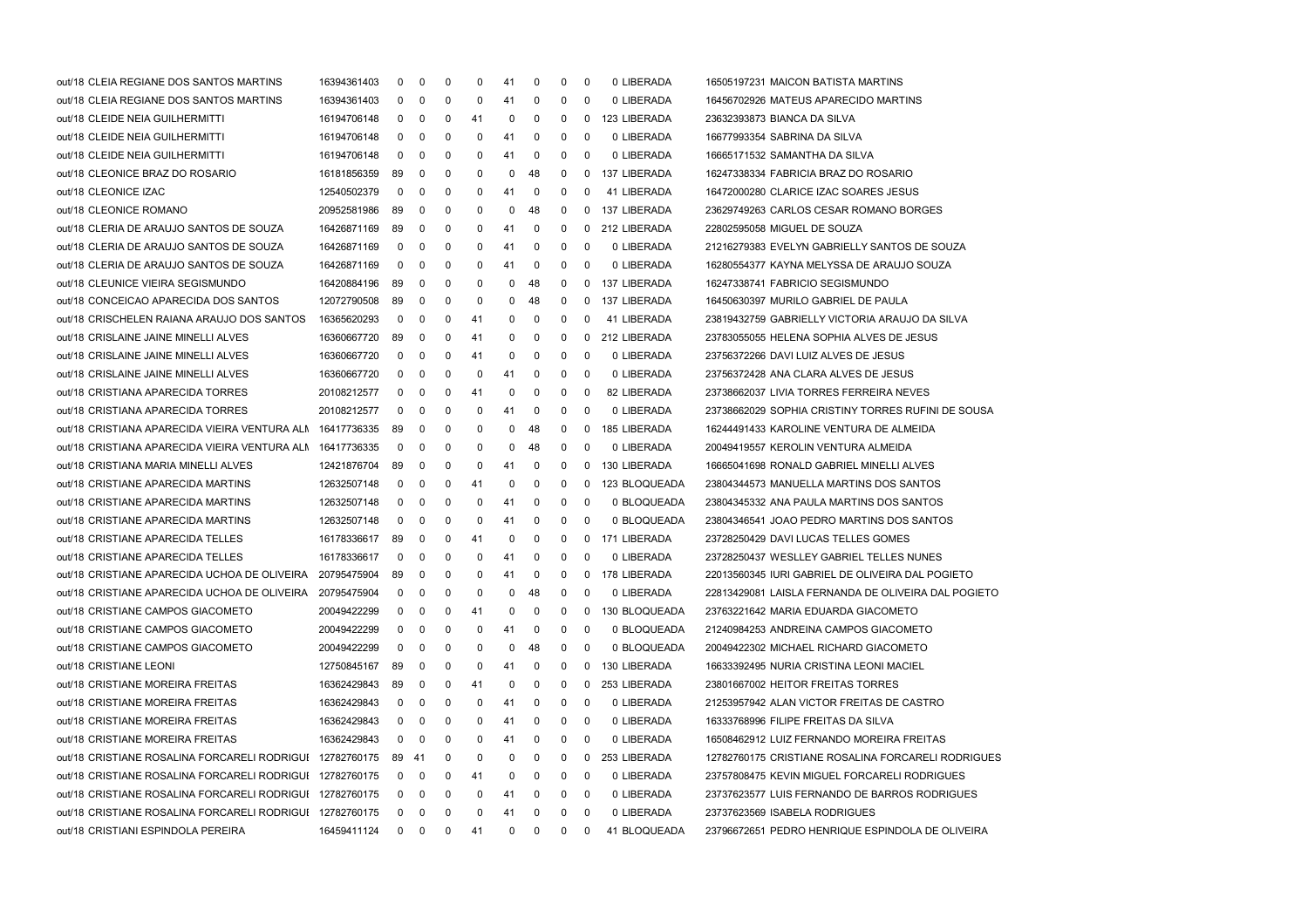| out/18 CLEIA REGIANE DOS SANTOS MARTINS                   | 16394361403 | 0           | 0           | 0              | 0  | 41          | 0            | 0            | 0           | 0 LIBERADA    | 16505197231 MAICON BATISTA MARTINS                  |
|-----------------------------------------------------------|-------------|-------------|-------------|----------------|----|-------------|--------------|--------------|-------------|---------------|-----------------------------------------------------|
| out/18 CLEIA REGIANE DOS SANTOS MARTINS                   | 16394361403 | 0           | 0           | 0              | 0  | 41          | 0            | 0            | 0           | 0 LIBERADA    | 16456702926 MATEUS APARECIDO MARTINS                |
| out/18 CLEIDE NEIA GUILHERMITTI                           | 16194706148 | $\mathbf 0$ | 0           | 0              | 41 | 0           | 0            | 0            | 0           | 123 LIBERADA  | 23632393873 BIANCA DA SILVA                         |
| out/18 CLEIDE NEIA GUILHERMITTI                           | 16194706148 | 0           | 0           | 0              | 0  | 41          | 0            | 0            | $\mathbf 0$ | 0 LIBERADA    | 16677993354 SABRINA DA SILVA                        |
| out/18 CLEIDE NEIA GUILHERMITTI                           | 16194706148 | 0           | 0           | 0              | 0  | 41          | 0            | 0            | 0           | 0 LIBERADA    | 16665171532 SAMANTHA DA SILVA                       |
| out/18 CLEONICE BRAZ DO ROSARIO                           | 16181856359 | 89          | 0           | 0              | 0  | 0           | 48           | 0            | 0           | 137 LIBERADA  | 16247338334 FABRICIA BRAZ DO ROSARIO                |
| out/18 CLEONICE IZAC                                      | 12540502379 | 0           | 0           | 0              | 0  | 41          | 0            | 0            | 0           | 41 LIBERADA   | 16472000280 CLARICE IZAC SOARES JESUS               |
| out/18 CLEONICE ROMANO                                    | 20952581986 | 89          | 0           | 0              | 0  | 0           | 48           | 0            | 0           | 137 LIBERADA  | 23629749263 CARLOS CESAR ROMANO BORGES              |
| out/18 CLERIA DE ARAUJO SANTOS DE SOUZA                   | 16426871169 | 89          | 0           | 0              | 0  | 41          | 0            | 0            | $^{\rm o}$  | 212 LIBERADA  | 22802595058 MIGUEL DE SOUZA                         |
| out/18 CLERIA DE ARAUJO SANTOS DE SOUZA                   | 16426871169 | 0           | 0           | 0              | 0  | 41          | 0            | 0            | 0           | 0 LIBERADA    | 21216279383 EVELYN GABRIELLY SANTOS DE SOUZA        |
| out/18 CLERIA DE ARAUJO SANTOS DE SOUZA                   | 16426871169 | 0           | 0           | 0              | 0  | 41          | 0            | 0            | 0           | 0 LIBERADA    | 16280554377 KAYNA MELYSSA DE ARAUJO SOUZA           |
| out/18 CLEUNICE VIEIRA SEGISMUNDO                         | 16420884196 | 89          | 0           | 0              | 0  | 0           | 48           | 0            | 0           | 137 LIBERADA  | 16247338741 FABRICIO SEGISMUNDO                     |
| out/18 CONCEICAO APARECIDA DOS SANTOS                     | 12072790508 | 89          | 0           | 0              | 0  | 0           | 48           | 0            | 0           | 137 LIBERADA  | 16450630397 MURILO GABRIEL DE PAULA                 |
| out/18 CRISCHELEN RAIANA ARAUJO DOS SANTOS                | 16365620293 | 0           | 0           | 0              | 41 | 0           | 0            | 0            | 0           | 41 LIBERADA   | 23819432759 GABRIELLY VICTORIA ARAUJO DA SILVA      |
| out/18 CRISLAINE JAINE MINELLI ALVES                      | 16360667720 | 89          | 0           | 0              | 41 | 0           | 0            | 0            | 0           | 212 LIBERADA  | 23783055055 HELENA SOPHIA ALVES DE JESUS            |
| out/18 CRISLAINE JAINE MINELLI ALVES                      | 16360667720 | 0           | 0           | 0              | 41 | 0           | 0            | 0            | 0           | 0 LIBERADA    | 23756372266 DAVI LUIZ ALVES DE JESUS                |
| out/18 CRISLAINE JAINE MINELLI ALVES                      | 16360667720 | 0           | 0           | 0              | 0  | 41          | 0            | 0            | 0           | 0 LIBERADA    | 23756372428 ANA CLARA ALVES DE JESUS                |
| out/18 CRISTIANA APARECIDA TORRES                         | 20108212577 | 0           | 0           | 0              | 41 | 0           | 0            | 0            | 0           | 82 LIBERADA   | 23738662037 LIVIA TORRES FERREIRA NEVES             |
| out/18 CRISTIANA APARECIDA TORRES                         | 20108212577 | 0           | 0           | 0              | 0  | 41          | 0            | 0            | 0           | 0 LIBERADA    | 23738662029 SOPHIA CRISTINY TORRES RUFINI DE SOUSA  |
| out/18 CRISTIANA APARECIDA VIEIRA VENTURA ALN 16417736335 |             | 89          | 0           | 0              | 0  | 0           | 48           | 0            | 0           | 185 LIBERADA  | 16244491433 KAROLINE VENTURA DE ALMEIDA             |
| out/18 CRISTIANA APARECIDA VIEIRA VENTURA ALN 16417736335 |             | 0           | 0           | 0              | 0  | 0           | 48           | 0            | 0           | 0 LIBERADA    | 20049419557 KEROLIN VENTURA ALMEIDA                 |
| out/18 CRISTIANA MARIA MINELLI ALVES                      | 12421876704 | 89          | 0           | 0              | 0  | 41          | 0            | 0            | 0           | 130 LIBERADA  | 16665041698 RONALD GABRIEL MINELLI ALVES            |
| out/18 CRISTIANE APARECIDA MARTINS                        | 12632507148 | 0           | 0           | 0              | 41 | 0           | 0            | 0            | 0           | 123 BLOQUEADA | 23804344573 MANUELLA MARTINS DOS SANTOS             |
| out/18 CRISTIANE APARECIDA MARTINS                        | 12632507148 | 0           | 0           | 0              | 0  | 41          | 0            | 0            | 0           | 0 BLOQUEADA   | 23804345332 ANA PAULA MARTINS DOS SANTOS            |
| out/18 CRISTIANE APARECIDA MARTINS                        | 12632507148 | 0           | 0           | 0              | 0  | 41          | 0            | 0            | 0           | 0 BLOQUEADA   | 23804346541 JOAO PEDRO MARTINS DOS SANTOS           |
| out/18 CRISTIANE APARECIDA TELLES                         | 16178336617 | 89          | 0           | 0              | 41 | 0           | 0            | 0            | 0           | 171 LIBERADA  | 23728250429 DAVI LUCAS TELLES GOMES                 |
| out/18 CRISTIANE APARECIDA TELLES                         | 16178336617 | 0           | 0           | 0              | 0  | 41          | 0            | 0            | 0           | 0 LIBERADA    | 23728250437 WESLLEY GABRIEL TELLES NUNES            |
| out/18 CRISTIANE APARECIDA UCHOA DE OLIVEIRA              | 20795475904 | 89          | 0           | 0              | 0  | 41          | 0            | 0            | 0           | 178 LIBERADA  | 22013560345 IURI GABRIEL DE OLIVEIRA DAL POGIETO    |
| out/18 CRISTIANE APARECIDA UCHOA DE OLIVEIRA              | 20795475904 | 0           | 0           | 0              | 0  | 0           | 48           | 0            | 0           | 0 LIBERADA    | 22813429081 LAISLA FERNANDA DE OLIVEIRA DAL POGIETO |
| out/18 CRISTIANE CAMPOS GIACOMETO                         | 20049422299 | 0           | 0           | 0              | 41 | 0           | 0            | 0            | 0           | 130 BLOQUEADA | 23763221642 MARIA EDUARDA GIACOMETO                 |
| out/18 CRISTIANE CAMPOS GIACOMETO                         | 20049422299 | 0           | $\mathbf 0$ | 0              | 0  | 41          | 0            | 0            | 0           | 0 BLOQUEADA   | 21240984253 ANDREINA CAMPOS GIACOMETO               |
| out/18 CRISTIANE CAMPOS GIACOMETO                         | 20049422299 | 0           | 0           | 0              | 0  | 0           | 48           | 0            | 0           | 0 BLOQUEADA   | 20049422302 MICHAEL RICHARD GIACOMETO               |
| out/18 CRISTIANE LEONI                                    | 12750845167 | 89          | 0           | 0              | 0  | 41          | 0            | 0            | 0           | 130 LIBERADA  | 16633392495 NURIA CRISTINA LEONI MACIEL             |
| out/18 CRISTIANE MOREIRA FREITAS                          | 16362429843 | 89          | 0           | 0              | 41 | 0           | 0            | 0            | 0           | 253 LIBERADA  | 23801667002 HEITOR FREITAS TORRES                   |
| out/18 CRISTIANE MOREIRA FREITAS                          | 16362429843 | 0           | 0           | 0              | 0  | 41          | 0            | 0            | 0           | 0 LIBERADA    | 21253957942 ALAN VICTOR FREITAS DE CASTRO           |
| out/18 CRISTIANE MOREIRA FREITAS                          | 16362429843 | 0           | 0           | 0              | 0  | 41          | 0            | 0            | 0           | 0 LIBERADA    | 16333768996 FILIPE FREITAS DA SILVA                 |
| out/18 CRISTIANE MOREIRA FREITAS                          | 16362429843 | 0           | 0           | 0              | 0  | 41          | 0            | 0            | 0           | 0 LIBERADA    | 16508462912 LUIZ FERNANDO MOREIRA FREITAS           |
| out/18 CRISTIANE ROSALINA FORCARELI RODRIGUI 12782760175  |             | -89         | - 41        | 0              | 0  | 0           | 0            | 0            | 0           | 253 LIBERADA  | 12782760175 CRISTIANE ROSALINA FORCARELI RODRIGUES  |
| out/18 CRISTIANE ROSALINA FORCARELI RODRIGUI 12782760175  |             | 0           | 0           | 0              | 41 | 0           | 0            | 0            | 0           | 0 LIBERADA    | 23757808475 KEVIN MIGUEL FORCARELI RODRIGUES        |
| out/18 CRISTIANE ROSALINA FORCARELI RODRIGUI 12782760175  |             | 0           | 0           | 0              | 0  | 41          | 0            | 0            | 0           | 0 LIBERADA    | 23737623577 LUIS FERNANDO DE BARROS RODRIGUES       |
| out/18 CRISTIANE ROSALINA FORCARELI RODRIGUI 12782760175  |             | 0           | 0           | 0              | 0  | 41          | 0            | 0            | 0           | 0 LIBERADA    | 23737623569 ISABELA RODRIGUES                       |
| out/18 CRISTIANI ESPINDOLA PEREIRA                        | 16459411124 |             | $0\quad 0$  | $\overline{0}$ | 41 | $\mathbf 0$ | $\mathbf{0}$ | $\mathbf{0}$ | 0           | 41 BLOQUEADA  | 23796672651 PEDRO HENRIQUE ESPINDOLA DE OLIVEIRA    |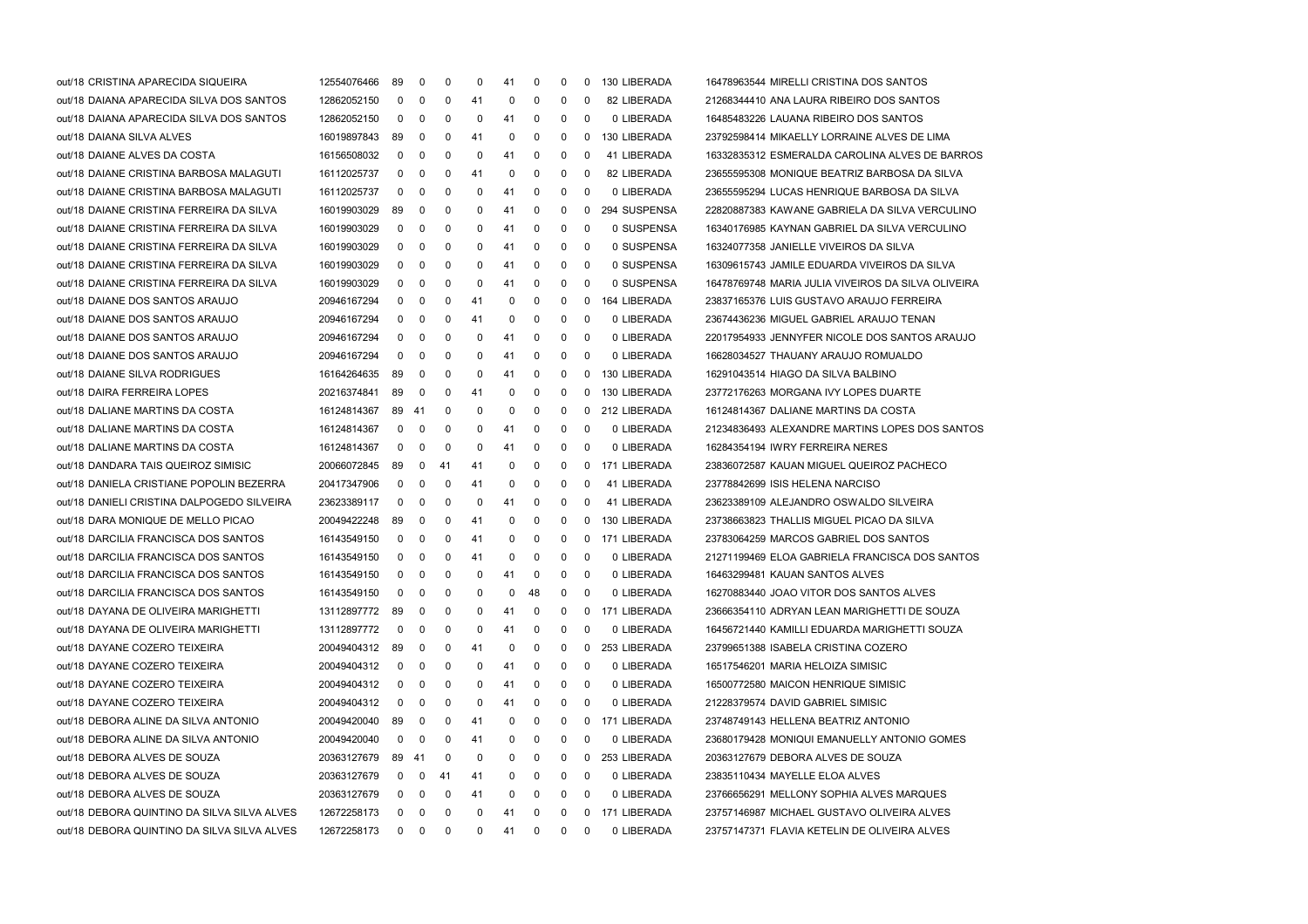| out/18 CRISTINA APARECIDA SIQUEIRA          | 12554076466 | 89             | 0           | 0  | 0  | 41 | 0              | 0            | 0              | 130 LIBERADA   | 16478963544 MIRELLI CRISTINA DOS SANTOS            |  |
|---------------------------------------------|-------------|----------------|-------------|----|----|----|----------------|--------------|----------------|----------------|----------------------------------------------------|--|
| out/18 DAIANA APARECIDA SILVA DOS SANTOS    | 12862052150 | $\mathbf 0$    | 0           | 0  | 41 | 0  | 0              | 0            | 0              | 82 LIBERADA    | 21268344410 ANA LAURA RIBEIRO DOS SANTOS           |  |
| out/18 DAIANA APARECIDA SILVA DOS SANTOS    | 12862052150 | $\mathbf{0}$   | 0           | 0  | 0  | 41 | 0              | $\mathbf 0$  | $\mathbf 0$    | 0 LIBERADA     | 16485483226 LAUANA RIBEIRO DOS SANTOS              |  |
| out/18 DAIANA SILVA ALVES                   | 16019897843 | 89             | 0           | 0  | 41 | 0  | 0              | 0            | 0              | 130 LIBERADA   | 23792598414 MIKAELLY LORRAINE ALVES DE LIMA        |  |
| out/18 DAIANE ALVES DA COSTA                | 16156508032 | $\mathbf{0}$   | 0           | 0  | 0  | 41 | 0              | 0            | 0              | 41 LIBERADA    | 16332835312 ESMERALDA CAROLINA ALVES DE BARROS     |  |
| out/18 DAIANE CRISTINA BARBOSA MALAGUTI.    | 16112025737 | $\mathbf 0$    | 0           | 0  | 41 | 0  | 0              | 0            | $\mathbf 0$    | 82 LIBERADA    | 23655595308 MONIQUE BEATRIZ BARBOSA DA SILVA       |  |
| out/18 DAIANE CRISTINA BARBOSA MALAGUTI.    | 16112025737 | $\mathbf{0}$   | 0           | 0  | 0  | 41 | 0              | $\mathbf 0$  | 0              | 0 LIBERADA     | 23655595294 LUCAS HENRIQUE BARBOSA DA SILVA        |  |
| out/18 DAIANE CRISTINA FERREIRA DA SILVA    | 16019903029 | 89             | 0           | 0  | 0  | 41 | 0              | $\mathbf 0$  | $\mathbf{0}$   | 294 SUSPENSA   | 22820887383 KAWANE GABRIELA DA SILVA VERCULINO     |  |
| out/18 DAIANE CRISTINA FERREIRA DA SILVA    | 16019903029 | 0              | 0           | 0  | 0  | 41 | 0              | 0            | 0              | 0 SUSPENSA     | 16340176985 KAYNAN GABRIEL DA SILVA VERCULINO      |  |
| out/18 DAIANE CRISTINA FERREIRA DA SILVA    | 16019903029 | $\mathbf{0}$   | 0           | 0  | 0  | 41 | 0              | 0            | - 0            | 0 SUSPENSA     | 16324077358 JANIELLE VIVEIROS DA SILVA             |  |
| out/18 DAIANE CRISTINA FERREIRA DA SILVA    | 16019903029 | $\mathbf 0$    | $\mathbf 0$ | 0  | 0  | 41 | 0              | $\mathbf 0$  | $\overline{0}$ | 0 SUSPENSA     | 16309615743 JAMILE EDUARDA VIVEIROS DA SILVA       |  |
| out/18 DAIANE CRISTINA FERREIRA DA SILVA    | 16019903029 | $\mathbf 0$    | 0           | 0  | 0  | 41 | 0              | $\mathbf 0$  | $\mathbf 0$    | 0 SUSPENSA     | 16478769748 MARIA JULIA VIVEIROS DA SILVA OLIVEIRA |  |
| out/18 DAIANE DOS SANTOS ARAUJO             | 20946167294 | 0              | 0           | 0  | 41 | 0  | 0              | $\mathbf 0$  | $\mathbf{0}$   | 164 LIBERADA   | 23837165376 LUIS GUSTAVO ARAUJO FERREIRA           |  |
| out/18 DAIANE DOS SANTOS ARAUJO             | 20946167294 | $\mathbf{0}$   | 0           | 0  | 41 | 0  | 0              | 0            | 0              | 0 LIBERADA     | 23674436236 MIGUEL GABRIEL ARAUJO TENAN            |  |
| out/18 DAIANE DOS SANTOS ARAUJO             | 20946167294 | $\mathbf{0}$   | 0           | 0  | 0  | 41 | 0              | 0            | 0              | 0 LIBERADA     | 22017954933 JENNYFER NICOLE DOS SANTOS ARAUJO      |  |
| out/18 DAIANE DOS SANTOS ARAUJO             | 20946167294 | $\mathbf{0}$   | $\mathbf 0$ | 0  | 0  | 41 | 0              | $\mathbf 0$  | - 0            | 0 LIBERADA     | 16628034527 THAUANY ARAUJO ROMUALDO                |  |
| out/18 DAIANE SILVA RODRIGUES               | 16164264635 | 89             | 0           | 0  | 0  | 41 | 0              | 0            |                | 0 130 LIBERADA | 16291043514 HIAGO DA SILVA BALBINO                 |  |
| out/18 DAIRA FERREIRA LOPES                 | 20216374841 | 89             | $\mathbf 0$ | 0  | 41 | 0  | 0              | 0            |                | 0 130 LIBERADA | 23772176263 MORGANA IVY LOPES DUARTE               |  |
| out/18 DALIANE MARTINS DA COSTA             | 16124814367 | 89 41          |             | 0  | 0  | 0  | 0              | 0            |                | 0 212 LIBERADA | 16124814367 DALIANE MARTINS DA COSTA               |  |
| out/18 DALIANE MARTINS DA COSTA             | 16124814367 | $\mathbf{0}$   | 0           | 0  | 0  | 41 | 0              | 0            | 0              | 0 LIBERADA     | 21234836493 ALEXANDRE MARTINS LOPES DOS SANTOS     |  |
| out/18 DALIANE MARTINS DA COSTA             | 16124814367 | $\mathbf{0}$   | 0           | 0  | 0  | 41 | 0              | 0            | - 0            | 0 LIBERADA     | 16284354194 IWRY FERREIRA NERES                    |  |
| out/18 DANDARA TAIS QUEIROZ SIMISIC         | 20066072845 | 89             | $\mathbf 0$ | 41 | 41 | 0  | 0              | 0            |                | 0 171 LIBERADA | 23836072587 KAUAN MIGUEL QUEIROZ PACHECO           |  |
| out/18 DANIELA CRISTIANE POPOLIN BEZERRA    | 20417347906 | $\mathbf{0}$   | 0           | 0  | 41 | 0  | 0              | 0            | $\mathbf 0$    | 41 LIBERADA    | 23778842699 ISIS HELENA NARCISO                    |  |
| out/18 DANIELI CRISTINA DALPOGEDO SILVEIRA  | 23623389117 | 0              | 0           | 0  | 0  | 41 | 0              | 0            | 0              | 41 LIBERADA    | 23623389109 ALEJANDRO OSWALDO SILVEIRA             |  |
| out/18 DARA MONIQUE DE MELLO PICAO          | 20049422248 | 89             | 0           | 0  | 41 | 0  | 0              | 0            |                | 0 130 LIBERADA | 23738663823 THALLIS MIGUEL PICAO DA SILVA          |  |
| out/18 DARCILIA FRANCISCA DOS SANTOS        | 16143549150 | $\mathbf 0$    | $\mathbf 0$ | 0  | 41 | 0  | 0              | 0            |                | 0 171 LIBERADA | 23783064259 MARCOS GABRIEL DOS SANTOS              |  |
| out/18 DARCILIA FRANCISCA DOS SANTOS        | 16143549150 | $\mathbf{0}$   | 0           | 0  | 41 | 0  | 0              | $\mathbf 0$  | $\overline{0}$ | 0 LIBERADA     | 21271199469 ELOA GABRIELA FRANCISCA DOS SANTOS     |  |
| out/18 DARCILIA FRANCISCA DOS SANTOS        | 16143549150 | $\mathbf{0}$   | 0           | 0  | 0  | 41 | 0              | $\mathbf 0$  | 0              | 0 LIBERADA     | 16463299481 KAUAN SANTOS ALVES                     |  |
| out/18 DARCILIA FRANCISCA DOS SANTOS        | 16143549150 | 0              | 0           | 0  | 0  | 0  | 48             | 0            | 0              | 0 LIBERADA     | 16270883440 JOAO VITOR DOS SANTOS ALVES            |  |
| out/18 DAYANA DE OLIVEIRA MARIGHETTI        | 13112897772 | 89             | 0           | 0  | 0  | 41 | 0              | 0            |                | 0 171 LIBERADA | 23666354110 ADRYAN LEAN MARIGHETTI DE SOUZA        |  |
| out/18 DAYANA DE OLIVEIRA MARIGHETTI        | 13112897772 | $\overline{0}$ | $\mathbf 0$ | 0  | 0  | 41 | $\overline{0}$ | $\mathbf 0$  | $\mathbf 0$    | 0 LIBERADA     | 16456721440 KAMILLI EDUARDA MARIGHETTI SOUZA       |  |
| out/18 DAYANE COZERO TEIXEIRA               | 20049404312 | 89             | 0           | 0  | 41 | 0  | 0              | 0            | 0              | 253 LIBERADA   | 23799651388 ISABELA CRISTINA COZERO                |  |
| out/18 DAYANE COZERO TEIXEIRA               | 20049404312 | 0              | 0           | 0  | 0  | 41 | 0              | 0            | 0              | 0 LIBERADA     | 16517546201 MARIA HELOIZA SIMISIC                  |  |
| out/18 DAYANE COZERO TEIXEIRA               | 20049404312 | 0              | 0           | 0  | 0  | 41 | 0              | 0            | 0              | 0 LIBERADA     | 16500772580 MAICON HENRIQUE SIMISIC                |  |
| out/18 DAYANE COZERO TEIXEIRA               | 20049404312 | 0              | 0           | 0  | 0  | 41 | 0              | 0            | 0              | 0 LIBERADA     | 21228379574 DAVID GABRIEL SIMISIC                  |  |
| out/18 DEBORA ALINE DA SILVA ANTONIO        | 20049420040 | 89             | 0           | 0  | 41 | 0  | 0              | 0            | 0              | 171 LIBERADA   | 23748749143 HELLENA BEATRIZ ANTONIO                |  |
| out/18 DEBORA ALINE DA SILVA ANTONIO        | 20049420040 | 0              | 0           | 0  | 41 | 0  | 0              | 0            | 0              | 0 LIBERADA     | 23680179428 MONIQUI EMANUELLY ANTONIO GOMES        |  |
| out/18 DEBORA ALVES DE SOUZA                | 20363127679 | 89 41          |             | 0  | 0  | 0  | 0              | 0            | 0              | 253 LIBERADA   | 20363127679 DEBORA ALVES DE SOUZA                  |  |
| out/18 DEBORA ALVES DE SOUZA                | 20363127679 | $\mathbf{0}$   | 0           | 41 | 41 | 0  | 0              | 0            | 0              | 0 LIBERADA     | 23835110434 MAYELLE ELOA ALVES                     |  |
| out/18 DEBORA ALVES DE SOUZA                | 20363127679 | 0              | 0           | 0  | 41 | 0  | 0              | 0            | 0              | 0 LIBERADA     | 23766656291 MELLONY SOPHIA ALVES MARQUES           |  |
| out/18 DEBORA QUINTINO DA SILVA SILVA ALVES | 12672258173 | 0              | 0           | 0  | 0  | 41 | 0              | 0            | 0              | 171 LIBERADA   | 23757146987 MICHAEL GUSTAVO OLIVEIRA ALVES         |  |
| out/18 DEBORA QUINTINO DA SILVA SILVA ALVES | 12672258173 |                | $0\quad 0$  | 0  | 0  | 41 | $\mathbf{0}$   | $\mathbf{0}$ | 0              | 0 LIBERADA     | 23757147371 FLAVIA KETELIN DE OLIVEIRA ALVES       |  |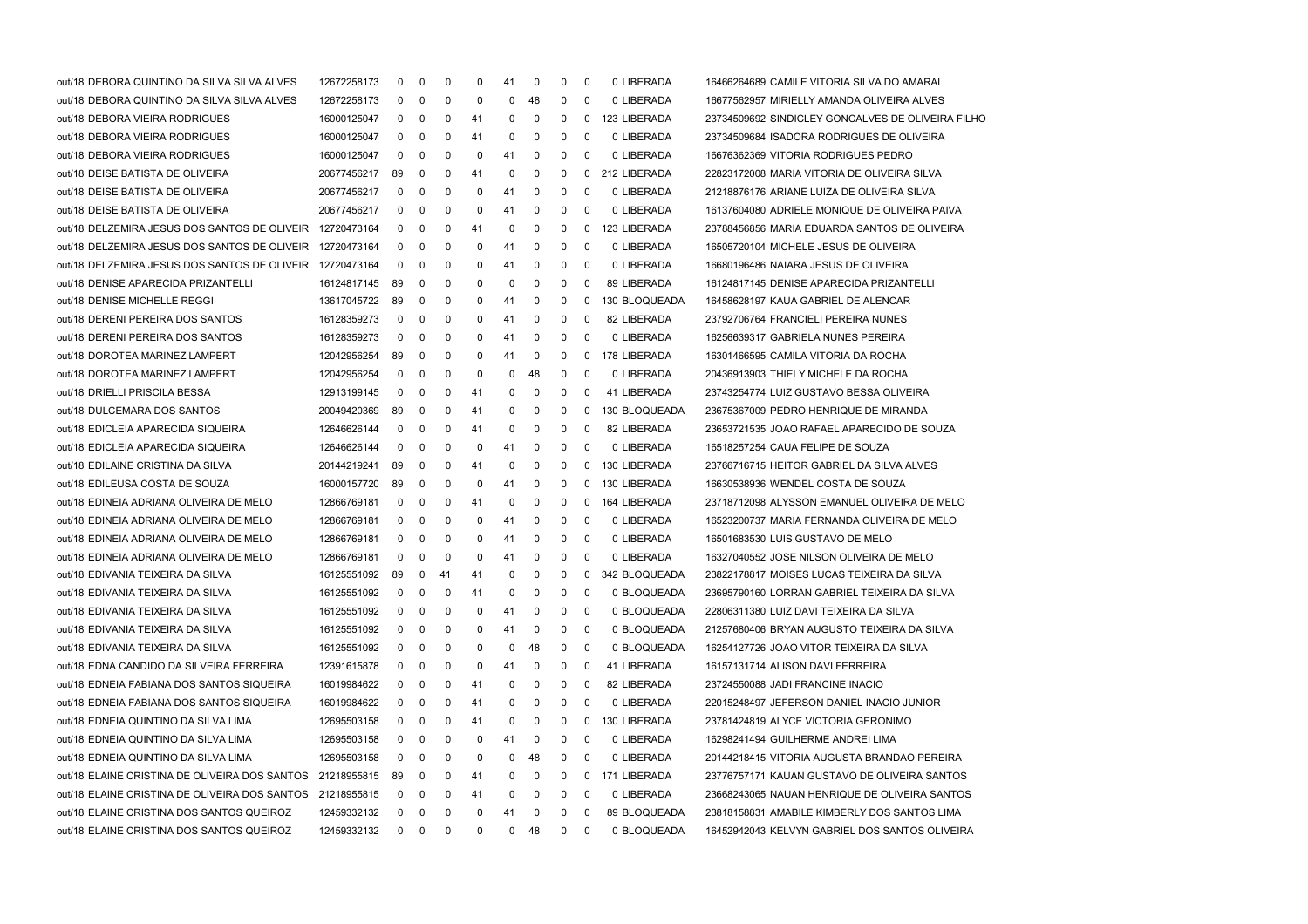| out/18 DEBORA QUINTINO DA SILVA SILVA ALVES              | 12672258173 | 0        | 0          | 0   | 0  | 41 | 0  | 0 | 0 | 0 LIBERADA     | 16466264689 CAMILE VITORIA SILVA DO AMARAL        |
|----------------------------------------------------------|-------------|----------|------------|-----|----|----|----|---|---|----------------|---------------------------------------------------|
| out/18 DEBORA QUINTINO DA SILVA SILVA ALVES              | 12672258173 | 0        | 0          | 0   | 0  | 0  | 48 | 0 | 0 | 0 LIBERADA     | 16677562957 MIRIELLY AMANDA OLIVEIRA ALVES        |
| out/18 DEBORA VIEIRA RODRIGUES                           | 16000125047 | 0        | 0          | 0   | 41 | 0  | 0  | 0 | 0 | 123 LIBERADA   | 23734509692 SINDICLEY GONCALVES DE OLIVEIRA FILHO |
| out/18 DEBORA VIEIRA RODRIGUES                           | 16000125047 | 0        | 0          | 0   | 41 | 0  | 0  | 0 | 0 | 0 LIBERADA     | 23734509684 ISADORA RODRIGUES DE OLIVEIRA         |
| out/18 DEBORA VIEIRA RODRIGUES                           | 16000125047 | 0        | 0          | 0   | 0  | 41 | 0  | 0 | 0 | 0 LIBERADA     | 16676362369 VITORIA RODRIGUES PEDRO               |
| out/18 DEISE BATISTA DE OLIVEIRA                         | 20677456217 | 89       | 0          | 0   | 41 | 0  | 0  | 0 | 0 | 212 LIBERADA   | 22823172008 MARIA VITORIA DE OLIVEIRA SILVA       |
| out/18 DEISE BATISTA DE OLIVEIRA                         | 20677456217 | 0        | 0          | 0   | 0  | 41 | 0  | 0 | 0 | 0 LIBERADA     | 21218876176 ARIANE LUIZA DE OLIVEIRA SILVA        |
| out/18 DEISE BATISTA DE OLIVEIRA                         | 20677456217 | 0        | 0          | 0   | 0  | 41 | 0  | 0 | 0 | 0 LIBERADA     | 16137604080 ADRIELE MONIQUE DE OLIVEIRA PAIVA     |
| out/18 DELZEMIRA JESUS DOS SANTOS DE OLIVEIR 12720473164 |             | 0        | 0          | 0   | 41 | 0  | 0  | 0 | 0 | 123 LIBERADA   | 23788456856 MARIA EDUARDA SANTOS DE OLIVEIRA      |
| out/18 DELZEMIRA JESUS DOS SANTOS DE OLIVEIR 12720473164 |             | 0        | 0          | 0   | 0  | 41 | 0  | 0 | 0 | 0 LIBERADA     | 16505720104 MICHELE JESUS DE OLIVEIRA             |
| out/18 DELZEMIRA JESUS DOS SANTOS DE OLIVEIR 12720473164 |             | 0        | 0          | 0   | 0  | 41 | 0  | 0 | 0 | 0 LIBERADA     | 16680196486 NAIARA JESUS DE OLIVEIRA              |
| out/18 DENISE APARECIDA PRIZANTELLI                      | 16124817145 | -89      | 0          | 0   | 0  | 0  | 0  | 0 | 0 | 89 LIBERADA    | 16124817145 DENISE APARECIDA PRIZANTELLI          |
| out/18 DENISE MICHELLE REGGI                             | 13617045722 | 89       | 0          | 0   | 0  | 41 | 0  | 0 | 0 | 130 BLOQUEADA  | 16458628197 KAUA GABRIEL DE ALENCAR               |
| out/18 DERENI PEREIRA DOS SANTOS                         | 16128359273 | 0        | 0          | 0   | 0  | 41 | 0  | 0 | 0 | 82 LIBERADA    | 23792706764 FRANCIELI PEREIRA NUNES               |
| out/18 DERENI PEREIRA DOS SANTOS                         | 16128359273 | 0        | 0          | 0   | 0  | 41 | 0  | 0 | 0 | 0 LIBERADA     | 16256639317 GABRIELA NUNES PEREIRA                |
| out/18 DOROTEA MARINEZ LAMPERT                           | 12042956254 | 89       | 0          | 0   | 0  | 41 | 0  | 0 | 0 | 178 LIBERADA   | 16301466595 CAMILA VITORIA DA ROCHA               |
| out/18 DOROTEA MARINEZ LAMPERT                           | 12042956254 | 0        | 0          | 0   | 0  | 0  | 48 | 0 | 0 | 0 LIBERADA     | 20436913903 THIELY MICHELE DA ROCHA               |
| out/18 DRIELLI PRISCILA BESSA                            | 12913199145 | 0        | 0          | 0   | 41 | 0  | 0  | 0 | 0 | 41 LIBERADA    | 23743254774 LUIZ GUSTAVO BESSA OLIVEIRA           |
| out/18 DULCEMARA DOS SANTOS                              | 20049420369 | 89       | 0          | 0   | 41 | 0  | 0  | 0 | 0 | 130 BLOQUEADA  | 23675367009 PEDRO HENRIQUE DE MIRANDA             |
| out/18 EDICLEIA APARECIDA SIQUEIRA                       | 12646626144 | 0        | 0          | 0   | 41 | 0  | 0  | 0 | 0 | 82 LIBERADA    | 23653721535 JOAO RAFAEL APARECIDO DE SOUZA        |
| out/18 EDICLEIA APARECIDA SIQUEIRA                       | 12646626144 | 0        | 0          | 0   | 0  | 41 | 0  | 0 | 0 | 0 LIBERADA     | 16518257254 CAUA FELIPE DE SOUZA                  |
| out/18 EDILAINE CRISTINA DA SILVA                        | 20144219241 | 89       | 0          | 0   | 41 | 0  | 0  | 0 |   | 0 130 LIBERADA | 23766716715 HEITOR GABRIEL DA SILVA ALVES         |
| out/18 EDILEUSA COSTA DE SOUZA                           | 16000157720 | 89       | 0          | 0   | 0  | 41 | 0  | 0 | 0 | 130 LIBERADA   | 16630538936 WENDEL COSTA DE SOUZA                 |
| out/18 EDINEIA ADRIANA OLIVEIRA DE MELO                  | 12866769181 | 0        | 0          | 0   | 41 | 0  | 0  | 0 | 0 | 164 LIBERADA   | 23718712098 ALYSSON EMANUEL OLIVEIRA DE MELO      |
| out/18 EDINEIA ADRIANA OLIVEIRA DE MELO                  | 12866769181 | 0        | 0          | 0   | 0  | 41 | 0  | 0 | 0 | 0 LIBERADA     | 16523200737 MARIA FERNANDA OLIVEIRA DE MELO       |
| out/18 EDINEIA ADRIANA OLIVEIRA DE MELO                  | 12866769181 | 0        | 0          | 0   | 0  | 41 | 0  | 0 | 0 | 0 LIBERADA     | 16501683530 LUIS GUSTAVO DE MELO                  |
| out/18 EDINEIA ADRIANA OLIVEIRA DE MELO                  | 12866769181 | 0        | 0          | 0   | 0  | 41 | 0  | 0 | 0 | 0 LIBERADA     | 16327040552 JOSE NILSON OLIVEIRA DE MELO          |
| out/18 EDIVANIA TEIXEIRA DA SILVA                        | 16125551092 | 89       | 0          | -41 | 41 | 0  | 0  | 0 | 0 | 342 BLOQUEADA  | 23822178817 MOISES LUCAS TEIXEIRA DA SILVA        |
| out/18 EDIVANIA TEIXEIRA DA SILVA                        | 16125551092 | 0        | 0          | 0   | 41 | 0  | 0  | 0 | 0 | 0 BLOQUEADA    | 23695790160 LORRAN GABRIEL TEIXEIRA DA SILVA      |
| out/18 EDIVANIA TEIXEIRA DA SILVA                        | 16125551092 | 0        | 0          | 0   | 0  | 41 | 0  | 0 | 0 | 0 BLOQUEADA    | 22806311380 LUIZ DAVI TEIXEIRA DA SILVA           |
| out/18 EDIVANIA TEIXEIRA DA SILVA                        | 16125551092 | $\Omega$ | $\Omega$   | 0   | 0  | 41 | 0  | 0 | 0 | 0 BLOQUEADA    | 21257680406 BRYAN AUGUSTO TEIXEIRA DA SILVA       |
| out/18 EDIVANIA TEIXEIRA DA SILVA                        | 16125551092 | 0        | 0          | 0   | 0  | 0  | 48 | 0 | 0 | 0 BLOQUEADA    | 16254127726 JOAO VITOR TEIXEIRA DA SILVA          |
| out/18 EDNA CANDIDO DA SILVEIRA FERREIRA                 | 12391615878 | 0        | 0          | 0   | 0  | 41 | 0  | 0 | 0 | 41 LIBERADA    | 16157131714 ALISON DAVI FERREIRA                  |
| out/18 EDNEIA FABIANA DOS SANTOS SIQUEIRA                | 16019984622 | 0        | 0          | 0   | 41 | 0  | 0  | 0 | 0 | 82 LIBERADA    | 23724550088 JADI FRANCINE INACIO                  |
| out/18 EDNEIA FABIANA DOS SANTOS SIQUEIRA                | 16019984622 | 0        | 0          | 0   | 41 | 0  | 0  | 0 | 0 | 0 LIBERADA     | 22015248497 JEFERSON DANIEL INACIO JUNIOR         |
| out/18 EDNEIA QUINTINO DA SILVA LIMA                     | 12695503158 | 0        | 0          | 0   | 41 | 0  | 0  | 0 | 0 | 130 LIBERADA   | 23781424819 ALYCE VICTORIA GERONIMO               |
| out/18 EDNEIA QUINTINO DA SILVA LIMA                     | 12695503158 | 0        | 0          | 0   | 0  | 41 | 0  | 0 | 0 | 0 LIBERADA     | 16298241494 GUILHERME ANDREI LIMA                 |
| out/18 EDNEIA QUINTINO DA SILVA LIMA                     | 12695503158 | 0        | 0          | 0   | 0  | 0  | 48 | 0 | 0 | 0 LIBERADA     | 20144218415 VITORIA AUGUSTA BRANDAO PEREIRA       |
| out/18 ELAINE CRISTINA DE OLIVEIRA DOS SANTOS            | 21218955815 | 89       | 0          | 0   | 41 | 0  | 0  | 0 | 0 | 171 LIBERADA   | 23776757171 KAUAN GUSTAVO DE OLIVEIRA SANTOS      |
| out/18 ELAINE CRISTINA DE OLIVEIRA DOS SANTOS            | 21218955815 | 0        | 0          | 0   | 41 | 0  | 0  | 0 | 0 | 0 LIBERADA     | 23668243065 NAUAN HENRIQUE DE OLIVEIRA SANTOS     |
| out/18 ELAINE CRISTINA DOS SANTOS QUEIROZ                | 12459332132 | 0        | 0          | 0   | 0  | 41 | 0  | 0 | 0 | 89 BLOQUEADA   | 23818158831 AMABILE KIMBERLY DOS SANTOS LIMA      |
| out/18 ELAINE CRISTINA DOS SANTOS QUEIROZ                | 12459332132 |          | $0\quad 0$ | 0   | 0  | 0  | 48 | 0 | 0 | 0 BLOQUEADA    | 16452942043 KELVYN GABRIEL DOS SANTOS OLIVEIRA    |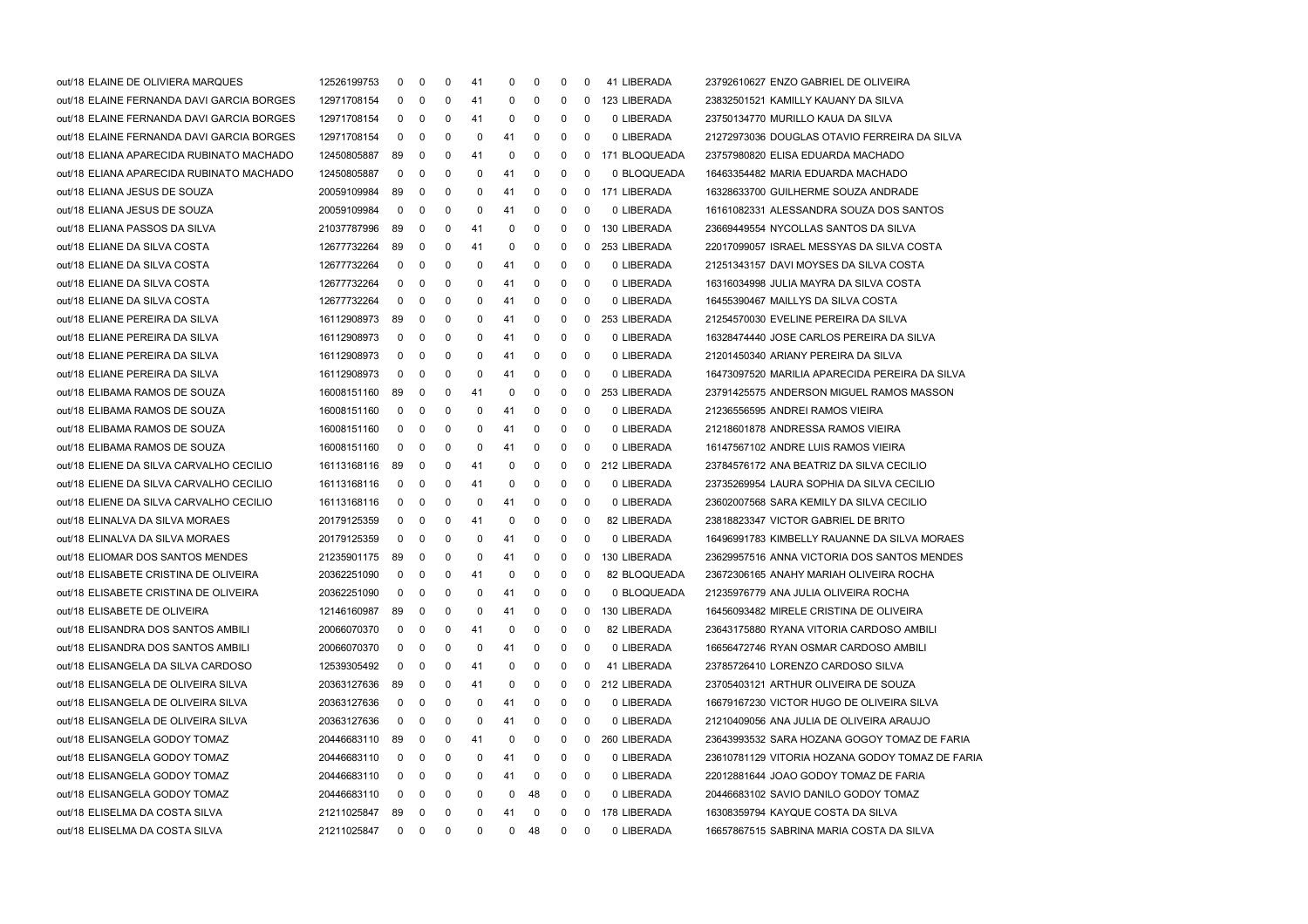| out/18 ELAINE DE OLIVIERA MARQUES         | 12526199753 | 0           | 0           | 0        | 41 | 0  | 0  | 0            | 0            | 41 LIBERADA   | 23792610627 ENZO GABRIEL DE OLIVEIRA            |
|-------------------------------------------|-------------|-------------|-------------|----------|----|----|----|--------------|--------------|---------------|-------------------------------------------------|
| out/18 ELAINE FERNANDA DAVI GARCIA BORGES | 12971708154 | 0           | 0           | 0        | 41 | 0  | 0  | 0            | $\Omega$     | 123 LIBERADA  | 23832501521 KAMILLY KAUANY DA SILVA             |
| out/18 ELAINE FERNANDA DAVI GARCIA BORGES | 12971708154 | 0           | 0           | 0        | 41 | 0  | 0  | 0            | 0            | 0 LIBERADA    | 23750134770 MURILLO KAUA DA SILVA               |
| out/18 ELAINE FERNANDA DAVI GARCIA BORGES | 12971708154 | 0           | 0           | 0        | 0  | 41 | 0  | 0            | 0            | 0 LIBERADA    | 21272973036 DOUGLAS OTAVIO FERREIRA DA SILVA    |
| out/18 ELIANA APARECIDA RUBINATO MACHADO  | 12450805887 | 89          | 0           | 0        | 41 | 0  | 0  | 0            | 0            | 171 BLOQUEADA | 23757980820 ELISA EDUARDA MACHADO               |
| out/18 ELIANA APARECIDA RUBINATO MACHADO  | 12450805887 | 0           | 0           | 0        | 0  | 41 | 0  | 0            | - 0          | 0 BLOQUEADA   | 16463354482 MARIA EDUARDA MACHADO               |
| out/18 ELIANA JESUS DE SOUZA              | 20059109984 | 89          | 0           | 0        | 0  | 41 | 0  | 0            | $\Omega$     | 171 LIBERADA  | 16328633700 GUILHERME SOUZA ANDRADE             |
| out/18 ELIANA JESUS DE SOUZA              | 20059109984 | 0           | 0           | 0        | 0  | 41 | 0  | 0            | 0            | 0 LIBERADA    | 16161082331 ALESSANDRA SOUZA DOS SANTOS         |
| out/18 ELIANA PASSOS DA SILVA             | 21037787996 | 89          | 0           | 0        | 41 | 0  | 0  | 0            | 0            | 130 LIBERADA  | 23669449554 NYCOLLAS SANTOS DA SILVA            |
| out/18 ELIANE DA SILVA COSTA              | 12677732264 | 89          | 0           | 0        | 41 | 0  | 0  | 0            | $\mathbf{0}$ | 253 LIBERADA  | 22017099057 ISRAEL MESSYAS DA SILVA COSTA       |
| out/18 ELIANE DA SILVA COSTA              | 12677732264 | 0           | 0           | 0        | 0  | 41 | 0  | 0            | - 0          | 0 LIBERADA    | 21251343157 DAVI MOYSES DA SILVA COSTA          |
| out/18 ELIANE DA SILVA COSTA              | 12677732264 | 0           | 0           | 0        | 0  | 41 | 0  | 0            | - 0          | 0 LIBERADA    | 16316034998 JULIA MAYRA DA SILVA COSTA          |
| out/18 ELIANE DA SILVA COSTA              | 12677732264 | 0           | 0           | 0        | 0  | 41 | 0  | 0            | 0            | 0 LIBERADA    | 16455390467 MAILLYS DA SILVA COSTA              |
| out/18 ELIANE PEREIRA DA SILVA            | 16112908973 | 89          | 0           | 0        | 0  | 41 | 0  | 0            | 0            | 253 LIBERADA  | 21254570030 EVELINE PEREIRA DA SILVA            |
| out/18 ELIANE PEREIRA DA SILVA            | 16112908973 | 0           | 0           | 0        | 0  | 41 | 0  | 0            | 0            | 0 LIBERADA    | 16328474440 JOSE CARLOS PEREIRA DA SILVA        |
| out/18 ELIANE PEREIRA DA SILVA            | 16112908973 | 0           | 0           | 0        | 0  | 41 | 0  | 0            | - 0          | 0 LIBERADA    | 21201450340 ARIANY PEREIRA DA SILVA             |
| out/18 ELIANE PEREIRA DA SILVA            | 16112908973 | 0           | 0           | 0        | 0  | 41 | 0  | 0            | 0            | 0 LIBERADA    | 16473097520 MARILIA APARECIDA PEREIRA DA SILVA  |
| out/18 ELIBAMA RAMOS DE SOUZA             | 16008151160 | 89          | 0           | 0        | 41 | 0  | 0  | 0            | 0            | 253 LIBERADA  | 23791425575 ANDERSON MIGUEL RAMOS MASSON        |
| out/18 ELIBAMA RAMOS DE SOUZA             | 16008151160 | 0           | 0           | 0        | 0  | 41 | 0  | 0            | - 0          | 0 LIBERADA    | 21236556595 ANDREI RAMOS VIEIRA                 |
| out/18 ELIBAMA RAMOS DE SOUZA             | 16008151160 | 0           | 0           | 0        | 0  | 41 | 0  | 0            | - 0          | 0 LIBERADA    | 21218601878 ANDRESSA RAMOS VIEIRA               |
| out/18 ELIBAMA RAMOS DE SOUZA             | 16008151160 | 0           | 0           | 0        | 0  | 41 | 0  | 0            | - 0          | 0 LIBERADA    | 16147567102 ANDRE LUIS RAMOS VIEIRA             |
| out/18 ELIENE DA SILVA CARVALHO CECILIO   | 16113168116 | 89          | 0           | 0        | 41 | 0  | 0  | 0            | $\Omega$     | 212 LIBERADA  | 23784576172 ANA BEATRIZ DA SILVA CECILIO        |
| out/18 ELIENE DA SILVA CARVALHO CECILIO   | 16113168116 | 0           | 0           | 0        | 41 | 0  | 0  | 0            | - 0          | 0 LIBERADA    | 23735269954 LAURA SOPHIA DA SILVA CECILIO       |
| out/18 ELIENE DA SILVA CARVALHO CECILIO   | 16113168116 | 0           | 0           | 0        | 0  | 41 | 0  | 0            | - 0          | 0 LIBERADA    | 23602007568 SARA KEMILY DA SILVA CECILIO        |
| out/18 ELINALVA DA SILVA MORAES           | 20179125359 | 0           | 0           | 0        | 41 | 0  | 0  | 0            | - 0          | 82 LIBERADA   | 23818823347 VICTOR GABRIEL DE BRITO             |
| out/18 ELINALVA DA SILVA MORAES           | 20179125359 | 0           | 0           | 0        | 0  | 41 | 0  | 0            | - 0          | 0 LIBERADA    | 16496991783 KIMBELLY RAUANNE DA SILVA MORAES    |
| out/18 ELIOMAR DOS SANTOS MENDES.         | 21235901175 | 89          | 0           | 0        | 0  | 41 | 0  | 0            | 0            | 130 LIBERADA  | 23629957516 ANNA VICTORIA DOS SANTOS MENDES     |
| out/18 ELISABETE CRISTINA DE OLIVEIRA     | 20362251090 | 0           | 0           | 0        | 41 | 0  | 0  | 0            | 0            | 82 BLOQUEADA  | 23672306165 ANAHY MARIAH OLIVEIRA ROCHA         |
| out/18 ELISABETE CRISTINA DE OLIVEIRA     | 20362251090 | 0           | 0           | 0        | 0  | 41 | 0  | 0            | 0            | 0 BLOQUEADA   | 21235976779 ANA JULIA OLIVEIRA ROCHA            |
| out/18 ELISABETE DE OLIVEIRA              | 12146160987 | -89         | 0           | 0        | 0  | 41 | 0  | 0            | 0            | 130 LIBERADA  | 16456093482 MIRELE CRISTINA DE OLIVEIRA         |
| out/18 ELISANDRA DOS SANTOS AMBILI        | 20066070370 | $\Omega$    | $\Omega$    | $\Omega$ | 41 | 0  | 0  | 0            | 0            | 82 LIBERADA   | 23643175880 RYANA VITORIA CARDOSO AMBILI        |
| out/18 ELISANDRA DOS SANTOS AMBILI        | 20066070370 | 0           | 0           | 0        | 0  | 41 | 0  | 0            | 0            | 0 LIBERADA    | 16656472746 RYAN OSMAR CARDOSO AMBILI           |
| out/18 ELISANGELA DA SILVA CARDOSO        | 12539305492 | 0           | 0           | 0        | 41 | 0  | 0  | 0            | 0            | 41 LIBERADA   | 23785726410 LORENZO CARDOSO SILVA               |
| out/18 ELISANGELA DE OLIVEIRA SILVA       | 20363127636 | 89          | 0           | 0        | 41 | 0  | 0  | 0            | 0            | 212 LIBERADA  | 23705403121 ARTHUR OLIVEIRA DE SOUZA            |
| out/18 ELISANGELA DE OLIVEIRA SILVA       | 20363127636 | 0           | 0           | 0        | 0  | 41 | 0  | 0            | 0            | 0 LIBERADA    | 16679167230 VICTOR HUGO DE OLIVEIRA SILVA       |
| out/18 ELISANGELA DE OLIVEIRA SILVA       | 20363127636 | 0           | 0           | 0        | 0  | 41 | 0  | 0            | 0            | 0 LIBERADA    | 21210409056 ANA JULIA DE OLIVEIRA ARAUJO        |
| out/18 ELISANGELA GODOY TOMAZ             | 20446683110 | 89          | 0           | 0        | 41 | 0  | 0  | 0            | 0            | 260 LIBERADA  | 23643993532 SARA HOZANA GOGOY TOMAZ DE FARIA    |
| out/18 ELISANGELA GODOY TOMAZ             | 20446683110 | 0           | 0           | 0        | 0  | 41 | 0  | 0            | 0            | 0 LIBERADA    | 23610781129 VITORIA HOZANA GODOY TOMAZ DE FARIA |
| out/18 ELISANGELA GODOY TOMAZ             | 20446683110 | 0           | 0           | 0        | 0  | 41 | 0  | 0            | - 0          | 0 LIBERADA    | 22012881644 JOAO GODOY TOMAZ DE FARIA           |
| out/18 ELISANGELA GODOY TOMAZ             | 20446683110 | 0           | 0           | 0        | 0  | 0  | 48 | 0            | 0            | 0 LIBERADA    | 20446683102 SAVIO DANILO GODOY TOMAZ            |
| out/18 ELISELMA DA COSTA SILVA            | 21211025847 | 89          | 0           | 0        | 0  | 41 | 0  | 0            | 0            | 178 LIBERADA  | 16308359794 KAYQUE COSTA DA SILVA               |
| out/18 ELISELMA DA COSTA SILVA            | 21211025847 | $\mathbf 0$ | $\mathbf 0$ | 0        | 0  | 0  | 48 | $\mathbf{0}$ | 0            | 0 LIBERADA    | 16657867515 SABRINA MARIA COSTA DA SILVA        |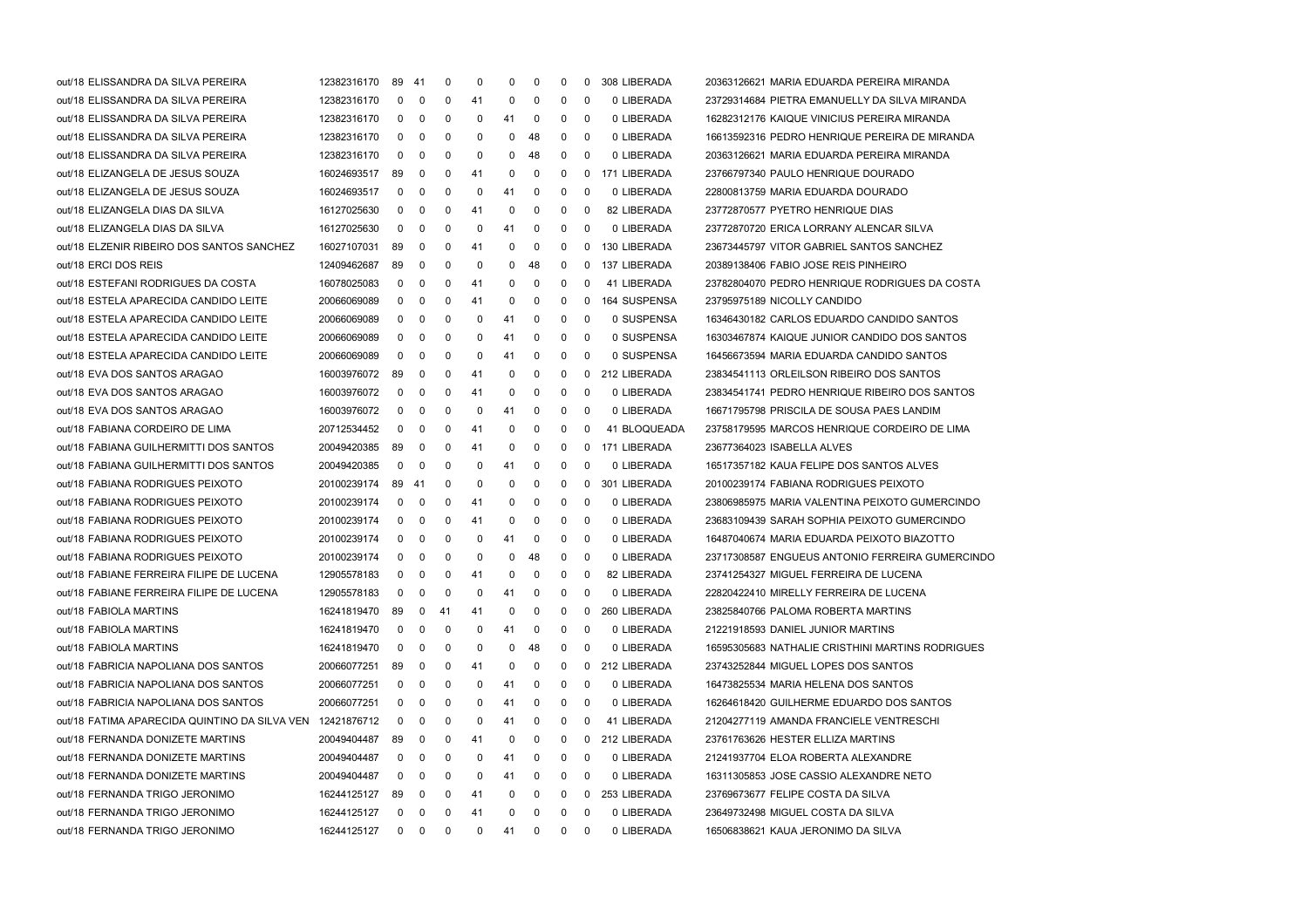| out/18 ELISSANDRA DA SILVA PEREIRA            | 12382316170 | 89 41        |                | 0   | 0  | 0  | 0  | 0 | $\Omega$ | 308 LIBERADA | 20363126621 MARIA EDUARDA PEREIRA MIRANDA        |
|-----------------------------------------------|-------------|--------------|----------------|-----|----|----|----|---|----------|--------------|--------------------------------------------------|
| out/18 ELISSANDRA DA SILVA PEREIRA            | 12382316170 | 0            | 0              | 0   | 41 | 0  | 0  | 0 | 0        | 0 LIBERADA   | 23729314684 PIETRA EMANUELLY DA SILVA MIRANDA    |
| out/18 ELISSANDRA DA SILVA PEREIRA            | 12382316170 | 0            | 0              | 0   | 0  | 41 | 0  | 0 | 0        | 0 LIBERADA   | 16282312176 KAIQUE VINICIUS PEREIRA MIRANDA      |
| out/18 ELISSANDRA DA SILVA PEREIRA            | 12382316170 | 0            | 0              | 0   | 0  | 0  | 48 | 0 | 0        | 0 LIBERADA   | 16613592316 PEDRO HENRIQUE PEREIRA DE MIRANDA    |
| out/18 ELISSANDRA DA SILVA PEREIRA            | 12382316170 | 0            | 0              | 0   | 0  | 0  | 48 | 0 | 0        | 0 LIBERADA   | 20363126621 MARIA EDUARDA PEREIRA MIRANDA        |
| out/18 ELIZANGELA DE JESUS SOUZA              | 16024693517 | 89           | 0              | 0   | 41 | 0  | 0  | 0 | 0        | 171 LIBERADA | 23766797340 PAULO HENRIQUE DOURADO               |
| out/18 ELIZANGELA DE JESUS SOUZA              | 16024693517 | 0            | 0              | 0   | 0  | 41 | 0  | 0 | 0        | 0 LIBERADA   | 22800813759 MARIA EDUARDA DOURADO                |
| out/18 ELIZANGELA DIAS DA SILVA               | 16127025630 | 0            | 0              | 0   | 41 | 0  | 0  | 0 | 0        | 82 LIBERADA  | 23772870577 PYETRO HENRIQUE DIAS                 |
| out/18 ELIZANGELA DIAS DA SILVA               | 16127025630 | 0            | 0              | 0   | 0  | 41 | 0  | 0 | 0        | 0 LIBERADA   | 23772870720 ERICA LORRANY ALENCAR SILVA          |
| out/18 ELZENIR RIBEIRO DOS SANTOS SANCHEZ     | 16027107031 | 89           | 0              | 0   | 41 | 0  | 0  | 0 | 0        | 130 LIBERADA | 23673445797 VITOR GABRIEL SANTOS SANCHEZ         |
| out/18 ERCI DOS REIS                          | 12409462687 | 89           | 0              | 0   | 0  | 0  | 48 | 0 | 0        | 137 LIBERADA | 20389138406 FABIO JOSE REIS PINHEIRO             |
| out/18 ESTEFANI RODRIGUES DA COSTA            | 16078025083 | 0            | 0              | 0   | 41 | 0  | 0  | 0 | 0        | 41 LIBERADA  | 23782804070 PEDRO HENRIQUE RODRIGUES DA COSTA    |
| out/18 ESTELA APARECIDA CANDIDO LEITE         | 20066069089 | 0            | 0              | 0   | 41 | 0  | 0  | 0 | 0        | 164 SUSPENSA | 23795975189 NICOLLY CANDIDO                      |
| out/18 ESTELA APARECIDA CANDIDO LEITE         | 20066069089 | 0            | 0              | 0   | 0  | 41 | 0  | 0 | 0        | 0 SUSPENSA   | 16346430182 CARLOS EDUARDO CANDIDO SANTOS        |
| out/18 ESTELA APARECIDA CANDIDO LEITE         | 20066069089 | 0            | 0              | 0   | 0  | 41 | 0  | 0 | 0        | 0 SUSPENSA   | 16303467874 KAIQUE JUNIOR CANDIDO DOS SANTOS     |
| out/18 ESTELA APARECIDA CANDIDO LEITE         | 20066069089 | 0            | 0              | 0   | 0  | 41 | 0  | 0 | 0        | 0 SUSPENSA   | 16456673594 MARIA EDUARDA CANDIDO SANTOS         |
| out/18 EVA DOS SANTOS ARAGAO                  | 16003976072 | -89          | 0              | 0   | 41 | 0  | 0  | 0 | 0        | 212 LIBERADA | 23834541113 ORLEILSON RIBEIRO DOS SANTOS         |
| out/18 EVA DOS SANTOS ARAGAO                  | 16003976072 | 0            | 0              | 0   | 41 | 0  | 0  | 0 | 0        | 0 LIBERADA   | 23834541741 PEDRO HENRIQUE RIBEIRO DOS SANTOS    |
| out/18 EVA DOS SANTOS ARAGAO                  | 16003976072 | 0            | 0              | 0   | 0  | 41 | 0  | 0 | 0        | 0 LIBERADA   | 16671795798 PRISCILA DE SOUSA PAES LANDIM        |
| out/18 FABIANA CORDEIRO DE LIMA               | 20712534452 | 0            | 0              | 0   | 41 | 0  | 0  | 0 | 0        | 41 BLOQUEADA | 23758179595 MARCOS HENRIQUE CORDEIRO DE LIMA     |
| out/18 FABIANA GUILHERMITTI DOS SANTOS        | 20049420385 | 89           | 0              | 0   | 41 | 0  | 0  | 0 | 0        | 171 LIBERADA | 23677364023 ISABELLA ALVES                       |
| out/18 FABIANA GUILHERMITTI DOS SANTOS        | 20049420385 | 0            | 0              | 0   | 0  | 41 | 0  | 0 | 0        | 0 LIBERADA   | 16517357182 KAUA FELIPE DOS SANTOS ALVES         |
| out/18 FABIANA RODRIGUES PEIXOTO              | 20100239174 | 89           | -41            | 0   | 0  | 0  | 0  | 0 | 0        | 301 LIBERADA | 20100239174 FABIANA RODRIGUES PEIXOTO            |
| out/18 FABIANA RODRIGUES PEIXOTO              | 20100239174 | 0            | 0              | 0   | 41 | 0  | 0  | 0 | 0        | 0 LIBERADA   | 23806985975 MARIA VALENTINA PEIXOTO GUMERCINDO   |
| out/18 FABIANA RODRIGUES PEIXOTO              | 20100239174 | 0            | 0              | 0   | 41 | 0  | 0  | 0 | 0        | 0 LIBERADA   | 23683109439 SARAH SOPHIA PEIXOTO GUMERCINDO      |
| out/18 FABIANA RODRIGUES PEIXOTO              | 20100239174 | 0            | 0              | 0   | 0  | 41 | 0  | 0 | 0        | 0 LIBERADA   | 16487040674 MARIA EDUARDA PEIXOTO BIAZOTTO       |
| out/18 FABIANA RODRIGUES PEIXOTO              | 20100239174 | 0            | 0              | 0   | 0  | 0  | 48 | 0 | 0        | 0 LIBERADA   | 23717308587 ENGUEUS ANTONIO FERREIRA GUMERCINDO  |
| out/18 FABIANE FERREIRA FILIPE DE LUCENA      | 12905578183 | 0            | 0              | 0   | 41 | 0  | 0  | 0 | 0        | 82 LIBERADA  | 23741254327 MIGUEL FERREIRA DE LUCENA            |
| out/18 FABIANE FERREIRA FILIPE DE LUCENA      | 12905578183 | 0            | 0              | 0   | 0  | 41 | 0  | 0 | 0        | 0 LIBERADA   | 22820422410 MIRELLY FERREIRA DE LUCENA           |
| out/18 FABIOLA MARTINS                        | 16241819470 | 89           | 0              | -41 | 41 | 0  | 0  | 0 | 0        | 260 LIBERADA | 23825840766 PALOMA ROBERTA MARTINS               |
| out/18 FABIOLA MARTINS                        | 16241819470 | 0            | 0              | 0   | 0  | 41 | 0  | 0 | 0        | 0 LIBERADA   | 21221918593 DANIEL JUNIOR MARTINS                |
| out/18 FABIOLA MARTINS                        | 16241819470 | 0            | 0              | 0   | 0  | 0  | 48 | 0 | 0        | 0 LIBERADA   | 16595305683 NATHALIE CRISTHINI MARTINS RODRIGUES |
| out/18 FABRICIA NAPOLIANA DOS SANTOS          | 20066077251 | 89           | 0              | 0   | 41 | 0  | 0  | 0 | 0        | 212 LIBERADA | 23743252844 MIGUEL LOPES DOS SANTOS              |
| out/18 FABRICIA NAPOLIANA DOS SANTOS          | 20066077251 | 0            | 0              | 0   | 0  | 41 | 0  | 0 | 0        | 0 LIBERADA   | 16473825534 MARIA HELENA DOS SANTOS              |
| out/18 FABRICIA NAPOLIANA DOS SANTOS          | 20066077251 | 0            | 0              | 0   | 0  | 41 | 0  | 0 | 0        | 0 LIBERADA   | 16264618420 GUILHERME EDUARDO DOS SANTOS         |
| out/18 FATIMA APARECIDA QUINTINO DA SILVA VEN | 12421876712 | 0            | 0              | 0   | 0  | 41 | 0  | 0 | 0        | 41 LIBERADA  | 21204277119 AMANDA FRANCIELE VENTRESCHI          |
| out/18 FERNANDA DONIZETE MARTINS              | 20049404487 | 89           | 0              | 0   | 41 | 0  | 0  | 0 | 0        | 212 LIBERADA | 23761763626 HESTER ELLIZA MARTINS                |
| out/18 FERNANDA DONIZETE MARTINS              | 20049404487 | 0            | 0              | 0   | 0  | 41 | 0  | 0 | 0        | 0 LIBERADA   | 21241937704 ELOA ROBERTA ALEXANDRE               |
| out/18 FERNANDA DONIZETE MARTINS              | 20049404487 | 0            | 0              | 0   | 0  | 41 | 0  | 0 | 0        | 0 LIBERADA   | 16311305853 JOSE CASSIO ALEXANDRE NETO           |
| out/18 FERNANDA TRIGO JERONIMO                | 16244125127 | 89           | 0              | 0   | 41 | 0  | 0  | 0 | 0        | 253 LIBERADA | 23769673677 FELIPE COSTA DA SILVA                |
| out/18 FERNANDA TRIGO JERONIMO                | 16244125127 | 0            | 0              | 0   | 41 | 0  | 0  | 0 | 0        | 0 LIBERADA   | 23649732498 MIGUEL COSTA DA SILVA                |
| out/18 FERNANDA TRIGO JERONIMO                | 16244125127 | $\mathbf{0}$ | $\overline{0}$ | 0   | 0  | 41 | 0  | 0 | 0        | 0 LIBERADA   | 16506838621 KAUA JERONIMO DA SILVA               |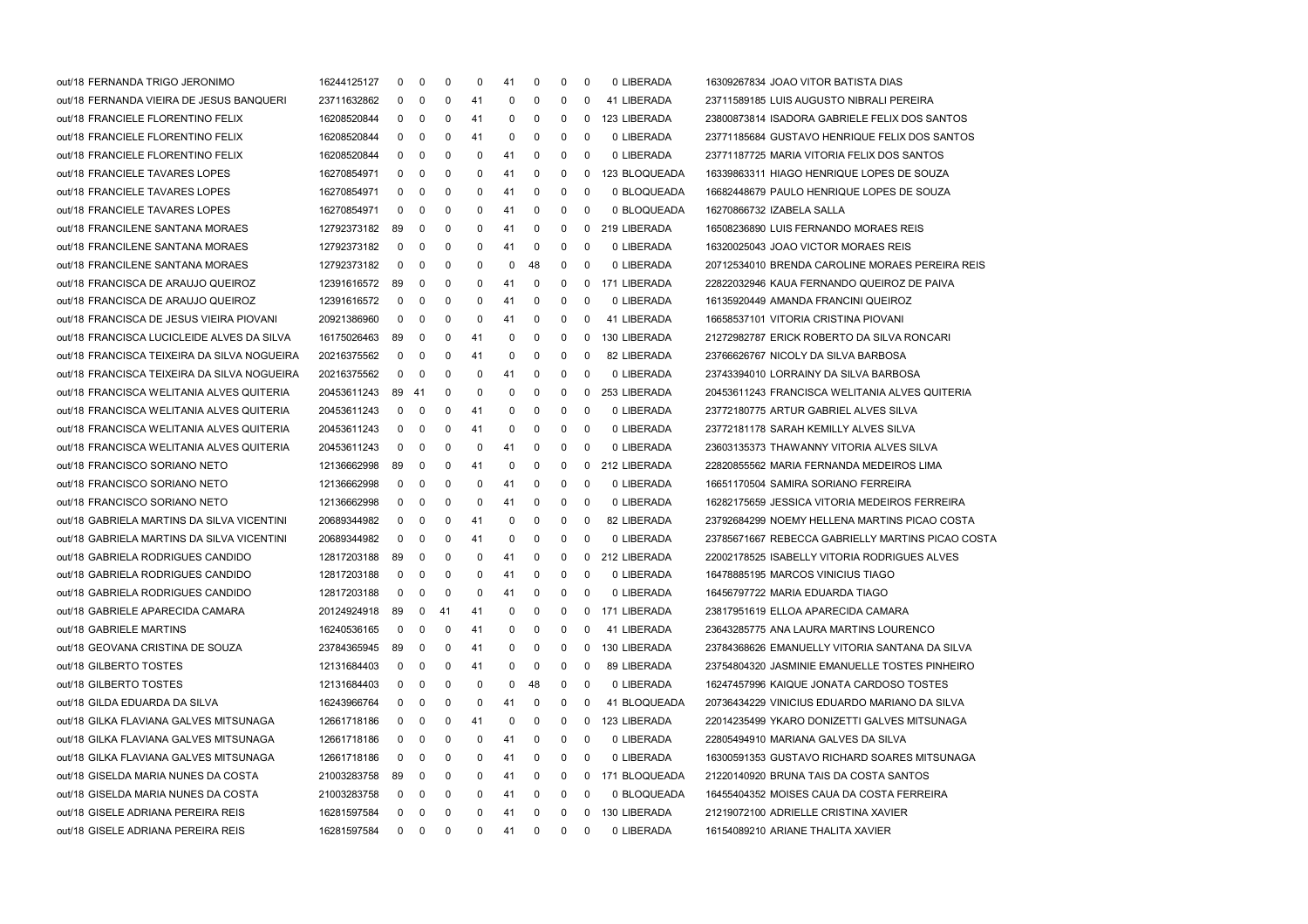| out/18 FERNANDA TRIGO JERONIMO              | 16244125127 | $\mathbf{0}$ | 0            | 0            | 0  | 41 | 0            | 0            | 0 | 0 LIBERADA    | 16309267834 JOAO VITOR BATISTA DIAS               |
|---------------------------------------------|-------------|--------------|--------------|--------------|----|----|--------------|--------------|---|---------------|---------------------------------------------------|
| out/18 FERNANDA VIEIRA DE JESUS BANQUERI    | 23711632862 | $\mathbf{0}$ | 0            | 0            | 41 | 0  | 0            | 0            | 0 | 41 LIBERADA   | 23711589185 LUIS AUGUSTO NIBRALI PEREIRA          |
| out/18 FRANCIELE FLORENTINO FELIX           | 16208520844 | $\mathbf 0$  | 0            | 0            | 41 | 0  | $\mathbf 0$  | 0            | 0 | 123 LIBERADA  | 23800873814 ISADORA GABRIELE FELIX DOS SANTOS     |
| out/18 FRANCIELE FLORENTINO FELIX           | 16208520844 | $\mathbf 0$  | 0            | 0            | 41 | 0  | 0            | 0            | 0 | 0 LIBERADA    | 23771185684 GUSTAVO HENRIQUE FELIX DOS SANTOS     |
| out/18 FRANCIELE FLORENTINO FELIX           | 16208520844 | $\mathbf 0$  | 0            | 0            | 0  | 41 | $\mathbf 0$  | 0            | 0 | 0 LIBERADA    | 23771187725 MARIA VITORIA FELIX DOS SANTOS        |
| out/18 FRANCIELE TAVARES LOPES              | 16270854971 | $\mathbf{0}$ | 0            | 0            | 0  | 41 | 0            | 0            | 0 | 123 BLOQUEADA | 16339863311 HIAGO HENRIQUE LOPES DE SOUZA         |
| out/18 FRANCIELE TAVARES LOPES              | 16270854971 | $\mathbf{0}$ | 0            | 0            | 0  | 41 | 0            | 0            | 0 | 0 BLOQUEADA   | 16682448679 PAULO HENRIQUE LOPES DE SOUZA         |
| out/18 FRANCIELE TAVARES LOPES              | 16270854971 | $\mathbf{0}$ | 0            | 0            | 0  | 41 | 0            | 0            | 0 | 0 BLOQUEADA   | 16270866732 IZABELA SALLA                         |
| out/18 FRANCILENE SANTANA MORAES            | 12792373182 | 89           | 0            | 0            | 0  | 41 | 0            | 0            | 0 | 219 LIBERADA  | 16508236890 LUIS FERNANDO MORAES REIS             |
| out/18 FRANCILENE SANTANA MORAES            | 12792373182 | $\mathbf 0$  | 0            | 0            | 0  | 41 | 0            | 0            | 0 | 0 LIBERADA    | 16320025043 JOAO VICTOR MORAES REIS               |
| out/18 FRANCILENE SANTANA MORAES            | 12792373182 | 0            | 0            | 0            | 0  | 0  | 48           | 0            | 0 | 0 LIBERADA    | 20712534010 BRENDA CAROLINE MORAES PEREIRA REIS   |
| out/18 FRANCISCA DE ARAUJO QUEIROZ          | 12391616572 | 89           | 0            | 0            | 0  | 41 | 0            | 0            | 0 | 171 LIBERADA  | 22822032946 KAUA FERNANDO QUEIROZ DE PAIVA        |
| out/18 FRANCISCA DE ARAUJO QUEIROZ          | 12391616572 | $\mathbf 0$  | 0            | 0            | 0  | 41 | 0            | 0            | 0 | 0 LIBERADA    | 16135920449 AMANDA FRANCINI QUEIROZ               |
| out/18 FRANCISCA DE JESUS VIEIRA PIOVANI    | 20921386960 | 0            | 0            | 0            | 0  | 41 | 0            | $\mathbf{0}$ | 0 | 41 LIBERADA   | 16658537101 VITORIA CRISTINA PIOVANI              |
| out/18 FRANCISCA LUCICLEIDE ALVES DA SILVA  | 16175026463 | 89           | $\mathbf 0$  | 0            | 41 | 0  | $\mathbf 0$  | 0            | 0 | 130 LIBERADA  | 21272982787 ERICK ROBERTO DA SILVA RONCARI        |
| out/18 FRANCISCA TEIXEIRA DA SILVA NOGUEIRA | 20216375562 | $\mathbf{0}$ | 0            | 0            | 41 | 0  | 0            | 0            | 0 | 82 LIBERADA   | 23766626767 NICOLY DA SILVA BARBOSA               |
| out/18 FRANCISCA TEIXEIRA DA SILVA NOGUEIRA | 20216375562 | $\mathbf 0$  | 0            | 0            | 0  | 41 | 0            | 0            | 0 | 0 LIBERADA    | 23743394010 LORRAINY DA SILVA BARBOSA             |
| out/18 FRANCISCA WELITANIA ALVES QUITERIA   | 20453611243 | 89 41        |              | 0            | 0  | 0  | 0            | 0            | 0 | 253 LIBERADA  | 20453611243 FRANCISCA WELITANIA ALVES QUITERIA    |
| out/18 FRANCISCA WELITANIA ALVES QUITERIA   | 20453611243 | $\mathbf{0}$ | $\mathbf 0$  | 0            | 41 | 0  | 0            | 0            | 0 | 0 LIBERADA    | 23772180775 ARTUR GABRIEL ALVES SILVA             |
| out/18 FRANCISCA WELITANIA ALVES QUITERIA   | 20453611243 | $\mathbf 0$  | 0            | 0            | 41 | 0  | 0            | 0            | 0 | 0 LIBERADA    | 23772181178 SARAH KEMILLY ALVES SILVA             |
| out/18 FRANCISCA WELITANIA ALVES QUITERIA   | 20453611243 | $\mathbf{0}$ | 0            | 0            | 0  | 41 | 0            | 0            | 0 | 0 LIBERADA    | 23603135373 THAWANNY VITORIA ALVES SILVA          |
| out/18 FRANCISCO SORIANO NETO               | 12136662998 | 89           | 0            | 0            | 41 | 0  | 0            | 0            | 0 | 212 LIBERADA  | 22820855562 MARIA FERNANDA MEDEIROS LIMA          |
| out/18 FRANCISCO SORIANO NETO               | 12136662998 | 0            | 0            | 0            | 0  | 41 | 0            | 0            | 0 | 0 LIBERADA    | 16651170504 SAMIRA SORIANO FERREIRA               |
| out/18 FRANCISCO SORIANO NETO               | 12136662998 | $\mathbf{0}$ | 0            | 0            | 0  | 41 | 0            | 0            | 0 | 0 LIBERADA    | 16282175659 JESSICA VITORIA MEDEIROS FERREIRA     |
| out/18 GABRIELA MARTINS DA SILVA VICENTINI  | 20689344982 | $\mathbf{0}$ | 0            | 0            | 41 | 0  | 0            | 0            | 0 | 82 LIBERADA   | 23792684299 NOEMY HELLENA MARTINS PICAO COSTA     |
| out/18 GABRIELA MARTINS DA SILVA VICENTINI  | 20689344982 | $\mathbf{0}$ | 0            | 0            | 41 | 0  | 0            | 0            | 0 | 0 LIBERADA    | 23785671667 REBECCA GABRIELLY MARTINS PICAO COSTA |
| out/18 GABRIELA RODRIGUES CANDIDO           | 12817203188 | 89           | 0            | 0            | 0  | 41 | 0            | 0            | 0 | 212 LIBERADA  | 22002178525 ISABELLY VITORIA RODRIGUES ALVES      |
| out/18 GABRIELA RODRIGUES CANDIDO           | 12817203188 | $\mathbf 0$  | 0            | 0            | 0  | 41 | 0            | 0            | 0 | 0 LIBERADA    | 16478885195 MARCOS VINICIUS TIAGO                 |
| out/18 GABRIELA RODRIGUES CANDIDO           | 12817203188 | 0            | 0            | 0            | 0  | 41 | 0            | 0            | 0 | 0 LIBERADA    | 16456797722 MARIA EDUARDA TIAGO                   |
| out/18 GABRIELE APARECIDA CAMARA            | 20124924918 | 89           | 0            | 41           | 41 | 0  | $\mathbf 0$  | 0            | 0 | 171 LIBERADA  | 23817951619 ELLOA APARECIDA CAMARA                |
| out/18 GABRIELE MARTINS                     | 16240536165 | $\mathbf{0}$ | $\mathbf 0$  | $\mathbf 0$  | 41 | 0  | $\mathbf 0$  | $\mathbf 0$  | 0 | 41 LIBERADA   | 23643285775 ANA LAURA MARTINS LOURENCO            |
| out/18 GEOVANA CRISTINA DE SOUZA            | 23784365945 | 89           | 0            | 0            | 41 | 0  | 0            | 0            | 0 | 130 LIBERADA  | 23784368626 EMANUELLY VITORIA SANTANA DA SILVA    |
| out/18 GILBERTO TOSTES                      | 12131684403 | $\mathbf{0}$ | $\mathbf 0$  | 0            | 41 | 0  | 0            | 0            | 0 | 89 LIBERADA   | 23754804320 JASMINIE EMANUELLE TOSTES PINHEIRO    |
| out/18 GILBERTO TOSTES                      | 12131684403 | $\mathbf{0}$ | 0            | 0            | 0  | 0  | 48           | 0            | 0 | 0 LIBERADA    | 16247457996 KAIQUE JONATA CARDOSO TOSTES          |
| out/18 GILDA EDUARDA DA SILVA               | 16243966764 | 0            | 0            | 0            | 0  | 41 | 0            | 0            | 0 | 41 BLOQUEADA  | 20736434229 VINICIUS EDUARDO MARIANO DA SILVA     |
| out/18 GILKA FLAVIANA GALVES MITSUNAGA      | 12661718186 | 0            | 0            | 0            | 41 | 0  | 0            | 0            | 0 | 123 LIBERADA  | 22014235499 YKARO DONIZETTI GALVES MITSUNAGA      |
| out/18 GILKA FLAVIANA GALVES MITSUNAGA      | 12661718186 | $\mathbf{0}$ | 0            | 0            | 0  | 41 | 0            | 0            | 0 | 0 LIBERADA    | 22805494910 MARIANA GALVES DA SILVA               |
| out/18 GILKA FLAVIANA GALVES MITSUNAGA      | 12661718186 | $\mathbf{0}$ | 0            | 0            | 0  | 41 | 0            | 0            | 0 | 0 LIBERADA    | 16300591353 GUSTAVO RICHARD SOARES MITSUNAGA      |
| out/18 GISELDA MARIA NUNES DA COSTA         | 21003283758 | 89           | 0            | 0            | 0  | 41 | 0            | 0            | 0 | 171 BLOQUEADA | 21220140920 BRUNA TAIS DA COSTA SANTOS            |
| out/18 GISELDA MARIA NUNES DA COSTA         | 21003283758 | $\mathbf{0}$ | 0            | 0            | 0  | 41 | 0            | 0            | 0 | 0 BLOQUEADA   | 16455404352 MOISES CAUA DA COSTA FERREIRA         |
| out/18 GISELE ADRIANA PEREIRA REIS          | 16281597584 | 0            | 0            | 0            | 0  | 41 | 0            | 0            | 0 | 130 LIBERADA  | 21219072100 ADRIELLE CRISTINA XAVIER              |
| out/18 GISELE ADRIANA PEREIRA REIS          | 16281597584 | $\mathbf{0}$ | $\mathbf{0}$ | $\mathbf{0}$ | 0  | 41 | $\mathbf{0}$ | $\mathbf{0}$ | 0 | 0 LIBERADA    | 16154089210 ARIANE THALITA XAVIER                 |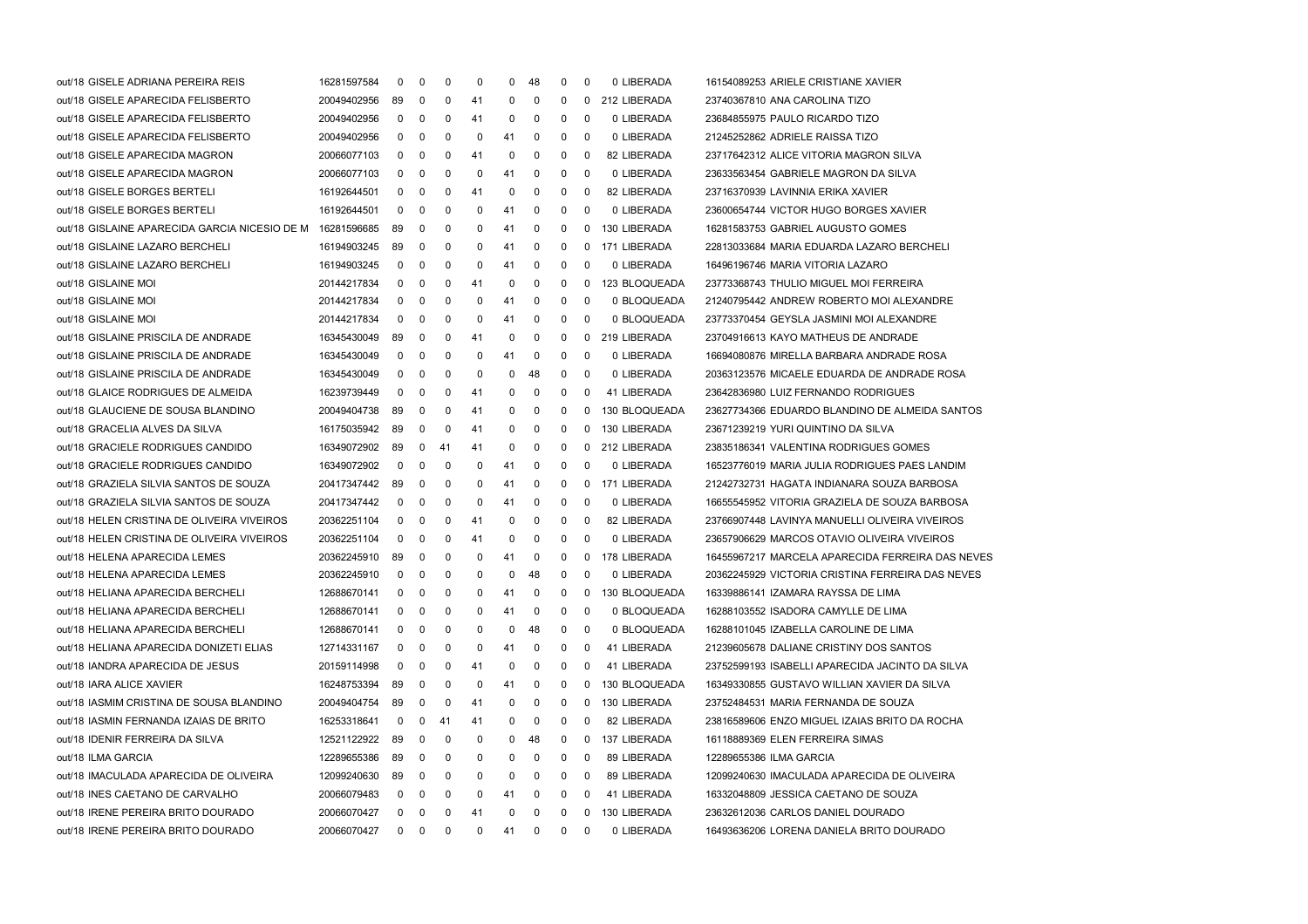| out/18 GISELE ADRIANA PEREIRA REIS                        | 16281597584 | $\mathbf 0$  | 0            | 0  | 0   | 0  | 48          | 0 | 0 | 0 LIBERADA    | 16154089253 ARIELE CRISTIANE XAVIER              |
|-----------------------------------------------------------|-------------|--------------|--------------|----|-----|----|-------------|---|---|---------------|--------------------------------------------------|
| out/18 GISELE APARECIDA FELISBERTO                        | 20049402956 | 89           | 0            | 0  | 41  | 0  | 0           | 0 | 0 | 212 LIBERADA  | 23740367810 ANA CAROLINA TIZO                    |
| out/18 GISELE APARECIDA FELISBERTO                        | 20049402956 | 0            | 0            | 0  | -41 | 0  | 0           | 0 | 0 | 0 LIBERADA    | 23684855975 PAULO RICARDO TIZO                   |
| out/18 GISELE APARECIDA FELISBERTO                        | 20049402956 | 0            | 0            | 0  | 0   | 41 | 0           | 0 | 0 | 0 LIBERADA    | 21245252862 ADRIELE RAISSA TIZO                  |
| out/18 GISELE APARECIDA MAGRON                            | 20066077103 | 0            | 0            | 0  | 41  | 0  | 0           | 0 | 0 | 82 LIBERADA   | 23717642312 ALICE VITORIA MAGRON SILVA           |
| out/18 GISELE APARECIDA MAGRON                            | 20066077103 | 0            | 0            | 0  | 0   | 41 | 0           | 0 | 0 | 0 LIBERADA    | 23633563454 GABRIELE MAGRON DA SILVA             |
| out/18 GISELE BORGES BERTELI                              | 16192644501 | 0            | 0            | 0  | 41  | 0  | 0           | 0 | 0 | 82 LIBERADA   | 23716370939 LAVINNIA ERIKA XAVIER                |
| out/18 GISELE BORGES BERTELI                              | 16192644501 | 0            | 0            | 0  | 0   | 41 | 0           | 0 | 0 | 0 LIBERADA    | 23600654744 VICTOR HUGO BORGES XAVIER            |
| out/18 GISLAINE APARECIDA GARCIA NICESIO DE M 16281596685 |             | 89           | 0            | 0  | 0   | 41 | 0           | 0 | 0 | 130 LIBERADA  | 16281583753 GABRIEL AUGUSTO GOMES                |
| out/18 GISLAINE LAZARO BERCHELI                           | 16194903245 | 89           | 0            | 0  | 0   | 41 | 0           | 0 | 0 | 171 LIBERADA  | 22813033684 MARIA EDUARDA LAZARO BERCHELI        |
| out/18 GISLAINE LAZARO BERCHELI                           | 16194903245 | 0            | 0            | 0  | 0   | 41 | 0           | 0 | 0 | 0 LIBERADA    | 16496196746 MARIA VITORIA LAZARO                 |
| out/18 GISLAINE MOI                                       | 20144217834 | 0            | 0            | 0  | 41  | 0  | 0           | 0 | 0 | 123 BLOQUEADA | 23773368743 THULIO MIGUEL MOI FERREIRA           |
| out/18 GISLAINE MOI                                       | 20144217834 | 0            | 0            | 0  | 0   | 41 | 0           | 0 | 0 | 0 BLOQUEADA   | 21240795442 ANDREW ROBERTO MOI ALEXANDRE         |
| out/18 GISLAINE MOI                                       | 20144217834 | 0            | 0            | 0  | 0   | 41 | 0           | 0 | 0 | 0 BLOQUEADA   | 23773370454 GEYSLA JASMINI MOI ALEXANDRE         |
| out/18 GISLAINE PRISCILA DE ANDRADE                       | 16345430049 | 89           | 0            | 0  | 41  | 0  | 0           | 0 | 0 | 219 LIBERADA  | 23704916613 KAYO MATHEUS DE ANDRADE              |
| out/18 GISLAINE PRISCILA DE ANDRADE                       | 16345430049 | 0            | 0            | 0  | 0   | 41 | 0           | 0 | 0 | 0 LIBERADA    | 16694080876 MIRELLA BARBARA ANDRADE ROSA         |
| out/18 GISLAINE PRISCILA DE ANDRADE                       | 16345430049 | 0            | 0            | 0  | 0   | 0  | 48          | 0 | 0 | 0 LIBERADA    | 20363123576 MICAELE EDUARDA DE ANDRADE ROSA      |
| out/18 GLAICE RODRIGUES DE ALMEIDA                        | 16239739449 | 0            | 0            | 0  | -41 | 0  | 0           | 0 | 0 | 41 LIBERADA   | 23642836980 LUIZ FERNANDO RODRIGUES              |
| out/18 GLAUCIENE DE SOUSA BLANDINO                        | 20049404738 | 89           | 0            | 0  | 41  | 0  | 0           | 0 | 0 | 130 BLOQUEADA | 23627734366 EDUARDO BLANDINO DE ALMEIDA SANTOS   |
| out/18 GRACELIA ALVES DA SILVA                            | 16175035942 | 89           | 0            | 0  | 41  | 0  | 0           | 0 | 0 | 130 LIBERADA  | 23671239219 YURI QUINTINO DA SILVA               |
| out/18 GRACIELE RODRIGUES CANDIDO                         | 16349072902 | 89           | 0            | 41 | -41 | 0  | 0           | 0 | 0 | 212 LIBERADA  | 23835186341 VALENTINA RODRIGUES GOMES            |
| out/18 GRACIELE RODRIGUES CANDIDO                         | 16349072902 | 0            | 0            | 0  | 0   | 41 | 0           | 0 | 0 | 0 LIBERADA    | 16523776019 MARIA JULIA RODRIGUES PAES LANDIM    |
| out/18 GRAZIELA SILVIA SANTOS DE SOUZA                    | 20417347442 | 89           | 0            | 0  | 0   | 41 | 0           | 0 | 0 | 171 LIBERADA  | 21242732731 HAGATA INDIANARA SOUZA BARBOSA       |
| out/18 GRAZIELA SILVIA SANTOS DE SOUZA                    | 20417347442 | 0            | 0            | 0  | 0   | 41 | 0           | 0 | 0 | 0 LIBERADA    | 16655545952 VITORIA GRAZIELA DE SOUZA BARBOSA    |
| out/18 HELEN CRISTINA DE OLIVEIRA VIVEIROS                | 20362251104 | 0            | 0            | 0  | 41  | 0  | 0           | 0 | 0 | 82 LIBERADA   | 23766907448 LAVINYA MANUELLI OLIVEIRA VIVEIROS   |
| out/18 HELEN CRISTINA DE OLIVEIRA VIVEIROS                | 20362251104 | 0            | 0            | 0  | 41  | 0  | 0           | 0 | 0 | 0 LIBERADA    | 23657906629 MARCOS OTAVIO OLIVEIRA VIVEIROS      |
| out/18 HELENA APARECIDA LEMES                             | 20362245910 | 89           | 0            | 0  | 0   | 41 | 0           | 0 | 0 | 178 LIBERADA  | 16455967217 MARCELA APARECIDA FERREIRA DAS NEVES |
| out/18 HELENA APARECIDA LEMES                             | 20362245910 | 0            | 0            | 0  | 0   | 0  | 48          | 0 | 0 | 0 LIBERADA    | 20362245929 VICTORIA CRISTINA FERREIRA DAS NEVES |
| out/18 HELIANA APARECIDA BERCHELI                         | 12688670141 | 0            | 0            | 0  | 0   | 41 | 0           | 0 | 0 | 130 BLOQUEADA | 16339886141 IZAMARA RAYSSA DE LIMA               |
| out/18 HELIANA APARECIDA BERCHELI                         | 12688670141 | 0            | 0            | 0  | 0   | 41 | 0           | 0 | 0 | 0 BLOQUEADA   | 16288103552 ISADORA CAMYLLE DE LIMA              |
| out/18 HELIANA APARECIDA BERCHELI                         | 12688670141 | $\mathbf 0$  | 0            | 0  | 0   | 0  | 48          | 0 | 0 | 0 BLOQUEADA   | 16288101045 IZABELLA CAROLINE DE LIMA            |
| out/18 HELIANA APARECIDA DONIZETI ELIAS                   | 12714331167 | 0            | 0            | 0  | 0   | 41 | 0           | 0 | 0 | 41 LIBERADA   | 21239605678 DALIANE CRISTINY DOS SANTOS          |
| out/18 IANDRA APARECIDA DE JESUS                          | 20159114998 | 0            | 0            | 0  | 41  | 0  | 0           | 0 | 0 | 41 LIBERADA   | 23752599193 ISABELLI APARECIDA JACINTO DA SILVA  |
| out/18 IARA ALICE XAVIER                                  | 16248753394 | 89           | 0            | 0  | 0   | 41 | 0           | 0 | 0 | 130 BLOQUEADA | 16349330855 GUSTAVO WILLIAN XAVIER DA SILVA      |
| out/18 IASMIM CRISTINA DE SOUSA BLANDINO                  | 20049404754 | 89           | 0            | 0  | 41  | 0  | 0           | 0 | 0 | 130 LIBERADA  | 23752484531 MARIA FERNANDA DE SOUZA              |
| out/18 IASMIN FERNANDA IZAIAS DE BRITO                    | 16253318641 | 0            | 0            | 41 | 41  | 0  | 0           | 0 | 0 | 82 LIBERADA   | 23816589606 ENZO MIGUEL IZAIAS BRITO DA ROCHA    |
| out/18 IDENIR FERREIRA DA SILVA                           | 12521122922 | 89           | 0            | 0  | 0   | 0  | 48          | 0 | 0 | 137 LIBERADA  | 16118889369 ELEN FERREIRA SIMAS                  |
| out/18 ILMA GARCIA                                        | 12289655386 | 89           | 0            | 0  | 0   | 0  | 0           | 0 | 0 | 89 LIBERADA   | 12289655386 ILMA GARCIA                          |
| out/18 IMACULADA APARECIDA DE OLIVEIRA                    | 12099240630 | 89           | 0            | 0  | 0   | 0  | 0           | 0 | 0 | 89 LIBERADA   | 12099240630 IMACULADA APARECIDA DE OLIVEIRA      |
| out/18 INES CAETANO DE CARVALHO                           | 20066079483 | 0            | 0            | 0  | 0   | 41 | 0           | 0 | 0 | 41 LIBERADA   | 16332048809 JESSICA CAETANO DE SOUZA             |
| out/18 IRENE PEREIRA BRITO DOURADO                        | 20066070427 | 0            | 0            | 0  | 41  | 0  | 0           | 0 | 0 | 130 LIBERADA  | 23632612036 CARLOS DANIEL DOURADO                |
| out/18 IRENE PEREIRA BRITO DOURADO                        | 20066070427 | $\mathbf{0}$ | $\mathbf{0}$ | 0  | 0   | 41 | $\mathbf 0$ | 0 | 0 | 0 LIBERADA    | 16493636206 LORENA DANIELA BRITO DOURADO         |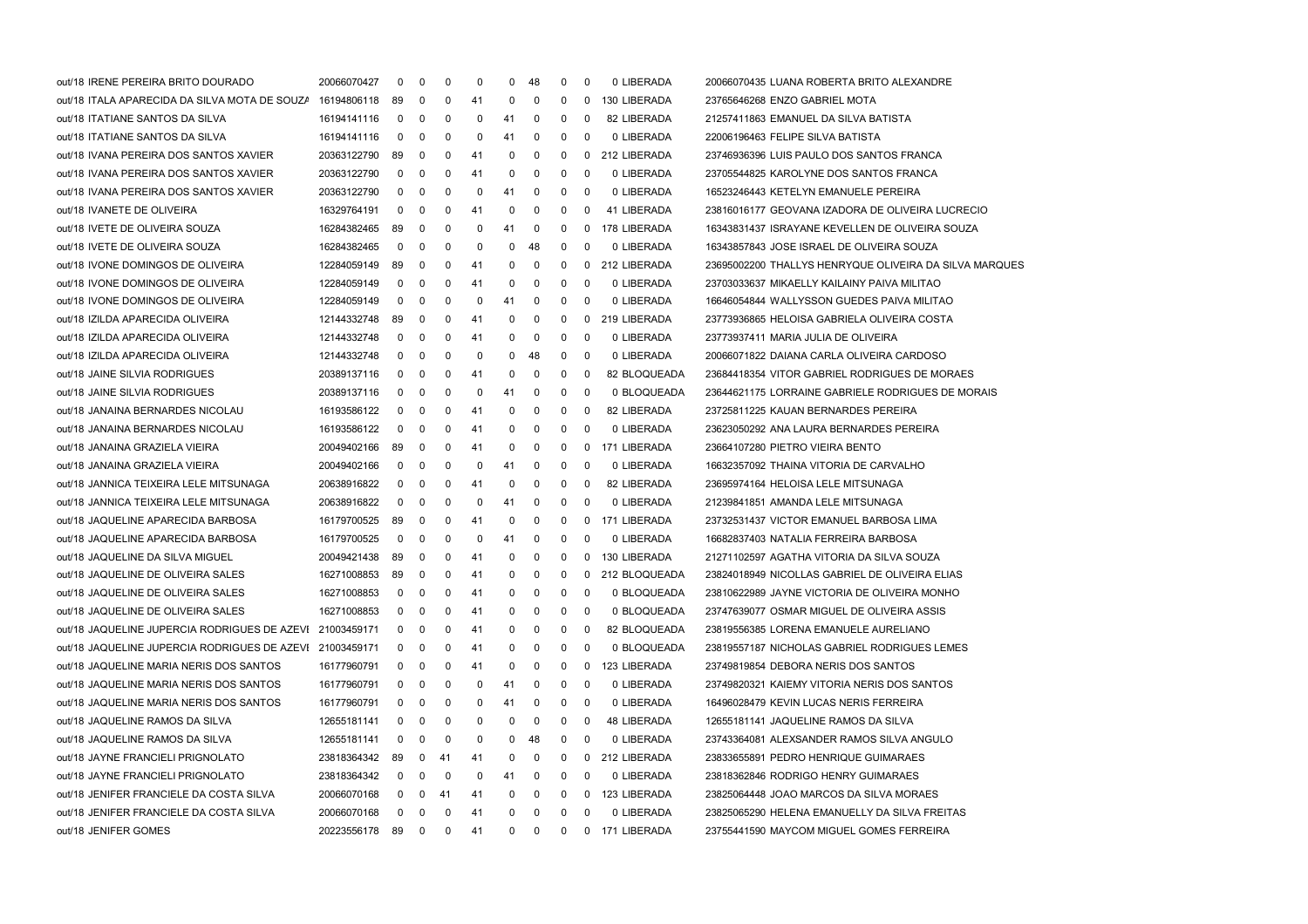| out/18 IRENE PEREIRA BRITO DOURADO                       | 20066070427    | 0           | 0              | 0            | 0   | 0            | 48          | $\mathbf{0}$ | - 0            | 0 LIBERADA     | 20066070435 LUANA ROBERTA BRITO ALEXANDRE              |
|----------------------------------------------------------|----------------|-------------|----------------|--------------|-----|--------------|-------------|--------------|----------------|----------------|--------------------------------------------------------|
| out/18 ITALA APARECIDA DA SILVA MOTA DE SOUZA            | 16194806118    | 89          | 0              | 0            | 41  | 0            | 0           | 0            | 0              | 130 LIBERADA   | 23765646268 ENZO GABRIEL MOTA                          |
| out/18 ITATIANE SANTOS DA SILVA                          | 16194141116    | 0           | 0              | 0            | 0   | 41           | 0           | 0            | 0              | 82 LIBERADA    | 21257411863 EMANUEL DA SILVA BATISTA                   |
| out/18 ITATIANE SANTOS DA SILVA                          | 16194141116    | $\mathbf 0$ | 0              | 0            | 0   | 41           | 0           | 0            | 0              | 0 LIBERADA     | 22006196463 FELIPE SILVA BATISTA                       |
| out/18 IVANA PEREIRA DOS SANTOS XAVIER                   | 20363122790    | 89          | 0              | 0            | 41  | 0            | 0           | 0            | 0              | 212 LIBERADA   | 23746936396 LUIS PAULO DOS SANTOS FRANCA               |
| out/18 IVANA PEREIRA DOS SANTOS XAVIER                   | 20363122790    | 0           | 0              | 0            | 41  | 0            | 0           | 0            | - 0            | 0 LIBERADA     | 23705544825 KAROLYNE DOS SANTOS FRANCA                 |
| out/18 IVANA PEREIRA DOS SANTOS XAVIER                   | 20363122790    | 0           | 0              | 0            | 0   | 41           | 0           | 0            | 0              | 0 LIBERADA     | 16523246443 KETELYN EMANUELE PEREIRA                   |
| out/18 IVANETE DE OLIVEIRA                               | 16329764191    | 0           | 0              | 0            | 41  | 0            | 0           | 0            | 0              | 41 LIBERADA    | 23816016177 GEOVANA IZADORA DE OLIVEIRA LUCRECIO       |
| out/18 IVETE DE OLIVEIRA SOUZA                           | 16284382465    | 89          | 0              | 0            | 0   | 41           | 0           | 0            | 0              | 178 LIBERADA   | 16343831437 ISRAYANE KEVELLEN DE OLIVEIRA SOUZA        |
| out/18 IVETE DE OLIVEIRA SOUZA                           | 16284382465    | $\mathbf 0$ | 0              | 0            | 0   | 0            | 48          | 0            | 0              | 0 LIBERADA     | 16343857843 JOSE ISRAEL DE OLIVEIRA SOUZA              |
| out/18 IVONE DOMINGOS DE OLIVEIRA                        | 12284059149    | -89         | 0              | 0            | 41  | 0            | $\mathbf 0$ | 0            | 0              | 212 LIBERADA   | 23695002200 THALLYS HENRYQUE OLIVEIRA DA SILVA MARQUES |
| out/18 IVONE DOMINGOS DE OLIVEIRA                        | 12284059149    | 0           | 0              | 0            | 41  | 0            | 0           | 0            | -0             | 0 LIBERADA     | 23703033637 MIKAELLY KAILAINY PAIVA MILITAO            |
| out/18 IVONE DOMINGOS DE OLIVEIRA                        | 12284059149    | $\mathbf 0$ | 0              | 0            | 0   | 41           | 0           | 0            | -0             | 0 LIBERADA     | 16646054844 WALLYSSON GUEDES PAIVA MILITAO             |
| out/18 IZILDA APARECIDA OLIVEIRA                         | 12144332748    | 89          | 0              | 0            | 41  | 0            | 0           | 0            | $\mathbf 0$    | 219 LIBERADA   | 23773936865 HELOISA GABRIELA OLIVEIRA COSTA            |
| out/18 IZILDA APARECIDA OLIVEIRA                         | 12144332748    | $\mathbf 0$ | 0              | 0            | 41  | 0            | 0           | 0            | 0              | 0 LIBERADA     | 23773937411 MARIA JULIA DE OLIVEIRA                    |
| out/18 IZILDA APARECIDA OLIVEIRA                         | 12144332748    | 0           | 0              | 0            | 0   | 0            | 48          | 0            | 0              | 0 LIBERADA     | 20066071822 DAIANA CARLA OLIVEIRA CARDOSO              |
| out/18 JAINE SILVIA RODRIGUES                            | 20389137116    | 0           | 0              | 0            | 41  | 0            | 0           | 0            | 0              | 82 BLOQUEADA   | 23684418354 VITOR GABRIEL RODRIGUES DE MORAES          |
| out/18 JAINE SILVIA RODRIGUES                            | 20389137116    | $\mathbf 0$ | 0              | 0            | 0   | 41           | 0           | 0            | -0             | 0 BLOQUEADA    | 23644621175 LORRAINE GABRIELE RODRIGUES DE MORAIS      |
| out/18 JANAINA BERNARDES NICOLAU                         | 16193586122    | 0           | 0              | 0            | 41  | 0            | 0           | 0            | 0              | 82 LIBERADA    | 23725811225 KAUAN BERNARDES PEREIRA                    |
| out/18 JANAINA BERNARDES NICOLAU                         | 16193586122    | $\mathbf 0$ | 0              | 0            | 41  | 0            | 0           | 0            | 0              | 0 LIBERADA     | 23623050292 ANA LAURA BERNARDES PEREIRA                |
| out/18 JANAINA GRAZIELA VIEIRA                           | 20049402166    | -89         | 0              | 0            | 41  | 0            | 0           | 0            | $\overline{0}$ | 171 LIBERADA   | 23664107280 PIETRO VIEIRA BENTO                        |
| out/18 JANAINA GRAZIELA VIEIRA                           | 20049402166    | 0           | 0              | 0            | 0   | 41           | 0           | 0            | 0              | 0 LIBERADA     | 16632357092 THAINA VITORIA DE CARVALHO                 |
| out/18 JANNICA TEIXEIRA LELE MITSUNAGA                   | 20638916822    | $\mathbf 0$ | 0              | 0            | 41  | 0            | 0           | 0            | 0              | 82 LIBERADA    | 23695974164 HELOISA LELE MITSUNAGA                     |
| out/18 JANNICA TEIXEIRA LELE MITSUNAGA                   | 20638916822    | 0           | 0              | 0            | 0   | 41           | 0           | 0            | 0              | 0 LIBERADA     | 21239841851 AMANDA LELE MITSUNAGA                      |
| out/18 JAQUELINE APARECIDA BARBOSA                       | 16179700525    | 89          | 0              | 0            | 41  | 0            | 0           | 0            | 0              | 171 LIBERADA   | 23732531437 VICTOR EMANUEL BARBOSA LIMA                |
| out/18 JAQUELINE APARECIDA BARBOSA                       | 16179700525    | 0           | 0              | 0            | 0   | 41           | 0           | 0            | 0              | 0 LIBERADA     | 16682837403 NATALIA FERREIRA BARBOSA                   |
| out/18 JAQUELINE DA SILVA MIGUEL                         | 20049421438    | 89          | 0              | 0            | 41  | 0            | 0           | 0            | 0              | 130 LIBERADA   | 21271102597 AGATHA VITORIA DA SILVA SOUZA              |
| out/18 JAQUELINE DE OLIVEIRA SALES                       | 16271008853    | 89          | 0              | 0            | 41  | 0            | 0           | 0            | 0              | 212 BLOQUEADA  | 23824018949 NICOLLAS GABRIEL DE OLIVEIRA ELIAS         |
| out/18 JAQUELINE DE OLIVEIRA SALES                       | 16271008853    | 0           | 0              | 0            | 41  | 0            | 0           | 0            | 0              | 0 BLOQUEADA    | 23810622989 JAYNE VICTORIA DE OLIVEIRA MONHO           |
| out/18 JAQUELINE DE OLIVEIRA SALES                       | 16271008853    | 0           | 0              | 0            | 41  | 0            | 0           | 0            | -0             | 0 BLOQUEADA    | 23747639077 OSMAR MIGUEL DE OLIVEIRA ASSIS             |
| out/18 JAQUELINE JUPERCIA RODRIGUES DE AZEVI 21003459171 |                | 0           | 0              | 0            | -41 | 0            | 0           | 0            | - 0            | 82 BLOQUEADA   | 23819556385 LORENA EMANUELE AURELIANO                  |
| out/18 JAQUELINE JUPERCIA RODRIGUES DE AZEVI             | 21003459171    | 0           | 0              | 0            | 41  | 0            | 0           | 0            | 0              | 0 BLOQUEADA    | 23819557187 NICHOLAS GABRIEL RODRIGUES LEMES           |
| out/18 JAQUELINE MARIA NERIS DOS SANTOS                  | 16177960791    | 0           | 0              | 0            | 41  | 0            | 0           | 0            | 0              | 123 LIBERADA   | 23749819854 DEBORA NERIS DOS SANTOS                    |
| out/18 JAQUELINE MARIA NERIS DOS SANTOS                  | 16177960791    | 0           | 0              | 0            | 0   | 41           | 0           | 0            | 0              | 0 LIBERADA     | 23749820321 KAIEMY VITORIA NERIS DOS SANTOS            |
| out/18 JAQUELINE MARIA NERIS DOS SANTOS                  | 16177960791    | 0           | 0              | 0            | 0   | 41           | 0           | 0            | 0              | 0 LIBERADA     | 16496028479 KEVIN LUCAS NERIS FERREIRA                 |
| out/18 JAQUELINE RAMOS DA SILVA                          | 12655181141    | 0           | 0              | 0            | 0   | 0            | 0           | 0            | 0              | 48 LIBERADA    | 12655181141 JAQUELINE RAMOS DA SILVA                   |
| out/18 JAQUELINE RAMOS DA SILVA                          | 12655181141    | 0           | 0              | 0            | 0   | 0            | 48          | 0            | 0              | 0 LIBERADA     | 23743364081 ALEXSANDER RAMOS SILVA ANGULO              |
| out/18 JAYNE FRANCIELI PRIGNOLATO                        | 23818364342    | 89          | 0              | 41           | 41  | 0            | 0           | 0            | 0              | 212 LIBERADA   | 23833655891 PEDRO HENRIQUE GUIMARAES                   |
| out/18 JAYNE FRANCIELI PRIGNOLATO                        | 23818364342    | 0           | 0              | 0            | 0   | 41           | 0           | 0            | 0              | 0 LIBERADA     | 23818362846 RODRIGO HENRY GUIMARAES                    |
| out/18 JENIFER FRANCIELE DA COSTA SILVA                  | 20066070168    | 0           | 0              | 41           | 41  | 0            | 0           | 0            | 0              | 123 LIBERADA   | 23825064448 JOAO MARCOS DA SILVA MORAES                |
| out/18 JENIFER FRANCIELE DA COSTA SILVA                  | 20066070168    | 0           | 0              | 0            | 41  | 0            | 0           | 0            | 0              | 0 LIBERADA     | 23825065290 HELENA EMANUELLY DA SILVA FREITAS          |
| out/18 JENIFER GOMES                                     | 20223556178 89 |             | $\overline{0}$ | $\mathbf{0}$ | 41  | $\mathbf{0}$ | $\mathbf 0$ | 0            |                | 0 171 LIBERADA | 23755441590 MAYCOM MIGUEL GOMES FERREIRA               |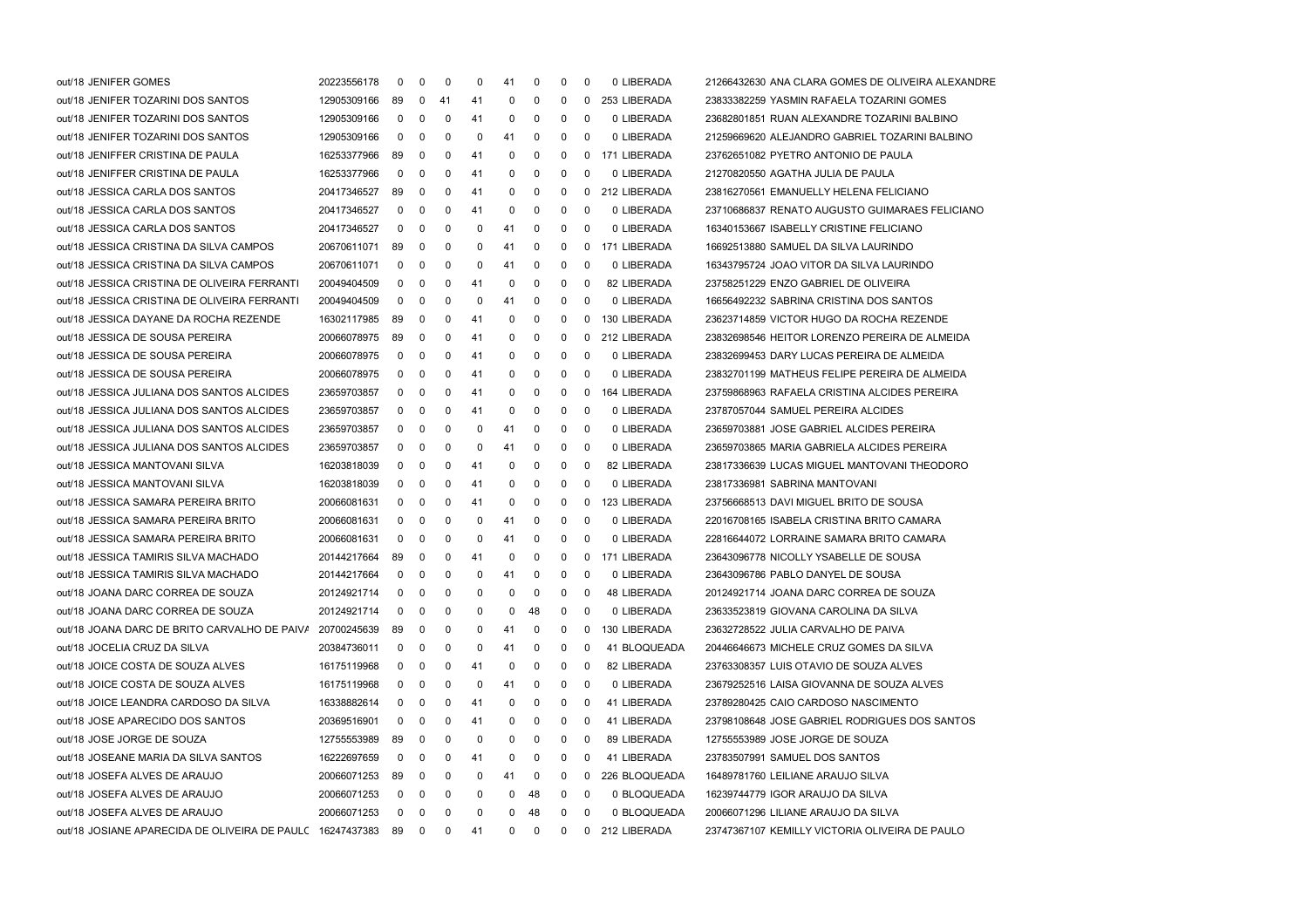| out/18 JENIFER GOMES                                      | 20223556178 | 0   | 0              | 0        | 0  | 41           | 0  | 0 | 0            | 0 LIBERADA     | 21266432630 ANA CLARA GOMES DE OLIVEIRA ALEXANDRE |
|-----------------------------------------------------------|-------------|-----|----------------|----------|----|--------------|----|---|--------------|----------------|---------------------------------------------------|
| out/18 JENIFER TOZARINI DOS SANTOS                        | 12905309166 | 89  | 0              | 41       | 41 | 0            | 0  | 0 | 0            | 253 LIBERADA   | 23833382259 YASMIN RAFAELA TOZARINI GOMES         |
| out/18 JENIFER TOZARINI DOS SANTOS                        | 12905309166 | 0   | 0              | 0        | 41 | 0            | 0  | 0 | 0            | 0 LIBERADA     | 23682801851 RUAN ALEXANDRE TOZARINI BALBINO       |
| out/18 JENIFER TOZARINI DOS SANTOS                        | 12905309166 | 0   | 0              | 0        | 0  | 41           | 0  | 0 | 0            | 0 LIBERADA     | 21259669620 ALEJANDRO GABRIEL TOZARINI BALBINO    |
| out/18 JENIFFER CRISTINA DE PAULA                         | 16253377966 | 89  | 0              | 0        | 41 | 0            | 0  | 0 | 0            | 171 LIBERADA   | 23762651082 PYETRO ANTONIO DE PAULA               |
| out/18 JENIFFER CRISTINA DE PAULA                         | 16253377966 | 0   | 0              | 0        | 41 | 0            | 0  | 0 | 0            | 0 LIBERADA     | 21270820550 AGATHA JULIA DE PAULA                 |
| out/18 JESSICA CARLA DOS SANTOS                           | 20417346527 | 89  | 0              | 0        | 41 | 0            | 0  | 0 | 0            | 212 LIBERADA   | 23816270561 EMANUELLY HELENA FELICIANO            |
| out/18 JESSICA CARLA DOS SANTOS                           | 20417346527 | 0   | 0              | 0        | 41 | 0            | 0  | 0 | 0            | 0 LIBERADA     | 23710686837 RENATO AUGUSTO GUIMARAES FELICIANO    |
| out/18 JESSICA CARLA DOS SANTOS                           | 20417346527 | 0   | 0              | 0        | 0  | 41           | 0  | 0 | 0            | 0 LIBERADA     | 16340153667 ISABELLY CRISTINE FELICIANO           |
| out/18 JESSICA CRISTINA DA SILVA CAMPOS                   | 20670611071 | 89  | 0              | 0        | 0  | 41           | 0  | 0 | 0            | 171 LIBERADA   | 16692513880 SAMUEL DA SILVA LAURINDO              |
| out/18 JESSICA CRISTINA DA SILVA CAMPOS                   | 20670611071 | 0   | 0              | 0        | 0  | 41           | 0  | 0 | 0            | 0 LIBERADA     | 16343795724 JOAO VITOR DA SILVA LAURINDO          |
| out/18 JESSICA CRISTINA DE OLIVEIRA FERRANTI              | 20049404509 | 0   | 0              | 0        | 41 | 0            | 0  | 0 | 0            | 82 LIBERADA    | 23758251229 ENZO GABRIEL DE OLIVEIRA              |
| out/18 JESSICA CRISTINA DE OLIVEIRA FERRANTI              | 20049404509 | 0   | 0              | 0        | 0  | 41           | 0  | 0 | 0            | 0 LIBERADA     | 16656492232 SABRINA CRISTINA DOS SANTOS           |
| out/18 JESSICA DAYANE DA ROCHA REZENDE                    | 16302117985 | 89  | 0              | 0        | 41 | 0            | 0  | 0 | 0            | 130 LIBERADA   | 23623714859 VICTOR HUGO DA ROCHA REZENDE          |
| out/18 JESSICA DE SOUSA PEREIRA                           | 20066078975 | 89  | 0              | 0        | 41 | 0            | 0  | 0 | 0            | 212 LIBERADA   | 23832698546 HEITOR LORENZO PEREIRA DE ALMEIDA     |
| out/18 JESSICA DE SOUSA PEREIRA                           | 20066078975 | 0   | 0              | 0        | 41 | 0            | 0  | 0 | 0            | 0 LIBERADA     | 23832699453 DARY LUCAS PEREIRA DE ALMEIDA         |
| out/18 JESSICA DE SOUSA PEREIRA                           | 20066078975 | 0   | 0              | 0        | 41 | 0            | 0  | 0 | 0            | 0 LIBERADA     | 23832701199 MATHEUS FELIPE PEREIRA DE ALMEIDA     |
| out/18 JESSICA JULIANA DOS SANTOS ALCIDES                 | 23659703857 | 0   | 0              | 0        | 41 | 0            | 0  | 0 | 0            | 164 LIBERADA   | 23759868963 RAFAELA CRISTINA ALCIDES PEREIRA      |
| out/18 JESSICA JULIANA DOS SANTOS ALCIDES                 | 23659703857 | 0   | 0              | 0        | 41 | 0            | 0  | 0 | 0            | 0 LIBERADA     | 23787057044 SAMUEL PEREIRA ALCIDES                |
| out/18 JESSICA JULIANA DOS SANTOS ALCIDES                 | 23659703857 | 0   | 0              | 0        | 0  | 41           | 0  | 0 | 0            | 0 LIBERADA     | 23659703881 JOSE GABRIEL ALCIDES PEREIRA          |
| out/18 JESSICA JULIANA DOS SANTOS ALCIDES                 | 23659703857 | 0   | 0              | 0        | 0  | 41           | 0  | 0 | 0            | 0 LIBERADA     | 23659703865 MARIA GABRIELA ALCIDES PEREIRA        |
| out/18 JESSICA MANTOVANI SILVA                            | 16203818039 | 0   | 0              | 0        | 41 | 0            | 0  | 0 | 0            | 82 LIBERADA    | 23817336639 LUCAS MIGUEL MANTOVANI THEODORO       |
| out/18 JESSICA MANTOVANI SILVA                            | 16203818039 | 0   | 0              | 0        | 41 | 0            | 0  | 0 | 0            | 0 LIBERADA     | 23817336981 SABRINA MANTOVANI                     |
| out/18 JESSICA SAMARA PEREIRA BRITO                       | 20066081631 | 0   | 0              | 0        | 41 | 0            | 0  | 0 | 0            | 123 LIBERADA   | 23756668513 DAVI MIGUEL BRITO DE SOUSA            |
| out/18 JESSICA SAMARA PEREIRA BRITO                       | 20066081631 | 0   | 0              | 0        | 0  | 41           | 0  | 0 | 0            | 0 LIBERADA     | 22016708165 ISABELA CRISTINA BRITO CAMARA         |
| out/18 JESSICA SAMARA PEREIRA BRITO                       | 20066081631 | 0   | 0              | 0        | 0  | 41           | 0  | 0 | 0            | 0 LIBERADA     | 22816644072 LORRAINE SAMARA BRITO CAMARA          |
| out/18 JESSICA TAMIRIS SILVA MACHADO                      | 20144217664 | 89  | 0              | 0        | 41 | 0            | 0  | 0 | 0            | 171 LIBERADA   | 23643096778 NICOLLY YSABELLE DE SOUSA             |
| out/18 JESSICA TAMIRIS SILVA MACHADO                      | 20144217664 | 0   | 0              | 0        | 0  | 41           | 0  | 0 | 0            | 0 LIBERADA     | 23643096786 PABLO DANYEL DE SOUSA                 |
| out/18 JOANA DARC CORREA DE SOUZA                         | 20124921714 | 0   | 0              | 0        | 0  | 0            | 0  | 0 | 0            | 48 LIBERADA    | 20124921714 JOANA DARC CORREA DE SOUZA            |
| out/18 JOANA DARC CORREA DE SOUZA                         | 20124921714 | 0   | 0              | 0        | 0  | 0            | 48 | 0 | 0            | 0 LIBERADA     | 23633523819 GIOVANA CAROLINA DA SILVA             |
| out/18 JOANA DARC DE BRITO CARVALHO DE PAIVA 20700245639  |             | -89 | $\Omega$       | $\Omega$ | 0  | 41           | 0  | 0 |              | 0 130 LIBERADA | 23632728522 JULIA CARVALHO DE PAIVA               |
| out/18 JOCELIA CRUZ DA SILVA                              | 20384736011 | 0   | 0              | 0        | 0  | 41           | 0  | 0 | 0            | 41 BLOQUEADA   | 20446646673 MICHELE CRUZ GOMES DA SILVA           |
| out/18 JOICE COSTA DE SOUZA ALVES                         | 16175119968 | 0   | 0              | 0        | 41 | 0            | 0  | 0 | 0            | 82 LIBERADA    | 23763308357 LUIS OTAVIO DE SOUZA ALVES            |
| out/18 JOICE COSTA DE SOUZA ALVES                         | 16175119968 | 0   | 0              | 0        | 0  | 41           | 0  | 0 | 0            | 0 LIBERADA     | 23679252516 LAISA GIOVANNA DE SOUZA ALVES         |
| out/18 JOICE LEANDRA CARDOSO DA SILVA                     | 16338882614 | 0   | 0              | 0        | 41 | 0            | 0  | 0 | 0            | 41 LIBERADA    | 23789280425 CAIO CARDOSO NASCIMENTO               |
| out/18 JOSE APARECIDO DOS SANTOS                          | 20369516901 | 0   | 0              | 0        | 41 | 0            | 0  | 0 | 0            | 41 LIBERADA    | 23798108648 JOSE GABRIEL RODRIGUES DOS SANTOS     |
| out/18 JOSE JORGE DE SOUZA                                | 12755553989 | 89  | 0              | 0        | 0  | 0            | 0  | 0 | 0            | 89 LIBERADA    | 12755553989 JOSE JORGE DE SOUZA                   |
| out/18 JOSEANE MARIA DA SILVA SANTOS                      | 16222697659 | 0   | 0              | 0        | 41 | 0            | 0  | 0 | 0            | 41 LIBERADA    | 23783507991 SAMUEL DOS SANTOS                     |
| out/18 JOSEFA ALVES DE ARAUJO                             | 20066071253 | 89  | 0              | 0        | 0  | 41           | 0  | 0 | 0            | 226 BLOQUEADA  | 16489781760 LEILIANE ARAUJO SILVA                 |
| out/18 JOSEFA ALVES DE ARAUJO                             | 20066071253 | 0   | 0              | 0        | 0  | 0            | 48 | 0 | 0            | 0 BLOQUEADA    | 16239744779 IGOR ARAUJO DA SILVA                  |
| out/18 JOSEFA ALVES DE ARAUJO                             | 20066071253 | 0   | 0              | 0        | 0  | 0            | 48 | 0 | 0            | 0 BLOQUEADA    | 20066071296 LILIANE ARAUJO DA SILVA               |
| out/18 JOSIANE APARECIDA DE OLIVEIRA DE PAULC 16247437383 |             | 89  | $\overline{0}$ | 0        | 41 | $\mathbf{0}$ | 0  | 0 | $\mathbf{0}$ | 212 LIBERADA   | 23747367107 KEMILLY VICTORIA OLIVEIRA DE PAULO    |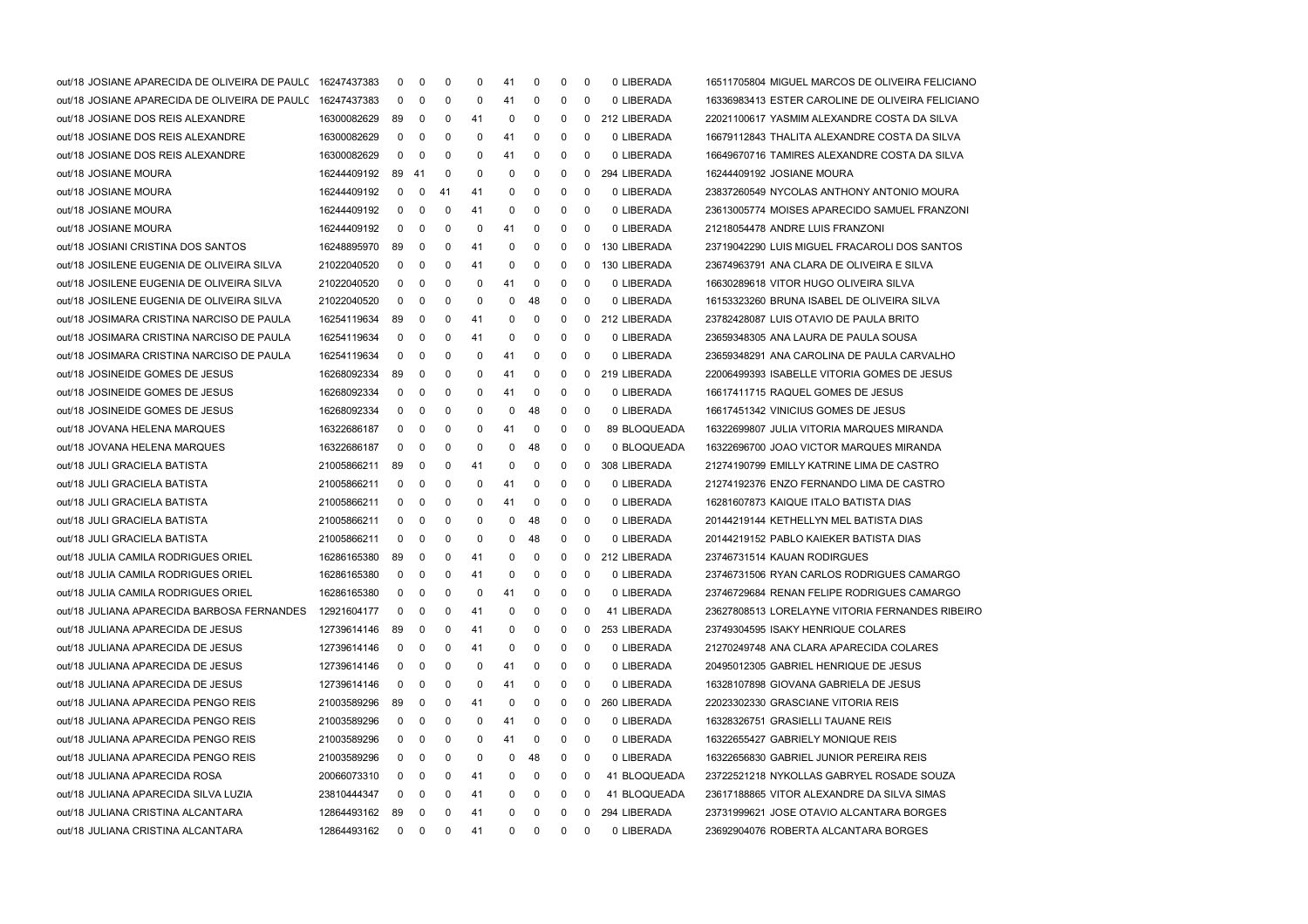| out/18 JOSIANE APARECIDA DE OLIVEIRA DE PAULC 16247437383 |             | 0  | 0           | 0   | 0  | 41           | 0  | 0            | - 0         | 0 LIBERADA   | 16511705804 MIGUEL MARCOS DE OLIVEIRA FELICIANO  |
|-----------------------------------------------------------|-------------|----|-------------|-----|----|--------------|----|--------------|-------------|--------------|--------------------------------------------------|
| out/18 JOSIANE APARECIDA DE OLIVEIRA DE PAULC 16247437383 |             | 0  | 0           | 0   | 0  | 41           | 0  | 0            | 0           | 0 LIBERADA   | 16336983413 ESTER CAROLINE DE OLIVEIRA FELICIANO |
| out/18 JOSIANE DOS REIS ALEXANDRE                         | 16300082629 | 89 | 0           | 0   | 41 | 0            | 0  | 0            | $\mathbf 0$ | 212 LIBERADA | 22021100617 YASMIM ALEXANDRE COSTA DA SILVA      |
| out/18 JOSIANE DOS REIS ALEXANDRE                         | 16300082629 | 0  | 0           | 0   | 0  | 41           | 0  | 0            | 0           | 0 LIBERADA   | 16679112843 THALITA ALEXANDRE COSTA DA SILVA     |
| out/18 JOSIANE DOS REIS ALEXANDRE                         | 16300082629 | 0  | 0           | 0   | 0  | 41           | 0  | 0            | 0           | 0 LIBERADA   | 16649670716 TAMIRES ALEXANDRE COSTA DA SILVA     |
| out/18 JOSIANE MOURA                                      | 16244409192 | 89 | -41         | 0   | 0  | 0            | 0  | 0            | 0           | 294 LIBERADA | 16244409192 JOSIANE MOURA                        |
| out/18 JOSIANE MOURA                                      | 16244409192 | 0  | 0           | -41 | 41 | 0            | 0  | 0            | 0           | 0 LIBERADA   | 23837260549 NYCOLAS ANTHONY ANTONIO MOURA        |
| out/18 JOSIANE MOURA                                      | 16244409192 | 0  | 0           | 0   | 41 | 0            | 0  | 0            | 0           | 0 LIBERADA   | 23613005774 MOISES APARECIDO SAMUEL FRANZONI     |
| out/18 JOSIANE MOURA                                      | 16244409192 | 0  | 0           | 0   | 0  | 41           | 0  | 0            | 0           | 0 LIBERADA   | 21218054478 ANDRE LUIS FRANZONI                  |
| out/18 JOSIANI CRISTINA DOS SANTOS                        | 16248895970 | 89 | 0           | 0   | 41 | 0            | 0  | 0            | 0           | 130 LIBERADA | 23719042290 LUIS MIGUEL FRACAROLI DOS SANTOS     |
| out/18 JOSILENE EUGENIA DE OLIVEIRA SILVA                 | 21022040520 | 0  | 0           | 0   | 41 | 0            | 0  | 0            | 0           | 130 LIBERADA | 23674963791 ANA CLARA DE OLIVEIRA E SILVA        |
| out/18 JOSILENE EUGENIA DE OLIVEIRA SILVA                 | 21022040520 | 0  | 0           | 0   | 0  | 41           | 0  | 0            | 0           | 0 LIBERADA   | 16630289618 VITOR HUGO OLIVEIRA SILVA            |
| out/18 JOSILENE EUGENIA DE OLIVEIRA SILVA                 | 21022040520 | 0  | 0           | 0   | 0  | 0            | 48 | 0            | 0           | 0 LIBERADA   | 16153323260 BRUNA ISABEL DE OLIVEIRA SILVA       |
| out/18 JOSIMARA CRISTINA NARCISO DE PAULA                 | 16254119634 | 89 | 0           | 0   | 41 | 0            | 0  | 0            | 0           | 212 LIBERADA | 23782428087 LUIS OTAVIO DE PAULA BRITO           |
| out/18 JOSIMARA CRISTINA NARCISO DE PAULA                 | 16254119634 | 0  | 0           | 0   | 41 | 0            | 0  | 0            | 0           | 0 LIBERADA   | 23659348305 ANA LAURA DE PAULA SOUSA             |
| out/18 JOSIMARA CRISTINA NARCISO DE PAULA                 | 16254119634 | 0  | 0           | 0   | 0  | 41           | 0  | 0            | 0           | 0 LIBERADA   | 23659348291 ANA CAROLINA DE PAULA CARVALHO       |
| out/18 JOSINEIDE GOMES DE JESUS                           | 16268092334 | 89 | 0           | 0   | 0  | 41           | 0  | 0            | $\mathbf 0$ | 219 LIBERADA | 22006499393 ISABELLE VITORIA GOMES DE JESUS      |
| out/18 JOSINEIDE GOMES DE JESUS                           | 16268092334 | 0  | 0           | 0   | 0  | 41           | 0  | 0            | 0           | 0 LIBERADA   | 16617411715 RAQUEL GOMES DE JESUS                |
| out/18 JOSINEIDE GOMES DE JESUS                           | 16268092334 | 0  | 0           | 0   | 0  | 0            | 48 | 0            | 0           | 0 LIBERADA   | 16617451342 VINICIUS GOMES DE JESUS              |
| out/18 JOVANA HELENA MARQUES                              | 16322686187 | 0  | 0           | 0   | 0  | 41           | 0  | 0            | 0           | 89 BLOQUEADA | 16322699807 JULIA VITORIA MARQUES MIRANDA        |
| out/18 JOVANA HELENA MARQUES                              | 16322686187 | 0  | 0           | 0   | 0  | 0            | 48 | 0            | 0           | 0 BLOQUEADA  | 16322696700 JOAO VICTOR MARQUES MIRANDA          |
| out/18 JULI GRACIELA BATISTA                              | 21005866211 | 89 | 0           | 0   | 41 | 0            | 0  | 0            | 0           | 308 LIBERADA | 21274190799 EMILLY KATRINE LIMA DE CASTRO        |
| out/18 JULI GRACIELA BATISTA                              | 21005866211 | 0  | 0           | 0   | 0  | 41           | 0  | 0            | - 0         | 0 LIBERADA   | 21274192376 ENZO FERNANDO LIMA DE CASTRO         |
| out/18 JULI GRACIELA BATISTA                              | 21005866211 | 0  | 0           | 0   | 0  | 41           | 0  | 0            | 0           | 0 LIBERADA   | 16281607873 KAIQUE ITALO BATISTA DIAS            |
| out/18 JULI GRACIELA BATISTA                              | 21005866211 | 0  | 0           | 0   | 0  | 0            | 48 | 0            | 0           | 0 LIBERADA   | 20144219144 KETHELLYN MEL BATISTA DIAS           |
| out/18 JULI GRACIELA BATISTA                              | 21005866211 | 0  | 0           | 0   | 0  | 0            | 48 | 0            | - 0         | 0 LIBERADA   | 20144219152 PABLO KAIEKER BATISTA DIAS           |
| out/18 JULIA CAMILA RODRIGUES ORIEL                       | 16286165380 | 89 | 0           | 0   | 41 | 0            | 0  | 0            | $\mathbf 0$ | 212 LIBERADA | 23746731514 KAUAN RODIRGUES                      |
| out/18 JULIA CAMILA RODRIGUES ORIEL                       | 16286165380 | 0  | 0           | 0   | 41 | 0            | 0  | 0            | 0           | 0 LIBERADA   | 23746731506 RYAN CARLOS RODRIGUES CAMARGO        |
| out/18 JULIA CAMILA RODRIGUES ORIEL                       | 16286165380 | 0  | 0           | 0   | 0  | 41           | 0  | 0            | 0           | 0 LIBERADA   | 23746729684 RENAN FELIPE RODRIGUES CAMARGO       |
| out/18 JULIANA APARECIDA BARBOSA FERNANDES                | 12921604177 | 0  | 0           | 0   | 41 | 0            | 0  | 0            | 0           | 41 LIBERADA  | 23627808513 LORELAYNE VITORIA FERNANDES RIBEIRO  |
| out/18 JULIANA APARECIDA DE JESUS                         | 12739614146 | 89 | $\mathbf 0$ | 0   | 41 | 0            | 0  | $\Omega$     | $\mathbf 0$ | 253 LIBERADA | 23749304595 ISAKY HENRIQUE COLARES               |
| out/18 JULIANA APARECIDA DE JESUS                         | 12739614146 | 0  | $\mathbf 0$ | 0   | 41 | 0            | 0  | 0            | $\mathbf 0$ | 0 LIBERADA   | 21270249748 ANA CLARA APARECIDA COLARES          |
| out/18 JULIANA APARECIDA DE JESUS                         | 12739614146 | 0  | 0           | 0   | 0  | 41           | 0  | 0            | 0           | 0 LIBERADA   | 20495012305 GABRIEL HENRIQUE DE JESUS            |
| out/18 JULIANA APARECIDA DE JESUS                         | 12739614146 | 0  | 0           | 0   | 0  | 41           | 0  | 0            | 0           | 0 LIBERADA   | 16328107898 GIOVANA GABRIELA DE JESUS            |
| out/18 JULIANA APARECIDA PENGO REIS                       | 21003589296 | 89 | 0           | 0   | 41 | 0            | 0  | 0            | 0           | 260 LIBERADA | 22023302330 GRASCIANE VITORIA REIS               |
| out/18 JULIANA APARECIDA PENGO REIS                       | 21003589296 | 0  | 0           | 0   | 0  | 41           | 0  | 0            | 0           | 0 LIBERADA   | 16328326751 GRASIELLI TAUANE REIS                |
| out/18 JULIANA APARECIDA PENGO REIS                       | 21003589296 | 0  | 0           | 0   | 0  | 41           | 0  | 0            | 0           | 0 LIBERADA   | 16322655427 GABRIELY MONIQUE REIS                |
| out/18 JULIANA APARECIDA PENGO REIS                       | 21003589296 | 0  | 0           | 0   | 0  | 0            | 48 | 0            | 0           | 0 LIBERADA   | 16322656830 GABRIEL JUNIOR PEREIRA REIS          |
| out/18 JULIANA APARECIDA ROSA                             | 20066073310 | 0  | 0           | 0   | 41 | 0            | 0  | 0            | 0           | 41 BLOQUEADA | 23722521218 NYKOLLAS GABRYEL ROSADE SOUZA        |
| out/18 JULIANA APARECIDA SILVA LUZIA                      | 23810444347 | 0  | 0           | 0   | 41 | 0            | 0  | 0            | 0           | 41 BLOQUEADA | 23617188865 VITOR ALEXANDRE DA SILVA SIMAS       |
| out/18 JULIANA CRISTINA ALCANTARA                         | 12864493162 | 89 | 0           | 0   | 41 | 0            | 0  | 0            | 0           | 294 LIBERADA | 23731999621 JOSE OTAVIO ALCANTARA BORGES         |
| out/18 JULIANA CRISTINA ALCANTARA                         | 12864493162 |    | $0\quad 0$  | 0   | 41 | $\mathbf{0}$ | 0  | $\mathbf{0}$ | 0           | 0 LIBERADA   | 23692904076 ROBERTA ALCANTARA BORGES             |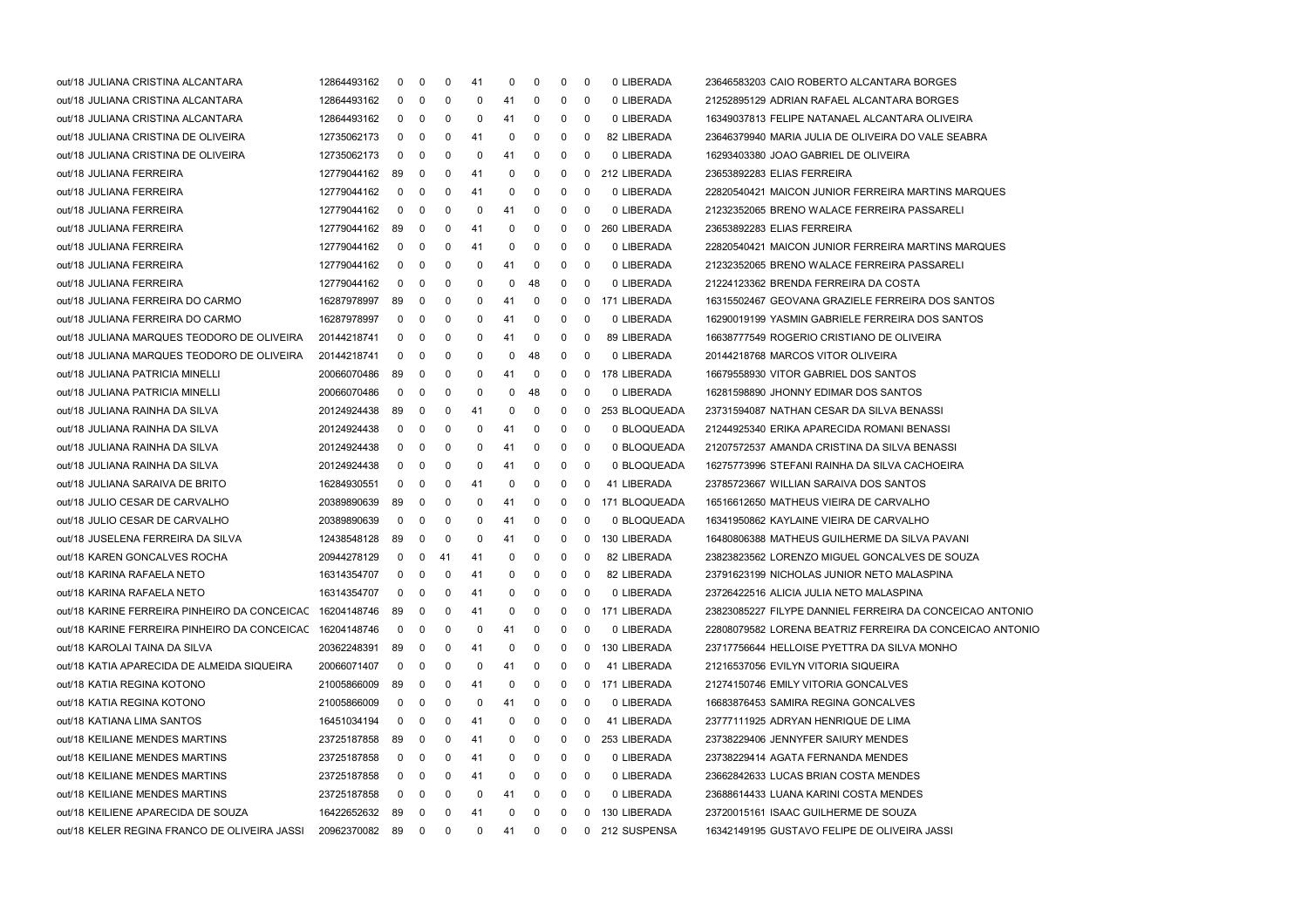| out/18 JULIANA CRISTINA ALCANTARA                        | 12864493162    | 0            | 0                       | 0              | 41           | 0  | 0            | $^{\rm o}$   | $\mathbf 0$  | 0 LIBERADA     | 23646583203 CAIO ROBERTO ALCANTARA BORGES                |
|----------------------------------------------------------|----------------|--------------|-------------------------|----------------|--------------|----|--------------|--------------|--------------|----------------|----------------------------------------------------------|
| out/18 JULIANA CRISTINA ALCANTARA                        | 12864493162    | $\mathbf{0}$ | 0                       | 0              | 0            | 41 | $\mathbf 0$  | $\mathbf{0}$ | - 0          | 0 LIBERADA     | 21252895129 ADRIAN RAFAEL ALCANTARA BORGES               |
| out/18 JULIANA CRISTINA ALCANTARA                        | 12864493162    | 0            | 0                       | 0              | 0            | 41 | 0            | 0            | 0            | 0 LIBERADA     | 16349037813 FELIPE NATANAEL ALCANTARA OLIVEIRA           |
| out/18 JULIANA CRISTINA DE OLIVEIRA                      | 12735062173    | 0            | $\mathbf 0$             | 0              | 41           | 0  | 0            | 0            | 0            | 82 LIBERADA    | 23646379940 MARIA JULIA DE OLIVEIRA DO VALE SEABRA       |
| out/18 JULIANA CRISTINA DE OLIVEIRA                      | 12735062173    | 0            | 0                       | 0              | 0            | 41 | 0            | 0            | 0            | 0 LIBERADA     | 16293403380 JOAO GABRIEL DE OLIVEIRA                     |
| out/18 JULIANA FERREIRA                                  | 12779044162    | 89           | $\mathbf 0$             | 0              | 41           | 0  | $\mathbf 0$  | $\mathbf 0$  | $\mathbf{0}$ | 212 LIBERADA   | 23653892283 ELIAS FERREIRA                               |
| out/18 JULIANA FERREIRA                                  | 12779044162    | $\mathbf 0$  | 0                       | 0              | 41           | 0  | $\mathbf 0$  | $\mathbf 0$  | $\mathbf 0$  | 0 LIBERADA     | 22820540421 MAICON JUNIOR FERREIRA MARTINS MARQUES       |
| out/18 JULIANA FERREIRA                                  | 12779044162    | 0            | 0                       | 0              | 0            | 41 | 0            | 0            | 0            | 0 LIBERADA     | 21232352065 BRENO WALACE FERREIRA PASSARELI              |
| out/18 JULIANA FERREIRA                                  | 12779044162    | 89           | $\mathbf 0$             | 0              | 41           | 0  | 0            | 0            | $\mathbf 0$  | 260 LIBERADA   | 23653892283 ELIAS FERREIRA                               |
| out/18 JULIANA FERREIRA                                  | 12779044162    | 0            | 0                       | 0              | 41           | 0  | 0            | 0            | 0            | 0 LIBERADA     | 22820540421 MAICON JUNIOR FERREIRA MARTINS MARQUES       |
| out/18 JULIANA FERREIRA                                  | 12779044162    | $\mathbf 0$  | 0                       | 0              | 0            | 41 | $\mathbf 0$  | $\mathbf 0$  | $\mathbf 0$  | 0 LIBERADA     | 21232352065 BRENO WALACE FERREIRA PASSARELI              |
| out/18 JULIANA FERREIRA                                  | 12779044162    | 0            | 0                       | 0              | 0            | 0  | 48           | $\mathbf 0$  | 0            | 0 LIBERADA     | 21224123362 BRENDA FERREIRA DA COSTA                     |
| out/18 JULIANA FERREIRA DO CARMO                         | 16287978997    | 89           | 0                       | 0              | 0            | 41 | 0            | 0            | 0            | 171 LIBERADA   | 16315502467 GEOVANA GRAZIELE FERREIRA DOS SANTOS         |
| out/18 JULIANA FERREIRA DO CARMO                         | 16287978997    | 0            | 0                       | 0              | 0            | 41 | 0            | 0            | 0            | 0 LIBERADA     | 16290019199 YASMIN GABRIELE FERREIRA DOS SANTOS          |
| out/18 JULIANA MARQUES TEODORO DE OLIVEIRA               | 20144218741    | 0            | 0                       | 0              | 0            | 41 | 0            | 0            | 0            | 89 LIBERADA    | 16638777549 ROGERIO CRISTIANO DE OLIVEIRA                |
| out/18 JULIANA MARQUES TEODORO DE OLIVEIRA               | 20144218741    | $\mathbf 0$  | 0                       | 0              | 0            | 0  | 48           | $\mathbf 0$  | $\mathbf 0$  | 0 LIBERADA     | 20144218768 MARCOS VITOR OLIVEIRA                        |
| out/18 JULIANA PATRICIA MINELLI                          | 20066070486    | 89           | 0                       | 0              | 0            | 41 | 0            | 0            |              | 0 178 LIBERADA | 16679558930 VITOR GABRIEL DOS SANTOS                     |
| out/18 JULIANA PATRICIA MINELLI                          | 20066070486    | 0            | 0                       | 0              | 0            | 0  | 48           | 0            | 0            | 0 LIBERADA     | 16281598890 JHONNY EDIMAR DOS SANTOS                     |
| out/18 JULIANA RAINHA DA SILVA                           | 20124924438    | 89           | 0                       | 0              | 41           | 0  | 0            | 0            | 0            | 253 BLOQUEADA  | 23731594087 NATHAN CESAR DA SILVA BENASSI                |
| out/18 JULIANA RAINHA DA SILVA                           | 20124924438    | 0            | 0                       | 0              | 0            | 41 | 0            | 0            | 0            | 0 BLOQUEADA    | 21244925340 ERIKA APARECIDA ROMANI BENASSI               |
| out/18 JULIANA RAINHA DA SILVA                           | 20124924438    | $\mathbf{0}$ | 0                       | 0              | 0            | 41 | 0            | $\mathbf 0$  | $\mathbf 0$  | 0 BLOQUEADA    | 21207572537 AMANDA CRISTINA DA SILVA BENASSI             |
| out/18 JULIANA RAINHA DA SILVA                           | 20124924438    | $\mathbf{0}$ | 0                       | 0              | 0            | 41 | 0            | $\mathbf 0$  | $\mathbf 0$  | 0 BLOQUEADA    | 16275773996 STEFANI RAINHA DA SILVA CACHOEIRA            |
| out/18 JULIANA SARAIVA DE BRITO                          | 16284930551    | 0            | 0                       | 0              | 41           | 0  | 0            | 0            | $\mathbf 0$  | 41 LIBERADA    | 23785723667 WILLIAN SARAIVA DOS SANTOS                   |
| out/18 JULIO CESAR DE CARVALHO                           | 20389890639    | 89           | 0                       | 0              | 0            | 41 | 0            | 0            | 0            | 171 BLOQUEADA  | 16516612650 MATHEUS VIEIRA DE CARVALHO                   |
| out/18 JULIO CESAR DE CARVALHO                           | 20389890639    | 0            | 0                       | 0              | 0            | 41 | 0            | 0            | 0            | 0 BLOQUEADA    | 16341950862 KAYLAINE VIEIRA DE CARVALHO                  |
| out/18 JUSELENA FERREIRA DA SILVA                        | 12438548128    | 89           | 0                       | 0              | 0            | 41 | 0            | $\mathbf 0$  | $\mathbf 0$  | 130 LIBERADA   | 16480806388 MATHEUS GUILHERME DA SILVA PAVANI            |
| out/18 KAREN GONCALVES ROCHA                             | 20944278129    | $\mathbf{0}$ | 0                       | 41             | 41           | 0  | $\mathbf 0$  | 0            | 0            | 82 LIBERADA    | 23823823562 LORENZO MIGUEL GONCALVES DE SOUZA            |
| out/18 KARINA RAFAELA NETO                               | 16314354707    | $\mathbf 0$  | 0                       | 0              | 41           | 0  | 0            | 0            | $\mathbf 0$  | 82 LIBERADA    | 23791623199 NICHOLAS JUNIOR NETO MALASPINA               |
| out/18 KARINA RAFAELA NETO                               | 16314354707    | $\mathbf{0}$ | 0                       | 0              | 41           | 0  | $\mathbf 0$  | 0            | 0            | 0 LIBERADA     | 23726422516 ALICIA JULIA NETO MALASPINA                  |
| out/18 KARINE FERREIRA PINHEIRO DA CONCEICAC 16204148746 |                | 89           | 0                       | 0              | 41           | 0  | 0            | 0            | $\mathbf{0}$ | 171 LIBERADA   | 23823085227 FILYPE DANNIEL FERREIRA DA CONCEICAO ANTONIO |
| out/18 KARINE FERREIRA PINHEIRO DA CONCEICAC 16204148746 |                | $\mathbf 0$  | $\mathbf 0$             | 0              | 0            | 41 | 0            | $\mathbf 0$  | $\mathbf 0$  | 0 LIBERADA     | 22808079582 LORENA BEATRIZ FERREIRA DA CONCEICAO ANTONIO |
| out/18 KAROLAI TAINA DA SILVA                            | 20362248391    | 89           | 0                       | 0              | 41           | 0  | 0            | 0            | 0            | 130 LIBERADA   | 23717756644 HELLOISE PYETTRA DA SILVA MONHO              |
| out/18 KATIA APARECIDA DE ALMEIDA SIQUEIRA               | 20066071407    | 0            | 0                       | 0              | 0            | 41 | 0            | 0            | 0            | 41 LIBERADA    | 21216537056 EVILYN VITORIA SIQUEIRA                      |
| out/18 KATIA REGINA KOTONO                               | 21005866009    | 89           | 0                       | 0              | 41           | 0  | 0            | 0            | 0            | 171 LIBERADA   | 21274150746 EMILY VITORIA GONCALVES                      |
| out/18 KATIA REGINA KOTONO                               | 21005866009    | 0            | 0                       | 0              | 0            | 41 | 0            | 0            | 0            | 0 LIBERADA     | 16683876453 SAMIRA REGINA GONCALVES                      |
| out/18 KATIANA LIMA SANTOS                               | 16451034194    | 0            | 0                       | 0              | 41           | 0  | 0            | 0            | 0            | 41 LIBERADA    | 23777111925 ADRYAN HENRIQUE DE LIMA                      |
| out/18 KEILIANE MENDES MARTINS                           | 23725187858    | 89           | 0                       | 0              | 41           | 0  | 0            | 0            | 0            | 253 LIBERADA   | 23738229406 JENNYFER SAIURY MENDES                       |
| out/18 KEILIANE MENDES MARTINS                           | 23725187858    | 0            | 0                       | 0              | 41           | 0  | 0            | 0            | 0            | 0 LIBERADA     | 23738229414 AGATA FERNANDA MENDES                        |
| out/18 KEILIANE MENDES MARTINS                           | 23725187858    | 0            | 0                       | 0              | 41           | 0  | 0            | 0            | 0            | 0 LIBERADA     | 23662842633 LUCAS BRIAN COSTA MENDES                     |
| out/18 KEILIANE MENDES MARTINS                           | 23725187858    | 0            | 0                       | 0              | 0            | 41 | 0            | 0            | 0            | 0 LIBERADA     | 23688614433 LUANA KARINI COSTA MENDES                    |
| out/18 KEILIENE APARECIDA DE SOUZA                       | 16422652632    | 89           | 0                       | 0              | 41           | 0  | 0            | 0            | 0            | 130 LIBERADA   | 23720015161 ISAAC GUILHERME DE SOUZA                     |
| out/18 KELER REGINA FRANCO DE OLIVEIRA JASSI             | 20962370082 89 |              | $\overline{\mathbf{0}}$ | $\overline{0}$ | $\mathbf{0}$ | 41 | $\mathbf{0}$ | $\mathbf{0}$ |              | 0 212 SUSPENSA | 16342149195 GUSTAVO FELIPE DE OLIVEIRA JASSI             |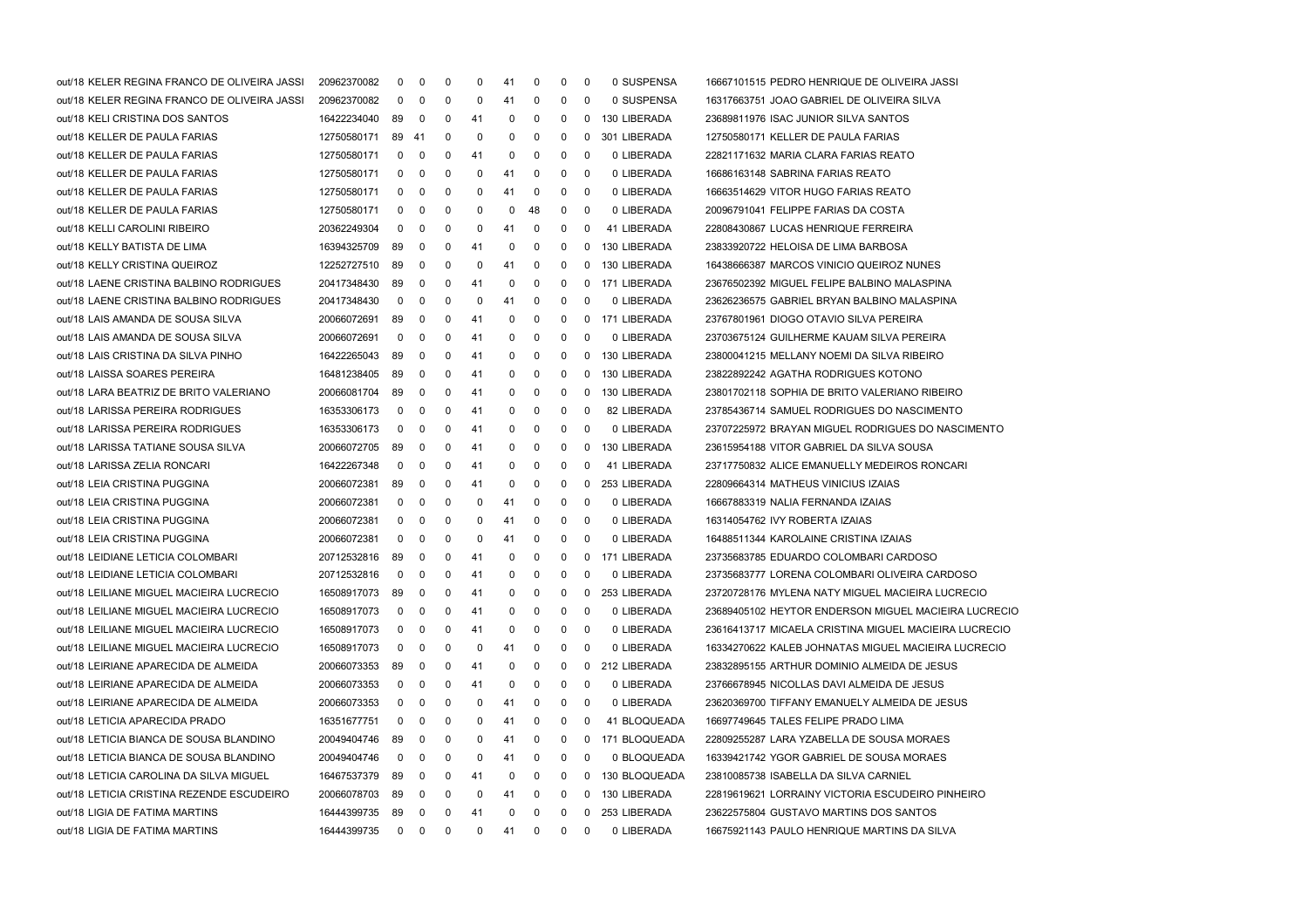| out/18 KELER REGINA FRANCO DE OLIVEIRA JASSI | 20962370082 | 0              | 0              | 0           | 0           | 41 | 0  | 0            | $\mathbf 0$             | 0 SUSPENSA      | 16667101515 PEDRO HENRIQUE DE OLIVEIRA JASSI          |
|----------------------------------------------|-------------|----------------|----------------|-------------|-------------|----|----|--------------|-------------------------|-----------------|-------------------------------------------------------|
| out/18 KELER REGINA FRANCO DE OLIVEIRA JASSI | 20962370082 | 0              | 0              | 0           | 0           | 41 | 0  | 0            | $\mathbf 0$             | 0 SUSPENSA      | 16317663751 JOAO GABRIEL DE OLIVEIRA SILVA            |
| out/18 KELI CRISTINA DOS SANTOS              | 16422234040 | 89             | 0              | 0           | 41          | 0  | 0  | 0            | 0                       | 130 LIBERADA    | 23689811976 ISAC JUNIOR SILVA SANTOS                  |
| out/18 KELLER DE PAULA FARIAS                | 12750580171 | 89 41          |                | $\mathbf 0$ | 0           | 0  | 0  | 0            | 0                       | 301 LIBERADA    | 12750580171 KELLER DE PAULA FARIAS                    |
| out/18 KELLER DE PAULA FARIAS                | 12750580171 | 0              | 0              | 0           | 41          | 0  | 0  | 0            | 0                       | 0 LIBERADA      | 22821171632 MARIA CLARA FARIAS REATO                  |
| out/18 KELLER DE PAULA FARIAS                | 12750580171 | 0              | 0              | $\mathbf 0$ | 0           | 41 | 0  | 0            | $\mathbf 0$             | 0 LIBERADA      | 16686163148 SABRINA FARIAS REATO                      |
| out/18 KELLER DE PAULA FARIAS                | 12750580171 | 0              | 0              | $\mathbf 0$ | 0           | 41 | 0  | 0            | 0                       | 0 LIBERADA      | 16663514629 VITOR HUGO FARIAS REATO                   |
| out/18 KELLER DE PAULA FARIAS                | 12750580171 | 0              | 0              | 0           | 0           | 0  | 48 | 0            | 0                       | 0 LIBERADA      | 20096791041 FELIPPE FARIAS DA COSTA                   |
| out/18 KELLI CAROLINI RIBEIRO                | 20362249304 | 0              | 0              | $\mathbf 0$ | 0           | 41 | 0  | 0            | 0                       | 41 LIBERADA     | 22808430867 LUCAS HENRIQUE FERREIRA                   |
| out/18 KELLY BATISTA DE LIMA                 | 16394325709 | 89             | 0              | 0           | 41          | 0  | 0  | 0            | 0                       | 130 LIBERADA    | 23833920722 HELOISA DE LIMA BARBOSA                   |
| out/18 KELLY CRISTINA QUEIROZ                | 12252727510 | 89             | 0              | 0           | 0           | 41 | 0  | 0            | $\mathbf{0}$            | 130 LIBERADA    | 16438666387 MARCOS VINICIO QUEIROZ NUNES              |
| out/18 LAENE CRISTINA BALBINO RODRIGUES      | 20417348430 | 89             | 0              | 0           | 41          | 0  | 0  | 0            |                         | 0 171 LIBERADA  | 23676502392 MIGUEL FELIPE BALBINO MALASPINA           |
| out/18 LAENE CRISTINA BALBINO RODRIGUES      | 20417348430 | 0              | 0              | 0           | 0           | 41 | 0  | 0            | 0                       | 0 LIBERADA      | 23626236575 GABRIEL BRYAN BALBINO MALASPINA           |
| out/18 LAIS AMANDA DE SOUSA SILVA            | 20066072691 | 89             | 0              | 0           | 41          | 0  | 0  | 0            |                         | 0 171 LIBERADA  | 23767801961 DIOGO OTAVIO SILVA PEREIRA                |
| out/18 LAIS AMANDA DE SOUSA SILVA            | 20066072691 | $\mathbf 0$    | 0              | 0           | 41          | 0  | 0  | 0            | 0                       | 0 LIBERADA      | 23703675124 GUILHERME KAUAM SILVA PEREIRA             |
| out/18 LAIS CRISTINA DA SILVA PINHO          | 16422265043 | 89             | 0              | 0           | 41          | 0  | 0  | 0            | $\mathbf{0}$            | 130 LIBERADA    | 23800041215 MELLANY NOEMI DA SILVA RIBEIRO            |
| out/18 LAISSA SOARES PEREIRA                 | 16481238405 | 89             | 0              | 0           | 41          | 0  | 0  | 0            |                         | 0 130 LIBERADA  | 23822892242 AGATHA RODRIGUES KOTONO                   |
| out/18 LARA BEATRIZ DE BRITO VALERIANO       | 20066081704 | 89             | 0              | 0           | 41          | 0  | 0  | 0            | 0                       | 130 LIBERADA    | 23801702118 SOPHIA DE BRITO VALERIANO RIBEIRO         |
| out/18 LARISSA PEREIRA RODRIGUES             | 16353306173 | 0              | 0              | 0           | -41         | 0  | 0  | 0            | 0                       | 82 LIBERADA     | 23785436714 SAMUEL RODRIGUES DO NASCIMENTO            |
| out/18 LARISSA PEREIRA RODRIGUES             | 16353306173 | $\mathbf 0$    | 0              | 0           | 41          | 0  | 0  | 0            | 0                       | 0 LIBERADA      | 23707225972 BRAYAN MIGUEL RODRIGUES DO NASCIMENTO     |
| out/18 LARISSA TATIANE SOUSA SILVA           | 20066072705 | 89             | 0              | 0           | 41          | 0  | 0  | 0            | 0                       | 130 LIBERADA    | 23615954188 VITOR GABRIEL DA SILVA SOUSA              |
| out/18 LARISSA ZELIA RONCARI                 | 16422267348 | 0              | 0              | 0           | 41          | 0  | 0  | 0            | 0                       | 41 LIBERADA     | 23717750832 ALICE EMANUELLY MEDEIROS RONCARI          |
| out/18 LEIA CRISTINA PUGGINA                 | 20066072381 | 89             | 0              | 0           | 41          | 0  | 0  | 0            | 0                       | 253 LIBERADA    | 22809664314 MATHEUS VINICIUS IZAIAS                   |
| out/18 LEIA CRISTINA PUGGINA                 | 20066072381 | 0              | 0              | 0           | 0           | 41 | 0  | 0            | 0                       | 0 LIBERADA      | 16667883319 NALIA FERNANDA IZAIAS                     |
| out/18 LEIA CRISTINA PUGGINA                 | 20066072381 | 0              | 0              | 0           | 0           | 41 | 0  | 0            | 0                       | 0 LIBERADA      | 16314054762 IVY ROBERTA IZAIAS                        |
| out/18 LEIA CRISTINA PUGGINA                 | 20066072381 | 0              | 0              | $\mathbf 0$ | 0           | 41 | 0  | 0            | $\mathbf 0$             | 0 LIBERADA      | 16488511344 KAROLAINE CRISTINA IZAIAS                 |
| out/18 LEIDIANE LETICIA COLOMBARI            | 20712532816 | 89             | 0              | 0           | 41          | 0  | 0  | 0            |                         | 0 171 LIBERADA  | 23735683785 EDUARDO COLOMBARI CARDOSO                 |
| out/18 LEIDIANE LETICIA COLOMBARI            | 20712532816 | $\mathbf 0$    | 0              | 0           | 41          | 0  | 0  | 0            | $\mathbf 0$             | 0 LIBERADA      | 23735683777 LORENA COLOMBARI OLIVEIRA CARDOSO         |
| out/18 LEILIANE MIGUEL MACIEIRA LUCRECIO     | 16508917073 | 89             | 0              | 0           | -41         | 0  | 0  | 0            | 0                       | 253 LIBERADA    | 23720728176 MYLENA NATY MIGUEL MACIEIRA LUCRECIO      |
| out/18 LEILIANE MIGUEL MACIEIRA LUCRECIO     | 16508917073 | $\mathbf 0$    | 0              | 0           | 41          | 0  | 0  | 0            | 0                       | 0 LIBERADA      | 23689405102 HEYTOR ENDERSON MIGUEL MACIEIRA LUCRECIO  |
| out/18 LEILIANE MIGUEL MACIEIRA LUCRECIO     | 16508917073 | $\mathbf 0$    | 0              | $\mathbf 0$ | -41         | 0  | 0  | 0            | $\overline{\mathbf{0}}$ | 0 LIBERADA      | 23616413717 MICAELA CRISTINA MIGUEL MACIEIRA LUCRECIO |
| out/18 LEILIANE MIGUEL MACIEIRA LUCRECIO     | 16508917073 | 0              | 0              | 0           | 0           | 41 | 0  | 0            | 0                       | 0 LIBERADA      | 16334270622 KALEB JOHNATAS MIGUEL MACIEIRA LUCRECIO   |
| out/18 LEIRIANE APARECIDA DE ALMEIDA         | 20066073353 | 89             | 0              | 0           | 41          | 0  | 0  | 0            | 0                       | 212 LIBERADA    | 23832895155 ARTHUR DOMINIO ALMEIDA DE JESUS           |
| out/18 LEIRIANE APARECIDA DE ALMEIDA         | 20066073353 | 0              | 0              | 0           | 41          | 0  | 0  | 0            | 0                       | 0 LIBERADA      | 23766678945 NICOLLAS DAVI ALMEIDA DE JESUS            |
| out/18 LEIRIANE APARECIDA DE ALMEIDA         | 20066073353 | 0              | 0              | 0           | 0           | 41 | 0  | 0            | 0                       | 0 LIBERADA      | 23620369700 TIFFANY EMANUELY ALMEIDA DE JESUS         |
| out/18 LETICIA APARECIDA PRADO               | 16351677751 | 0              | 0              | 0           | 0           | 41 | 0  | 0            | 0                       | 41 BLOQUEADA    | 16697749645 TALES FELIPE PRADO LIMA                   |
| out/18 LETICIA BIANCA DE SOUSA BLANDINO      | 20049404746 | 89             | 0              | 0           | 0           | 41 | 0  | 0            |                         | 0 171 BLOQUEADA | 22809255287 LARA YZABELLA DE SOUSA MORAES             |
| out/18 LETICIA BIANCA DE SOUSA BLANDINO      | 20049404746 | 0              | 0              | 0           | 0           | 41 | 0  | 0            | 0                       | 0 BLOQUEADA     | 16339421742 YGOR GABRIEL DE SOUSA MORAES              |
| out/18 LETICIA CAROLINA DA SILVA MIGUEL      | 16467537379 | 89             | 0              | 0           | 41          | 0  | 0  | 0            | 0                       | 130 BLOQUEADA   | 23810085738 ISABELLA DA SILVA CARNIEL                 |
| out/18 LETICIA CRISTINA REZENDE ESCUDEIRO    | 20066078703 | 89             | 0              | 0           | 0           | 41 | 0  | 0            | 0                       | 130 LIBERADA    | 22819619621 LORRAINY VICTORIA ESCUDEIRO PINHEIRO      |
| out/18 LIGIA DE FATIMA MARTINS               | 16444399735 | 89             | 0              | 0           | 41          | 0  | 0  | 0            | 0                       | 253 LIBERADA    | 23622575804 GUSTAVO MARTINS DOS SANTOS                |
| out/18 LIGIA DE FATIMA MARTINS               | 16444399735 | $\overline{0}$ | $\overline{0}$ | $\mathbf 0$ | $\mathbf 0$ | 41 | 0  | $\mathbf{0}$ | 0                       | 0 LIBERADA      | 16675921143 PAULO HENRIQUE MARTINS DA SILVA           |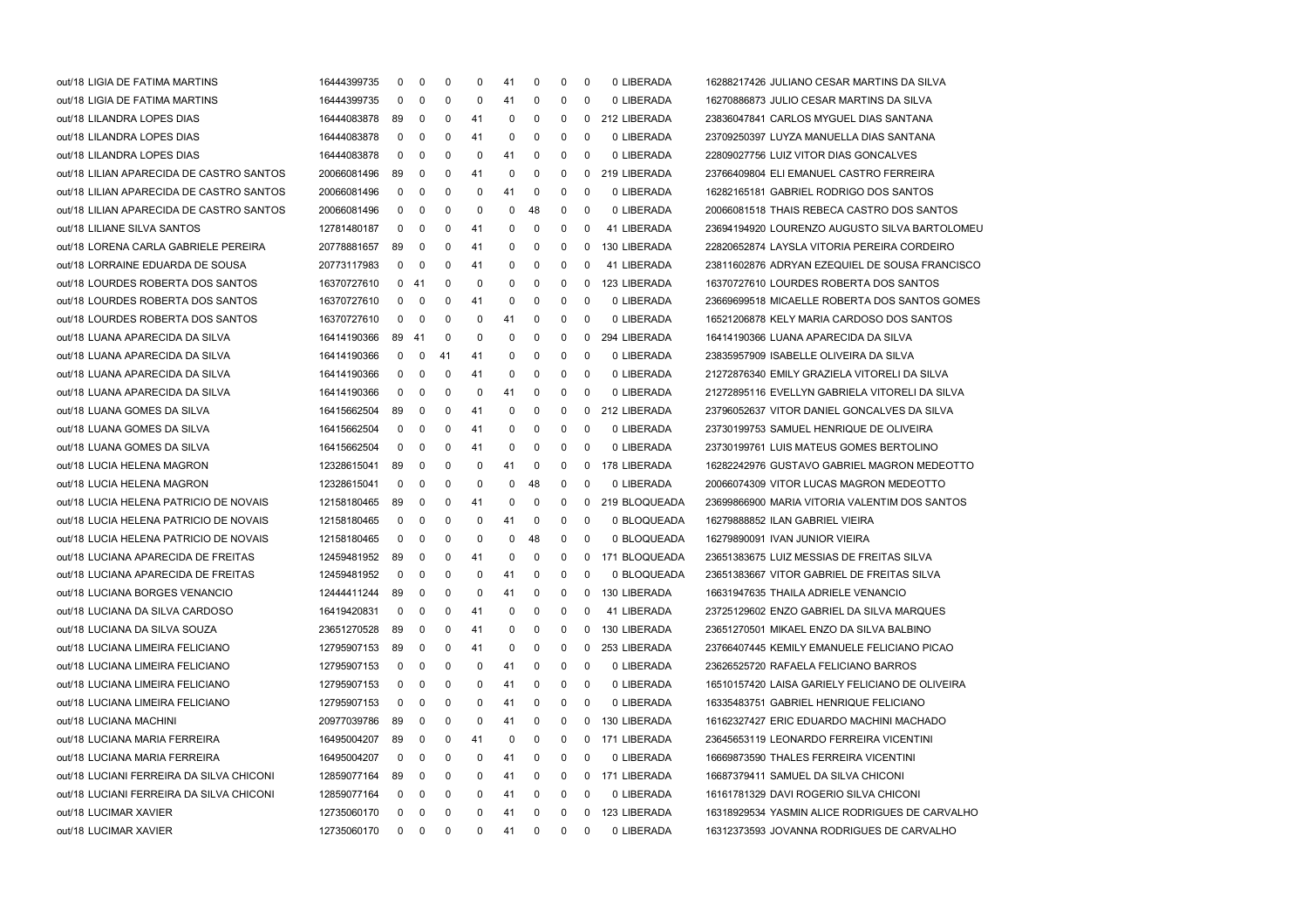| out/18 LIGIA DE FATIMA MARTINS           | 16444399735 | 0            | 0           | 0  | 0   | 41 | 0           | 0 | 0            | 0 LIBERADA     | 16288217426 JULIANO CESAR MARTINS DA SILVA      |
|------------------------------------------|-------------|--------------|-------------|----|-----|----|-------------|---|--------------|----------------|-------------------------------------------------|
| out/18 LIGIA DE FATIMA MARTINS           | 16444399735 | 0            | 0           | 0  | 0   | 41 | 0           | 0 | 0            | 0 LIBERADA     | 16270886873 JULIO CESAR MARTINS DA SILVA        |
| out/18 LILANDRA LOPES DIAS               | 16444083878 | 89           | 0           | 0  | 41  | 0  | 0           | 0 | 0            | 212 LIBERADA   | 23836047841 CARLOS MYGUEL DIAS SANTANA          |
| out/18 LILANDRA LOPES DIAS               | 16444083878 | 0            | 0           | 0  | 41  | 0  | 0           | 0 | 0            | 0 LIBERADA     | 23709250397 LUYZA MANUELLA DIAS SANTANA         |
| out/18 LILANDRA LOPES DIAS               | 16444083878 | 0            | 0           | 0  | 0   | 41 | 0           | 0 | 0            | 0 LIBERADA     | 22809027756 LUIZ VITOR DIAS GONCALVES           |
| out/18 LILIAN APARECIDA DE CASTRO SANTOS | 20066081496 | 89           | 0           | 0  | 41  | 0  | 0           | 0 | 0            | 219 LIBERADA   | 23766409804 ELI EMANUEL CASTRO FERREIRA         |
| out/18 LILIAN APARECIDA DE CASTRO SANTOS | 20066081496 | 0            | 0           | 0  | 0   | 41 | 0           | 0 | 0            | 0 LIBERADA     | 16282165181 GABRIEL RODRIGO DOS SANTOS          |
| out/18 LILIAN APARECIDA DE CASTRO SANTOS | 20066081496 | 0            | 0           | 0  | 0   | 0  | 48          | 0 | 0            | 0 LIBERADA     | 20066081518 THAIS REBECA CASTRO DOS SANTOS      |
| out/18 LILIANE SILVA SANTOS              | 12781480187 | $\mathbf 0$  | 0           | 0  | 41  | 0  | 0           | 0 | 0            | 41 LIBERADA    | 23694194920 LOURENZO AUGUSTO SILVA BARTOLOMEU   |
| out/18 LORENA CARLA GABRIELE PEREIRA     | 20778881657 | 89           | 0           | 0  | 41  | 0  | 0           | 0 | 0            | 130 LIBERADA   | 22820652874 LAYSLA VITORIA PEREIRA CORDEIRO     |
| out/18 LORRAINE EDUARDA DE SOUSA         | 20773117983 | 0            | 0           | 0  | -41 | 0  | 0           | 0 | 0            | 41 LIBERADA    | 23811602876 ADRYAN EZEQUIEL DE SOUSA FRANCISCO  |
| out/18 LOURDES ROBERTA DOS SANTOS        | 16370727610 | $\mathbf{0}$ | -41         | 0  | 0   | 0  | 0           | 0 | 0            | 123 LIBERADA   | 16370727610 LOURDES ROBERTA DOS SANTOS          |
| out/18 LOURDES ROBERTA DOS SANTOS        | 16370727610 | $\mathbf 0$  | 0           | 0  | 41  | 0  | 0           | 0 | 0            | 0 LIBERADA     | 23669699518 MICAELLE ROBERTA DOS SANTOS GOMES   |
| out/18 LOURDES ROBERTA DOS SANTOS        | 16370727610 | 0            | 0           | 0  | 0   | 41 | 0           | 0 | 0            | 0 LIBERADA     | 16521206878 KELY MARIA CARDOSO DOS SANTOS       |
| out/18 LUANA APARECIDA DA SILVA          | 16414190366 | 89           | -41         | 0  | 0   | 0  | 0           | 0 | 0            | 294 LIBERADA   | 16414190366 LUANA APARECIDA DA SILVA            |
| out/18 LUANA APARECIDA DA SILVA          | 16414190366 | 0            | $\mathbf 0$ | 41 | 41  | 0  | 0           | 0 | 0            | 0 LIBERADA     | 23835957909 ISABELLE OLIVEIRA DA SILVA          |
| out/18 LUANA APARECIDA DA SILVA          | 16414190366 | 0            | 0           | 0  | 41  | 0  | 0           | 0 | 0            | 0 LIBERADA     | 21272876340 EMILY GRAZIELA VITORELI DA SILVA    |
| out/18 LUANA APARECIDA DA SILVA          | 16414190366 | 0            | 0           | 0  | 0   | 41 | 0           | 0 | 0            | 0 LIBERADA     | 21272895116 EVELLYN GABRIELA VITORELI DA SILVA  |
| out/18 LUANA GOMES DA SILVA              | 16415662504 | 89           | 0           | 0  | 41  | 0  | 0           | 0 | 0            | 212 LIBERADA   | 23796052637 VITOR DANIEL GONCALVES DA SILVA     |
| out/18 LUANA GOMES DA SILVA              | 16415662504 | 0            | 0           | 0  | 41  | 0  | 0           | 0 | 0            | 0 LIBERADA     | 23730199753 SAMUEL HENRIQUE DE OLIVEIRA         |
| out/18 LUANA GOMES DA SILVA              | 16415662504 | 0            | 0           | 0  | 41  | 0  | 0           | 0 | 0            | 0 LIBERADA     | 23730199761 LUIS MATEUS GOMES BERTOLINO         |
| out/18 LUCIA HELENA MAGRON               | 12328615041 | 89           | 0           | 0  | 0   | 41 | 0           | 0 | $\mathbf{0}$ | 178 LIBERADA   | 16282242976 GUSTAVO GABRIEL MAGRON MEDEOTTO     |
| out/18 LUCIA HELENA MAGRON               | 12328615041 | 0            | 0           | 0  | 0   | 0  | 48          | 0 | 0            | 0 LIBERADA     | 20066074309 VITOR LUCAS MAGRON MEDEOTTO         |
| out/18 LUCIA HELENA PATRICIO DE NOVAIS   | 12158180465 | 89           | 0           | 0  | 41  | 0  | 0           | 0 | 0            | 219 BLOQUEADA  | 23699866900 MARIA VITORIA VALENTIM DOS SANTOS   |
| out/18 LUCIA HELENA PATRICIO DE NOVAIS   | 12158180465 | $\mathbf 0$  | 0           | 0  | 0   | 41 | 0           | 0 | 0            | 0 BLOQUEADA    | 16279888852 ILAN GABRIEL VIEIRA                 |
| out/18 LUCIA HELENA PATRICIO DE NOVAIS   | 12158180465 | $\mathbf 0$  | 0           | 0  | 0   | 0  | 48          | 0 | 0            | 0 BLOQUEADA    | 16279890091 IVAN JUNIOR VIEIRA                  |
| out/18 LUCIANA APARECIDA DE FREITAS      | 12459481952 | 89           | 0           | 0  | 41  | 0  | 0           | 0 | 0            | 171 BLOQUEADA  | 23651383675 LUIZ MESSIAS DE FREITAS SILVA       |
| out/18 LUCIANA APARECIDA DE FREITAS      | 12459481952 | 0            | 0           | 0  | 0   | 41 | 0           | 0 | 0            | 0 BLOQUEADA    | 23651383667 VITOR GABRIEL DE FREITAS SILVA      |
| out/18 LUCIANA BORGES VENANCIO           | 12444411244 | 89           | 0           | 0  | 0   | 41 | 0           | 0 | 0            | 130 LIBERADA   | 16631947635 THAILA ADRIELE VENANCIO             |
| out/18 LUCIANA DA SILVA CARDOSO          | 16419420831 | 0            | 0           | 0  | 41  | 0  | 0           | 0 | 0            | 41 LIBERADA    | 23725129602 ENZO GABRIEL DA SILVA MARQUES       |
| out/18 LUCIANA DA SILVA SOUZA            | 23651270528 | 89           | $\mathbf 0$ | 0  | 41  | 0  | $\mathbf 0$ | 0 |              | 0 130 LIBERADA | 23651270501 MIKAEL ENZO DA SILVA BALBINO        |
| out/18 LUCIANA LIMEIRA FELICIANO         | 12795907153 | 89           | 0           | 0  | 41  | 0  | 0           | 0 | 0            | 253 LIBERADA   | 23766407445 KEMILY EMANUELE FELICIANO PICAO     |
| out/18 LUCIANA LIMEIRA FELICIANO         | 12795907153 | 0            | 0           | 0  | 0   | 41 | 0           | 0 | 0            | 0 LIBERADA     | 23626525720 RAFAELA FELICIANO BARROS            |
| out/18 LUCIANA LIMEIRA FELICIANO         | 12795907153 | 0            | 0           | 0  | 0   | 41 | 0           | 0 | 0            | 0 LIBERADA     | 16510157420 LAISA GARIELY FELICIANO DE OLIVEIRA |
| out/18 LUCIANA LIMEIRA FELICIANO         | 12795907153 | 0            | 0           | 0  | 0   | 41 | 0           | 0 | 0            | 0 LIBERADA     | 16335483751 GABRIEL HENRIQUE FELICIANO          |
| out/18 LUCIANA MACHINI                   | 20977039786 | 89           | 0           | 0  | 0   | 41 | 0           | 0 | 0            | 130 LIBERADA   | 16162327427 ERIC EDUARDO MACHINI MACHADO        |
| out/18 LUCIANA MARIA FERREIRA            | 16495004207 | 89           | 0           | 0  | 41  | 0  | 0           | 0 | 0            | 171 LIBERADA   | 23645653119 LEONARDO FERREIRA VICENTINI         |
| out/18 LUCIANA MARIA FERREIRA            | 16495004207 | 0            | 0           | 0  | 0   | 41 | 0           | 0 | 0            | 0 LIBERADA     | 16669873590 THALES FERREIRA VICENTINI           |
| out/18 LUCIANI FERREIRA DA SILVA CHICONI | 12859077164 | 89           | 0           | 0  | 0   | 41 | 0           | 0 | 0            | 171 LIBERADA   | 16687379411 SAMUEL DA SILVA CHICONI             |
| out/18 LUCIANI FERREIRA DA SILVA CHICONI | 12859077164 | 0            | 0           | 0  | 0   | 41 | 0           | 0 | 0            | 0 LIBERADA     | 16161781329 DAVI ROGERIO SILVA CHICONI          |
| out/18 LUCIMAR XAVIER                    | 12735060170 | 0            | 0           | 0  | 0   | 41 | 0           | 0 | 0            | 123 LIBERADA   | 16318929534 YASMIN ALICE RODRIGUES DE CARVALHO  |
| out/18 LUCIMAR XAVIER                    | 12735060170 | $\mathbf{0}$ | 0           | 0  | 0   | 41 | 0           | 0 | 0            | 0 LIBERADA     | 16312373593 JOVANNA RODRIGUES DE CARVALHO       |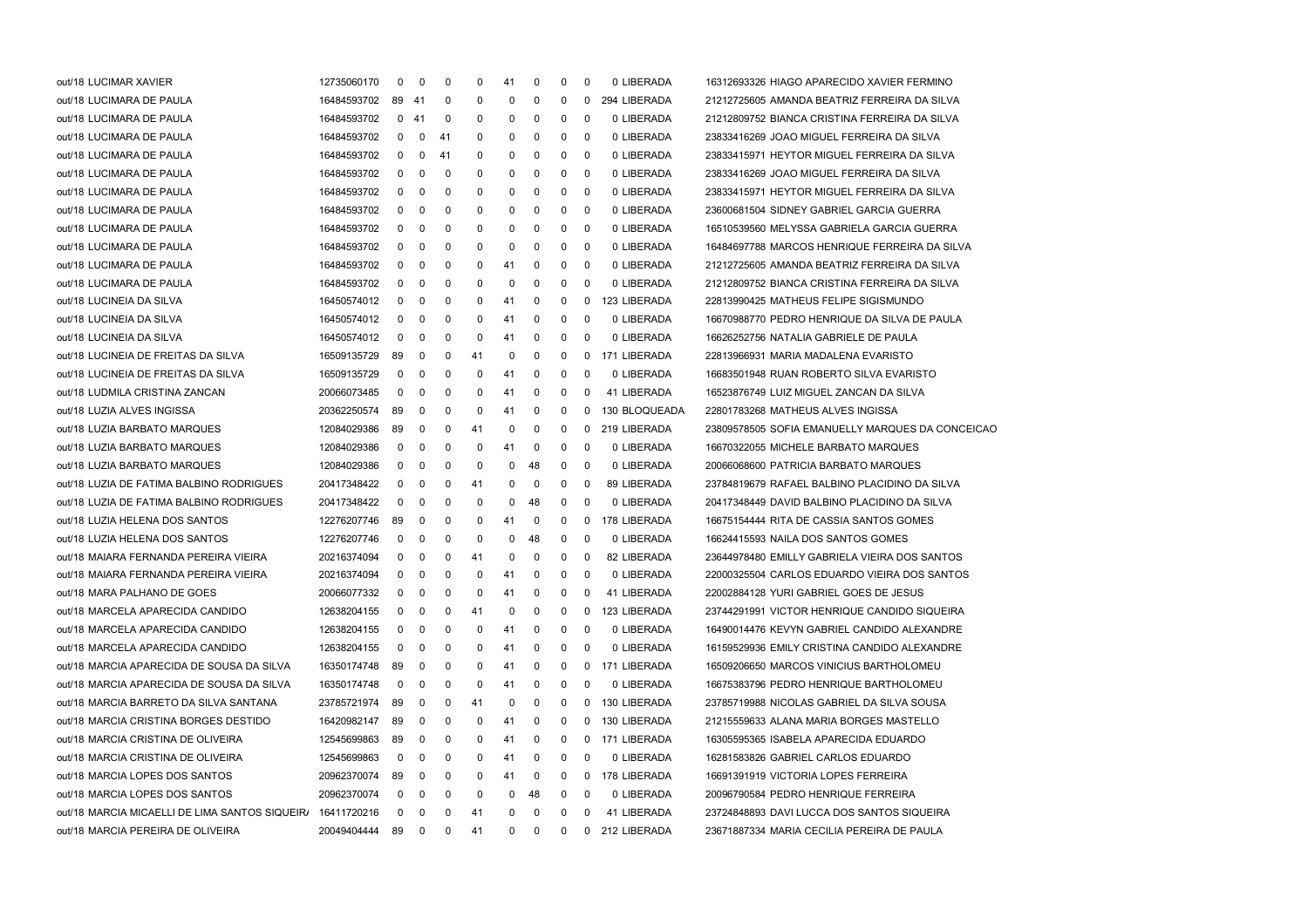| out/18 LUCIMAR XAVIER                          | 12735060170 | 0           | 0              | 0  | 0  | 41 | 0            | 0 | 0        | 0 LIBERADA    | 16312693326 HIAGO APARECIDO XAVIER FERMINO       |
|------------------------------------------------|-------------|-------------|----------------|----|----|----|--------------|---|----------|---------------|--------------------------------------------------|
| out/18 LUCIMARA DE PAULA                       | 16484593702 | 89 41       |                | 0  | 0  | 0  | 0            | 0 | $\Omega$ | 294 LIBERADA  | 21212725605 AMANDA BEATRIZ FERREIRA DA SILVA     |
| out/18 LUCIMARA DE PAULA                       | 16484593702 | 0           | -41            | 0  | 0  | 0  | 0            | 0 | 0        | 0 LIBERADA    | 21212809752 BIANCA CRISTINA FERREIRA DA SILVA    |
| out/18 LUCIMARA DE PAULA                       | 16484593702 | 0           | $\mathbf 0$    | 41 | 0  | 0  | 0            | 0 | 0        | 0 LIBERADA    | 23833416269 JOAO MIGUEL FERREIRA DA SILVA        |
| out/18 LUCIMARA DE PAULA                       | 16484593702 | 0           | 0              | 41 | 0  | 0  | 0            | 0 | 0        | 0 LIBERADA    | 23833415971 HEYTOR MIGUEL FERREIRA DA SILVA      |
| out/18 LUCIMARA DE PAULA                       | 16484593702 | 0           | 0              | 0  | 0  | 0  | 0            | 0 | 0        | 0 LIBERADA    | 23833416269 JOAO MIGUEL FERREIRA DA SILVA        |
| out/18 LUCIMARA DE PAULA                       | 16484593702 | 0           | 0              | 0  | 0  | 0  | 0            | 0 | 0        | 0 LIBERADA    | 23833415971 HEYTOR MIGUEL FERREIRA DA SILVA      |
| out/18 LUCIMARA DE PAULA                       | 16484593702 | 0           | 0              | 0  | 0  | 0  | 0            | 0 | 0        | 0 LIBERADA    | 23600681504 SIDNEY GABRIEL GARCIA GUERRA         |
| out/18 LUCIMARA DE PAULA                       | 16484593702 | 0           | 0              | 0  | 0  | 0  | 0            | 0 | 0        | 0 LIBERADA    | 16510539560 MELYSSA GABRIELA GARCIA GUERRA       |
| out/18 LUCIMARA DE PAULA                       | 16484593702 | 0           | 0              | 0  | 0  | 0  | 0            | 0 | 0        | 0 LIBERADA    | 16484697788 MARCOS HENRIQUE FERREIRA DA SILVA    |
| out/18 LUCIMARA DE PAULA                       | 16484593702 | 0           | 0              | 0  | 0  | 41 | 0            | 0 | 0        | 0 LIBERADA    | 21212725605 AMANDA BEATRIZ FERREIRA DA SILVA     |
| out/18 LUCIMARA DE PAULA                       | 16484593702 | 0           | 0              | 0  | 0  | 0  | 0            | 0 | $\Omega$ | 0 LIBERADA    | 21212809752 BIANCA CRISTINA FERREIRA DA SILVA    |
| out/18 LUCINEIA DA SILVA                       | 16450574012 | 0           | 0              | 0  | 0  | 41 | 0            | 0 | 0        | 123 LIBERADA  | 22813990425 MATHEUS FELIPE SIGISMUNDO            |
| out/18 LUCINEIA DA SILVA                       | 16450574012 | 0           | 0              | 0  | 0  | 41 | 0            | 0 | 0        | 0 LIBERADA    | 16670988770 PEDRO HENRIQUE DA SILVA DE PAULA     |
| out/18 LUCINEIA DA SILVA                       | 16450574012 | 0           | 0              | 0  | 0  | 41 | 0            | 0 | $\Omega$ | 0 LIBERADA    | 16626252756 NATALIA GABRIELE DE PAULA            |
| out/18 LUCINEIA DE FREITAS DA SILVA            | 16509135729 | 89          | 0              | 0  | 41 | 0  | 0            | 0 | 0        | 171 LIBERADA  | 22813966931 MARIA MADALENA EVARISTO              |
| out/18 LUCINEIA DE FREITAS DA SILVA            | 16509135729 | 0           | 0              | 0  | 0  | 41 | 0            | 0 | $\Omega$ | 0 LIBERADA    | 16683501948 RUAN ROBERTO SILVA EVARISTO          |
| out/18 LUDMILA CRISTINA ZANCAN                 | 20066073485 | 0           | 0              | 0  | 0  | 41 | 0            | 0 | 0        | 41 LIBERADA   | 16523876749 LUIZ MIGUEL ZANCAN DA SILVA          |
| out/18 LUZIA ALVES INGISSA                     | 20362250574 | 89          | 0              | 0  | 0  | 41 | 0            | 0 | 0        | 130 BLOQUEADA | 22801783268 MATHEUS ALVES INGISSA                |
| out/18 LUZIA BARBATO MARQUES                   | 12084029386 | 89          | 0              | 0  | 41 | 0  | 0            | 0 | 0        | 219 LIBERADA  | 23809578505 SOFIA EMANUELLY MARQUES DA CONCEICAO |
| out/18 LUZIA BARBATO MARQUES                   | 12084029386 | 0           | 0              | 0  | 0  | 41 | 0            | 0 | 0        | 0 LIBERADA    | 16670322055 MICHELE BARBATO MARQUES              |
| out/18 LUZIA BARBATO MARQUES                   | 12084029386 | 0           | 0              | 0  | 0  | 0  | 48           | 0 | $\Omega$ | 0 LIBERADA    | 20066068600 PATRICIA BARBATO MARQUES             |
| out/18 LUZIA DE FATIMA BALBINO RODRIGUES       | 20417348422 | 0           | 0              | 0  | 41 | 0  | 0            | 0 | 0        | 89 LIBERADA   | 23784819679 RAFAEL BALBINO PLACIDINO DA SILVA    |
| out/18 LUZIA DE FATIMA BALBINO RODRIGUES       | 20417348422 | 0           | 0              | 0  | 0  | 0  | 48           | 0 | 0        | 0 LIBERADA    | 20417348449 DAVID BALBINO PLACIDINO DA SILVA     |
| out/18 LUZIA HELENA DOS SANTOS                 | 12276207746 | 89          | 0              | 0  | 0  | 41 | 0            | 0 | 0        | 178 LIBERADA  | 16675154444 RITA DE CASSIA SANTOS GOMES          |
| out/18 LUZIA HELENA DOS SANTOS                 | 12276207746 | $\mathbf 0$ | 0              | 0  | 0  | 0  | 48           | 0 | 0        | 0 LIBERADA    | 16624415593 NAILA DOS SANTOS GOMES               |
| out/18 MAIARA FERNANDA PEREIRA VIEIRA          | 20216374094 | 0           | 0              | 0  | 41 | 0  | 0            | 0 | $\Omega$ | 82 LIBERADA   | 23644978480 EMILLY GABRIELA VIEIRA DOS SANTOS    |
| out/18 MAIARA FERNANDA PEREIRA VIEIRA          | 20216374094 | 0           | 0              | 0  | 0  | 41 | 0            | 0 | 0        | 0 LIBERADA    | 22000325504 CARLOS EDUARDO VIEIRA DOS SANTOS     |
| out/18 MARA PALHANO DE GOES                    | 20066077332 | 0           | 0              | 0  | 0  | 41 | 0            | 0 | $\Omega$ | 41 LIBERADA   | 22002884128 YURI GABRIEL GOES DE JESUS           |
| out/18 MARCELA APARECIDA CANDIDO               | 12638204155 | 0           | 0              | 0  | 41 | 0  | 0            | 0 | 0        | 123 LIBERADA  | 23744291991 VICTOR HENRIQUE CANDIDO SIQUEIRA     |
| out/18 MARCELA APARECIDA CANDIDO               | 12638204155 | $\mathbf 0$ | 0              | 0  | 0  | 41 | $\mathbf{0}$ | 0 | 0        | 0 LIBERADA    | 16490014476 KEVYN GABRIEL CANDIDO ALEXANDRE      |
| out/18 MARCELA APARECIDA CANDIDO               | 12638204155 | 0           | 0              | 0  | 0  | 41 | 0            | 0 | 0        | 0 LIBERADA    | 16159529936 EMILY CRISTINA CANDIDO ALEXANDRE     |
| out/18 MARCIA APARECIDA DE SOUSA DA SILVA      | 16350174748 | 89          | 0              | 0  | 0  | 41 | 0            | 0 | 0        | 171 LIBERADA  | 16509206650 MARCOS VINICIUS BARTHOLOMEU          |
| out/18 MARCIA APARECIDA DE SOUSA DA SILVA      | 16350174748 | 0           | 0              | 0  | 0  | 41 | 0            | 0 | 0        | 0 LIBERADA    | 16675383796 PEDRO HENRIQUE BARTHOLOMEU           |
| out/18 MARCIA BARRETO DA SILVA SANTANA         | 23785721974 | 89          | 0              | 0  | 41 | 0  | 0            | 0 | 0        | 130 LIBERADA  | 23785719988 NICOLAS GABRIEL DA SILVA SOUSA       |
| out/18 MARCIA CRISTINA BORGES DESTIDO          | 16420982147 | 89          | 0              | 0  | 0  | 41 | 0            | 0 | 0        | 130 LIBERADA  | 21215559633 ALANA MARIA BORGES MASTELLO          |
| out/18 MARCIA CRISTINA DE OLIVEIRA             | 12545699863 | 89          | 0              | 0  | 0  | 41 | 0            | 0 | 0        | 171 LIBERADA  | 16305595365 ISABELA APARECIDA EDUARDO            |
| out/18 MARCIA CRISTINA DE OLIVEIRA             | 12545699863 | 0           | 0              | 0  | 0  | 41 | 0            | 0 | 0        | 0 LIBERADA    | 16281583826 GABRIEL CARLOS EDUARDO               |
| out/18 MARCIA LOPES DOS SANTOS                 | 20962370074 | 89          | 0              | 0  | 0  | 41 | 0            | 0 | 0        | 178 LIBERADA  | 16691391919 VICTORIA LOPES FERREIRA              |
| out/18 MARCIA LOPES DOS SANTOS                 | 20962370074 | 0           | 0              | 0  | 0  | 0  | 48           | 0 | 0        | 0 LIBERADA    | 20096790584 PEDRO HENRIQUE FERREIRA              |
| out/18 MARCIA MICAELLI DE LIMA SANTOS SIQUEIR/ | 16411720216 | 0           | 0              | 0  | 41 | 0  | 0            | 0 | 0        | 41 LIBERADA   | 23724848893 DAVI LUCCA DOS SANTOS SIQUEIRA       |
| out/18 MARCIA PEREIRA DE OLIVEIRA              | 20049404444 | 89          | $\overline{0}$ | 0  | 41 | 0  | 0            | 0 | 0        | 212 LIBERADA  | 23671887334 MARIA CECILIA PEREIRA DE PAULA       |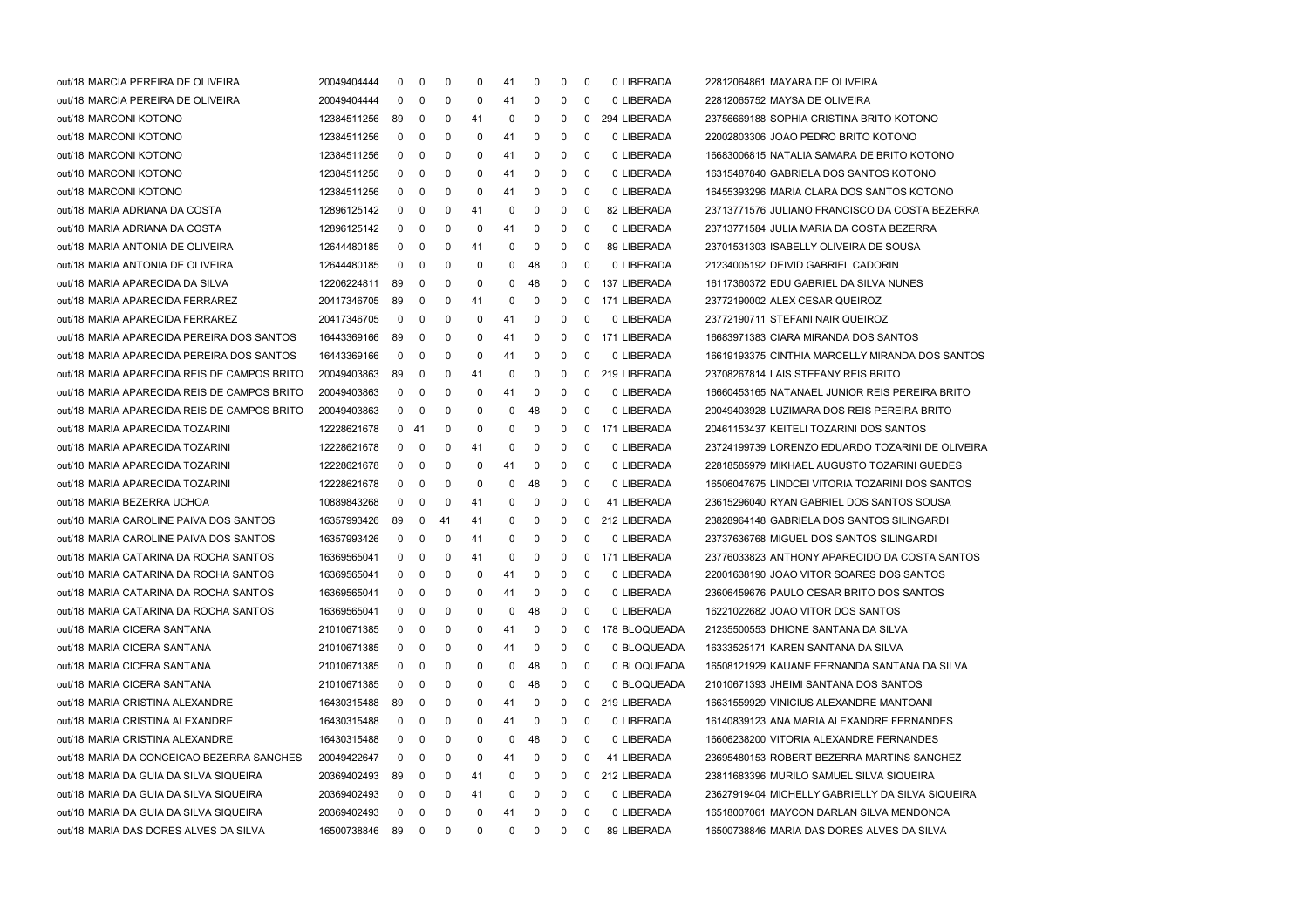| out/18 MARCIA PEREIRA DE OLIVEIRA           | 20049404444 | 0            | 0                       | 0           | 0   | 41           | 0           | 0 | 0           | 0 LIBERADA    | 22812064861 MAYARA DE OLIVEIRA                   |
|---------------------------------------------|-------------|--------------|-------------------------|-------------|-----|--------------|-------------|---|-------------|---------------|--------------------------------------------------|
| out/18 MARCIA PEREIRA DE OLIVEIRA           | 20049404444 | 0            | 0                       | 0           | 0   | 41           | 0           | 0 | 0           | 0 LIBERADA    | 22812065752 MAYSA DE OLIVEIRA                    |
| out/18 MARCONI KOTONO                       | 12384511256 | 89           | 0                       | 0           | 41  | 0            | 0           | 0 | 0           | 294 LIBERADA  | 23756669188 SOPHIA CRISTINA BRITO KOTONO         |
| out/18 MARCONI KOTONO                       | 12384511256 | 0            | 0                       | 0           | 0   | 41           | 0           | 0 | 0           | 0 LIBERADA    | 22002803306 JOAO PEDRO BRITO KOTONO              |
| out/18 MARCONI KOTONO                       | 12384511256 | 0            | 0                       | 0           | 0   | 41           | 0           | 0 | 0           | 0 LIBERADA    | 16683006815 NATALIA SAMARA DE BRITO KOTONO       |
| out/18 MARCONI KOTONO                       | 12384511256 | 0            | 0                       | 0           | 0   | 41           | 0           | 0 | 0           | 0 LIBERADA    | 16315487840 GABRIELA DOS SANTOS KOTONO           |
| out/18 MARCONI KOTONO                       | 12384511256 | $\mathbf{0}$ | 0                       | 0           | 0   | 41           | 0           | 0 | 0           | 0 LIBERADA    | 16455393296 MARIA CLARA DOS SANTOS KOTONO        |
| out/18 MARIA ADRIANA DA COSTA               | 12896125142 | $\mathbf 0$  | 0                       | 0           | 41  | 0            | 0           | 0 | 0           | 82 LIBERADA   | 23713771576 JULIANO FRANCISCO DA COSTA BEZERRA   |
| out/18 MARIA ADRIANA DA COSTA               | 12896125142 | 0            | 0                       | 0           | 0   | 41           | 0           | 0 | 0           | 0 LIBERADA    | 23713771584 JULIA MARIA DA COSTA BEZERRA         |
| out/18 MARIA ANTONIA DE OLIVEIRA            | 12644480185 | 0            | 0                       | 0           | 41  | 0            | 0           | 0 | 0           | 89 LIBERADA   | 23701531303 ISABELLY OLIVEIRA DE SOUSA           |
| out/18 MARIA ANTONIA DE OLIVEIRA            | 12644480185 | 0            | 0                       | 0           | 0   | 0            | 48          | 0 | 0           | 0 LIBERADA    | 21234005192 DEIVID GABRIEL CADORIN               |
| out/18 MARIA APARECIDA DA SILVA             | 12206224811 | 89           | 0                       | 0           | 0   | 0            | 48          | 0 | 0           | 137 LIBERADA  | 16117360372 EDU GABRIEL DA SILVA NUNES           |
| out/18 MARIA APARECIDA FERRAREZ             | 20417346705 | -89          | 0                       | 0           | 41  | 0            | 0           | 0 | 0           | 171 LIBERADA  | 23772190002 ALEX CESAR QUEIROZ                   |
| out/18 MARIA APARECIDA FERRAREZ             | 20417346705 | $\mathbf 0$  | 0                       | 0           | 0   | 41           | 0           | 0 | 0           | 0 LIBERADA    | 23772190711 STEFANI NAIR QUEIROZ                 |
| out/18 MARIA APARECIDA PEREIRA DOS SANTOS   | 16443369166 | 89           | 0                       | 0           | 0   | 41           | 0           | 0 | 0           | 171 LIBERADA  | 16683971383 CIARA MIRANDA DOS SANTOS             |
| out/18 MARIA APARECIDA PEREIRA DOS SANTOS   | 16443369166 | 0            | 0                       | 0           | 0   | 41           | 0           | 0 | 0           | 0 LIBERADA    | 16619193375 CINTHIA MARCELLY MIRANDA DOS SANTOS  |
| out/18 MARIA APARECIDA REIS DE CAMPOS BRITO | 20049403863 | 89           | 0                       | 0           | 41  | 0            | 0           | 0 | 0           | 219 LIBERADA  | 23708267814 LAIS STEFANY REIS BRITO              |
| out/18 MARIA APARECIDA REIS DE CAMPOS BRITO | 20049403863 | 0            | 0                       | 0           | 0   | 41           | 0           | 0 | 0           | 0 LIBERADA    | 16660453165 NATANAEL JUNIOR REIS PEREIRA BRITO   |
| out/18 MARIA APARECIDA REIS DE CAMPOS BRITO | 20049403863 | $\mathbf{0}$ | 0                       | 0           | 0   | 0            | 48          | 0 | 0           | 0 LIBERADA    | 20049403928 LUZIMARA DOS REIS PEREIRA BRITO      |
| out/18 MARIA APARECIDA TOZARINI             | 12228621678 | $\mathbf{0}$ | -41                     | 0           | 0   | 0            | 0           | 0 | 0           | 171 LIBERADA  | 20461153437 KEITELI TOZARINI DOS SANTOS          |
| out/18 MARIA APARECIDA TOZARINI             | 12228621678 | $\mathbf{0}$ | 0                       | 0           | 41  | 0            | 0           | 0 | 0           | 0 LIBERADA    | 23724199739 LORENZO EDUARDO TOZARINI DE OLIVEIRA |
| out/18 MARIA APARECIDA TOZARINI             | 12228621678 | 0            | 0                       | 0           | 0   | 41           | 0           | 0 | 0           | 0 LIBERADA    | 22818585979 MIKHAEL AUGUSTO TOZARINI GUEDES      |
| out/18 MARIA APARECIDA TOZARINI             | 12228621678 | 0            | 0                       | 0           | 0   | 0            | 48          | 0 | 0           | 0 LIBERADA    | 16506047675 LINDCEI VITORIA TOZARINI DOS SANTOS  |
| out/18 MARIA BEZERRA UCHOA                  | 10889843268 | 0            | 0                       | 0           | 41  | 0            | 0           | 0 | 0           | 41 LIBERADA   | 23615296040 RYAN GABRIEL DOS SANTOS SOUSA        |
| out/18 MARIA CAROLINE PAIVA DOS SANTOS      | 16357993426 | 89           | 0                       | 41          | 41  | 0            | 0           | 0 | 0           | 212 LIBERADA  | 23828964148 GABRIELA DOS SANTOS SILINGARDI       |
| out/18 MARIA CAROLINE PAIVA DOS SANTOS      | 16357993426 | $\mathbf 0$  | 0                       | 0           | -41 | 0            | 0           | 0 | 0           | 0 LIBERADA    | 23737636768 MIGUEL DOS SANTOS SILINGARDI         |
| out/18 MARIA CATARINA DA ROCHA SANTOS       | 16369565041 | 0            | 0                       | 0           | 41  | 0            | 0           | 0 | 0           | 171 LIBERADA  | 23776033823 ANTHONY APARECIDO DA COSTA SANTOS    |
| out/18 MARIA CATARINA DA ROCHA SANTOS       | 16369565041 | 0            | 0                       | 0           | 0   | 41           | 0           | 0 | 0           | 0 LIBERADA    | 22001638190 JOAO VITOR SOARES DOS SANTOS         |
| out/18 MARIA CATARINA DA ROCHA SANTOS       | 16369565041 | 0            | 0                       | 0           | 0   | 41           | 0           | 0 | 0           | 0 LIBERADA    | 23606459676 PAULO CESAR BRITO DOS SANTOS         |
| out/18 MARIA CATARINA DA ROCHA SANTOS       | 16369565041 | 0            | 0                       | 0           | 0   | 0            | 48          | 0 | 0           | 0 LIBERADA    | 16221022682 JOAO VITOR DOS SANTOS                |
| out/18 MARIA CICERA SANTANA                 | 21010671385 | $\mathbf 0$  | - 0                     | 0           | 0   | 41           | $\mathbf 0$ | 0 | 0           | 178 BLOQUEADA | 21235500553 DHIONE SANTANA DA SILVA              |
| out/18 MARIA CICERA SANTANA                 | 21010671385 | 0            | 0                       | $\mathbf 0$ | 0   | 41           | $\mathbf 0$ | 0 | $\mathbf 0$ | 0 BLOQUEADA   | 16333525171 KAREN SANTANA DA SILVA               |
| out/18 MARIA CICERA SANTANA                 | 21010671385 | 0            | 0                       | 0           | 0   | 0            | 48          | 0 | 0           | 0 BLOQUEADA   | 16508121929 KAUANE FERNANDA SANTANA DA SILVA     |
| out/18 MARIA CICERA SANTANA                 | 21010671385 | $\mathbf{0}$ | 0                       | 0           | 0   | 0            | 48          | 0 | 0           | 0 BLOQUEADA   | 21010671393 JHEIMI SANTANA DOS SANTOS            |
| out/18 MARIA CRISTINA ALEXANDRE             | 16430315488 | 89           | 0                       | 0           | 0   | 41           | 0           | 0 | 0           | 219 LIBERADA  | 16631559929 VINICIUS ALEXANDRE MANTOANI          |
| out/18 MARIA CRISTINA ALEXANDRE             | 16430315488 | 0            | 0                       | 0           | 0   | 41           | 0           | 0 | 0           | 0 LIBERADA    | 16140839123 ANA MARIA ALEXANDRE FERNANDES        |
| out/18 MARIA CRISTINA ALEXANDRE             | 16430315488 | $\mathbf{0}$ | 0                       | 0           | 0   | 0            | 48          | 0 | 0           | 0 LIBERADA    | 16606238200 VITORIA ALEXANDRE FERNANDES          |
| out/18 MARIA DA CONCEICAO BEZERRA SANCHES   | 20049422647 | 0            | 0                       | 0           | 0   | 41           | 0           | 0 | 0           | 41 LIBERADA   | 23695480153 ROBERT BEZERRA MARTINS SANCHEZ       |
| out/18 MARIA DA GUIA DA SILVA SIQUEIRA      | 20369402493 | 89           | 0                       | 0           | 41  | 0            | 0           | 0 | 0           | 212 LIBERADA  | 23811683396 MURILO SAMUEL SILVA SIQUEIRA         |
| out/18 MARIA DA GUIA DA SILVA SIQUEIRA      | 20369402493 | 0            | 0                       | 0           | 41  | 0            | 0           | 0 | 0           | 0 LIBERADA    | 23627919404 MICHELLY GABRIELLY DA SILVA SIQUEIRA |
| out/18 MARIA DA GUIA DA SILVA SIQUEIRA      | 20369402493 | 0            | 0                       | 0           | 0   | 41           | 0           | 0 | 0           | 0 LIBERADA    | 16518007061 MAYCON DARLAN SILVA MENDONCA         |
| out/18 MARIA DAS DORES ALVES DA SILVA       | 16500738846 | 89           | $\overline{\mathbf{0}}$ | 0           | 0   | $\mathbf{0}$ | 0           | 0 | 0           | 89 LIBERADA   | 16500738846 MARIA DAS DORES ALVES DA SILVA       |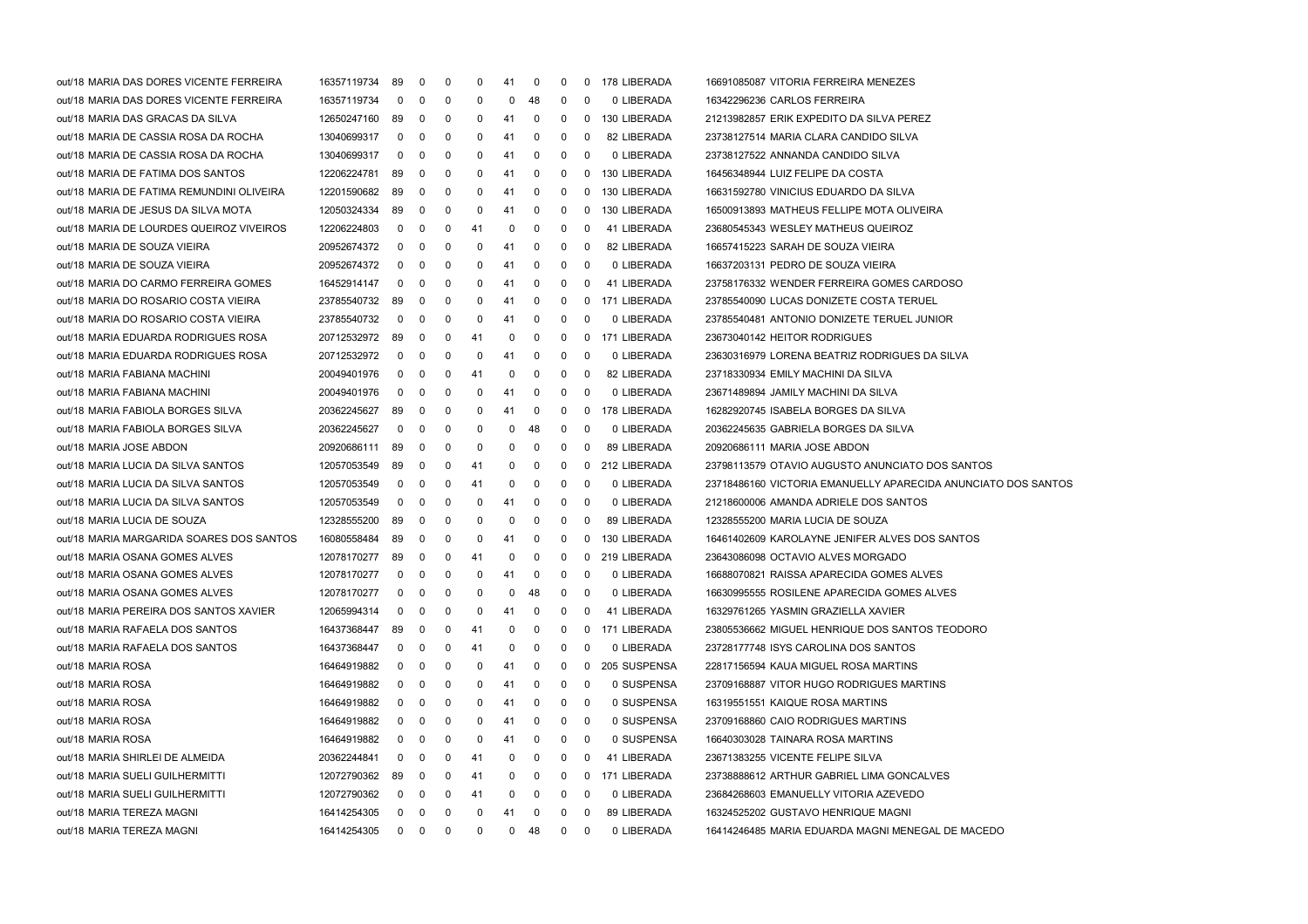| out/18 MARIA DAS DORES VICENTE FERREIRA   | 16357119734 | 89           | 0                 | -0 | 0           | 41 | 0           | 0            |                         | 0 178 LIBERADA | 16691085087 VITORIA FERREIRA MENEZES                          |
|-------------------------------------------|-------------|--------------|-------------------|----|-------------|----|-------------|--------------|-------------------------|----------------|---------------------------------------------------------------|
| out/18 MARIA DAS DORES VICENTE FERREIRA   | 16357119734 | $\mathbf 0$  | 0                 | 0  | 0           | 0  | 48          | 0            | 0                       | 0 LIBERADA     | 16342296236 CARLOS FERREIRA                                   |
| out/18 MARIA DAS GRACAS DA SILVA          | 12650247160 | 89           | 0                 | 0  | 0           | 41 | 0           | 0            | $\mathbf 0$             | 130 LIBERADA   | 21213982857 ERIK EXPEDITO DA SILVA PEREZ                      |
| out/18 MARIA DE CASSIA ROSA DA ROCHA      | 13040699317 | $\mathbf 0$  | 0                 | 0  | 0           | 41 | 0           | 0            | $\bf{0}$                | 82 LIBERADA    | 23738127514 MARIA CLARA CANDIDO SILVA                         |
| out/18 MARIA DE CASSIA ROSA DA ROCHA      | 13040699317 | $\mathbf 0$  | 0                 | 0  | 0           | 41 | 0           | 0            | 0                       | 0 LIBERADA     | 23738127522 ANNANDA CANDIDO SILVA                             |
| out/18 MARIA DE FATIMA DOS SANTOS         | 12206224781 | 89           | 0                 | 0  | 0           | 41 | 0           | 0            | 0                       | 130 LIBERADA   | 16456348944 LUIZ FELIPE DA COSTA                              |
| out/18 MARIA DE FATIMA REMUNDINI OLIVEIRA | 12201590682 | 89           | 0                 | 0  | 0           | 41 | 0           | 0            | 0                       | 130 LIBERADA   | 16631592780 VINICIUS EDUARDO DA SILVA                         |
| out/18 MARIA DE JESUS DA SILVA MOTA       | 12050324334 | 89           | 0                 | 0  | 0           | 41 | 0           | 0            | 0                       | 130 LIBERADA   | 16500913893 MATHEUS FELLIPE MOTA OLIVEIRA                     |
| out/18 MARIA DE LOURDES QUEIROZ VIVEIROS  | 12206224803 | 0            | 0                 | 0  | 41          | 0  | 0           | 0            | 0                       | 41 LIBERADA    | 23680545343 WESLEY MATHEUS QUEIROZ                            |
| out/18 MARIA DE SOUZA VIEIRA              | 20952674372 | $\mathbf 0$  | 0                 | 0  | 0           | 41 | 0           | 0            | 0                       | 82 LIBERADA    | 16657415223 SARAH DE SOUZA VIEIRA                             |
| out/18 MARIA DE SOUZA VIEIRA              | 20952674372 | $\mathbf 0$  | 0                 | 0  | 0           | 41 | 0           | 0            | 0                       | 0 LIBERADA     | 16637203131 PEDRO DE SOUZA VIEIRA                             |
| out/18 MARIA DO CARMO FERREIRA GOMES      | 16452914147 | $\mathbf 0$  | 0                 | 0  | 0           | 41 | 0           | 0            | 0                       | 41 LIBERADA    | 23758176332 WENDER FERREIRA GOMES CARDOSO                     |
| out/18 MARIA DO ROSARIO COSTA VIEIRA      | 23785540732 | 89           | 0                 | 0  | 0           | 41 | 0           | 0            | 0                       | 171 LIBERADA   | 23785540090 LUCAS DONIZETE COSTA TERUEL                       |
| out/18 MARIA DO ROSARIO COSTA VIEIRA      | 23785540732 | $\mathbf 0$  | 0                 | 0  | 0           | 41 | 0           | 0            | 0                       | 0 LIBERADA     | 23785540481 ANTONIO DONIZETE TERUEL JUNIOR                    |
| out/18 MARIA EDUARDA RODRIGUES ROSA       | 20712532972 | 89           | 0                 | 0  | 41          | 0  | 0           | 0            | $\mathbf{0}$            | 171 LIBERADA   | 23673040142 HEITOR RODRIGUES                                  |
| out/18 MARIA EDUARDA RODRIGUES ROSA       | 20712532972 | $\mathbf 0$  | 0                 | 0  | 0           | 41 | 0           | 0            | 0                       | 0 LIBERADA     | 23630316979 LORENA BEATRIZ RODRIGUES DA SILVA                 |
| out/18 MARIA FABIANA MACHINI              | 20049401976 | $\mathbf 0$  | 0                 | 0  | 41          | 0  | 0           | 0            | 0                       | 82 LIBERADA    | 23718330934 EMILY MACHINI DA SILVA                            |
| out/18 MARIA FABIANA MACHINI              | 20049401976 | $\mathbf 0$  | 0                 | 0  | 0           | 41 | 0           | 0            | 0                       | 0 LIBERADA     | 23671489894 JAMILY MACHINI DA SILVA                           |
| out/18 MARIA FABIOLA BORGES SILVA         | 20362245627 | 89           | 0                 | 0  | 0           | 41 | 0           | 0            | $\bf{0}$                | 178 LIBERADA   | 16282920745 ISABELA BORGES DA SILVA                           |
| out/18 MARIA FABIOLA BORGES SILVA         | 20362245627 | $\mathbf 0$  | 0                 | 0  | 0           | 0  | 48          | 0            | 0                       | 0 LIBERADA     | 20362245635 GABRIELA BORGES DA SILVA                          |
| out/18 MARIA JOSE ABDON                   | 20920686111 | 89           | 0                 | 0  | 0           | 0  | 0           | 0            | 0                       | 89 LIBERADA    | 20920686111 MARIA JOSE ABDON                                  |
| out/18 MARIA LUCIA DA SILVA SANTOS        | 12057053549 | 89           | 0                 | 0  | 41          | 0  | 0           | $\mathbf{0}$ | 0                       | 212 LIBERADA   | 23798113579 OTAVIO AUGUSTO ANUNCIATO DOS SANTOS               |
| out/18 MARIA LUCIA DA SILVA SANTOS        | 12057053549 | $\mathbf 0$  | 0                 | 0  | 41          | 0  | 0           | 0            | - 0                     | 0 LIBERADA     | 23718486160 VICTORIA EMANUELLY APARECIDA ANUNCIATO DOS SANTOS |
| out/18 MARIA LUCIA DA SILVA SANTOS        | 12057053549 | $\mathbf 0$  | 0                 | 0  | 0           | 41 | 0           | 0            | 0                       | 0 LIBERADA     | 21218600006 AMANDA ADRIELE DOS SANTOS                         |
| out/18 MARIA LUCIA DE SOUZA               | 12328555200 | 89           | 0                 | 0  | 0           | 0  | 0           | 0            | 0                       | 89 LIBERADA    | 12328555200 MARIA LUCIA DE SOUZA                              |
| out/18 MARIA MARGARIDA SOARES DOS SANTOS  | 16080558484 | 89           | 0                 | 0  | 0           | 41 | 0           | 0            | $\mathbf{0}$            | 130 LIBERADA   | 16461402609 KAROLAYNE JENIFER ALVES DOS SANTOS                |
| out/18 MARIA OSANA GOMES ALVES            | 12078170277 | 89           | 0                 | 0  | 41          | 0  | 0           | $\mathbf{0}$ | 0                       | 219 LIBERADA   | 23643086098 OCTAVIO ALVES MORGADO                             |
| out/18 MARIA OSANA GOMES ALVES            | 12078170277 | 0            | 0                 | 0  | 0           | 41 | 0           | 0            | 0                       | 0 LIBERADA     | 16688070821 RAISSA APARECIDA GOMES ALVES                      |
| out/18 MARIA OSANA GOMES ALVES            | 12078170277 | $\mathbf 0$  | 0                 | 0  | 0           | 0  | 48          | 0            | 0                       | 0 LIBERADA     | 16630995555 ROSILENE APARECIDA GOMES ALVES                    |
| out/18 MARIA PEREIRA DOS SANTOS XAVIER    | 12065994314 | 0            | $\mathbf 0$       | 0  | 0           | 41 | 0           | 0            | 0                       | 41 LIBERADA    | 16329761265 YASMIN GRAZIELLA XAVIER                           |
|                                           |             |              | 0                 | 0  |             | 0  | $\mathbf 0$ |              |                         | 0 171 LIBERADA |                                                               |
| out/18 MARIA RAFAELA DOS SANTOS           | 16437368447 | 89           |                   |    | 41          |    |             | $\mathbf{0}$ |                         |                | 23805536662 MIGUEL HENRIQUE DOS SANTOS TEODORO                |
| out/18 MARIA RAFAELA DOS SANTOS           | 16437368447 | $\mathbf{0}$ | 0                 | 0  | 41          | 0  | 0           | 0            | 0                       | 0 LIBERADA     | 23728177748 ISYS CAROLINA DOS SANTOS                          |
| out/18 MARIA ROSA                         | 16464919882 |              | 0                 | 0  | 0           | 41 | 0           | 0            | 0                       | 205 SUSPENSA   | 22817156594 KAUA MIGUEL ROSA MARTINS                          |
| out/18 MARIA ROSA                         | 16464919882 | 0            | 0                 | 0  | 0           | 41 | 0           | 0            | 0                       | 0 SUSPENSA     | 23709168887 VITOR HUGO RODRIGUES MARTINS                      |
| out/18 MARIA ROSA                         | 16464919882 | 0            | 0                 | 0  | 0           | 41 | 0           | 0            | 0                       | 0 SUSPENSA     | 16319551551 KAIQUE ROSA MARTINS                               |
| out/18 MARIA ROSA                         | 16464919882 | 0            | 0                 | 0  | 0           | 41 | 0           | 0            | - 0                     | 0 SUSPENSA     | 23709168860 CAIO RODRIGUES MARTINS                            |
| out/18 MARIA ROSA                         | 16464919882 | 0            | 0                 | 0  | 0           | 41 | 0           | 0            | 0                       | 0 SUSPENSA     | 16640303028 TAINARA ROSA MARTINS                              |
| out/18 MARIA SHIRLEI DE ALMEIDA           | 20362244841 |              | 0                 | 0  | 41          | 0  | 0           | 0            | -0                      | 41 LIBERADA    | 23671383255 VICENTE FELIPE SILVA                              |
| out/18 MARIA SUELI GUILHERMITTI           | 12072790362 | 89           | 0                 | 0  | 41          | 0  | 0           | 0            | 0                       | 171 LIBERADA   | 23738888612 ARTHUR GABRIEL LIMA GONCALVES                     |
| out/18 MARIA SUELI GUILHERMITTI           | 12072790362 | 0            | 0                 | 0  | 41          | 0  | 0           | 0            | -0                      | 0 LIBERADA     | 23684268603 EMANUELLY VITORIA AZEVEDO                         |
| out/18 MARIA TEREZA MAGNI                 | 16414254305 | $\mathbf{0}$ | $\mathbf{0}$      | 0  | 0           | 41 | 0           | 0            | 0                       | 89 LIBERADA    | 16324525202 GUSTAVO HENRIQUE MAGNI                            |
| out/18 MARIA TEREZA MAGNI                 | 16414254305 |              | $0\quad 0\quad 0$ |    | $\mathbf 0$ |    | $0$ 48      | $\mathbf{0}$ | $\overline{\mathbf{0}}$ | 0 LIBERADA     | 16414246485 MARIA EDUARDA MAGNI MENEGAL DE MACEDO             |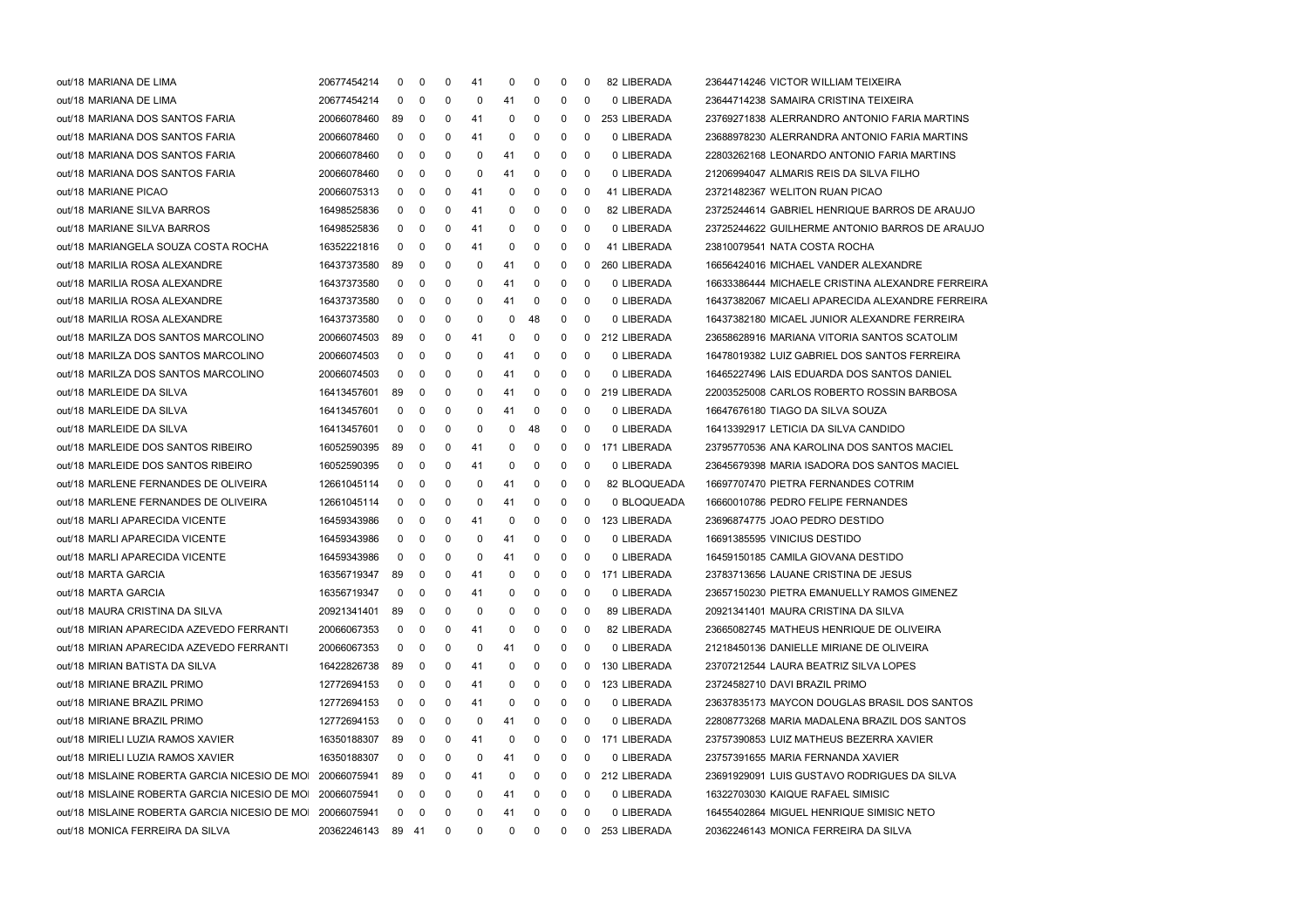| out/18 MARIANA DE LIMA                                    | 20677454214       | 0           | 0 | 0 | 41 | 0  | 0  | 0 | 0 | 82 LIBERADA    | 23644714246 VICTOR WILLIAM TEIXEIRA              |
|-----------------------------------------------------------|-------------------|-------------|---|---|----|----|----|---|---|----------------|--------------------------------------------------|
| out/18 MARIANA DE LIMA                                    | 20677454214       | 0           | 0 | 0 | 0  | 41 | 0  | 0 | 0 | 0 LIBERADA     | 23644714238 SAMAIRA CRISTINA TEIXEIRA            |
| out/18 MARIANA DOS SANTOS FARIA                           | 20066078460       | 89          | 0 | 0 | 41 | 0  | 0  | 0 | 0 | 253 LIBERADA   | 23769271838 ALERRANDRO ANTONIO FARIA MARTINS     |
| out/18 MARIANA DOS SANTOS FARIA                           | 20066078460       | $\mathbf 0$ | 0 | 0 | 41 | 0  | 0  | 0 | 0 | 0 LIBERADA     | 23688978230 ALERRANDRA ANTONIO FARIA MARTINS     |
| out/18 MARIANA DOS SANTOS FARIA                           | 20066078460       | 0           | 0 | 0 | 0  | 41 | 0  | 0 | 0 | 0 LIBERADA     | 22803262168 LEONARDO ANTONIO FARIA MARTINS       |
| out/18 MARIANA DOS SANTOS FARIA                           | 20066078460       | 0           | 0 | 0 | 0  | 41 | 0  | 0 | 0 | 0 LIBERADA     | 21206994047 ALMARIS REIS DA SILVA FILHO          |
| out/18 MARIANE PICAO                                      | 20066075313       | 0           | 0 | 0 | 41 | 0  | 0  | 0 | 0 | 41 LIBERADA    | 23721482367 WELITON RUAN PICAO                   |
| out/18 MARIANE SILVA BARROS                               | 16498525836       | 0           | 0 | 0 | 41 | 0  | 0  | 0 | 0 | 82 LIBERADA    | 23725244614 GABRIEL HENRIQUE BARROS DE ARAUJO    |
| out/18 MARIANE SILVA BARROS                               | 16498525836       | 0           | 0 | 0 | 41 | 0  | 0  | 0 | 0 | 0 LIBERADA     | 23725244622 GUILHERME ANTONIO BARROS DE ARAUJO   |
| out/18 MARIANGELA SOUZA COSTA ROCHA                       | 16352221816       | 0           | 0 | 0 | 41 | 0  | 0  | 0 | 0 | 41 LIBERADA    | 23810079541 NATA COSTA ROCHA                     |
| out/18 MARILIA ROSA ALEXANDRE                             | 16437373580       | 89          | 0 | 0 | 0  | 41 | 0  | 0 | 0 | 260 LIBERADA   | 16656424016 MICHAEL VANDER ALEXANDRE             |
| out/18 MARILIA ROSA ALEXANDRE                             | 16437373580       | 0           | 0 | 0 | 0  | 41 | 0  | 0 | 0 | 0 LIBERADA     | 16633386444 MICHAELE CRISTINA ALEXANDRE FERREIRA |
| out/18 MARILIA ROSA ALEXANDRE                             | 16437373580       | 0           | 0 | 0 | 0  | 41 | 0  | 0 | 0 | 0 LIBERADA     | 16437382067 MICAELI APARECIDA ALEXANDRE FERREIRA |
| out/18 MARILIA ROSA ALEXANDRE                             | 16437373580       | 0           | 0 | 0 | 0  | 0  | 48 | 0 | 0 | 0 LIBERADA     | 16437382180 MICAEL JUNIOR ALEXANDRE FERREIRA     |
| out/18 MARILZA DOS SANTOS MARCOLINO                       | 20066074503       | 89          | 0 | 0 | 41 | 0  | 0  | 0 | 0 | 212 LIBERADA   | 23658628916 MARIANA VITORIA SANTOS SCATOLIM      |
| out/18 MARILZA DOS SANTOS MARCOLINO                       | 20066074503       | $\mathbf 0$ | 0 | 0 | 0  | 41 | 0  | 0 | 0 | 0 LIBERADA     | 16478019382 LUIZ GABRIEL DOS SANTOS FERREIRA     |
| out/18 MARILZA DOS SANTOS MARCOLINO                       | 20066074503       | 0           | 0 | 0 | 0  | 41 | 0  | 0 | 0 | 0 LIBERADA     | 16465227496 LAIS EDUARDA DOS SANTOS DANIEL       |
| out/18 MARLEIDE DA SILVA                                  | 16413457601       | 89          | 0 | 0 | 0  | 41 | 0  | 0 | 0 | 219 LIBERADA   | 22003525008 CARLOS ROBERTO ROSSIN BARBOSA        |
| out/18 MARLEIDE DA SILVA                                  | 16413457601       | 0           | 0 | 0 | 0  | 41 | 0  | 0 | 0 | 0 LIBERADA     | 16647676180 TIAGO DA SILVA SOUZA                 |
| out/18 MARLEIDE DA SILVA                                  | 16413457601       | $\mathbf 0$ | 0 | 0 | 0  | 0  | 48 | 0 | 0 | 0 LIBERADA     | 16413392917 LETICIA DA SILVA CANDIDO             |
| out/18 MARLEIDE DOS SANTOS RIBEIRO                        | 16052590395       | 89          | 0 | 0 | 41 | 0  | 0  | 0 | 0 | 171 LIBERADA   | 23795770536 ANA KAROLINA DOS SANTOS MACIEL       |
| out/18 MARLEIDE DOS SANTOS RIBEIRO                        | 16052590395       | 0           | 0 | 0 | 41 | 0  | 0  | 0 | 0 | 0 LIBERADA     | 23645679398 MARIA ISADORA DOS SANTOS MACIEL      |
| out/18 MARLENE FERNANDES DE OLIVEIRA                      | 12661045114       | 0           | 0 | 0 | 0  | 41 | 0  | 0 | 0 | 82 BLOQUEADA   | 16697707470 PIETRA FERNANDES COTRIM              |
| out/18 MARLENE FERNANDES DE OLIVEIRA                      | 12661045114       | 0           | 0 | 0 | 0  | 41 | 0  | 0 | 0 | 0 BLOQUEADA    | 16660010786 PEDRO FELIPE FERNANDES               |
| out/18 MARLI APARECIDA VICENTE                            | 16459343986       | 0           | 0 | 0 | 41 | 0  | 0  | 0 | 0 | 123 LIBERADA   | 23696874775 JOAO PEDRO DESTIDO                   |
| out/18 MARLI APARECIDA VICENTE                            | 16459343986       | 0           | 0 | 0 | 0  | 41 | 0  | 0 | 0 | 0 LIBERADA     | 16691385595 VINICIUS DESTIDO                     |
| out/18 MARLI APARECIDA VICENTE                            | 16459343986       | 0           | 0 | 0 | 0  | 41 | 0  | 0 | 0 | 0 LIBERADA     | 16459150185 CAMILA GIOVANA DESTIDO               |
| out/18 MARTA GARCIA                                       | 16356719347       | 89          | 0 | 0 | 41 | 0  | 0  | 0 | 0 | 171 LIBERADA   | 23783713656 LAUANE CRISTINA DE JESUS             |
| out/18 MARTA GARCIA                                       | 16356719347       | 0           | 0 | 0 | 41 | 0  | 0  | 0 | 0 | 0 LIBERADA     | 23657150230 PIETRA EMANUELLY RAMOS GIMENEZ       |
| out/18 MAURA CRISTINA DA SILVA                            | 20921341401       | 89          | 0 | 0 | 0  | 0  | 0  | 0 | 0 | 89 LIBERADA    | 20921341401 MAURA CRISTINA DA SILVA              |
| out/18 MIRIAN APARECIDA AZEVEDO FERRANTI                  | 20066067353       | $\mathbf 0$ | 0 | 0 | 41 | 0  | 0  | 0 | 0 | 82 LIBERADA    | 23665082745 MATHEUS HENRIQUE DE OLIVEIRA         |
| out/18 MIRIAN APARECIDA AZEVEDO FERRANTI                  | 20066067353       | 0           | 0 | 0 | 0  | 41 | 0  | 0 | 0 | 0 LIBERADA     | 21218450136 DANIELLE MIRIANE DE OLIVEIRA         |
| out/18 MIRIAN BATISTA DA SILVA                            | 16422826738       | 89          | 0 | 0 | 41 | 0  | 0  | 0 | 0 | 130 LIBERADA   | 23707212544 LAURA BEATRIZ SILVA LOPES            |
| out/18 MIRIANE BRAZIL PRIMO                               | 12772694153       | 0           | 0 | 0 | 41 | 0  | 0  | 0 | 0 | 123 LIBERADA   | 23724582710 DAVI BRAZIL PRIMO                    |
| out/18 MIRIANE BRAZIL PRIMO                               | 12772694153       | 0           | 0 | 0 | 41 | 0  | 0  | 0 | 0 | 0 LIBERADA     | 23637835173 MAYCON DOUGLAS BRASIL DOS SANTOS     |
| out/18 MIRIANE BRAZIL PRIMO                               | 12772694153       | 0           | 0 | 0 | 0  | 41 | 0  | 0 | 0 | 0 LIBERADA     | 22808773268 MARIA MADALENA BRAZIL DOS SANTOS     |
| out/18 MIRIELI LUZIA RAMOS XAVIER                         | 16350188307       | 89          | 0 | 0 | 41 | 0  | 0  | 0 | 0 | 171 LIBERADA   | 23757390853 LUIZ MATHEUS BEZERRA XAVIER          |
| out/18 MIRIELI LUZIA RAMOS XAVIER                         | 16350188307       | 0           | 0 | 0 | 0  | 41 | 0  | 0 | 0 | 0 LIBERADA     | 23757391655 MARIA FERNANDA XAVIER                |
| out/18 MISLAINE ROBERTA GARCIA NICESIO DE MOI             | 20066075941       | 89          | 0 | 0 | 41 | 0  | 0  | 0 | 0 | 212 LIBERADA   | 23691929091 LUIS GUSTAVO RODRIGUES DA SILVA      |
| out/18 MISLAINE ROBERTA GARCIA NICESIO DE MOI             | 20066075941       | 0           | 0 | 0 | 0  | 41 | 0  | 0 | 0 | 0 LIBERADA     | 16322703030 KAIQUE RAFAEL SIMISIC                |
| out/18 MISLAINE ROBERTA GARCIA NICESIO DE MOI 20066075941 |                   | 0           | 0 | 0 | 0  | 41 | 0  | 0 | 0 | 0 LIBERADA     | 16455402864 MIGUEL HENRIQUE SIMISIC NETO         |
| out/18 MONICA FERREIRA DA SILVA                           | 20362246143 89 41 |             |   | 0 | 0  | 0  | 0  | 0 |   | 0 253 LIBERADA | 20362246143 MONICA FERREIRA DA SILVA             |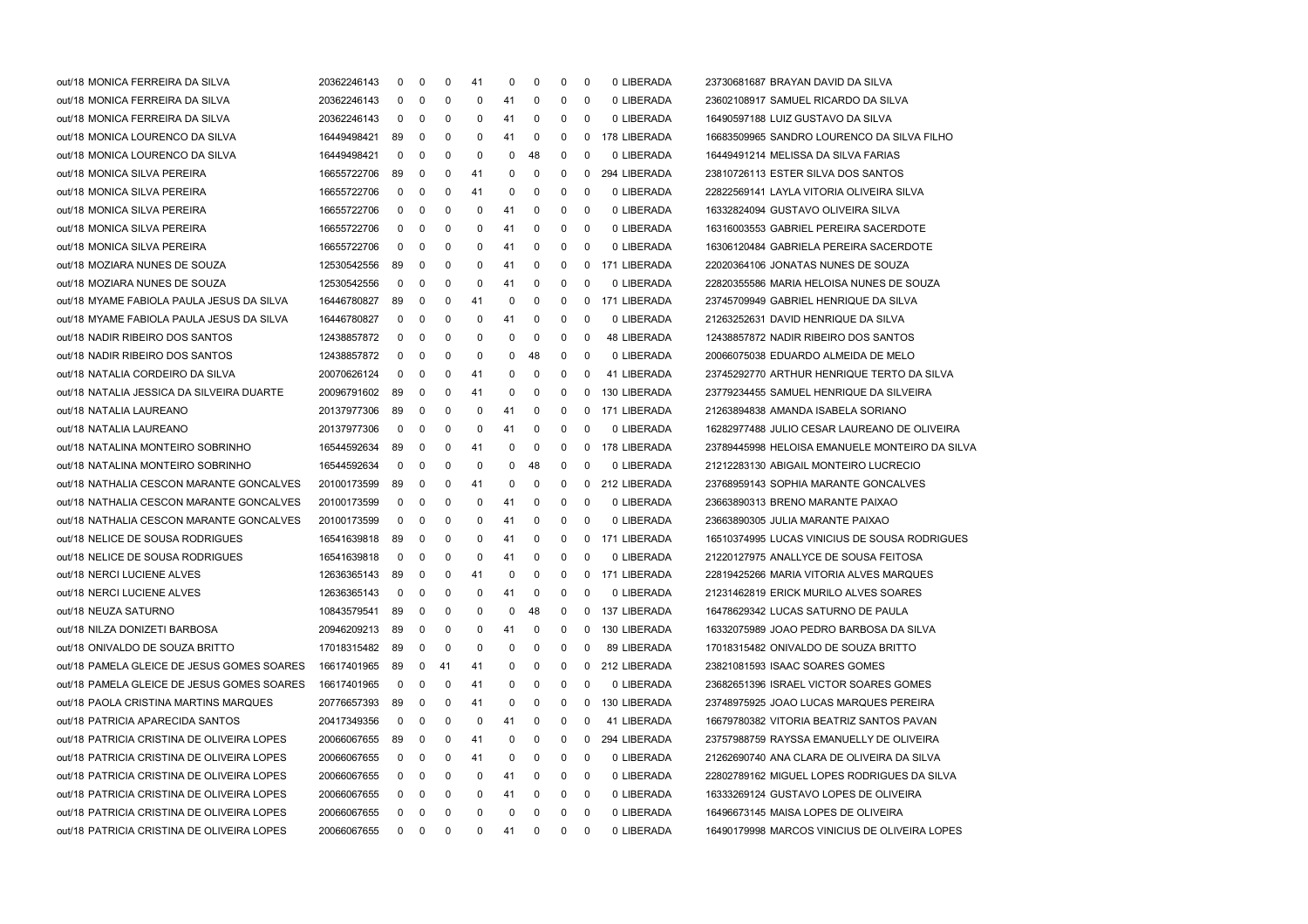| out/18 MONICA FERREIRA DA SILVA            | 20362246143 | 0                       | 0   | 0  | 41           | 0  | 0            | 0            | 0            | 0 LIBERADA   | 23730681687 BRAYAN DAVID DA SILVA              |
|--------------------------------------------|-------------|-------------------------|-----|----|--------------|----|--------------|--------------|--------------|--------------|------------------------------------------------|
| out/18 MONICA FERREIRA DA SILVA            | 20362246143 | $\mathbf 0$             | -0  | 0  | 0            | 41 | 0            | 0            | 0            | 0 LIBERADA   | 23602108917 SAMUEL RICARDO DA SILVA            |
| out/18 MONICA FERREIRA DA SILVA            | 20362246143 | 0                       | -0  | 0  | 0            | 41 | 0            | 0            | 0            | 0 LIBERADA   | 16490597188 LUIZ GUSTAVO DA SILVA              |
| out/18 MONICA LOURENCO DA SILVA            | 16449498421 | 89                      | -0  | 0  | 0            | 41 | 0            | 0            | $^{\rm o}$   | 178 LIBERADA | 16683509965 SANDRO LOURENCO DA SILVA FILHO     |
| out/18 MONICA LOURENCO DA SILVA            | 16449498421 | 0                       | 0   | 0  | 0            | 0  | 48           | 0            | 0            | 0 LIBERADA   | 16449491214 MELISSA DA SILVA FARIAS            |
| out/18 MONICA SILVA PEREIRA                | 16655722706 | 89                      | 0   | 0  | 41           | 0  | 0            | 0            | $\mathbf 0$  | 294 LIBERADA | 23810726113 ESTER SILVA DOS SANTOS             |
| out/18 MONICA SILVA PEREIRA                | 16655722706 | $\mathbf 0$             | 0   | 0  | 41           | 0  | 0            | 0            | 0            | 0 LIBERADA   | 22822569141 LAYLA VITORIA OLIVEIRA SILVA       |
| out/18 MONICA SILVA PEREIRA                | 16655722706 | 0                       | 0   | 0  | 0            | 41 | 0            | 0            | 0            | 0 LIBERADA   | 16332824094 GUSTAVO OLIVEIRA SILVA             |
| out/18 MONICA SILVA PEREIRA                | 16655722706 | 0                       | 0   | 0  | 0            | 41 | 0            | 0            | 0            | 0 LIBERADA   | 16316003553 GABRIEL PEREIRA SACERDOTE          |
| out/18 MONICA SILVA PEREIRA                | 16655722706 | 0                       | 0   | 0  | 0            | 41 | 0            | 0            | 0            | 0 LIBERADA   | 16306120484 GABRIELA PEREIRA SACERDOTE         |
| out/18 MOZIARA NUNES DE SOUZA              | 12530542556 | 89                      | 0   | 0  | 0            | 41 | 0            | 0            | 0            | 171 LIBERADA | 22020364106 JONATAS NUNES DE SOUZA             |
| out/18 MOZIARA NUNES DE SOUZA              | 12530542556 | 0                       | 0   | 0  | 0            | 41 | 0            | 0            | 0            | 0 LIBERADA   | 22820355586 MARIA HELOISA NUNES DE SOUZA       |
| out/18 MYAME FABIOLA PAULA JESUS DA SILVA  | 16446780827 | 89                      | -0  | 0  | 41           | 0  | 0            | 0            | $\mathbf 0$  | 171 LIBERADA | 23745709949 GABRIEL HENRIQUE DA SILVA          |
| out/18 MYAME FABIOLA PAULA JESUS DA SILVA  | 16446780827 | 0                       | 0   | 0  | 0            | 41 | 0            | 0            | 0            | 0 LIBERADA   | 21263252631 DAVID HENRIQUE DA SILVA            |
| out/18 NADIR RIBEIRO DOS SANTOS            | 12438857872 | 0                       | 0   | 0  | 0            | 0  | 0            | 0            | 0            | 48 LIBERADA  | 12438857872 NADIR RIBEIRO DOS SANTOS           |
| out/18 NADIR RIBEIRO DOS SANTOS            | 12438857872 | 0                       | 0   | 0  | 0            | 0  | 48           | 0            | 0            | 0 LIBERADA   | 20066075038 EDUARDO ALMEIDA DE MELO            |
| out/18 NATALIA CORDEIRO DA SILVA           | 20070626124 | 0                       | 0   | 0  | 41           | 0  | 0            | 0            | 0            | 41 LIBERADA  | 23745292770 ARTHUR HENRIQUE TERTO DA SILVA     |
| out/18 NATALIA JESSICA DA SILVEIRA DUARTE  | 20096791602 | 89                      | 0   | 0  | 41           | 0  | 0            | 0            | $\mathbf 0$  | 130 LIBERADA | 23779234455 SAMUEL HENRIQUE DA SILVEIRA        |
| out/18 NATALIA LAUREANO                    | 20137977306 | 89                      | 0   | 0  | 0            | 41 | 0            | 0            | $^{\rm o}$   | 171 LIBERADA | 21263894838 AMANDA ISABELA SORIANO             |
| out/18 NATALIA LAUREANO                    | 20137977306 | 0                       | 0   | 0  | 0            | 41 | 0            | 0            | 0            | 0 LIBERADA   | 16282977488 JULIO CESAR LAUREANO DE OLIVEIRA   |
| out/18 NATALINA MONTEIRO SOBRINHO          | 16544592634 | 89                      | 0   | 0  | 41           | 0  | 0            | 0            | $\mathbf{0}$ | 178 LIBERADA | 23789445998 HELOISA EMANUELE MONTEIRO DA SILVA |
| out/18 NATALINA MONTEIRO SOBRINHO          | 16544592634 | 0                       | 0   | 0  | 0            | 0  | 48           | 0            | 0            | 0 LIBERADA   | 21212283130 ABIGAIL MONTEIRO LUCRECIO          |
| out/18 NATHALIA CESCON MARANTE GONCALVES   | 20100173599 | 89                      | -0  | 0  | 41           | 0  | 0            | 0            | $\mathbf 0$  | 212 LIBERADA | 23768959143 SOPHIA MARANTE GONCALVES           |
| out/18 NATHALIA CESCON MARANTE GONCALVES   | 20100173599 | 0                       | 0   | 0  | 0            | 41 | 0            | 0            | 0            | 0 LIBERADA   | 23663890313 BRENO MARANTE PAIXAO               |
| out/18 NATHALIA CESCON MARANTE GONCALVES   | 20100173599 | 0                       | 0   | 0  | 0            | 41 | 0            | 0            | 0            | 0 LIBERADA   | 23663890305 JULIA MARANTE PAIXAO               |
| out/18 NELICE DE SOUSA RODRIGUES           | 16541639818 | 89                      | 0   | 0  | 0            | 41 | 0            | 0            | 0            | 171 LIBERADA | 16510374995 LUCAS VINICIUS DE SOUSA RODRIGUES  |
| out/18 NELICE DE SOUSA RODRIGUES           | 16541639818 | 0                       | 0   | 0  | 0            | 41 | 0            | 0            | 0            | 0 LIBERADA   | 21220127975 ANALLYCE DE SOUSA FEITOSA          |
| out/18 NERCI LUCIENE ALVES                 | 12636365143 | 89                      | 0   | 0  | 41           | 0  | 0            | 0            | 0            | 171 LIBERADA | 22819425266 MARIA VITORIA ALVES MARQUES        |
| out/18 NERCI LUCIENE ALVES                 | 12636365143 | $\overline{\mathbf{0}}$ | 0   | 0  | 0            | 41 | 0            | 0            | 0            | 0 LIBERADA   | 21231462819 ERICK MURILO ALVES SOARES          |
| out/18 NEUZA SATURNO                       | 10843579541 | 89                      | 0   | 0  | 0            | 0  | 48           | 0            | 0            | 137 LIBERADA | 16478629342 LUCAS SATURNO DE PAULA             |
| out/18 NILZA DONIZETI BARBOSA              | 20946209213 | 89                      | 0   | 0  | 0            | 41 | 0            | 0            | $\Omega$     | 130 LIBERADA | 16332075989 JOAO PEDRO BARBOSA DA SILVA        |
| out/18 ONIVALDO DE SOUZA BRITTO            | 17018315482 | 89                      | 0   | 0  | 0            | 0  | 0            | 0            | 0            | 89 LIBERADA  | 17018315482 ONIVALDO DE SOUZA BRITTO           |
| out/18 PAMELA GLEICE DE JESUS GOMES SOARES | 16617401965 | 89                      | 0   | 41 | 41           | 0  | 0            | 0            | 0            | 212 LIBERADA | 23821081593 ISAAC SOARES GOMES                 |
| out/18 PAMELA GLEICE DE JESUS GOMES SOARES | 16617401965 | 0                       | 0   | 0  | 41           | 0  | 0            | 0            | 0            | 0 LIBERADA   | 23682651396 ISRAEL VICTOR SOARES GOMES         |
| out/18 PAOLA CRISTINA MARTINS MARQUES      | 20776657393 | 89                      | 0   | 0  | 41           | 0  | 0            | 0            | 0            | 130 LIBERADA | 23748975925 JOAO LUCAS MARQUES PEREIRA         |
| out/18 PATRICIA APARECIDA SANTOS           | 20417349356 | 0                       | 0   | 0  | 0            | 41 | 0            | 0            | 0            | 41 LIBERADA  | 16679780382 VITORIA BEATRIZ SANTOS PAVAN       |
| out/18 PATRICIA CRISTINA DE OLIVEIRA LOPES | 20066067655 | 89                      | 0   | 0  | 41           | 0  | 0            | 0            | 0            | 294 LIBERADA | 23757988759 RAYSSA EMANUELLY DE OLIVEIRA       |
| out/18 PATRICIA CRISTINA DE OLIVEIRA LOPES | 20066067655 | $\mathbf 0$             | - 0 | 0  | 41           | 0  | 0            | 0            | 0            | 0 LIBERADA   | 21262690740 ANA CLARA DE OLIVEIRA DA SILVA     |
| out/18 PATRICIA CRISTINA DE OLIVEIRA LOPES | 20066067655 | $\mathbf 0$             | 0   | 0  | 0            | 41 | 0            | 0            | 0            | 0 LIBERADA   | 22802789162 MIGUEL LOPES RODRIGUES DA SILVA    |
| out/18 PATRICIA CRISTINA DE OLIVEIRA LOPES | 20066067655 | 0                       | 0   | 0  | 0            | 41 | 0            | 0            | 0            | 0 LIBERADA   | 16333269124 GUSTAVO LOPES DE OLIVEIRA          |
| out/18 PATRICIA CRISTINA DE OLIVEIRA LOPES | 20066067655 | 0                       | 0   | 0  | 0            | 0  | 0            | 0            | 0            | 0 LIBERADA   | 16496673145 MAISA LOPES DE OLIVEIRA            |
| out/18 PATRICIA CRISTINA DE OLIVEIRA LOPES | 20066067655 | $0\quad 0$              |     | 0  | $\mathbf{0}$ | 41 | $\mathbf{0}$ | $\mathbf{0}$ | $\mathbf 0$  | 0 LIBERADA   | 16490179998 MARCOS VINICIUS DE OLIVEIRA LOPES  |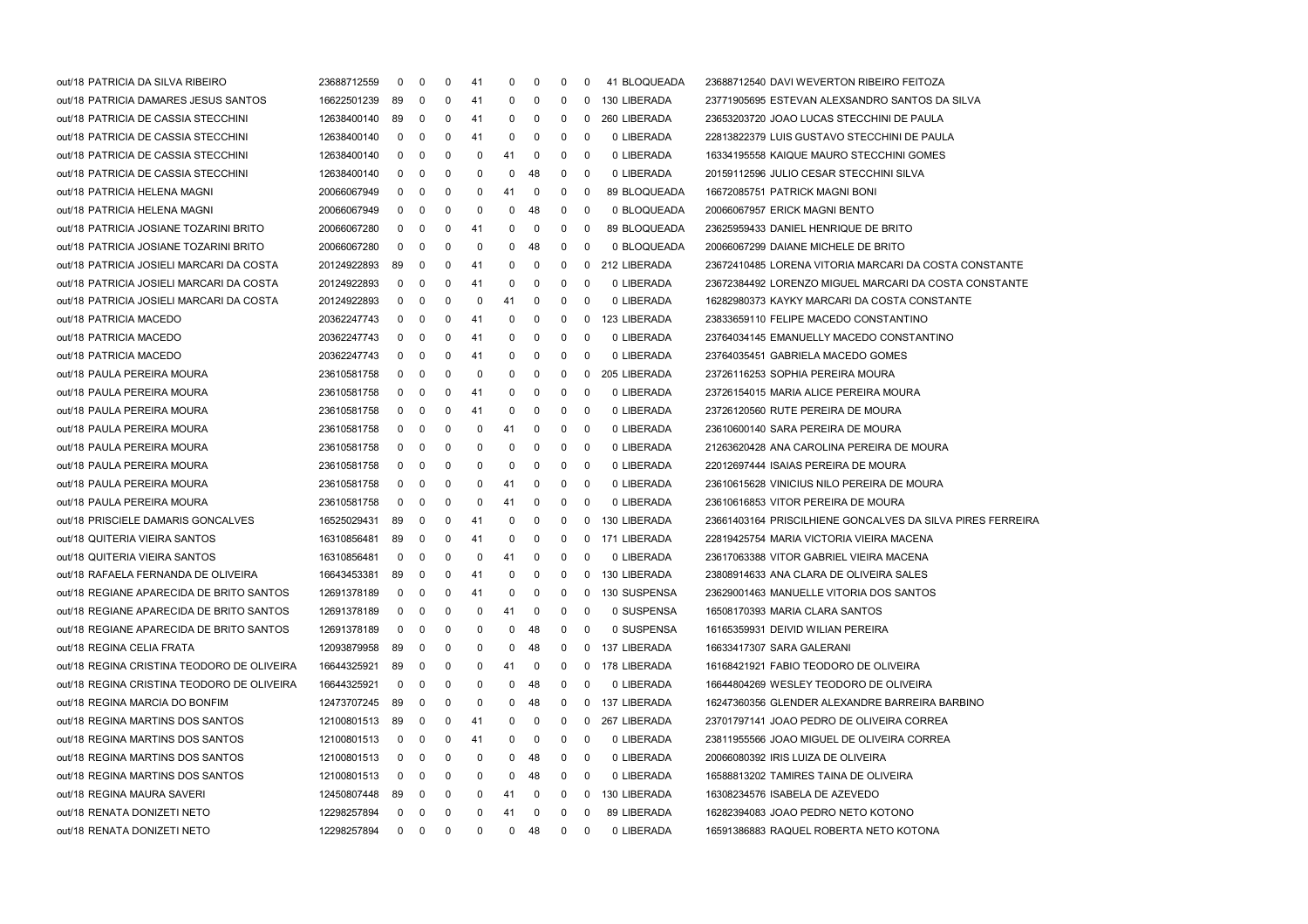| out/18 PATRICIA DA SILVA RIBEIRO           | 23688712559 | 0              | $\mathbf 0$    | 0            | 41 | 0            | 0  | 0 | 0                       | 41 BLOQUEADA | 23688712540 DAVI WEVERTON RIBEIRO FEITOZA                  |
|--------------------------------------------|-------------|----------------|----------------|--------------|----|--------------|----|---|-------------------------|--------------|------------------------------------------------------------|
| out/18 PATRICIA DAMARES JESUS SANTOS       | 16622501239 | 89             | 0              | 0            | 41 | 0            | 0  | 0 | $\mathbf{0}$            | 130 LIBERADA | 23771905695 ESTEVAN ALEXSANDRO SANTOS DA SILVA             |
| out/18 PATRICIA DE CASSIA STECCHINI        | 12638400140 | 89             | $\overline{0}$ | 0            | 41 | 0            | 0  | 0 | $\mathbf{0}$            | 260 LIBERADA | 23653203720 JOAO LUCAS STECCHINI DE PAULA                  |
| out/18 PATRICIA DE CASSIA STECCHINI        | 12638400140 | 0              | $\overline{0}$ | 0            | 41 | 0            | 0  | 0 | 0                       | 0 LIBERADA   | 22813822379 LUIS GUSTAVO STECCHINI DE PAULA                |
| out/18 PATRICIA DE CASSIA STECCHINI        | 12638400140 | 0              | $\mathbf 0$    | 0            | 0  | 41           | 0  | 0 | 0                       | 0 LIBERADA   | 16334195558 KAIQUE MAURO STECCHINI GOMES                   |
| out/18 PATRICIA DE CASSIA STECCHINI        | 12638400140 | $\mathbf{0}$   | $\mathbf 0$    | 0            | 0  | 0            | 48 | 0 | $\mathbf 0$             | 0 LIBERADA   | 20159112596 JULIO CESAR STECCHINI SILVA                    |
| out/18 PATRICIA HELENA MAGNI               | 20066067949 | 0              | 0              | 0            | 0  | 41           | 0  | 0 | 0                       | 89 BLOQUEADA | 16672085751 PATRICK MAGNI BONI                             |
| out/18 PATRICIA HELENA MAGNI               | 20066067949 | 0              | 0              | 0            | 0  | 0            | 48 | 0 | 0                       | 0 BLOQUEADA  | 20066067957 ERICK MAGNI BENTO                              |
| out/18 PATRICIA JOSIANE TOZARINI BRITO     | 20066067280 | 0              | $\overline{0}$ | 0            | 41 | 0            | 0  | 0 | 0                       | 89 BLOQUEADA | 23625959433 DANIEL HENRIQUE DE BRITO                       |
| out/18 PATRICIA JOSIANE TOZARINI BRITO     | 20066067280 | $\mathbf 0$    | $\mathbf 0$    | 0            | 0  | 0            | 48 | 0 | 0                       | 0 BLOQUEADA  | 20066067299 DAIANE MICHELE DE BRITO                        |
| out/18 PATRICIA JOSIELI MARCARI DA COSTA   | 20124922893 | 89             | $\mathbf 0$    | 0            | 41 | 0            | 0  | 0 | $\mathbf{0}$            | 212 LIBERADA | 23672410485 LORENA VITORIA MARCARI DA COSTA CONSTANTE      |
| out/18 PATRICIA JOSIELI MARCARI DA COSTA   | 20124922893 | 0              | 0              | 0            | 41 | 0            | 0  | 0 | 0                       | 0 LIBERADA   | 23672384492 LORENZO MIGUEL MARCARI DA COSTA CONSTANTE      |
| out/18 PATRICIA JOSIELI MARCARI DA COSTA   | 20124922893 | 0              | 0              | 0            | 0  | 41           | 0  | 0 | 0                       | 0 LIBERADA   | 16282980373 KAYKY MARCARI DA COSTA CONSTANTE               |
| out/18 PATRICIA MACEDO                     | 20362247743 | 0              | $\overline{0}$ | 0            | 41 | 0            | 0  | 0 | $\mathbf 0$             | 123 LIBERADA | 23833659110 FELIPE MACEDO CONSTANTINO                      |
| out/18 PATRICIA MACEDO                     | 20362247743 | 0              | $\mathbf 0$    | 0            | 41 | 0            | 0  | 0 | 0                       | 0 LIBERADA   | 23764034145 EMANUELLY MACEDO CONSTANTINO                   |
| out/18 PATRICIA MACEDO                     | 20362247743 | 0              | $\mathbf 0$    | 0            | 41 | 0            | 0  | 0 | $\mathbf 0$             | 0 LIBERADA   | 23764035451 GABRIELA MACEDO GOMES                          |
| out/18 PAULA PEREIRA MOURA                 | 23610581758 | 0              | 0              | 0            | 0  | 0            | 0  | 0 | $\mathbf{0}$            | 205 LIBERADA | 23726116253 SOPHIA PEREIRA MOURA                           |
| out/18 PAULA PEREIRA MOURA                 | 23610581758 | $\mathbf{0}$   | $\overline{0}$ | 0            | 41 | 0            | 0  | 0 | 0                       | 0 LIBERADA   | 23726154015 MARIA ALICE PEREIRA MOURA                      |
| out/18 PAULA PEREIRA MOURA                 | 23610581758 | $\mathbf 0$    | $\overline{0}$ | 0            | 41 | 0            | 0  | 0 | 0                       | 0 LIBERADA   | 23726120560 RUTE PEREIRA DE MOURA                          |
| out/18 PAULA PEREIRA MOURA                 | 23610581758 | 0              | $\mathbf 0$    | 0            | 0  | 41           | 0  | 0 | 0                       | 0 LIBERADA   | 23610600140 SARA PEREIRA DE MOURA                          |
| out/18 PAULA PEREIRA MOURA                 | 23610581758 | $\mathbf{0}$   | $\mathbf 0$    | 0            | 0  | 0            | 0  | 0 | $\mathbf 0$             | 0 LIBERADA   | 21263620428 ANA CAROLINA PEREIRA DE MOURA                  |
| out/18 PAULA PEREIRA MOURA                 | 23610581758 | 0              | 0              | 0            | 0  | 0            | 0  | 0 | 0                       | 0 LIBERADA   | 22012697444 ISAIAS PEREIRA DE MOURA                        |
| out/18 PAULA PEREIRA MOURA                 | 23610581758 | 0              | $\overline{0}$ | 0            | 0  | 41           | 0  | 0 | 0                       | 0 LIBERADA   | 23610615628 VINICIUS NILO PEREIRA DE MOURA                 |
| out/18 PAULA PEREIRA MOURA                 | 23610581758 | 0              | $\overline{0}$ | 0            | 0  | 41           | 0  | 0 | 0                       | 0 LIBERADA   | 23610616853 VITOR PEREIRA DE MOURA                         |
| out/18 PRISCIELE DAMARIS GONCALVES         | 16525029431 | 89             | $\mathbf 0$    | 0            | 41 | 0            | 0  | 0 | $\mathbf{0}$            | 130 LIBERADA | 23661403164 PRISCILHIENE GONCALVES DA SILVA PIRES FERREIRA |
| out/18 QUITERIA VIEIRA SANTOS              | 16310856481 | 89             | $\overline{0}$ | 0            | 41 | 0            | 0  | 0 | $\mathbf{0}$            | 171 LIBERADA | 22819425754 MARIA VICTORIA VIEIRA MACENA                   |
| out/18 QUITERIA VIEIRA SANTOS              | 16310856481 | 0              | 0              | 0            | 0  | 41           | 0  | 0 | 0                       | 0 LIBERADA   | 23617063388 VITOR GABRIEL VIEIRA MACENA                    |
| out/18 RAFAELA FERNANDA DE OLIVEIRA        | 16643453381 | 89             | $\overline{0}$ | 0            | 41 | 0            | 0  | 0 | 0                       | 130 LIBERADA | 23808914633 ANA CLARA DE OLIVEIRA SALES                    |
| out/18 REGIANE APARECIDA DE BRITO SANTOS   | 12691378189 | $\mathbf{0}$   | $\overline{0}$ | 0            | 41 | 0            | 0  | 0 | 0                       | 130 SUSPENSA | 23629001463 MANUELLE VITORIA DOS SANTOS                    |
| out/18 REGIANE APARECIDA DE BRITO SANTOS   | 12691378189 | $\mathbf 0$    | $\mathbf 0$    | 0            | 0  | 41           | 0  | 0 | $\mathbf 0$             | 0 SUSPENSA   | 16508170393 MARIA CLARA SANTOS                             |
| out/18 REGIANE APARECIDA DE BRITO SANTOS   | 12691378189 | $\mathbf 0$    | $\mathbf 0$    | 0            | 0  | $\mathbf{0}$ | 48 | 0 | $\overline{\mathbf{0}}$ | 0 SUSPENSA   | 16165359931 DEIVID WILIAN PEREIRA                          |
| out/18 REGINA CELIA FRATA                  | 12093879958 | 89             | 0              | 0            | 0  | 0            | 48 | 0 | 0                       | 137 LIBERADA | 16633417307 SARA GALERANI                                  |
| out/18 REGINA CRISTINA TEODORO DE OLIVEIRA | 16644325921 | 89             | $\mathbf 0$    | 0            | 0  | 41           | 0  | 0 | 0                       | 178 LIBERADA | 16168421921 FABIO TEODORO DE OLIVEIRA                      |
| out/18 REGINA CRISTINA TEODORO DE OLIVEIRA | 16644325921 | 0              | 0              | 0            | 0  | 0            | 48 | 0 | 0                       | 0 LIBERADA   | 16644804269 WESLEY TEODORO DE OLIVEIRA                     |
| out/18 REGINA MARCIA DO BONFIM             | 12473707245 | 89             | 0              | 0            | 0  | 0            | 48 | 0 | 0                       | 137 LIBERADA | 16247360356 GLENDER ALEXANDRE BARREIRA BARBINO             |
| out/18 REGINA MARTINS DOS SANTOS           | 12100801513 | 89             | 0              | 0            | 41 | 0            | 0  | 0 | 0                       | 267 LIBERADA | 23701797141 JOAO PEDRO DE OLIVEIRA CORREA                  |
| out/18 REGINA MARTINS DOS SANTOS           | 12100801513 | 0              | 0              | 0            | 41 | 0            | 0  | 0 | 0                       | 0 LIBERADA   | 23811955566 JOAO MIGUEL DE OLIVEIRA CORREA                 |
| out/18 REGINA MARTINS DOS SANTOS           | 12100801513 | 0              | $\mathbf 0$    | 0            | 0  | 0            | 48 | 0 | - 0                     | 0 LIBERADA   | 20066080392 IRIS LUIZA DE OLIVEIRA                         |
| out/18 REGINA MARTINS DOS SANTOS           | 12100801513 | 0              | 0              | 0            | 0  | 0            | 48 | 0 | 0                       | 0 LIBERADA   | 16588813202 TAMIRES TAINA DE OLIVEIRA                      |
| out/18 REGINA MAURA SAVERI                 | 12450807448 | 89             | 0              | 0            | 0  | 41           | 0  | 0 | 0                       | 130 LIBERADA | 16308234576 ISABELA DE AZEVEDO                             |
| out/18 RENATA DONIZETI NETO                | 12298257894 | 0              | $\mathbf 0$    | 0            | 0  | 41           | 0  | 0 | 0                       | 89 LIBERADA  | 16282394083 JOAO PEDRO NETO KOTONO                         |
| out/18 RENATA DONIZETI NETO                | 12298257894 | $\overline{0}$ | $\mathbf{0}$   | $\mathbf{0}$ | 0  | 0            | 48 | 0 | 0                       | 0 LIBERADA   | 16591386883 RAQUEL ROBERTA NETO KOTONA                     |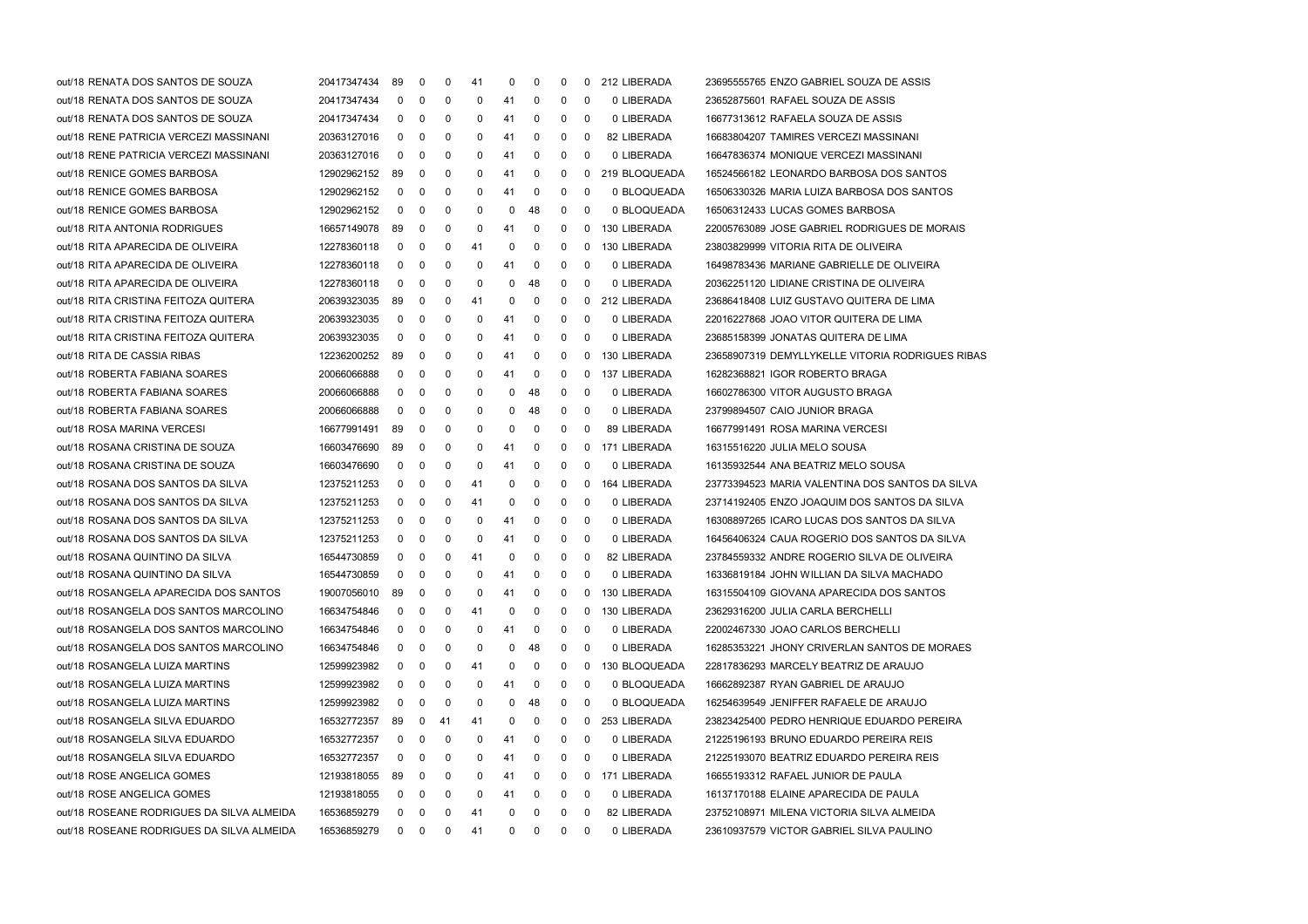| out/18 RENATA DOS SANTOS DE SOUZA         | 20417347434 | 89         | 0          | 0  | 41 | 0            | 0            | 0 |            | 0 212 LIBERADA | 23695555765 ENZO GABRIEL SOUZA DE ASSIS          |
|-------------------------------------------|-------------|------------|------------|----|----|--------------|--------------|---|------------|----------------|--------------------------------------------------|
| out/18 RENATA DOS SANTOS DE SOUZA         | 20417347434 | 0          | 0          | 0  | 0  | 41           | 0            | 0 | 0          | 0 LIBERADA     | 23652875601 RAFAEL SOUZA DE ASSIS                |
| out/18 RENATA DOS SANTOS DE SOUZA         | 20417347434 | 0          | 0          | 0  | 0  | 41           | 0            | 0 | 0          | 0 LIBERADA     | 16677313612 RAFAELA SOUZA DE ASSIS               |
| out/18 RENE PATRICIA VERCEZI MASSINANI    | 20363127016 | 0          | 0          | 0  | 0  | 41           | 0            | 0 | 0          | 82 LIBERADA    | 16683804207 TAMIRES VERCEZI MASSINANI            |
| out/18 RENE PATRICIA VERCEZI MASSINANI    | 20363127016 | 0          | 0          | 0  | 0  | 41           | 0            | 0 | 0          | 0 LIBERADA     | 16647836374 MONIQUE VERCEZI MASSINANI            |
| out/18 RENICE GOMES BARBOSA               | 12902962152 | -89        | 0          | 0  | 0  | 41           | 0            | 0 | 0          | 219 BLOQUEADA  | 16524566182 LEONARDO BARBOSA DOS SANTOS          |
| out/18 RENICE GOMES BARBOSA               | 12902962152 | 0          | 0          | 0  | 0  | 41           | 0            | 0 | 0          | 0 BLOQUEADA    | 16506330326 MARIA LUIZA BARBOSA DOS SANTOS       |
| out/18 RENICE GOMES BARBOSA               | 12902962152 | 0          | 0          | 0  | 0  | 0            | 48           | 0 | 0          | 0 BLOQUEADA    | 16506312433 LUCAS GOMES BARBOSA                  |
| out/18 RITA ANTONIA RODRIGUES             | 16657149078 | 89         | 0          | 0  | 0  | 41           | 0            | 0 | 0          | 130 LIBERADA   | 22005763089 JOSE GABRIEL RODRIGUES DE MORAIS     |
| out/18 RITA APARECIDA DE OLIVEIRA         | 12278360118 | 0          | 0          | 0  | 41 | 0            | 0            | 0 | 0          | 130 LIBERADA   | 23803829999 VITORIA RITA DE OLIVEIRA             |
| out/18 RITA APARECIDA DE OLIVEIRA         | 12278360118 | 0          | 0          | 0  | 0  | 41           | 0            | 0 | 0          | 0 LIBERADA     | 16498783436 MARIANE GABRIELLE DE OLIVEIRA        |
| out/18 RITA APARECIDA DE OLIVEIRA         | 12278360118 | 0          | 0          | 0  | 0  | 0            | 48           | 0 | 0          | 0 LIBERADA     | 20362251120 LIDIANE CRISTINA DE OLIVEIRA         |
| out/18 RITA CRISTINA FEITOZA QUITERA      | 20639323035 | 89         | 0          | 0  | 41 | 0            | 0            | 0 | 0          | 212 LIBERADA   | 23686418408 LUIZ GUSTAVO QUITERA DE LIMA         |
| out/18 RITA CRISTINA FEITOZA QUITERA      | 20639323035 | 0          | 0          | 0  | 0  | 41           | 0            | 0 | 0          | 0 LIBERADA     | 22016227868 JOAO VITOR QUITERA DE LIMA           |
| out/18 RITA CRISTINA FEITOZA QUITERA      | 20639323035 | 0          | 0          | 0  | 0  | 41           | 0            | 0 | 0          | 0 LIBERADA     | 23685158399 JONATAS QUITERA DE LIMA              |
| out/18 RITA DE CASSIA RIBAS               | 12236200252 | 89         | 0          | 0  | 0  | 41           | 0            | 0 | $^{\rm o}$ | 130 LIBERADA   | 23658907319 DEMYLLYKELLE VITORIA RODRIGUES RIBAS |
| out/18 ROBERTA FABIANA SOARES             | 20066066888 | 0          | 0          | 0  | 0  | 41           | 0            | 0 | $^{\rm o}$ | 137 LIBERADA   | 16282368821 IGOR ROBERTO BRAGA                   |
| out/18 ROBERTA FABIANA SOARES             | 20066066888 | 0          | 0          | 0  | 0  | 0            | 48           | 0 | 0          | 0 LIBERADA     | 16602786300 VITOR AUGUSTO BRAGA                  |
| out/18 ROBERTA FABIANA SOARES             | 20066066888 | 0          | 0          | 0  | 0  | 0            | 48           | 0 | 0          | 0 LIBERADA     | 23799894507 CAIO JUNIOR BRAGA                    |
| out/18 ROSA MARINA VERCESI                | 16677991491 | -89        | 0          | 0  | 0  | 0            | 0            | 0 | 0          | 89 LIBERADA    | 16677991491 ROSA MARINA VERCESI                  |
| out/18 ROSANA CRISTINA DE SOUZA           | 16603476690 | 89         | 0          | 0  | 0  | 41           | 0            | 0 |            | 0 171 LIBERADA | 16315516220 JULIA MELO SOUSA                     |
| out/18 ROSANA CRISTINA DE SOUZA           | 16603476690 | 0          | 0          | 0  | 0  | 41           | 0            | 0 | 0          | 0 LIBERADA     | 16135932544 ANA BEATRIZ MELO SOUSA               |
| out/18 ROSANA DOS SANTOS DA SILVA         | 12375211253 | 0          | 0          | 0  | 41 | 0            | 0            | 0 | 0          | 164 LIBERADA   | 23773394523 MARIA VALENTINA DOS SANTOS DA SILVA  |
| out/18 ROSANA DOS SANTOS DA SILVA         | 12375211253 | 0          | 0          | 0  | 41 | 0            | 0            | 0 | 0          | 0 LIBERADA     | 23714192405 ENZO JOAQUIM DOS SANTOS DA SILVA     |
| out/18 ROSANA DOS SANTOS DA SILVA         | 12375211253 | 0          | 0          | 0  | 0  | 41           | 0            | 0 | 0          | 0 LIBERADA     | 16308897265 ICARO LUCAS DOS SANTOS DA SILVA      |
| out/18 ROSANA DOS SANTOS DA SILVA         | 12375211253 | 0          | 0          | 0  | 0  | 41           | 0            | 0 | 0          | 0 LIBERADA     | 16456406324 CAUA ROGERIO DOS SANTOS DA SILVA     |
| out/18 ROSANA QUINTINO DA SILVA           | 16544730859 | 0          | 0          | 0  | 41 | 0            | 0            | 0 | 0          | 82 LIBERADA    | 23784559332 ANDRE ROGERIO SILVA DE OLIVEIRA      |
| out/18 ROSANA QUINTINO DA SILVA           | 16544730859 | 0          | 0          | 0  | 0  | 41           | 0            | 0 | 0          | 0 LIBERADA     | 16336819184 JOHN WILLIAN DA SILVA MACHADO        |
| out/18 ROSANGELA APARECIDA DOS SANTOS     | 19007056010 | 89         | 0          | 0  | 0  | 41           | 0            | 0 | 0          | 130 LIBERADA   | 16315504109 GIOVANA APARECIDA DOS SANTOS         |
| out/18 ROSANGELA DOS SANTOS MARCOLINO     | 16634754846 | 0          | 0          | 0  | 41 | 0            | 0            | 0 | 0          | 130 LIBERADA   | 23629316200 JULIA CARLA BERCHELLI                |
| out/18 ROSANGELA DOS SANTOS MARCOLINO     | 16634754846 | $^{\rm o}$ | 0          | 0  | 0  | 41           | 0            | 0 | 0          | 0 LIBERADA     | 22002467330 JOAO CARLOS BERCHELLI                |
| out/18 ROSANGELA DOS SANTOS MARCOLINO     | 16634754846 | 0          | 0          | 0  | 0  | 0            | 48           | 0 | 0          | 0 LIBERADA     | 16285353221 JHONY CRIVERLAN SANTOS DE MORAES     |
| out/18 ROSANGELA LUIZA MARTINS            | 12599923982 | 0          | 0          | 0  | 41 | 0            | 0            | 0 | 0          | 130 BLOQUEADA  | 22817836293 MARCELY BEATRIZ DE ARAUJO            |
| out/18 ROSANGELA LUIZA MARTINS            | 12599923982 | 0          | 0          | 0  | 0  | 41           | 0            | 0 | 0          | 0 BLOQUEADA    | 16662892387 RYAN GABRIEL DE ARAUJO               |
| out/18 ROSANGELA LUIZA MARTINS            | 12599923982 | 0          | 0          | 0  | 0  | 0            | 48           | 0 | 0          | 0 BLOQUEADA    | 16254639549 JENIFFER RAFAELE DE ARAUJO           |
| out/18 ROSANGELA SILVA EDUARDO            | 16532772357 | 89         | 0          | 41 | 41 | 0            | 0            | 0 | 0          | 253 LIBERADA   | 23823425400 PEDRO HENRIQUE EDUARDO PEREIRA       |
| out/18 ROSANGELA SILVA EDUARDO            | 16532772357 | 0          | 0          | 0  | 0  | 41           | 0            | 0 | 0          | 0 LIBERADA     | 21225196193 BRUNO EDUARDO PEREIRA REIS           |
| out/18 ROSANGELA SILVA EDUARDO            | 16532772357 | 0          | 0          | 0  | 0  | 41           | 0            | 0 | 0          | 0 LIBERADA     | 21225193070 BEATRIZ EDUARDO PEREIRA REIS         |
| out/18 ROSE ANGELICA GOMES                | 12193818055 | 89         | 0          | 0  | 0  | 41           | 0            | 0 | $^{\rm o}$ | 171 LIBERADA   | 16655193312 RAFAEL JUNIOR DE PAULA               |
| out/18 ROSE ANGELICA GOMES                | 12193818055 | 0          | 0          | 0  | 0  | 41           | 0            | 0 | 0          | 0 LIBERADA     | 16137170188 ELAINE APARECIDA DE PAULA            |
| out/18 ROSEANE RODRIGUES DA SILVA ALMEIDA | 16536859279 | 0          | 0          | 0  | 41 | 0            | 0            | 0 | 0          | 82 LIBERADA    | 23752108971 MILENA VICTORIA SILVA ALMEIDA        |
| out/18 ROSEANE RODRIGUES DA SILVA ALMEIDA | 16536859279 |            | $0\quad 0$ | 0  | 41 | $\mathbf{0}$ | $\mathbf{0}$ | 0 | 0          | 0 LIBERADA     | 23610937579 VICTOR GABRIEL SILVA PAULINO         |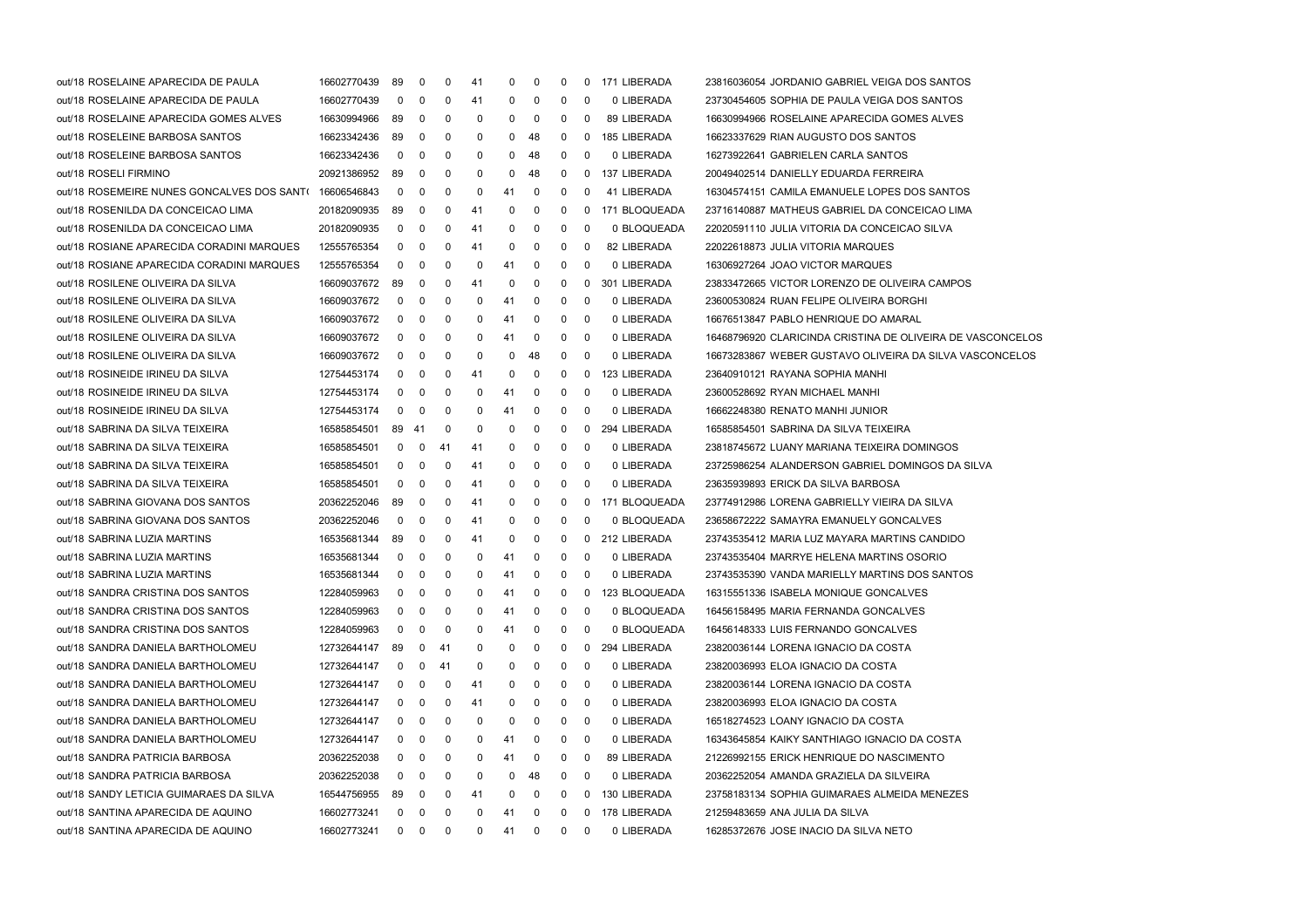| out/18 ROSELAINE APARECIDA DE PAULA        | 16602770439 | 89           | $\mathbf 0$  | 0   | 41  | 0   | 0           | 0            | 0   | 171 LIBERADA  | 23816036054 JORDANIO GABRIEL VEIGA DOS SANTOS              |
|--------------------------------------------|-------------|--------------|--------------|-----|-----|-----|-------------|--------------|-----|---------------|------------------------------------------------------------|
| out/18 ROSELAINE APARECIDA DE PAULA        | 16602770439 | $\mathbf 0$  | $\mathbf 0$  | 0   | 41  | 0   | 0           | 0            | - 0 | 0 LIBERADA    | 23730454605 SOPHIA DE PAULA VEIGA DOS SANTOS               |
| out/18 ROSELAINE APARECIDA GOMES ALVES     | 16630994966 | 89           | 0            | 0   | 0   | 0   | 0           | 0            | 0   | 89 LIBERADA   | 16630994966 ROSELAINE APARECIDA GOMES ALVES                |
| out/18 ROSELEINE BARBOSA SANTOS            | 16623342436 | 89           | 0            | 0   | 0   | 0   | 48          | 0            | 0   | 185 LIBERADA  | 16623337629 RIAN AUGUSTO DOS SANTOS                        |
| out/18 ROSELEINE BARBOSA SANTOS            | 16623342436 | $\mathbf 0$  | 0            | 0   | 0   | 0   | 48          | 0            | -0  | 0 LIBERADA    | 16273922641 GABRIELEN CARLA SANTOS                         |
| out/18 ROSELI FIRMINO                      | 20921386952 | 89           | 0            | 0   | 0   | 0   | 48          | 0            | 0   | 137 LIBERADA  | 20049402514 DANIELLY EDUARDA FERREIRA                      |
| out/18 ROSEMEIRE NUNES GONCALVES DOS SANT( | 16606546843 | 0            | 0            | 0   | 0   | 41  | $\mathbf 0$ | 0            | -0  | 41 LIBERADA   | 16304574151 CAMILA EMANUELE LOPES DOS SANTOS               |
| out/18 ROSENILDA DA CONCEICAO LIMA         | 20182090935 | 89           | 0            | 0   | 41  | 0   | 0           | 0            | 0   | 171 BLOQUEADA | 23716140887 MATHEUS GABRIEL DA CONCEICAO LIMA              |
| out/18 ROSENILDA DA CONCEICAO LIMA         | 20182090935 | 0            | 0            | 0   | 41  | 0   | $\mathbf 0$ | 0            | 0   | 0 BLOQUEADA   | 22020591110 JULIA VITORIA DA CONCEICAO SILVA               |
| out/18 ROSIANE APARECIDA CORADINI MARQUES  | 12555765354 | 0            | 0            | 0   | 41  | 0   | 0           | 0            | - 0 | 82 LIBERADA   | 22022618873 JULIA VITORIA MARQUES                          |
| out/18 ROSIANE APARECIDA CORADINI MARQUES  | 12555765354 | $\mathbf 0$  | $\mathbf 0$  | 0   | 0   | 41  | $\mathbf 0$ | 0            | - 0 | 0 LIBERADA    | 16306927264 JOAO VICTOR MARQUES                            |
| out/18 ROSILENE OLIVEIRA DA SILVA          | 16609037672 | 89           | 0            | 0   | 41  | 0   | $\mathbf 0$ | 0            | 0   | 301 LIBERADA  | 23833472665 VICTOR LORENZO DE OLIVEIRA CAMPOS              |
| out/18 ROSILENE OLIVEIRA DA SILVA          | 16609037672 | $\mathbf 0$  | 0            | 0   | 0   | 41  | 0           | 0            | 0   | 0 LIBERADA    | 23600530824 RUAN FELIPE OLIVEIRA BORGHI                    |
| out/18 ROSILENE OLIVEIRA DA SILVA          | 16609037672 | $\mathbf 0$  | 0            | 0   | 0   | 41  | $\mathbf 0$ | 0            | - 0 | 0 LIBERADA    | 16676513847 PABLO HENRIQUE DO AMARAL                       |
| out/18 ROSILENE OLIVEIRA DA SILVA          | 16609037672 | $\mathbf 0$  | 0            | 0   | 0   | 41  | 0           | 0            | - 0 | 0 LIBERADA    | 16468796920 CLARICINDA CRISTINA DE OLIVEIRA DE VASCONCELOS |
| out/18 ROSILENE OLIVEIRA DA SILVA          | 16609037672 | $\mathbf 0$  | $\mathbf 0$  | 0   | 0   | 0   | 48          | 0            | - 0 | 0 LIBERADA    | 16673283867 WEBER GUSTAVO OLIVEIRA DA SILVA VASCONCELOS    |
| out/18 ROSINEIDE IRINEU DA SILVA           | 12754453174 | 0            | 0            | 0   | 41  | 0   | 0           | 0            | - 0 | 123 LIBERADA  | 23640910121 RAYANA SOPHIA MANHI                            |
| out/18 ROSINEIDE IRINEU DA SILVA           | 12754453174 | 0            | 0            | 0   | 0   | 41  | 0           | 0            | 0   | 0 LIBERADA    | 23600528692 RYAN MICHAEL MANHI                             |
| out/18 ROSINEIDE IRINEU DA SILVA           | 12754453174 | $\mathbf 0$  | 0            | 0   | 0   | 41  | $\mathbf 0$ | 0            | 0   | 0 LIBERADA    | 16662248380 RENATO MANHI JUNIOR                            |
| out/18 SABRINA DA SILVA TEIXEIRA           | 16585854501 | 89 41        |              | 0   | 0   | 0   | 0           | 0            | 0   | 294 LIBERADA  | 16585854501 SABRINA DA SILVA TEIXEIRA                      |
| out/18 SABRINA DA SILVA TEIXEIRA           | 16585854501 | $\mathbf 0$  | $\mathbf 0$  | 41  | -41 | 0   | $\mathbf 0$ | 0            | - 0 | 0 LIBERADA    | 23818745672 LUANY MARIANA TEIXEIRA DOMINGOS                |
| out/18 SABRINA DA SILVA TEIXEIRA           | 16585854501 | 0            | 0            | 0   | 41  | 0   | $\mathbf 0$ | 0            | - 0 | 0 LIBERADA    | 23725986254 ALANDERSON GABRIEL DOMINGOS DA SILVA           |
| out/18 SABRINA DA SILVA TEIXEIRA           | 16585854501 | 0            | 0            | 0   | 41  | 0   | 0           | 0            | 0   | 0 LIBERADA    | 23635939893 ERICK DA SILVA BARBOSA                         |
| out/18 SABRINA GIOVANA DOS SANTOS          | 20362252046 | 89           | 0            | 0   | -41 | 0   | 0           | 0            | 0   | 171 BLOQUEADA | 23774912986 LORENA GABRIELLY VIEIRA DA SILVA               |
| out/18 SABRINA GIOVANA DOS SANTOS          | 20362252046 | 0            | 0            | 0   | -41 | 0   | 0           | 0            | 0   | 0 BLOQUEADA   | 23658672222 SAMAYRA EMANUELY GONCALVES                     |
| out/18 SABRINA LUZIA MARTINS               | 16535681344 | 89           | $\mathbf 0$  | 0   | -41 | 0   | $\mathbf 0$ | 0            | 0   | 212 LIBERADA  | 23743535412 MARIA LUZ MAYARA MARTINS CANDIDO               |
| out/18 SABRINA LUZIA MARTINS               | 16535681344 | 0            | 0            | 0   | 0   | 41  | $\mathbf 0$ | 0            | - 0 | 0 LIBERADA    | 23743535404 MARRYE HELENA MARTINS OSORIO                   |
| out/18 SABRINA LUZIA MARTINS               | 16535681344 | 0            | 0            | 0   | 0   | 41  | 0           | 0            | 0   | 0 LIBERADA    | 23743535390 VANDA MARIELLY MARTINS DOS SANTOS              |
| out/18 SANDRA CRISTINA DOS SANTOS          | 12284059963 | 0            | 0            | 0   | 0   | 41  | $\mathbf 0$ | 0            | -0  | 123 BLOQUEADA | 16315551336 ISABELA MONIQUE GONCALVES                      |
| out/18 SANDRA CRISTINA DOS SANTOS          | 12284059963 | 0            | 0            | 0   | 0   | 41  | 0           | 0            | - 0 | 0 BLOQUEADA   | 16456158495 MARIA FERNANDA GONCALVES                       |
| out/18 SANDRA CRISTINA DOS SANTOS          | 12284059963 | $\mathbf 0$  | $\mathbf 0$  | 0   | 0   | -41 | $\mathbf 0$ | 0            | - 0 | 0 BLOQUEADA   | 16456148333 LUIS FERNANDO GONCALVES                        |
| out/18 SANDRA DANIELA BARTHOLOMEU          | 12732644147 | 89           | $\mathbf{0}$ | -41 | 0   | 0   | 0           | 0            | 0   | 294 LIBERADA  | 23820036144 LORENA IGNACIO DA COSTA                        |
| out/18 SANDRA DANIELA BARTHOLOMEU          | 12732644147 | 0            | 0            | 41  | 0   | 0   | 0           | 0            | 0   | 0 LIBERADA    | 23820036993 ELOA IGNACIO DA COSTA                          |
| out/18 SANDRA DANIELA BARTHOLOMEU          | 12732644147 | 0            | 0            | 0   | 41  | 0   | 0           | 0            | - 0 | 0 LIBERADA    | 23820036144 LORENA IGNACIO DA COSTA                        |
| out/18 SANDRA DANIELA BARTHOLOMEU          | 12732644147 | 0            | 0            | 0   | 41  | 0   | 0           | 0            | - 0 | 0 LIBERADA    | 23820036993 ELOA IGNACIO DA COSTA                          |
| out/18 SANDRA DANIELA BARTHOLOMEU          | 12732644147 | 0            | 0            | 0   | 0   | 0   | 0           | 0            | - 0 | 0 LIBERADA    | 16518274523 LOANY IGNACIO DA COSTA                         |
| out/18 SANDRA DANIELA BARTHOLOMEU          | 12732644147 | 0            | 0            | 0   | 0   | 41  | 0           | 0            | - 0 | 0 LIBERADA    | 16343645854 KAIKY SANTHIAGO IGNACIO DA COSTA               |
| out/18 SANDRA PATRICIA BARBOSA             | 20362252038 | 0            | 0            | 0   | 0   | 41  | 0           | 0            | 0   | 89 LIBERADA   | 21226992155 ERICK HENRIQUE DO NASCIMENTO                   |
| out/18 SANDRA PATRICIA BARBOSA             | 20362252038 | 0            | 0            | 0   | 0   | 0   | 48          | 0            | 0   | 0 LIBERADA    | 20362252054 AMANDA GRAZIELA DA SILVEIRA                    |
| out/18 SANDY LETICIA GUIMARAES DA SILVA    | 16544756955 | 89           | 0            | 0   | 41  | 0   | 0           | 0            | 0   | 130 LIBERADA  | 23758183134 SOPHIA GUIMARAES ALMEIDA MENEZES               |
| out/18 SANTINA APARECIDA DE AQUINO         | 16602773241 | $\mathbf 0$  | 0            | 0   | 0   | 41  | 0           | 0            | 0   | 178 LIBERADA  | 21259483659 ANA JULIA DA SILVA                             |
| out/18 SANTINA APARECIDA DE AQUINO         | 16602773241 | $\mathbf{0}$ | $\mathbf{0}$ | 0   | 0   | 41  | 0           | $\mathbf{0}$ | 0   | 0 LIBERADA    | 16285372676 JOSE INACIO DA SILVA NETO                      |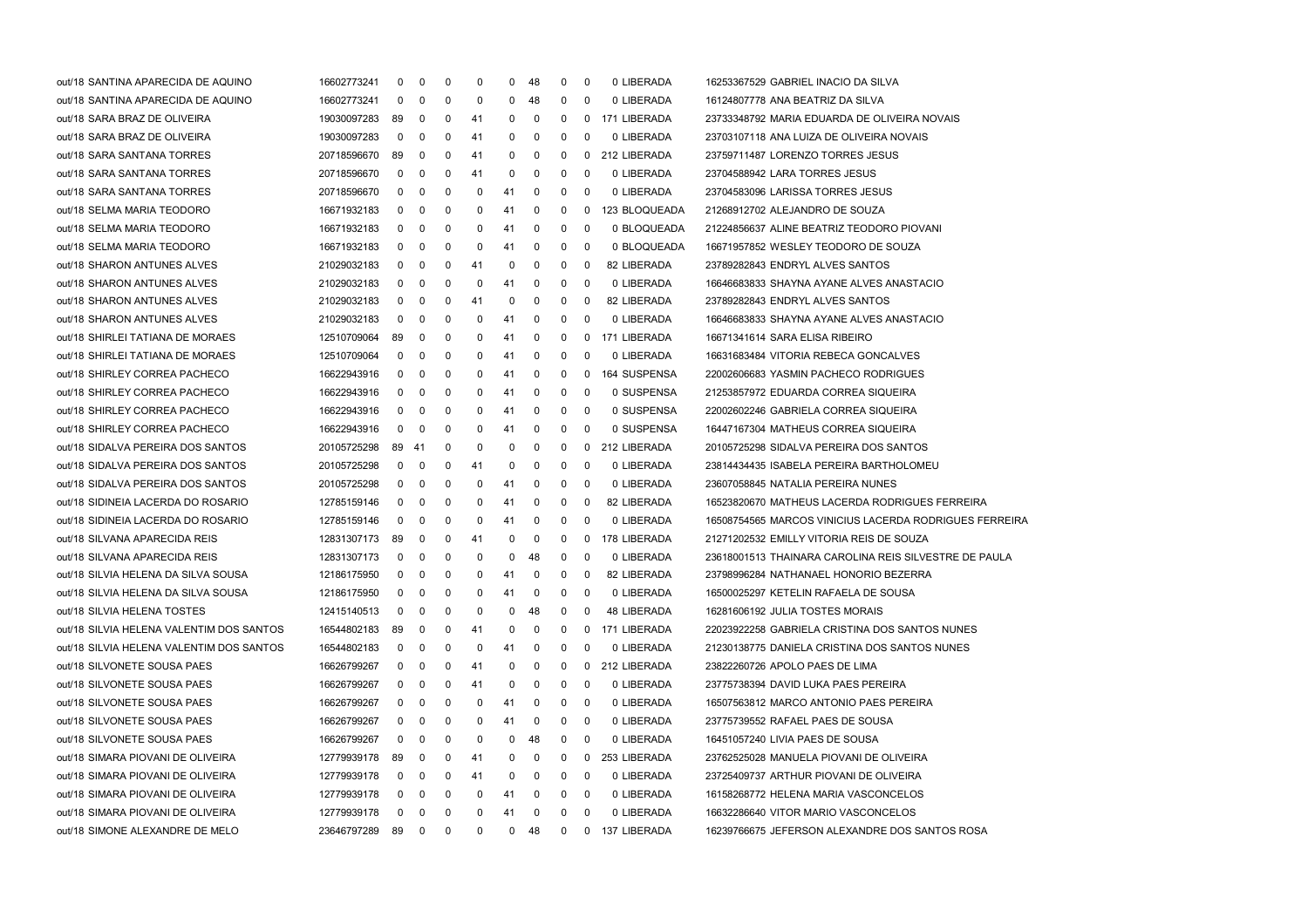| out/18 SANTINA APARECIDA DE AQUINO       | 16602773241      | 0            | $\overline{0}$          | 0            | 0  | 0  | -48    | 0            | 0 | 0 LIBERADA     | 16253367529 GABRIEL INACIO DA SILVA                    |
|------------------------------------------|------------------|--------------|-------------------------|--------------|----|----|--------|--------------|---|----------------|--------------------------------------------------------|
| out/18 SANTINA APARECIDA DE AQUINO       | 16602773241      | 0            | 0                       | 0            | 0  | 0  | 48     | 0            | 0 | 0 LIBERADA     | 16124807778 ANA BEATRIZ DA SILVA                       |
| out/18 SARA BRAZ DE OLIVEIRA             | 19030097283      | 89           | $\mathbf{0}$            | 0            | 41 | 0  | 0      | 0            | 0 | 171 LIBERADA   | 23733348792 MARIA EDUARDA DE OLIVEIRA NOVAIS           |
| out/18 SARA BRAZ DE OLIVEIRA             | 19030097283      | $\mathbf{0}$ | $\mathbf 0$             | $\mathbf 0$  | 41 | 0  | 0      | 0            | 0 | 0 LIBERADA     | 23703107118 ANA LUIZA DE OLIVEIRA NOVAIS               |
| out/18 SARA SANTANA TORRES               | 20718596670      | 89           | $\overline{0}$          | $\mathbf 0$  | 41 | 0  | 0      | 0            | 0 | 212 LIBERADA   | 23759711487 LORENZO TORRES JESUS                       |
| out/18 SARA SANTANA TORRES               | 20718596670      | $\mathbf 0$  | $\overline{\mathbf{0}}$ | 0            | 41 | 0  | 0      | 0            | 0 | 0 LIBERADA     | 23704588942 LARA TORRES JESUS                          |
| out/18 SARA SANTANA TORRES               | 20718596670      | 0            | 0                       | 0            | 0  | 41 | 0      | 0            | 0 | 0 LIBERADA     | 23704583096 LARISSA TORRES JESUS                       |
| out/18 SELMA MARIA TEODORO               | 16671932183      | $\mathbf{0}$ | $\mathbf{0}$            | 0            | 0  | 41 | 0      | 0            | 0 | 123 BLOQUEADA  | 21268912702 ALEJANDRO DE SOUZA                         |
| out/18 SELMA MARIA TEODORO               | 16671932183      | $\mathbf{0}$ | $\overline{0}$          | 0            | 0  | 41 | 0      | 0            | 0 | 0 BLOQUEADA    | 21224856637 ALINE BEATRIZ TEODORO PIOVANI              |
| out/18 SELMA MARIA TEODORO               | 16671932183      | $\mathbf{0}$ | $\overline{0}$          | $\mathbf 0$  | 0  | 41 | 0      | 0            | 0 | 0 BLOQUEADA    | 16671957852 WESLEY TEODORO DE SOUZA                    |
| out/18 SHARON ANTUNES ALVES              | 21029032183      | $\mathbf{0}$ | $\overline{0}$          | 0            | 41 | 0  | 0      | 0            | 0 | 82 LIBERADA    | 23789282843 ENDRYL ALVES SANTOS                        |
| out/18 SHARON ANTUNES ALVES              | 21029032183      | 0            | $\mathbf{0}$            | 0            | 0  | 41 | 0      | 0            | 0 | 0 LIBERADA     | 16646683833 SHAYNA AYANE ALVES ANASTACIO               |
| out/18 SHARON ANTUNES ALVES              | 21029032183      | $\mathbf{0}$ | $\mathbf{0}$            | 0            | 41 | 0  | 0      | 0            | 0 | 82 LIBERADA    | 23789282843 ENDRYL ALVES SANTOS                        |
| out/18 SHARON ANTUNES ALVES              | 21029032183      | $\mathbf{0}$ | $\mathbf 0$             | $\mathbf 0$  | 0  | 41 | 0      | 0            | 0 | 0 LIBERADA     | 16646683833 SHAYNA AYANE ALVES ANASTACIO               |
| out/18 SHIRLEI TATIANA DE MORAES         | 12510709064      | 89           | $\overline{0}$          | 0            | 0  | 41 | 0      | 0            | 0 | 171 LIBERADA   | 16671341614 SARA ELISA RIBEIRO                         |
| out/18 SHIRLEI TATIANA DE MORAES         | 12510709064      | 0            | $\overline{0}$          | 0            | 0  | 41 | 0      | 0            | 0 | 0 LIBERADA     | 16631683484 VITORIA REBECA GONCALVES                   |
| out/18 SHIRLEY CORREA PACHECO            | 16622943916      | 0            | 0                       | 0            | 0  | 41 | 0      | 0            | 0 | 164 SUSPENSA   | 22002606683 YASMIN PACHECO RODRIGUES                   |
| out/18 SHIRLEY CORREA PACHECO            | 16622943916      | $\mathbf{0}$ | 0                       | 0            | 0  | 41 | 0      | 0            | 0 | 0 SUSPENSA     | 21253857972 EDUARDA CORREA SIQUEIRA                    |
| out/18 SHIRLEY CORREA PACHECO            | 16622943916      | $\mathbf{0}$ | $\overline{0}$          | $\mathbf 0$  | 0  | 41 | 0      | 0            | 0 | 0 SUSPENSA     | 22002602246 GABRIELA CORREA SIQUEIRA                   |
| out/18 SHIRLEY CORREA PACHECO            | 16622943916      | $\mathbf{0}$ | $\overline{\mathbf{0}}$ | $\mathbf 0$  | 0  | 41 | 0      | 0            | 0 | 0 SUSPENSA     | 16447167304 MATHEUS CORREA SIQUEIRA                    |
| out/18 SIDALVA PEREIRA DOS SANTOS        | 20105725298      | 89 41        |                         | 0            | 0  | 0  | 0      | 0            | 0 | 212 LIBERADA   | 20105725298 SIDALVA PEREIRA DOS SANTOS                 |
| out/18 SIDALVA PEREIRA DOS SANTOS        | 20105725298      | 0            | $\overline{0}$          | 0            | 41 | 0  | 0      | 0            | 0 | 0 LIBERADA     | 23814434435 ISABELA PEREIRA BARTHOLOMEU                |
| out/18 SIDALVA PEREIRA DOS SANTOS        | 20105725298      | $\mathbf{0}$ | 0                       | 0            | 0  | 41 | 0      | 0            | 0 | 0 LIBERADA     | 23607058845 NATALIA PEREIRA NUNES                      |
| out/18 SIDINEIA LACERDA DO ROSARIO       | 12785159146      | $\mathbf{0}$ | $\mathbf 0$             | 0            | 0  | 41 | 0      | 0            | 0 | 82 LIBERADA    | 16523820670 MATHEUS LACERDA RODRIGUES FERREIRA         |
| out/18 SIDINEIA LACERDA DO ROSARIO       | 12785159146      | $\mathbf{0}$ | $\overline{0}$          | $\mathbf 0$  | 0  | 41 | 0      | 0            | 0 | 0 LIBERADA     | 16508754565 MARCOS VINICIUS LACERDA RODRIGUES FERREIRA |
| out/18 SILVANA APARECIDA REIS            | 12831307173      | 89           | 0                       | 0            | 41 | 0  | 0      | 0            | 0 | 178 LIBERADA   | 21271202532 EMILLY VITORIA REIS DE SOUZA               |
| out/18 SILVANA APARECIDA REIS            | 12831307173      | 0            | 0                       | 0            | 0  | 0  | 48     | 0            | 0 | 0 LIBERADA     | 23618001513 THAINARA CAROLINA REIS SILVESTRE DE PAULA  |
| out/18 SILVIA HELENA DA SILVA SOUSA      | 12186175950      | 0            | 0                       | 0            | 0  | 41 | 0      | 0            | 0 | 82 LIBERADA    | 23798996284 NATHANAEL HONORIO BEZERRA                  |
| out/18 SILVIA HELENA DA SILVA SOUSA      | 12186175950      | $\mathbf{0}$ | 0                       | 0            | 0  | 41 | 0      | 0            | 0 | 0 LIBERADA     | 16500025297 KETELIN RAFAELA DE SOUSA                   |
| out/18 SILVIA HELENA TOSTES              | 12415140513      | $\mathbf{0}$ | $\overline{0}$          | $\mathbf 0$  | 0  | 0  | 48     | 0            | 0 | 48 LIBERADA    | 16281606192 JULIA TOSTES MORAIS                        |
| out/18 SILVIA HELENA VALENTIM DOS SANTOS | 16544802183      | 89           | $\overline{\mathbf{0}}$ | 0            | 41 | 0  | 0      | $\mathbf 0$  |   | 0 171 LIBERADA | 22023922258 GABRIELA CRISTINA DOS SANTOS NUNES         |
| out/18 SILVIA HELENA VALENTIM DOS SANTOS | 16544802183      | 0            | 0                       | 0            | 0  | 41 | 0      | 0            | 0 | 0 LIBERADA     | 21230138775 DANIELA CRISTINA DOS SANTOS NUNES          |
| out/18 SILVONETE SOUSA PAES              | 16626799267      | 0            | 0                       | 0            | 41 | 0  | 0      | 0            | 0 | 212 LIBERADA   | 23822260726 APOLO PAES DE LIMA                         |
| out/18 SILVONETE SOUSA PAES              | 16626799267      | 0            | 0                       | 0            | 41 | 0  | 0      | 0            | 0 | 0 LIBERADA     | 23775738394 DAVID LUKA PAES PEREIRA                    |
| out/18 SILVONETE SOUSA PAES              | 16626799267      | $\mathbf{0}$ | $\overline{0}$          | 0            | 0  | 41 | 0      | 0            | 0 | 0 LIBERADA     | 16507563812 MARCO ANTONIO PAES PEREIRA                 |
| out/18 SILVONETE SOUSA PAES              | 16626799267      | 0            | $\overline{0}$          | 0            | 0  | 41 | 0      | 0            | 0 | 0 LIBERADA     | 23775739552 RAFAEL PAES DE SOUSA                       |
| out/18 SILVONETE SOUSA PAES              | 16626799267      | 0            | $\mathbf{0}$            | 0            | 0  | 0  | 48     | 0            | 0 | 0 LIBERADA     | 16451057240 LIVIA PAES DE SOUSA                        |
| out/18 SIMARA PIOVANI DE OLIVEIRA        | 12779939178      | 89           | 0                       | 0            | 41 | 0  | 0      | 0            | 0 | 253 LIBERADA   | 23762525028 MANUELA PIOVANI DE OLIVEIRA                |
| out/18 SIMARA PIOVANI DE OLIVEIRA        | 12779939178      | 0            | 0                       | 0            | 41 | 0  | 0      | 0            | 0 | 0 LIBERADA     | 23725409737 ARTHUR PIOVANI DE OLIVEIRA                 |
| out/18 SIMARA PIOVANI DE OLIVEIRA        | 12779939178      | 0            | $\overline{0}$          | 0            | 0  | 41 | 0      | 0            | 0 | 0 LIBERADA     | 16158268772 HELENA MARIA VASCONCELOS                   |
| out/18 SIMARA PIOVANI DE OLIVEIRA        | 12779939178      | 0            | $\overline{0}$          | 0            | 0  | 41 | 0      | 0            | 0 | 0 LIBERADA     | 16632286640 VITOR MARIO VASCONCELOS                    |
| out/18 SIMONE ALEXANDRE DE MELO          | 23646797289 89 0 |              |                         | $\mathbf{0}$ | 0  |    | $0$ 48 | $\mathbf{0}$ |   | 0 137 LIBERADA | 16239766675 JEFERSON ALEXANDRE DOS SANTOS ROSA         |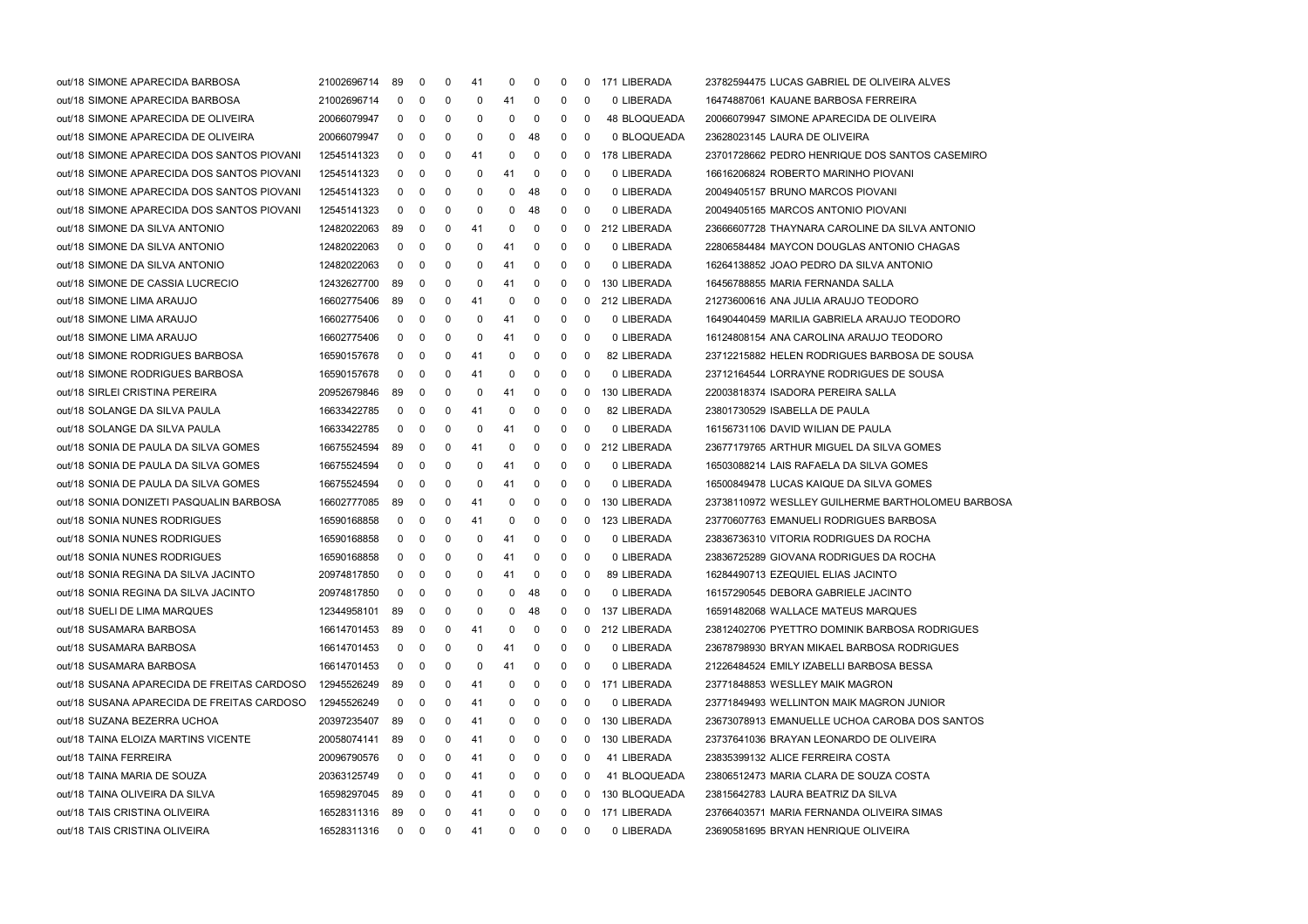| out/18 SIMONE APARECIDA BARBOSA            | 21002696714    | 89             | 0            | 0            | 41 | 0            | 0            | 0            | 0 | 171 LIBERADA        | 23782594475 LUCAS GABRIEL DE OLIVEIRA ALVES       |
|--------------------------------------------|----------------|----------------|--------------|--------------|----|--------------|--------------|--------------|---|---------------------|---------------------------------------------------|
| out/18 SIMONE APARECIDA BARBOSA            | 21002696714    | $\mathbf 0$    | $\mathbf 0$  | 0            | 0  | 41           | 0            | 0            | 0 | 0 LIBERADA          | 16474887061 KAUANE BARBOSA FERREIRA               |
| out/18 SIMONE APARECIDA DE OLIVEIRA        | 20066079947    | 0              | $\mathbf 0$  | 0            | 0  | 0            | 0            | 0            | 0 | <b>48 BLOQUEADA</b> | 20066079947 SIMONE APARECIDA DE OLIVEIRA          |
| out/18 SIMONE APARECIDA DE OLIVEIRA        | 20066079947    | 0              | $\mathbf 0$  | 0            | 0  | 0            | 48           | 0            | 0 | 0 BLOQUEADA         | 23628023145 LAURA DE OLIVEIRA                     |
| out/18 SIMONE APARECIDA DOS SANTOS PIOVANI | 12545141323    | 0              | $\mathbf 0$  | 0            | 41 | 0            | 0            | 0            | 0 | 178 LIBERADA        | 23701728662 PEDRO HENRIQUE DOS SANTOS CASEMIRO    |
| out/18 SIMONE APARECIDA DOS SANTOS PIOVANI | 12545141323    | $\mathbf{0}$   | $\mathbf 0$  | 0            | 0  | 41           | 0            | 0            | 0 | 0 LIBERADA          | 16616206824 ROBERTO MARINHO PIOVANI               |
| out/18 SIMONE APARECIDA DOS SANTOS PIOVANI | 12545141323    | 0              | $\mathbf 0$  | 0            | 0  | 0            | 48           | 0            | 0 | 0 LIBERADA          | 20049405157 BRUNO MARCOS PIOVANI                  |
| out/18 SIMONE APARECIDA DOS SANTOS PIOVANI | 12545141323    | 0              | $\mathbf 0$  | 0            | 0  | 0            | 48           | 0            | 0 | 0 LIBERADA          | 20049405165 MARCOS ANTONIO PIOVANI                |
| out/18 SIMONE DA SILVA ANTONIO             | 12482022063    | 89             | $\mathbf 0$  | 0            | 41 | 0            | 0            | 0            | 0 | 212 LIBERADA        | 23666607728 THAYNARA CAROLINE DA SILVA ANTONIO    |
| out/18 SIMONE DA SILVA ANTONIO             | 12482022063    | $\mathbf 0$    | 0            | 0            | 0  | 41           | 0            | 0            | 0 | 0 LIBERADA          | 22806584484 MAYCON DOUGLAS ANTONIO CHAGAS         |
| out/18 SIMONE DA SILVA ANTONIO             | 12482022063    | $\mathbf 0$    | $\mathbf 0$  | 0            | 0  | 41           | 0            | 0            | 0 | 0 LIBERADA          | 16264138852 JOAO PEDRO DA SILVA ANTONIO           |
| out/18 SIMONE DE CASSIA LUCRECIO           | 12432627700    | 89             | $\mathbf 0$  | 0            | 0  | 41           | 0            | 0            | 0 | 130 LIBERADA        | 16456788855 MARIA FERNANDA SALLA                  |
| out/18 SIMONE LIMA ARAUJO                  | 16602775406    | 89             | $\mathbf 0$  | 0            | 41 | 0            | 0            | 0            | 0 | 212 LIBERADA        | 21273600616 ANA JULIA ARAUJO TEODORO              |
| out/18 SIMONE LIMA ARAUJO                  | 16602775406    | $\mathbf 0$    | $\mathbf 0$  | 0            | 0  | 41           | 0            | 0            | 0 | 0 LIBERADA          | 16490440459 MARILIA GABRIELA ARAUJO TEODORO       |
| out/18 SIMONE LIMA ARAUJO                  | 16602775406    | 0              | $\mathbf 0$  | 0            | 0  | 41           | 0            | 0            | 0 | 0 LIBERADA          | 16124808154 ANA CAROLINA ARAUJO TEODORO           |
| out/18 SIMONE RODRIGUES BARBOSA            | 16590157678    | $\mathbf{0}$   | $\mathbf 0$  | 0            | 41 | 0            | 0            | 0            | 0 | 82 LIBERADA         | 23712215882 HELEN RODRIGUES BARBOSA DE SOUSA      |
| out/18 SIMONE RODRIGUES BARBOSA            | 16590157678    | $\mathbf 0$    | $\mathbf 0$  | 0            | 41 | 0            | 0            | 0            | 0 | 0 LIBERADA          | 23712164544 LORRAYNE RODRIGUES DE SOUSA           |
| out/18 SIRLEI CRISTINA PEREIRA             | 20952679846    | 89             | $\mathbf 0$  | 0            | 0  | 41           | 0            | 0            | 0 | 130 LIBERADA        | 22003818374 ISADORA PEREIRA SALLA                 |
| out/18 SOLANGE DA SILVA PAULA              | 16633422785    | 0              | $\mathbf 0$  | 0            | 41 | 0            | 0            | 0            | 0 | 82 LIBERADA         | 23801730529 ISABELLA DE PAULA                     |
| out/18 SOLANGE DA SILVA PAULA              | 16633422785    | 0              | $\mathbf 0$  | 0            | 0  | 41           | 0            | 0            | 0 | 0 LIBERADA          | 16156731106 DAVID WILIAN DE PAULA                 |
| out/18 SONIA DE PAULA DA SILVA GOMES       | 16675524594    | 89             | 0            | 0            | 41 | 0            | 0            | 0            | 0 | 212 LIBERADA        | 23677179765 ARTHUR MIGUEL DA SILVA GOMES          |
| out/18 SONIA DE PAULA DA SILVA GOMES       | 16675524594    | 0              | $\mathbf 0$  | 0            | 0  | 41           | 0            | 0            | 0 | 0 LIBERADA          | 16503088214 LAIS RAFAELA DA SILVA GOMES           |
| out/18 SONIA DE PAULA DA SILVA GOMES       | 16675524594    | 0              | $\mathbf 0$  | 0            | 0  | 41           | 0            | 0            | 0 | 0 LIBERADA          | 16500849478 LUCAS KAIQUE DA SILVA GOMES           |
| out/18 SONIA DONIZETI PASQUALIN BARBOSA    | 16602777085    | 89             | 0            | 0            | 41 | 0            | 0            | 0            | 0 | 130 LIBERADA        | 23738110972 WESLLEY GUILHERME BARTHOLOMEU BARBOSA |
| out/18 SONIA NUNES RODRIGUES               | 16590168858    | $\mathbf 0$    | 0            | 0            | 41 | 0            | 0            | 0            | 0 | 123 LIBERADA        | 23770607763 EMANUELI RODRIGUES BARBOSA            |
| out/18 SONIA NUNES RODRIGUES               | 16590168858    | $\mathbf{0}$   | 0            | 0            | 0  | 41           | 0            | 0            | 0 | 0 LIBERADA          | 23836736310 VITORIA RODRIGUES DA ROCHA            |
| out/18 SONIA NUNES RODRIGUES               | 16590168858    | $\mathbf{0}$   | $\mathbf 0$  | 0            | 0  | 41           | 0            | 0            | 0 | 0 LIBERADA          | 23836725289 GIOVANA RODRIGUES DA ROCHA            |
| out/18 SONIA REGINA DA SILVA JACINTO       | 20974817850    | 0              | $\mathbf 0$  | 0            | 0  | 41           | 0            | 0            | 0 | 89 LIBERADA         | 16284490713 EZEQUIEL ELIAS JACINTO                |
| out/18 SONIA REGINA DA SILVA JACINTO       | 20974817850    | $\mathbf 0$    | 0            | 0            | 0  | 0            | 48           | 0            | 0 | 0 LIBERADA          | 16157290545 DEBORA GABRIELE JACINTO               |
| out/18 SUELI DE LIMA MARQUES               | 12344958101    | 89             | $\mathbf 0$  | 0            | 0  | 0            | 48           | 0            | 0 | 137 LIBERADA        | 16591482068 WALLACE MATEUS MARQUES                |
| out/18 SUSAMARA BARBOSA                    | 16614701453 89 |                | $\mathbf 0$  | $\mathbf 0$  | 41 | 0            | $\mathbf 0$  | 0            |   | 0 212 LIBERADA      | 23812402706 PYETTRO DOMINIK BARBOSA RODRIGUES     |
| out/18 SUSAMARA BARBOSA                    | 16614701453    | 0              | 0            | 0            | 0  | 41           | 0            | 0            | 0 | 0 LIBERADA          | 23678798930 BRYAN MIKAEL BARBOSA RODRIGUES        |
| out/18 SUSAMARA BARBOSA                    | 16614701453    | 0              | 0            | 0            | 0  | 41           | 0            | 0            | 0 | 0 LIBERADA          | 21226484524 EMILY IZABELLI BARBOSA BESSA          |
| out/18 SUSANA APARECIDA DE FREITAS CARDOSO | 12945526249    | 89             | 0            | 0            | 41 | 0            | 0            | 0            | 0 | 171 LIBERADA        | 23771848853 WESLLEY MAIK MAGRON                   |
| out/18 SUSANA APARECIDA DE FREITAS CARDOSO | 12945526249    | 0              | 0            | 0            | 41 | 0            | 0            | 0            | 0 | 0 LIBERADA          | 23771849493 WELLINTON MAIK MAGRON JUNIOR          |
| out/18 SUZANA BEZERRA UCHOA                | 20397235407    | 89             | 0            | 0            | 41 | 0            | 0            | 0            | 0 | 130 LIBERADA        | 23673078913 EMANUELLE UCHOA CAROBA DOS SANTOS     |
| out/18 TAINA ELOIZA MARTINS VICENTE        | 20058074141    | 89             | $\mathbf 0$  | 0            | 41 | 0            | 0            | 0            | 0 | 130 LIBERADA        | 23737641036 BRAYAN LEONARDO DE OLIVEIRA           |
| out/18 TAINA FERREIRA                      | 20096790576    | 0              | $\mathbf 0$  | 0            | 41 | 0            | 0            | 0            | 0 | 41 LIBERADA         | 23835399132 ALICE FERREIRA COSTA                  |
| out/18 TAINA MARIA DE SOUZA                | 20363125749    | 0              | 0            | 0            | 41 | 0            | 0            | 0            | 0 | 41 BLOQUEADA        | 23806512473 MARIA CLARA DE SOUZA COSTA            |
| out/18 TAINA OLIVEIRA DA SILVA             | 16598297045    | 89             | 0            | 0            | 41 | 0            | 0            | 0            | 0 | 130 BLOQUEADA       | 23815642783 LAURA BEATRIZ DA SILVA                |
| out/18 TAIS CRISTINA OLIVEIRA              | 16528311316    | 89             | $\mathbf 0$  | 0            | 41 | 0            | 0            | 0            | 0 | 171 LIBERADA        | 23766403571 MARIA FERNANDA OLIVEIRA SIMAS         |
| out/18 TAIS CRISTINA OLIVEIRA              | 16528311316    | $\overline{0}$ | $\mathbf{0}$ | $\mathbf{0}$ | 41 | $\mathbf{0}$ | $\mathbf{0}$ | $\mathbf{0}$ | 0 | 0 LIBERADA          | 23690581695 BRYAN HENRIQUE OLIVEIRA               |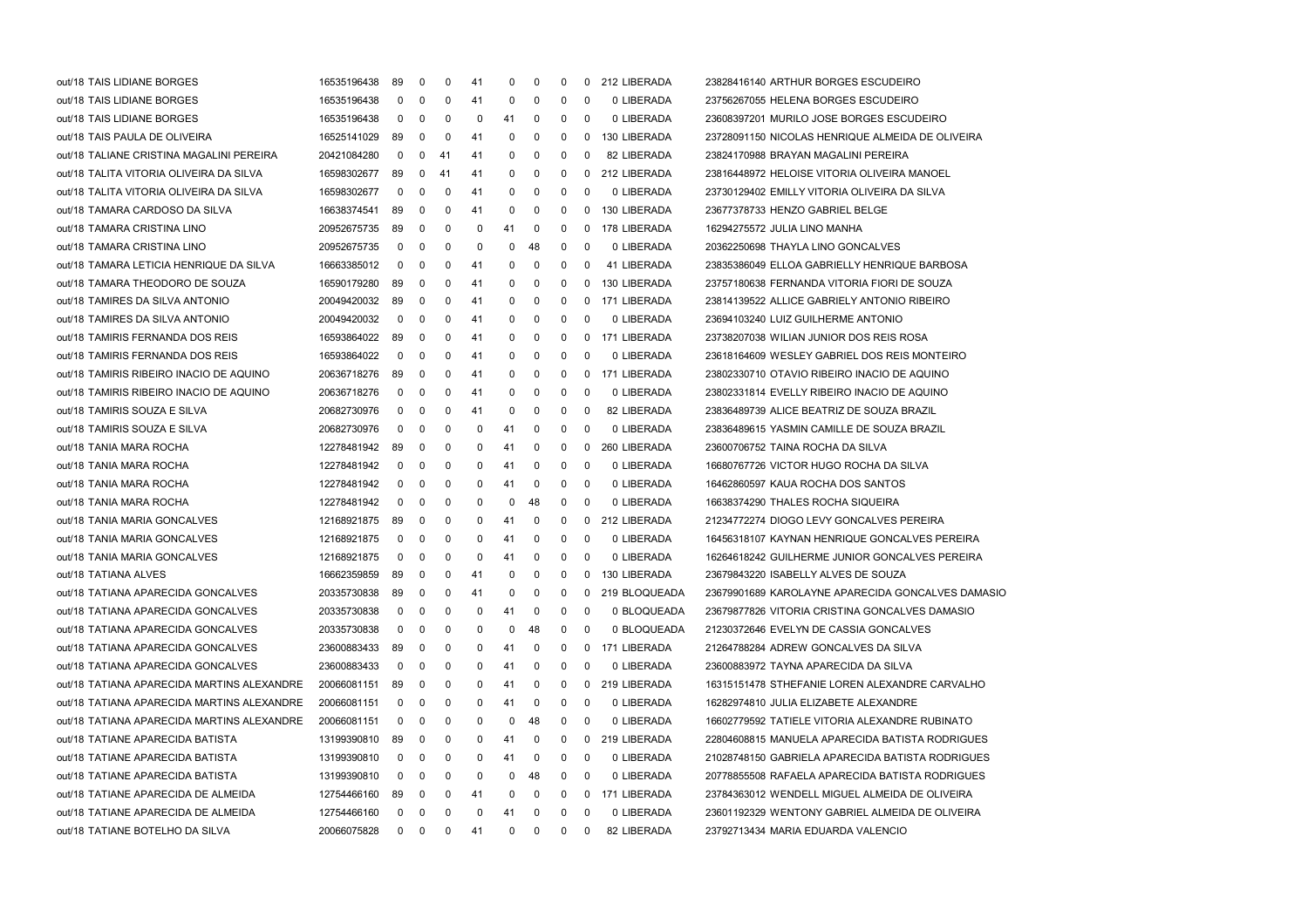| out/18 TAIS LIDIANE BORGES                 | 16535196438 | 89          | $\mathbf 0$    | 0           | 41       | 0        | 0        | 0           | 0 | 212 LIBERADA  | 23828416140 ARTHUR BORGES ESCUDEIRO               |
|--------------------------------------------|-------------|-------------|----------------|-------------|----------|----------|----------|-------------|---|---------------|---------------------------------------------------|
| out/18 TAIS LIDIANE BORGES                 | 16535196438 | $\mathbf 0$ | $\overline{0}$ | $\mathbf 0$ | 41       | 0        | 0        | 0           | 0 | 0 LIBERADA    | 23756267055 HELENA BORGES ESCUDEIRO               |
| out/18 TAIS LIDIANE BORGES                 | 16535196438 | 0           | $\mathbf 0$    | $\mathbf 0$ | 0        | 41       | 0        | 0           | 0 | 0 LIBERADA    | 23608397201 MURILO JOSE BORGES ESCUDEIRO          |
| out/18 TAIS PAULA DE OLIVEIRA              | 16525141029 | 89          | $\mathbf 0$    | 0           | 41       | 0        | 0        | 0           | 0 | 130 LIBERADA  | 23728091150 NICOLAS HENRIQUE ALMEIDA DE OLIVEIRA  |
| out/18 TALIANE CRISTINA MAGALINI PEREIRA   | 20421084280 | 0           | $\mathbf 0$    | 41          | 41       | 0        | 0        | 0           | 0 | 82 LIBERADA   | 23824170988 BRAYAN MAGALINI PEREIRA               |
| out/18 TALITA VITORIA OLIVEIRA DA SILVA    | 16598302677 | 89          | $\mathbf 0$    | -41         | 41       | 0        | 0        | 0           | 0 | 212 LIBERADA  | 23816448972 HELOISE VITORIA OLIVEIRA MANOEL       |
| out/18 TALITA VITORIA OLIVEIRA DA SILVA    | 16598302677 | 0           | $\mathbf 0$    | 0           | 41       | 0        | 0        | 0           | 0 | 0 LIBERADA    | 23730129402 EMILLY VITORIA OLIVEIRA DA SILVA      |
| out/18 TAMARA CARDOSO DA SILVA             | 16638374541 | 89          | $\mathbf 0$    | $\mathbf 0$ | 41       | 0        | 0        | 0           | 0 | 130 LIBERADA  | 23677378733 HENZO GABRIEL BELGE                   |
| out/18 TAMARA CRISTINA LINO                | 20952675735 | 89          | $\mathbf 0$    | $\mathbf 0$ | 0        | 41       | 0        | 0           | 0 | 178 LIBERADA  | 16294275572 JULIA LINO MANHA                      |
| out/18 TAMARA CRISTINA LINO                | 20952675735 | 0           | $\mathbf 0$    | $\mathbf 0$ | 0        | 0        | 48       | 0           | 0 | 0 LIBERADA    | 20362250698 THAYLA LINO GONCALVES                 |
| out/18 TAMARA LETICIA HENRIQUE DA SILVA    | 16663385012 | 0           | $\mathbf 0$    | $\mathbf 0$ | 41       | 0        | 0        | 0           | 0 | 41 LIBERADA   | 23835386049 ELLOA GABRIELLY HENRIQUE BARBOSA      |
| out/18 TAMARA THEODORO DE SOUZA            | 16590179280 | 89          | $\mathbf 0$    | 0           | 41       | 0        | 0        | 0           | 0 | 130 LIBERADA  | 23757180638 FERNANDA VITORIA FIORI DE SOUZA       |
| out/18 TAMIRES DA SILVA ANTONIO            | 20049420032 | 89          | $\mathbf 0$    | $\mathbf 0$ | 41       | 0        | 0        | 0           | 0 | 171 LIBERADA  | 23814139522 ALLICE GABRIELY ANTONIO RIBEIRO       |
| out/18 TAMIRES DA SILVA ANTONIO            | 20049420032 | 0           | $\mathbf 0$    | $\mathbf 0$ | 41       | 0        | 0        | 0           | 0 | 0 LIBERADA    | 23694103240 LUIZ GUILHERME ANTONIO                |
| out/18 TAMIRIS FERNANDA DOS REIS           | 16593864022 | 89          | $\mathbf 0$    | $\mathbf 0$ | 41       | 0        | 0        | 0           | 0 | 171 LIBERADA  | 23738207038 WILIAN JUNIOR DOS REIS ROSA           |
| out/18 TAMIRIS FERNANDA DOS REIS           | 16593864022 | $\mathbf 0$ | 0              | 0           | 41       | 0        | 0        | 0           | 0 | 0 LIBERADA    | 23618164609 WESLEY GABRIEL DOS REIS MONTEIRO      |
| out/18 TAMIRIS RIBEIRO INACIO DE AQUINO    | 20636718276 | 89          | $\mathbf 0$    | 0           | 41       | 0        | 0        | 0           | 0 | 171 LIBERADA  | 23802330710 OTAVIO RIBEIRO INACIO DE AQUINO       |
| out/18 TAMIRIS RIBEIRO INACIO DE AQUINO    | 20636718276 | $\mathbf 0$ | $\mathbf 0$    | $\mathbf 0$ | 41       | 0        | 0        | 0           | 0 | 0 LIBERADA    | 23802331814 EVELLY RIBEIRO INACIO DE AQUINO       |
| out/18 TAMIRIS SOUZA E SILVA               | 20682730976 | 0           | $\mathbf 0$    | $\mathbf 0$ | 41       | 0        | 0        | 0           | 0 | 82 LIBERADA   | 23836489739 ALICE BEATRIZ DE SOUZA BRAZIL         |
| out/18 TAMIRIS SOUZA E SILVA               | 20682730976 | 0           | $\mathbf 0$    | $\mathbf 0$ | 0        | 41       | 0        | 0           | 0 | 0 LIBERADA    | 23836489615 YASMIN CAMILLE DE SOUZA BRAZIL        |
| out/18 TANIA MARA ROCHA                    | 12278481942 | 89          | $\mathbf 0$    | 0           | 0        | 41       | 0        | 0           | 0 | 260 LIBERADA  | 23600706752 TAINA ROCHA DA SILVA                  |
| out/18 TANIA MARA ROCHA                    | 12278481942 | 0           | $\mathbf 0$    | 0           | 0        | 41       | 0        | 0           | 0 | 0 LIBERADA    | 16680767726 VICTOR HUGO ROCHA DA SILVA            |
| out/18 TANIA MARA ROCHA                    | 12278481942 | 0           | $\mathbf 0$    | $\mathbf 0$ | 0        | 41       | 0        | 0           | 0 | 0 LIBERADA    | 16462860597 KAUA ROCHA DOS SANTOS                 |
| out/18 TANIA MARA ROCHA                    | 12278481942 | 0           | $\mathbf 0$    | 0           | 0        | 0        | 48       | 0           | 0 | 0 LIBERADA    | 16638374290 THALES ROCHA SIQUEIRA                 |
| out/18 TANIA MARIA GONCALVES               | 12168921875 | 89          | $\mathbf 0$    | $\mathbf 0$ | 0        | 41       | 0        | 0           | 0 | 212 LIBERADA  | 21234772274 DIOGO LEVY GONCALVES PEREIRA          |
| out/18 TANIA MARIA GONCALVES               | 12168921875 | 0           | $\mathbf 0$    | $\mathbf 0$ | 0        | 41       | 0        | 0           | 0 | 0 LIBERADA    | 16456318107 KAYNAN HENRIQUE GONCALVES PEREIRA     |
| out/18 TANIA MARIA GONCALVES               | 12168921875 | 0           | $\mathbf 0$    | 0           | 0        | 41       | 0        | 0           | 0 | 0 LIBERADA    | 16264618242 GUILHERME JUNIOR GONCALVES PEREIRA    |
| out/18 TATIANA ALVES                       | 16662359859 | 89          | $\mathbf 0$    | $\mathbf 0$ | 41       | 0        | 0        | 0           | 0 | 130 LIBERADA  | 23679843220 ISABELLY ALVES DE SOUZA               |
| out/18 TATIANA APARECIDA GONCALVES         | 20335730838 | 89          | $\mathbf 0$    | $\mathbf 0$ | 41       | 0        | 0        | 0           | 0 | 219 BLOQUEADA | 23679901689 KAROLAYNE APARECIDA GONCALVES DAMASIO |
| out/18 TATIANA APARECIDA GONCALVES         | 20335730838 | 0           | $\mathbf 0$    | $\mathbf 0$ | 0        | 41       | 0        | 0           | 0 | 0 BLOQUEADA   | 23679877826 VITORIA CRISTINA GONCALVES DAMASIO    |
| out/18 TATIANA APARECIDA GONCALVES         | 20335730838 | $\mathbf 0$ | 0              | 0           | $\Omega$ | $\Omega$ | 48       | 0           | 0 | 0 BLOQUEADA   | 21230372646 EVELYN DE CASSIA GONCALVES            |
| out/18 TATIANA APARECIDA GONCALVES         | 23600883433 | 89          | $\mathbf 0$    | 0           | 0        | 41       | 0        | 0           | 0 | 171 LIBERADA  | 21264788284 ADREW GONCALVES DA SILVA              |
| out/18 TATIANA APARECIDA GONCALVES         | 23600883433 | 0           | $\mathbf 0$    | 0           | 0        | 41       | 0        | 0           | 0 | 0 LIBERADA    | 23600883972 TAYNA APARECIDA DA SILVA              |
| out/18 TATIANA APARECIDA MARTINS ALEXANDRE | 20066081151 | 89          | 0              | 0           | 0        | 41       | $\Omega$ | 0           | 0 | 219 LIBERADA  | 16315151478 STHEFANIE LOREN ALEXANDRE CARVALHO    |
| out/18 TATIANA APARECIDA MARTINS ALEXANDRE | 20066081151 | 0           | 0              | 0           | 0        | 41       | 0        | 0           | 0 | 0 LIBERADA    | 16282974810 JULIA ELIZABETE ALEXANDRE             |
| out/18 TATIANA APARECIDA MARTINS ALEXANDRE | 20066081151 | 0           | 0              | 0           | 0        | 0        | 48       | 0           | 0 | 0 LIBERADA    | 16602779592 TATIELE VITORIA ALEXANDRE RUBINATO    |
| out/18 TATIANE APARECIDA BATISTA           | 13199390810 | 89          | 0              | 0           | 0        | 41       | 0        | 0           | 0 | 219 LIBERADA  | 22804608815 MANUELA APARECIDA BATISTA RODRIGUES   |
| out/18 TATIANE APARECIDA BATISTA           | 13199390810 | 0           | 0              | 0           | 0        | 41       | 0        | 0           | 0 | 0 LIBERADA    | 21028748150 GABRIELA APARECIDA BATISTA RODRIGUES  |
| out/18 TATIANE APARECIDA BATISTA           | 13199390810 | 0           | $\mathbf 0$    | 0           | 0        | 0        | 48       | 0           | 0 | 0 LIBERADA    | 20778855508 RAFAELA APARECIDA BATISTA RODRIGUES   |
| out/18 TATIANE APARECIDA DE ALMEIDA        | 12754466160 | 89          | 0              | 0           | 41       | 0        | 0        | 0           | 0 | 171 LIBERADA  | 23784363012 WENDELL MIGUEL ALMEIDA DE OLIVEIRA    |
| out/18 TATIANE APARECIDA DE ALMEIDA        | 12754466160 | 0           | $\mathbf 0$    | 0           | 0        | 41       | 0        | 0           | 0 | 0 LIBERADA    | 23601192329 WENTONY GABRIEL ALMEIDA DE OLIVEIRA   |
| out/18 TATIANE BOTELHO DA SILVA            | 20066075828 |             | $0\quad 0$     | $\mathbf 0$ | 41       | 0        | 0        | $\mathbf 0$ | 0 | 82 LIBERADA   | 23792713434 MARIA EDUARDA VALENCIO                |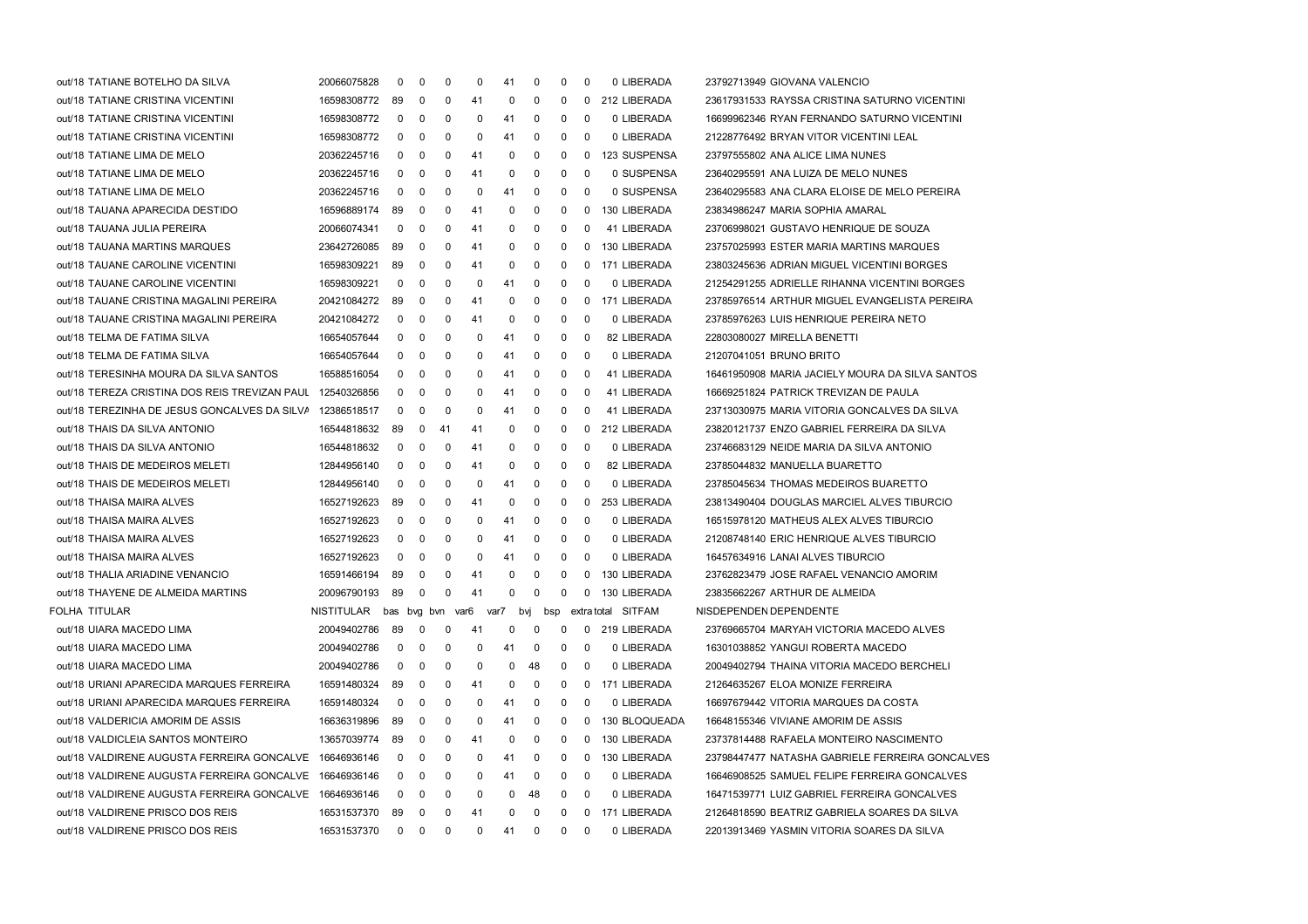| out/18 TATIANE BOTELHO DA SILVA                           | 20066075828 | 0                | 0 | 0  | 0  | 41   | 0   | 0            | 0        | 0 LIBERADA         | 23792713949 GIOVANA VALENCIO                    |
|-----------------------------------------------------------|-------------|------------------|---|----|----|------|-----|--------------|----------|--------------------|-------------------------------------------------|
| out/18 TATIANE CRISTINA VICENTINI                         | 16598308772 | 89               | 0 | 0  | 41 | 0    | 0   | 0            | 0        | 212 LIBERADA       | 23617931533 RAYSSA CRISTINA SATURNO VICENTINI   |
| out/18 TATIANE CRISTINA VICENTINI                         | 16598308772 | 0                | 0 | 0  | 0  | 41   | 0   | 0            | 0        | 0 LIBERADA         | 16699962346 RYAN FERNANDO SATURNO VICENTINI     |
| out/18 TATIANE CRISTINA VICENTINI                         | 16598308772 | 0                | 0 | 0  | 0  | 41   | 0   | 0            | 0        | 0 LIBERADA         | 21228776492 BRYAN VITOR VICENTINI LEAL          |
| out/18 TATIANE LIMA DE MELO                               | 20362245716 | 0                | 0 | 0  | 41 | 0    | 0   | 0            | 0        | 123 SUSPENSA       | 23797555802 ANA ALICE LIMA NUNES                |
| out/18 TATIANE LIMA DE MELO                               | 20362245716 | 0                | 0 | 0  | 41 | 0    | 0   | 0            | 0        | 0 SUSPENSA         | 23640295591 ANA LUIZA DE MELO NUNES             |
| out/18 TATIANE LIMA DE MELO                               | 20362245716 | 0                | 0 | 0  | 0  | 41   | 0   | 0            | 0        | 0 SUSPENSA         | 23640295583 ANA CLARA ELOISE DE MELO PEREIRA    |
| out/18 TAUANA APARECIDA DESTIDO                           | 16596889174 | 89               | 0 | 0  | 41 | 0    | 0   | 0            | 0        | 130 LIBERADA       | 23834986247 MARIA SOPHIA AMARAL                 |
| out/18 TAUANA JULIA PEREIRA                               | 20066074341 | 0                | 0 | 0  | 41 | 0    | 0   | 0            | $\Omega$ | 41 LIBERADA        | 23706998021 GUSTAVO HENRIQUE DE SOUZA           |
| out/18 TAUANA MARTINS MARQUES                             | 23642726085 | 89               | 0 | 0  | 41 | 0    | 0   | 0            | 0        | 130 LIBERADA       | 23757025993 ESTER MARIA MARTINS MARQUES         |
| out/18 TAUANE CAROLINE VICENTINI                          | 16598309221 | 89               | 0 | 0  | 41 | 0    | 0   | 0            | 0        | 171 LIBERADA       | 23803245636 ADRIAN MIGUEL VICENTINI BORGES      |
| out/18 TAUANE CAROLINE VICENTINI                          | 16598309221 | 0                | 0 | 0  | 0  | 41   | 0   | 0            | 0        | 0 LIBERADA         | 21254291255 ADRIELLE RIHANNA VICENTINI BORGES   |
| out/18 TAUANE CRISTINA MAGALINI PEREIRA                   | 20421084272 | 89               | 0 | 0  | 41 | 0    | 0   | 0            | 0        | 171 LIBERADA       | 23785976514 ARTHUR MIGUEL EVANGELISTA PEREIRA   |
| out/18 TAUANE CRISTINA MAGALINI PEREIRA                   | 20421084272 | 0                | 0 | 0  | 41 | 0    | 0   | 0            | 0        | 0 LIBERADA         | 23785976263 LUIS HENRIQUE PEREIRA NETO          |
| out/18 TELMA DE FATIMA SILVA                              | 16654057644 | 0                | 0 | 0  | 0  | 41   | 0   | 0            | 0        | 82 LIBERADA        | 22803080027 MIRELLA BENETTI                     |
| out/18 TELMA DE FATIMA SILVA                              | 16654057644 | 0                | 0 | 0  | 0  | 41   | 0   | 0            | - 0      | 0 LIBERADA         | 21207041051 BRUNO BRITO                         |
| out/18 TERESINHA MOURA DA SILVA SANTOS                    | 16588516054 | 0                | 0 | 0  | 0  | 41   | 0   | 0            | 0        | 41 LIBERADA        | 16461950908 MARIA JACIELY MOURA DA SILVA SANTOS |
| out/18 TEREZA CRISTINA DOS REIS TREVIZAN PAUL 12540326856 |             | 0                | 0 | 0  | 0  | 41   | 0   | 0            | 0        | 41 LIBERADA        | 16669251824 PATRICK TREVIZAN DE PAULA           |
| out/18 TEREZINHA DE JESUS GONCALVES DA SILVA 12386518517  |             | 0                | 0 | 0  | 0  | 41   | 0   | 0            | $\Omega$ | 41 LIBERADA        | 23713030975 MARIA VITORIA GONCALVES DA SILVA    |
| out/18 THAIS DA SILVA ANTONIO                             | 16544818632 | 89               | 0 | 41 | 41 | 0    | 0   | 0            | 0        | 212 LIBERADA       | 23820121737 ENZO GABRIEL FERREIRA DA SILVA      |
| out/18 THAIS DA SILVA ANTONIO                             | 16544818632 | 0                | 0 | 0  | 41 | 0    | 0   | 0            | 0        | 0 LIBERADA         | 23746683129 NEIDE MARIA DA SILVA ANTONIO        |
| out/18 THAIS DE MEDEIROS MELETI                           | 12844956140 | 0                | 0 | 0  | 41 | 0    | 0   | 0            | 0        | 82 LIBERADA        | 23785044832 MANUELLA BUARETTO                   |
| out/18 THAIS DE MEDEIROS MELETI                           | 12844956140 | 0                | 0 | 0  | 0  | 41   | 0   | 0            | 0        | 0 LIBERADA         | 23785045634 THOMAS MEDEIROS BUARETTO            |
| out/18 THAISA MAIRA ALVES                                 | 16527192623 | 89               | 0 | 0  | 41 | 0    | 0   | 0            | $\Omega$ | 253 LIBERADA       | 23813490404 DOUGLAS MARCIEL ALVES TIBURCIO      |
| out/18 THAISA MAIRA ALVES                                 | 16527192623 | 0                | 0 | 0  | 0  | 41   | 0   | 0            | 0        | 0 LIBERADA         | 16515978120 MATHEUS ALEX ALVES TIBURCIO         |
| out/18 THAISA MAIRA ALVES                                 | 16527192623 | 0                | 0 | 0  | 0  | 41   | 0   | 0            | - 0      | 0 LIBERADA         | 21208748140 ERIC HENRIQUE ALVES TIBURCIO        |
| out/18 THAISA MAIRA ALVES                                 | 16527192623 | 0                | 0 | 0  | 0  | 41   | 0   | 0            | 0        | 0 LIBERADA         | 16457634916 LANAI ALVES TIBURCIO                |
| out/18 THALIA ARIADINE VENANCIO                           | 16591466194 | 89               | 0 | 0  | 41 | 0    | 0   | 0            | 0        | 130 LIBERADA       | 23762823479 JOSE RAFAEL VENANCIO AMORIM         |
| out/18 THAYENE DE ALMEIDA MARTINS                         | 20096790193 | 89               | 0 | 0  | 41 | 0    | 0   | 0            | 0        | 130 LIBERADA       | 23835662267 ARTHUR DE ALMEIDA                   |
| FOLHA TITULAR                                             | NISTITULAR  | bas byg byn var6 |   |    |    | var7 | bvj | bsp          |          | extra total SITFAM | NISDEPENDEN DEPENDENTE                          |
| out/18 UIARA MACEDO LIMA                                  | 20049402786 | 89               | 0 | 0  | 41 | 0    | 0   | 0            |          | 0 219 LIBERADA     | 23769665704 MARYAH VICTORIA MACEDO ALVES        |
| out/18 UIARA MACEDO LIMA                                  | 20049402786 | 0                | 0 | 0  | 0  | 41   | 0   | 0            | 0        | 0 LIBERADA         | 16301038852 YANGUI ROBERTA MACEDO               |
| out/18 UIARA MACEDO LIMA                                  | 20049402786 | 0                | 0 | 0  | 0  | 0    | 48  | 0            | -0       | 0 LIBERADA         | 20049402794 THAINA VITORIA MACEDO BERCHELI      |
| out/18 URIANI APARECIDA MARQUES FERREIRA                  | 16591480324 | 89               | 0 | 0  | 41 | 0    | 0   | 0            | 0        | 171 LIBERADA       | 21264635267 ELOA MONIZE FERREIRA                |
| out/18 URIANI APARECIDA MARQUES FERREIRA                  | 16591480324 | 0                | 0 | 0  | 0  | 41   | 0   | 0            | 0        | 0 LIBERADA         | 16697679442 VITORIA MARQUES DA COSTA            |
| out/18 VALDERICIA AMORIM DE ASSIS                         | 16636319896 | 89               | 0 | 0  | 0  | 41   | 0   | 0            | 0        | 130 BLOQUEADA      | 16648155346 VIVIANE AMORIM DE ASSIS             |
| out/18 VALDICLEIA SANTOS MONTEIRO                         | 13657039774 | 89               | 0 | 0  | 41 | 0    | 0   | 0            | 0        | 130 LIBERADA       | 23737814488 RAFAELA MONTEIRO NASCIMENTO         |
| out/18 VALDIRENE AUGUSTA FERREIRA GONCALVE                | 16646936146 | 0                | 0 | 0  | 0  | 41   | 0   | 0            | 0        | 130 LIBERADA       | 23798447477 NATASHA GABRIELE FERREIRA GONCALVES |
| out/18 VALDIRENE AUGUSTA FERREIRA GONCALVE                | 16646936146 | 0                | 0 | 0  | 0  | 41   | 0   | 0            | 0        | 0 LIBERADA         | 16646908525 SAMUEL FELIPE FERREIRA GONCALVES    |
| out/18 VALDIRENE AUGUSTA FERREIRA GONCALVE                | 16646936146 | 0                | 0 | 0  | 0  | 0    | 48  | 0            | 0        | 0 LIBERADA         | 16471539771 LUIZ GABRIEL FERREIRA GONCALVES     |
| out/18 VALDIRENE PRISCO DOS REIS                          | 16531537370 | 89               | 0 | 0  | 41 | 0    | 0   | 0            | 0        | 171 LIBERADA       | 21264818590 BEATRIZ GABRIELA SOARES DA SILVA    |
| out/18 VALDIRENE PRISCO DOS REIS                          | 16531537370 | $\mathbf{0}$     | 0 | 0  | 0  | 41   | 0   | $\mathbf{0}$ | 0        | 0 LIBERADA         | 22013913469 YASMIN VITORIA SOARES DA SILVA      |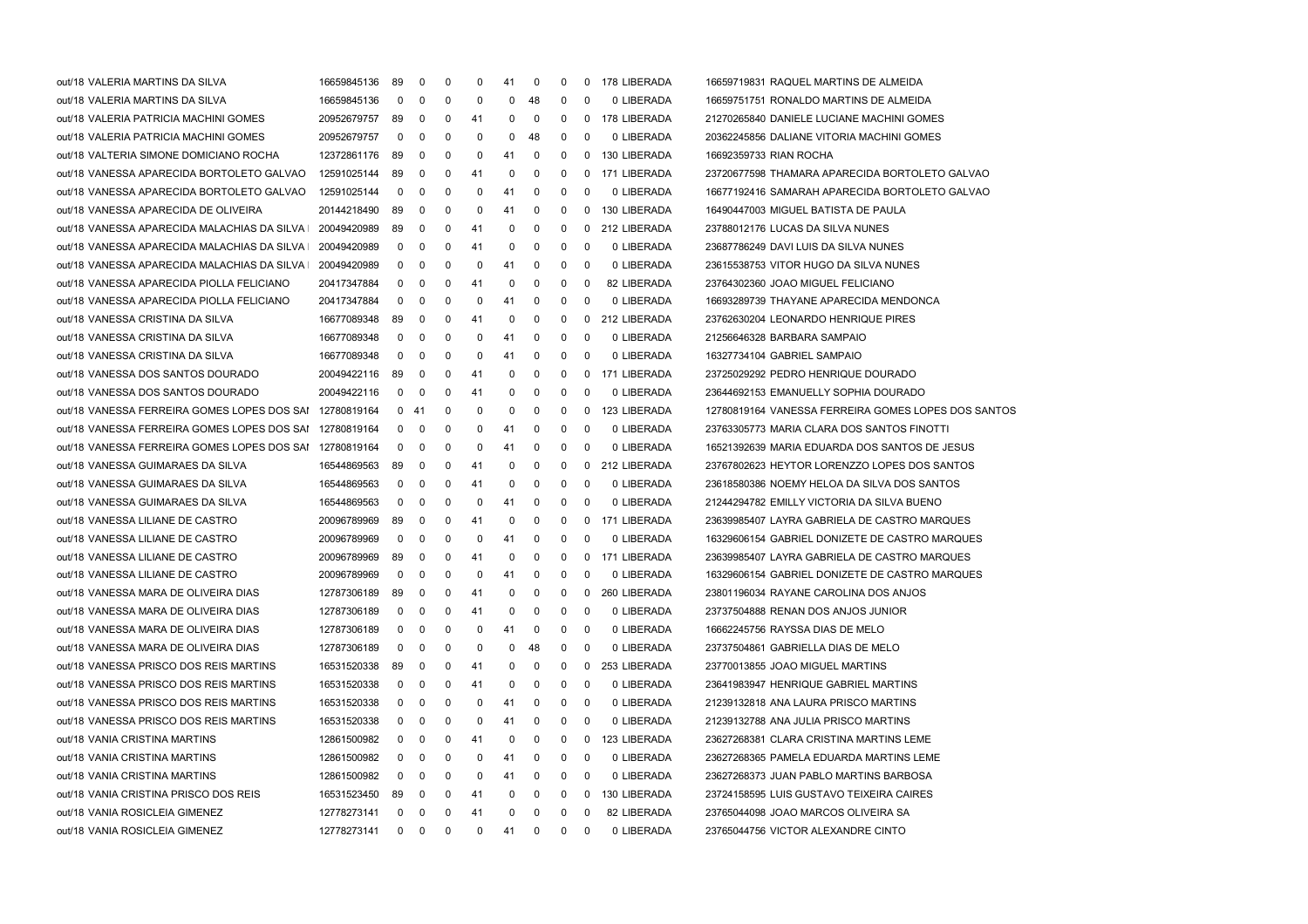| out/18 VALERIA MARTINS DA SILVA                             | 16659845136 | -89            | 0           | 0            | 0  | 41 | $\mathbf 0$ | 0           | 0           | 178 LIBERADA   | 16659719831 RAQUEL MARTINS DE ALMEIDA               |
|-------------------------------------------------------------|-------------|----------------|-------------|--------------|----|----|-------------|-------------|-------------|----------------|-----------------------------------------------------|
| out/18 VALERIA MARTINS DA SILVA                             | 16659845136 | 0              | 0           | 0            | 0  | 0  | 48          | 0           | $\Omega$    | 0 LIBERADA     | 16659751751 RONALDO MARTINS DE ALMEIDA              |
| out/18 VALERIA PATRICIA MACHINI GOMES                       | 20952679757 | 89             | 0           | 0            | 41 | 0  | $\mathbf 0$ | 0           | 0           | 178 LIBERADA   | 21270265840 DANIELE LUCIANE MACHINI GOMES           |
| out/18 VALERIA PATRICIA MACHINI GOMES                       | 20952679757 | 0              | 0           | 0            | 0  | 0  | 48          | 0           | 0           | 0 LIBERADA     | 20362245856 DALIANE VITORIA MACHINI GOMES           |
| out/18 VALTERIA SIMONE DOMICIANO ROCHA                      | 12372861176 | -89            | 0           | 0            | 0  | 41 | 0           | 0           | 0           | 130 LIBERADA   | 16692359733 RIAN ROCHA                              |
| out/18 VANESSA APARECIDA BORTOLETO GALVAO                   | 12591025144 | 89             | 0           | 0            | 41 | 0  | $\mathbf 0$ | 0           | 0           | 171 LIBERADA   | 23720677598 THAMARA APARECIDA BORTOLETO GALVAO      |
| out/18 VANESSA APARECIDA BORTOLETO GALVAO                   | 12591025144 | 0              | 0           | 0            | 0  | 41 | $\mathbf 0$ | 0           | $\mathbf 0$ | 0 LIBERADA     | 16677192416 SAMARAH APARECIDA BORTOLETO GALVAO      |
| out/18 VANESSA APARECIDA DE OLIVEIRA                        | 20144218490 | 89             | 0           | 0            | 0  | 41 | $\mathbf 0$ | 0           | 0           | 130 LIBERADA   | 16490447003 MIGUEL BATISTA DE PAULA                 |
| out/18 VANESSA APARECIDA MALACHIAS DA SILVA I   20049420989 |             | 89             | 0           | 0            | 41 | 0  | 0           | 0           | 0           | 212 LIBERADA   | 23788012176 LUCAS DA SILVA NUNES                    |
| out/18 VANESSA APARECIDA MALACHIAS DA SILVA I               | 20049420989 | 0              | 0           | 0            | 41 | 0  | 0           | 0           | 0           | 0 LIBERADA     | 23687786249 DAVI LUIS DA SILVA NUNES                |
| out/18 VANESSA APARECIDA MALACHIAS DA SILVA I               | 20049420989 | 0              | 0           | 0            | 0  | 41 | $\mathbf 0$ | 0           | $\mathbf 0$ | 0 LIBERADA     | 23615538753 VITOR HUGO DA SILVA NUNES               |
| out/18 VANESSA APARECIDA PIOLLA FELICIANO                   | 20417347884 | 0              | 0           | 0            | 41 | 0  | $\mathbf 0$ | 0           | $\mathbf 0$ | 82 LIBERADA    | 23764302360 JOAO MIGUEL FELICIANO                   |
| out/18 VANESSA APARECIDA PIOLLA FELICIANO                   | 20417347884 | 0              | 0           | 0            | 0  | 41 | 0           | 0           | $\mathbf 0$ | 0 LIBERADA     | 16693289739 THAYANE APARECIDA MENDONCA              |
| out/18 VANESSA CRISTINA DA SILVA                            | 16677089348 | 89             | 0           | 0            | 41 | 0  | $\mathbf 0$ | 0           | $\mathbf 0$ | 212 LIBERADA   | 23762630204 LEONARDO HENRIQUE PIRES                 |
| out/18 VANESSA CRISTINA DA SILVA                            | 16677089348 | 0              | 0           | 0            | 0  | 41 | 0           | 0           | $\mathbf 0$ | 0 LIBERADA     | 21256646328 BARBARA SAMPAIO                         |
| out/18 VANESSA CRISTINA DA SILVA                            | 16677089348 | 0              | 0           | 0            | 0  | 41 | $\mathbf 0$ | 0           | $\mathbf 0$ | 0 LIBERADA     | 16327734104 GABRIEL SAMPAIO                         |
| out/18 VANESSA DOS SANTOS DOURADO                           | 20049422116 | -89            | 0           | 0            | 41 | 0  | $\mathbf 0$ | 0           |             | 0 171 LIBERADA | 23725029292 PEDRO HENRIQUE DOURADO                  |
| out/18 VANESSA DOS SANTOS DOURADO                           | 20049422116 | 0              | 0           | 0            | 41 | 0  | 0           | 0           | $\mathbf 0$ | 0 LIBERADA     | 23644692153 EMANUELLY SOPHIA DOURADO                |
| out/18 VANESSA FERREIRA GOMES LOPES DOS SAI 12780819164     |             |                | 0 41        | 0            | 0  | 0  | 0           | 0           | 0           | 123 LIBERADA   | 12780819164 VANESSA FERREIRA GOMES LOPES DOS SANTOS |
| out/18 VANESSA FERREIRA GOMES LOPES DOS SAI 12780819164     |             | 0              | 0           | 0            | 0  | 41 | 0           | 0           | 0           | 0 LIBERADA     | 23763305773 MARIA CLARA DOS SANTOS FINOTTI          |
| out/18 VANESSA FERREIRA GOMES LOPES DOS SAI 12780819164     |             | 0              | 0           | 0            | 0  | 41 | $\mathbf 0$ | 0           | $\mathbf 0$ | 0 LIBERADA     | 16521392639 MARIA EDUARDA DOS SANTOS DE JESUS       |
| out/18 VANESSA GUIMARAES DA SILVA                           | 16544869563 | 89             | 0           | 0            | 41 | 0  | $\mathbf 0$ | 0           |             | 0 212 LIBERADA | 23767802623 HEYTOR LORENZZO LOPES DOS SANTOS        |
| out/18 VANESSA GUIMARAES DA SILVA                           | 16544869563 | 0              | 0           | 0            | 41 | 0  | 0           | 0           | 0           | 0 LIBERADA     | 23618580386 NOEMY HELOA DA SILVA DOS SANTOS         |
| out/18 VANESSA GUIMARAES DA SILVA                           | 16544869563 | 0              | 0           | 0            | 0  | 41 | 0           | 0           | 0           | 0 LIBERADA     | 21244294782 EMILLY VICTORIA DA SILVA BUENO          |
| out/18 VANESSA LILIANE DE CASTRO                            | 20096789969 | 89             | 0           | 0            | 41 | 0  | 0           | 0           | 0           | 171 LIBERADA   | 23639985407 LAYRA GABRIELA DE CASTRO MARQUES        |
| out/18 VANESSA LILIANE DE CASTRO                            | 20096789969 | 0              | 0           | 0            | 0  | 41 | $\mathbf 0$ | 0           | $\mathbf 0$ | 0 LIBERADA     | 16329606154 GABRIEL DONIZETE DE CASTRO MARQUES      |
| out/18 VANESSA LILIANE DE CASTRO                            | 20096789969 | 89             | 0           | 0            | 41 | 0  | $\mathbf 0$ | 0           |             | 0 171 LIBERADA | 23639985407 LAYRA GABRIELA DE CASTRO MARQUES        |
| out/18 VANESSA LILIANE DE CASTRO                            | 20096789969 | 0              | 0           | 0            | 0  | 41 | $\mathbf 0$ | 0           | $\mathbf 0$ | 0 LIBERADA     | 16329606154 GABRIEL DONIZETE DE CASTRO MARQUES      |
| out/18 VANESSA MARA DE OLIVEIRA DIAS                        | 12787306189 | 89             | 0           | 0            | 41 | 0  | 0           | 0           | $\mathbf 0$ | 260 LIBERADA   | 23801196034 RAYANE CAROLINA DOS ANJOS               |
| out/18 VANESSA MARA DE OLIVEIRA DIAS                        | 12787306189 | 0              | 0           | 0            | 41 | 0  | 0           | 0           | $\mathbf 0$ | 0 LIBERADA     | 23737504888 RENAN DOS ANJOS JUNIOR                  |
| out/18 VANESSA MARA DE OLIVEIRA DIAS                        | 12787306189 | $\overline{0}$ | $\mathbf 0$ | 0            | 0  | 41 | $\mathbf 0$ | $\mathbf 0$ | $\mathbf 0$ | 0 LIBERADA     | 16662245756 RAYSSA DIAS DE MELO                     |
| out/18 VANESSA MARA DE OLIVEIRA DIAS                        | 12787306189 | 0              | 0           | 0            | 0  | 0  | 48          | 0           | 0           | 0 LIBERADA     | 23737504861 GABRIELLA DIAS DE MELO                  |
| out/18 VANESSA PRISCO DOS REIS MARTINS                      | 16531520338 | 89             | 0           | 0            | 41 | 0  | 0           | 0           | 0           | 253 LIBERADA   | 23770013855 JOAO MIGUEL MARTINS                     |
| out/18 VANESSA PRISCO DOS REIS MARTINS                      | 16531520338 | 0              | 0           | 0            | 41 | 0  | 0           | 0           | $\mathbf 0$ | 0 LIBERADA     | 23641983947 HENRIQUE GABRIEL MARTINS                |
| out/18 VANESSA PRISCO DOS REIS MARTINS                      | 16531520338 | 0              | 0           | 0            | 0  | 41 | 0           | 0           | 0           | 0 LIBERADA     | 21239132818 ANA LAURA PRISCO MARTINS                |
| out/18 VANESSA PRISCO DOS REIS MARTINS                      | 16531520338 | 0              | 0           | 0            | 0  | 41 | 0           | 0           | 0           | 0 LIBERADA     | 21239132788 ANA JULIA PRISCO MARTINS                |
| out/18 VANIA CRISTINA MARTINS                               | 12861500982 | 0              | 0           | 0            | 41 | 0  | 0           | 0           | 0           | 123 LIBERADA   | 23627268381 CLARA CRISTINA MARTINS LEME             |
| out/18 VANIA CRISTINA MARTINS                               | 12861500982 | 0              | 0           | 0            | 0  | 41 | 0           | 0           | 0           | 0 LIBERADA     | 23627268365 PAMELA EDUARDA MARTINS LEME             |
| out/18 VANIA CRISTINA MARTINS                               | 12861500982 | 0              | 0           | 0            | 0  | 41 | $\mathbf 0$ | 0           | 0           | 0 LIBERADA     | 23627268373 JUAN PABLO MARTINS BARBOSA              |
| out/18 VANIA CRISTINA PRISCO DOS REIS                       | 16531523450 | 89             | 0           | 0            | 41 | 0  | 0           | 0           | 0           | 130 LIBERADA   | 23724158595 LUIS GUSTAVO TEIXEIRA CAIRES            |
| out/18 VANIA ROSICLEIA GIMENEZ                              | 12778273141 | 0              | 0           | 0            | 41 | 0  | 0           | 0           | 0           | 82 LIBERADA    | 23765044098 JOAO MARCOS OLIVEIRA SA                 |
| out/18 VANIA ROSICLEIA GIMENEZ                              | 12778273141 |                | $0\quad 0$  | $\mathbf{0}$ | 0  | 41 | $\mathbf 0$ | $\mathbf 0$ | 0           | 0 LIBERADA     | 23765044756 VICTOR ALEXANDRE CINTO                  |